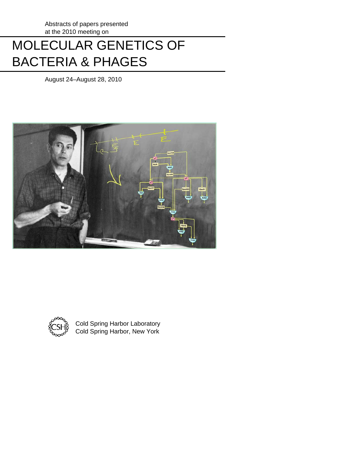# MOLECULAR GENETICS OF BACTERIA & PHAGES

August 24–August 28, 2010





 Cold Spring Harbor Laboratory Cold Spring Harbor, New York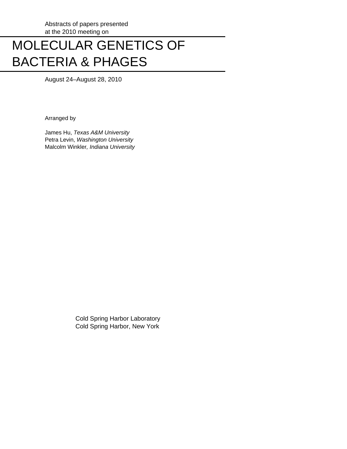# MOLECULAR GENETICS OF BACTERIA & PHAGES

August 24–August 28, 2010

Arranged by

 James Hu, *Texas A&M University* Petra Levin, *Washington University* Malcolm Winkler*, Indiana University*

> Cold Spring Harbor Laboratory Cold Spring Harbor, New York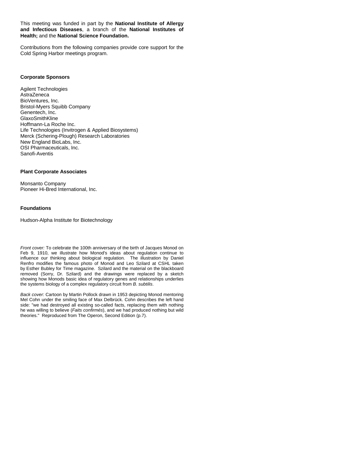This meeting was funded in part by the **National Institute of Allergy and Infectious Diseases**, a branch of the **National Institutes of Health;** and the **National Science Foundation.** 

Contributions from the following companies provide core support for the Cold Spring Harbor meetings program.

## **Corporate Sponsors**

Agilent Technologies **AstraZeneca** BioVentures, Inc. Bristol-Myers Squibb Company Genentech, Inc. GlaxoSmithKline Hoffmann-La Roche Inc. Life Technologies (Invitrogen & Applied Biosystems) Merck (Schering-Plough) Research Laboratories New England BioLabs, Inc. OSI Pharmaceuticals, Inc. Sanofi-Aventis

## **Plant Corporate Associates**

Monsanto Company Pioneer Hi-Bred International, Inc.

## **Foundations**

Hudson-Alpha Institute for Biotechnology

*Front cover:* To celebrate the 100th anniversary of the birth of Jacques Monod on Feb 9, 1910, we illustrate how Monod's ideas about regulation continue to influence our thinking about biological regulation. The illustration by Daniel Renfro modifies the famous photo of Monod and Leo Szilard at CSHL taken by Esther Bubley for Time magazine. Szilard and the material on the blackboard removed (Sorry, Dr. Szilard) and the drawings were replaced by a sketch showing how Monods basic idea of regulatory genes and relationships underlies the systems biology of a complex regulatory circuit from *B. subtilis*.

*Back cover:* Cartoon by Martin Pollock drawn in 1953 depicting Monod mentoring Mel Cohn under the smiling face of Max Delbrück. Cohn describes the left hand side: "we had destroyed all existing so-called facts, replacing them with nothing he was willing to believe (*Faits confirmés*), and we had produced nothing but wild theories." Reproduced from The Operon, Second Edition (p.7).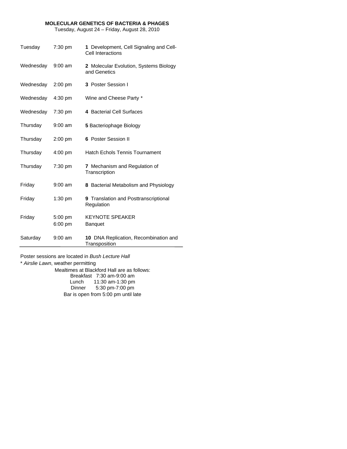## **MOLECULAR GENETICS OF BACTERIA & PHAGES**

Tuesday, August 24 – Friday, August 28, 2010

| Tuesday   | 7:30 pm   | 1 Development, Cell Signaling and Cell-<br>Cell Interactions |
|-----------|-----------|--------------------------------------------------------------|
| Wednesday | $9:00$ am | 2 Molecular Evolution, Systems Biology<br>and Genetics       |
| Wednesday | 2:00 pm   | 3 Poster Session I                                           |
| Wednesday | $4:30$ pm | Wine and Cheese Party *                                      |
| Wednesday | $7:30$ pm | 4 Bacterial Cell Surfaces                                    |
| Thursday  | $9:00$ am | 5 Bacteriophage Biology                                      |
| Thursday  | 2:00 pm   | 6 Poster Session II                                          |
| Thursday  | $4:00$ pm | <b>Hatch Echols Tennis Tournament</b>                        |
| Thursday  | $7:30$ pm | <b>7</b> Mechanism and Regulation of<br>Transcription        |
| Friday    | $9:00$ am | 8 Bacterial Metabolism and Physiology                        |
| Friday    | 1:30 pm   | 9 Translation and Posttranscriptional<br>Regulation          |
| Friday    | $5:00$ pm | <b>KEYNOTE SPEAKER</b>                                       |
|           | $6:00$ pm | <b>Banquet</b>                                               |
| Saturday  | $9:00$ am | 10 DNA Replication, Recombination and<br>Transposition       |

Poster sessions are located in *Bush Lecture Hall*

\* *Airslie Lawn*, weather permitting Mealtimes at Blackford Hall are as follows: Breakfast 7:30 am-9:00 am Lunch 11:30 am-1:30 pm Dinner 5:30 pm-7:00 pm Bar is open from 5:00 pm until late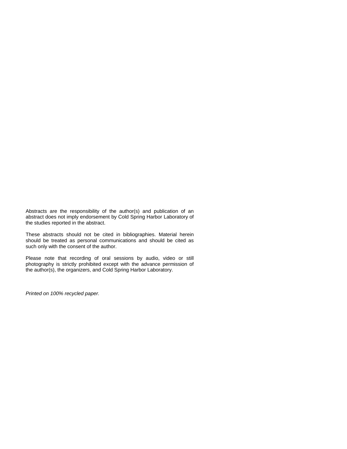Abstracts are the responsibility of the author(s) and publication of an abstract does not imply endorsement by Cold Spring Harbor Laboratory of the studies reported in the abstract.

These abstracts should not be cited in bibliographies. Material herein should be treated as personal communications and should be cited as such only with the consent of the author.

Please note that recording of oral sessions by audio, video or still photography is strictly prohibited except with the advance permission of the author(s), the organizers, and Cold Spring Harbor Laboratory.

*Printed on 100% recycled paper.*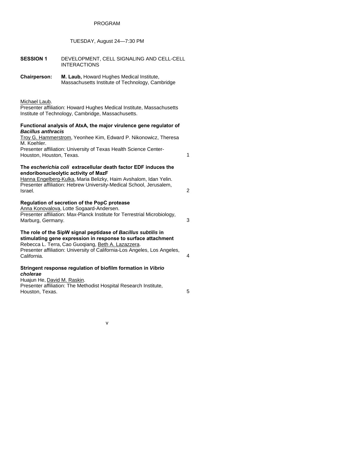# PROGRAM

# TUESDAY, August 24—7:30 PM

| <b>SESSION 1</b>                                           | DEVELOPMENT, CELL SIGNALING AND CELL-CELL<br><b>INTERACTIONS</b>                                                                                                                                                                                                  |              |
|------------------------------------------------------------|-------------------------------------------------------------------------------------------------------------------------------------------------------------------------------------------------------------------------------------------------------------------|--------------|
| <b>Chairperson:</b>                                        | M. Laub, Howard Hughes Medical Institute,<br>Massachusetts Institute of Technology, Cambridge                                                                                                                                                                     |              |
| Michael Laub.                                              | Presenter affiliation: Howard Hughes Medical Institute, Massachusetts<br>Institute of Technology, Cambridge, Massachusetts.                                                                                                                                       |              |
| <b>Bacillus anthracis</b><br>M. Koehler.                   | Functional analysis of AtxA, the major virulence gene regulator of<br>Troy G. Hammerstrom, Yeonhee Kim, Edward P. Nikonowicz, Theresa<br>Presenter affiliation: University of Texas Health Science Center-                                                        |              |
| Houston, Houston, Texas.                                   |                                                                                                                                                                                                                                                                   | $\mathbf{1}$ |
| Israel.                                                    | The escherichia coli extracellular death factor EDF induces the<br>endoribonucleolytic activity of MazF<br>Hanna Engelberg-Kulka, Maria Belizky, Haim Avshalom, Idan Yelin.<br>Presenter affiliation: Hebrew University-Medical School, Jerusalem,                | 2            |
| Marburg, Germany.                                          | Regulation of secretion of the PopC protease<br>Anna Konovalova, Lotte Sogaard-Andersen.<br>Presenter affiliation: Max-Planck Institute for Terrestrial Microbiology,                                                                                             | 3            |
| California.                                                | The role of the SipW signal peptidase of Bacillus subtilis in<br>stimulating gene expression in response to surface attachment<br>Rebecca L. Terra, Cao Guoqiang, Beth A. Lazazzera.<br>Presenter affiliation: University of California-Los Angeles, Los Angeles, | 4            |
| cholerae<br>Huajun He, David M. Raskin.<br>Houston, Texas. | Stringent response regulation of biofilm formation in Vibrio<br>Presenter affiliation: The Methodist Hospital Research Institute,                                                                                                                                 | 5            |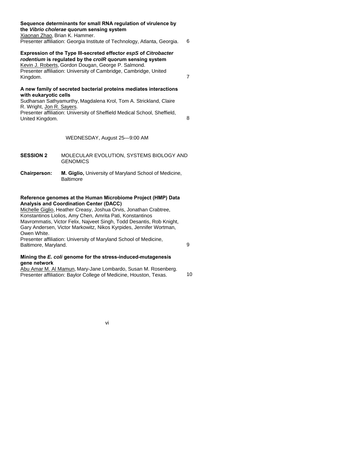## **Sequence determinants for small RNA regulation of virulence by the** *Vibrio cholerae* **quorum sensing system**

Xiaonan Zhao, Brian K. Hammer.

## Presenter affiliation: Georgia Institute of Technology, Atlanta, Georgia. 6

# **Expression of the Type III-secreted effector** *espS* **of** *Citrobacter rodentium* **is regulated by the** *croIR* **quorum sensing system**

Kevin J. Roberts, Gordon Dougan, George P. Salmond. Presenter affiliation: University of Cambridge, Cambridge, United Kingdom. 7

## **A new family of secreted bacterial proteins mediates interactions with eukaryotic cells**

Sudharsan Sathyamurthy, Magdalena Krol, Tom A. Strickland, Claire R. Wright, Jon R. Sayers.

Presenter affiliation: University of Sheffield Medical School, Sheffield, United Kingdom. 8

# WEDNESDAY, August 25—9:00 AM

- **SESSION 2** MOLECULAR EVOLUTION, SYSTEMS BIOLOGY AND **GENOMICS**
- **Chairperson: M. Giglio,** University of Maryland School of Medicine, **Baltimore**

## **Reference genomes at the Human Microbiome Project (HMP) Data Analysis and Coordination Center (DACC)**

Michelle Giglio, Heather Creasy, Joshua Orvis, Jonathan Crabtree, Konstantinos Liolios, Amy Chen, Amrita Pati, Konstantinos Mavrommatis, Victor Felix, Najveet Singh, Todd Desantis, Rob Knight, Gary Andersen, Victor Markowitz, Nikos Kyrpides, Jennifer Wortman, Owen White.

Presenter affiliation: University of Maryland School of Medicine, Baltimore, Maryland. 9

## **Mining the** *E. coli* **genome for the stress-induced-mutagenesis gene network**

Abu Amar M. Al Mamun, Mary-Jane Lombardo, Susan M. Rosenberg. Presenter affiliation: Baylor College of Medicine, Houston, Texas. 10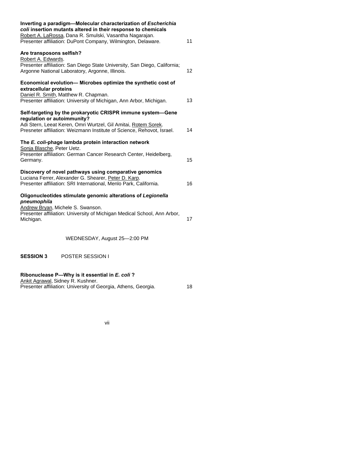| Inverting a paradigm-Molecular characterization of Escherichia<br>coli insertion mutants altered in their response to chemicals<br>Robert A. LaRossa, Dana R. Smulski, Vasantha Nagarajan.                                             |    |
|----------------------------------------------------------------------------------------------------------------------------------------------------------------------------------------------------------------------------------------|----|
| Presenter affiliation: DuPont Company, Wilmington, Delaware.                                                                                                                                                                           | 11 |
| Are transposons selfish?<br>Robert A. Edwards.<br>Presenter affiliation: San Diego State University, San Diego, California;                                                                                                            |    |
| Argonne National Laboratory, Argonne, Illinois.                                                                                                                                                                                        | 12 |
| Economical evolution-Microbes optimize the synthetic cost of<br>extracellular proteins<br>Daniel R. Smith, Matthew R. Chapman.<br>Presenter affiliation: University of Michigan, Ann Arbor, Michigan.                                  | 13 |
| Self-targeting by the prokaryotic CRISPR immune system-Gene<br>regulation or autoimmunity?<br>Adi Stern, Leeat Keren, Omri Wurtzel, Gil Amitai, Rotem Sorek.<br>Presneter affiliation: Weizmann Institute of Science, Rehovot, Israel. | 14 |
| The E. coli-phage lambda protein interaction network<br>Sonja Blasche, Peter Uetz.<br>Presenter affiliation: German Cancer Research Center, Heidelberg,<br>Germany.                                                                    | 15 |
| Discovery of novel pathways using comparative genomics<br>Luciana Ferrer, Alexander G. Shearer, Peter D. Karp.<br>Presenter affiliation: SRI International, Menlo Park, California.                                                    |    |
| Oligonucleotides stimulate genomic alterations of Legionella<br>pneumophila<br>Andrew Bryan, Michele S. Swanson.<br>Presenter affiliation: University of Michigan Medical School, Ann Arbor,<br>Michigan.                              | 17 |
| WEDNESDAY, August 25-2:00 PM                                                                                                                                                                                                           |    |
| <b>SESSION 3</b><br><b>POSTER SESSION I</b>                                                                                                                                                                                            |    |
| Ribonuclease P-Why is it essential in E. coli?                                                                                                                                                                                         |    |

Ankit Agrawal, Sidney R. Kushner. Presenter affiliation: University of Georgia, Athens, Georgia. 18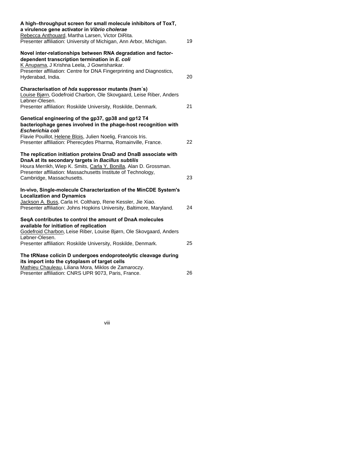| A high-throughput screen for small molecule inhibitors of ToxT,<br>a virulence gene activator in Vibrio cholerae<br>Rebecca Anthouard, Martha Larsen, Victor DiRita.<br>Presenter affiliation: University of Michigan, Ann Arbor, Michigan.                                               | 19 |
|-------------------------------------------------------------------------------------------------------------------------------------------------------------------------------------------------------------------------------------------------------------------------------------------|----|
| Novel inter-relationships between RNA degradation and factor-<br>dependent transcription termination in E. coli<br>K Anupama, J Krishna Leela, J Gowrishankar.<br>Presenter affiliation: Centre for DNA Fingerprinting and Diagnostics,                                                   |    |
| Hyderabad, India.                                                                                                                                                                                                                                                                         | 20 |
| Characterisation of hda suppressor mutants (hsm's)<br>Louise Bjørn, Godefroid Charbon, Ole Skovgaard, Leise Riber, Anders<br>Løbner-Olesen.                                                                                                                                               |    |
| Presenter affiliation: Roskilde University, Roskilde, Denmark.                                                                                                                                                                                                                            | 21 |
| Genetical engineering of the gp37, gp38 and gp12 T4<br>bacteriophage genes involved in the phage-host recognition with<br>Escherichia coli                                                                                                                                                |    |
| Flavie Pouillot, Helene Blois, Julien Noelig, Francois Iris.<br>Presenter affiliation: Pherecydes Pharma, Romainville, France.                                                                                                                                                            | 22 |
| The replication initiation proteins DnaD and DnaB associate with<br>DnaA at its secondary targets in Bacillus subtilis<br>Houra Merrikh, Wiep K. Smits, Carla Y. Bonilla, Alan D. Grossman.<br>Presenter affiliation: Massachusetts Institute of Technology,<br>Cambridge, Massachusetts. | 23 |
|                                                                                                                                                                                                                                                                                           |    |
| In-vivo, Single-molecule Characterization of the MinCDE System's<br><b>Localization and Dynamics</b><br>Jackson A. Buss, Carla H. Coltharp, Rene Kessler, Jie Xiao.<br>Presenter affiliation: Johns Hopkins University, Baltimore, Maryland.                                              | 24 |
| SegA contributes to control the amount of DnaA molecules<br>available for initiation of replication                                                                                                                                                                                       |    |
| Godefroid Charbon, Leise Riber, Louise Bjørn, Ole Skovgaard, Anders<br>Løbner-Olesen.                                                                                                                                                                                                     |    |
| Presenter affiliation: Roskilde University, Roskilde, Denmark.                                                                                                                                                                                                                            | 25 |
| The tRNase colicin D undergoes endoproteolytic cleavage during<br>its import into the cytoplasm of target cells<br>Mathieu Chauleau, Liliana Mora, Miklos de Zamaroczy.                                                                                                                   |    |
| Presenter affiliation: CNRS UPR 9073, Paris, France.                                                                                                                                                                                                                                      | 26 |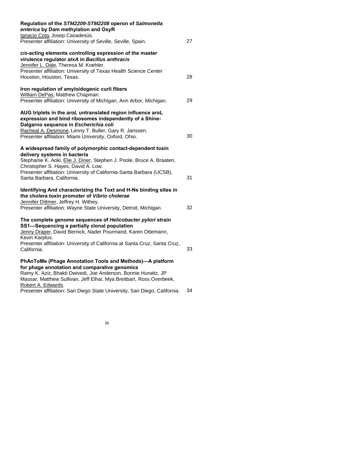| Regulation of the STM2209-STM2208 operon of Salmonella<br>enterica by Dam methylation and OxyR<br>Ignacio Cota, Josep Casadesús.                                                                                                                                         |    |
|--------------------------------------------------------------------------------------------------------------------------------------------------------------------------------------------------------------------------------------------------------------------------|----|
| Presenter affiliation: University of Seville, Seville, Spain.                                                                                                                                                                                                            | 27 |
| cis-acting elements controlling expression of the master<br>virulence regulator atxA in Bacillus anthracis<br>Jennifer L. Dale, Theresa M. Koehler.                                                                                                                      |    |
| Presenter affiliation: University of Texas Health Science Center<br>Houston, Houston, Texas.                                                                                                                                                                             | 28 |
| Iron regulation of amyloidogenic curli fibers<br>William DePas, Matthew Chapman.<br>Presenter affiliation: University of Michigan, Ann Arbor, Michigan.                                                                                                                  | 29 |
| AUG triplets in the aroL untranslated region influence aroL<br>expression and bind ribosomes independently of a Shine-<br>Dalgarno sequence in Escherichia coli                                                                                                          |    |
| Racheal A. Desmone, Lenny T. Buller, Gary R. Janssen.<br>Presenter affiliation: Miami University, Oxford, Ohio.                                                                                                                                                          | 30 |
| A widespread family of polymorphic contact-dependent toxin<br>delivery systems in bacteria<br>Stephanie K. Aoki, Elie J. Diner, Stephen J. Poole, Bruce A. Braaten,                                                                                                      |    |
| Christopher S. Hayes, David A. Low.<br>Presenter affiliation: University of California-Santa Barbara (UCSB),<br>Santa Barbara, California.                                                                                                                               | 31 |
| Identifying And characterizing the Toxt and H-Ns binding sites in<br>the cholera toxin promoter of Vibrio cholerae<br>Jennifer Dittmer, Jeffrey H. Withey.                                                                                                               |    |
| Presenter affiliation: Wayne State University, Detroit, Michigan.                                                                                                                                                                                                        | 32 |
| The complete genome sequences of Helicobacter pylori strain<br>SS1-Sequencing a partially clonal population<br>Jenny Draper, David Bernick, Nader Pourmand, Karen Ottemann,<br>Kevin Karplus.                                                                            |    |
| Presenter affiliation: University of California at Santa Cruz, Santa Cruz,<br>California.                                                                                                                                                                                | 33 |
| PhAnToMe (Phage Annotation Tools and Methods)-A platform<br>for phage annotation and comparative genomics<br>Ramy K. Aziz, Bhakti Dwivedi, Joe Anderson, Bonnie Hurwitz, JP<br>Massar, Matthew Sullivan, Jeff Elhai, Mya Breitbart, Ross Overbeek,<br>Robert A. Edwards. |    |
| Presenter affiliation: San Diego State University, San Diego, California.                                                                                                                                                                                                | 34 |

ix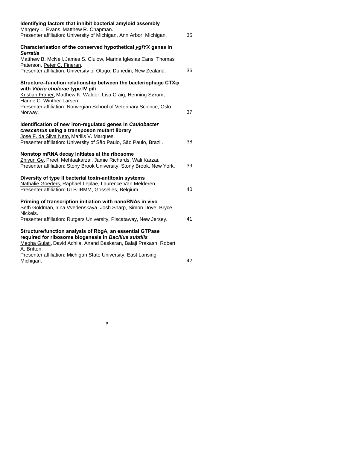| Identifying factors that inhibit bacterial amyloid assembly<br>Margery L. Evans, Matthew R. Chapman.                                                                                    |    |
|-----------------------------------------------------------------------------------------------------------------------------------------------------------------------------------------|----|
| Presenter affiliation: University of Michigan, Ann Arbor, Michigan.                                                                                                                     | 35 |
| Characterisation of the conserved hypothetical ygfYX genes in<br><b>Serratia</b>                                                                                                        |    |
| Matthew B. McNeil, James S. Clulow, Marina Iglesias Cans, Thomas<br>Paterson, Peter C. Fineran.                                                                                         |    |
| Presenter affiliation: University of Otago, Dunedin, New Zealand.                                                                                                                       | 36 |
| Structure-function relationship between the bacteriophage CTX <sub>Q</sub><br>with Vibrio cholerae type IV pili                                                                         |    |
| Kristian Franer, Matthew K. Waldor, Lisa Craig, Henning Sørum,<br>Hanne C. Winther-Larsen.                                                                                              |    |
| Presenter affiliation: Norwegian School of Veterinary Science, Oslo,<br>Norway.                                                                                                         | 37 |
| Identification of new iron-regulated genes in Caulobacter<br>crescentus using a transposon mutant library<br>José F. da Silva Neto, Marilis V. Marques.                                 |    |
| Presenter affiliation: University of São Paulo, São Paulo, Brazil.                                                                                                                      | 38 |
| Nonstop mRNA decay initiates at the ribosome<br>Zhiyun Ge, Preeti Mehtaakarzai, Jamie Richards, Wali Karzai.<br>Presenter affiliation: Stony Brook University, Stony Brook, New York.   | 39 |
| Diversity of type II bacterial toxin-antitoxin systems<br>Nathalie Goeders, Raphaël Leplae, Laurence Van Melderen.<br>Presenter affiliation: ULB-IBMM, Gosselies, Belgium.              | 40 |
| Priming of transcription initiation with nanoRNAs in vivo<br>Seth Goldman, Irina Vvedenskaya, Josh Sharp, Simon Dove, Bryce<br>Nickels.                                                 |    |
| Presenter affiliation: Rutgers University, Piscataway, New Jersey.                                                                                                                      | 41 |
| Structure/function analysis of RbgA, an essential GTPase<br>required for ribosome biogenesis in Bacillus subtilis<br>Megha Gulati, David Achila, Anand Baskaran, Balaji Prakash, Robert |    |
| A. Britton.<br>Presenter affiliation: Michigan State University, East Lansing,<br>Michigan.                                                                                             | 42 |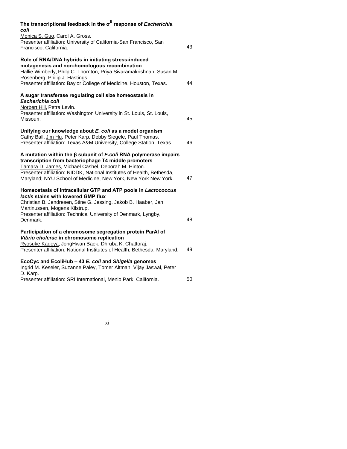| The transcriptional feedback in the $\sigma^E$ response of <i>Escherichia</i><br>coli                                                                                                                                                                                                                                             |    |
|-----------------------------------------------------------------------------------------------------------------------------------------------------------------------------------------------------------------------------------------------------------------------------------------------------------------------------------|----|
| Monica S. Guo, Carol A. Gross.<br>Presenter affiliation: University of California-San Francisco, San<br>Francisco, California.                                                                                                                                                                                                    | 43 |
| Role of RNA/DNA hybrids in initiating stress-induced<br>mutagenesis and non-homologous recombination<br>Hallie Wimberly, Philp C. Thornton, Priya Sivaramakrishnan, Susan M.<br>Rosenberg, Philip J. Hastings.<br>Presenter affiliation: Baylor College of Medicine, Houston, Texas.                                              | 44 |
| A sugar transferase regulating cell size homeostasis in<br>Escherichia coli<br>Norbert Hill, Petra Levin.<br>Presenter affiliation: Washington University in St. Louis, St. Louis,<br>Missouri.                                                                                                                                   | 45 |
| Unifying our knowledge about E. coli as a model organism<br>Cathy Ball, Jim Hu, Peter Karp, Debby Siegele, Paul Thomas.<br>Presenter affiliation: Texas A&M University, College Station, Texas.                                                                                                                                   | 46 |
| A mutation within the $\beta$ subunit of E.coli RNA polymerase impairs<br>transcription from bacteriophage T4 middle promoters<br>Tamara D. James, Michael Cashel, Deborah M. Hinton.<br>Presenter affiliation: NIDDK, National Institutes of Health, Bethesda,<br>Maryland; NYU School of Medicine, New York, New York New York. | 47 |
| Homeostasis of intracellular GTP and ATP pools in Lactococcus<br>lactis stains with lowered GMP flux<br>Christian B. Jendresen, Stine G. Jessing, Jakob B. Haaber, Jan<br>Martinussen, Mogens Kilstrup.<br>Presenter affiliation: Technical University of Denmark, Lyngby,<br>Denmark.                                            | 48 |
| Participation of a chromosome segregation protein ParAl of<br>Vibrio cholerae in chromosome replication<br>Ryosuke Kadoya, JongHwan Baek, Dhruba K. Chattoraj.<br>Presenter affiliation: National Institutes of Health, Bethesda, Maryland.                                                                                       | 49 |
| EcoCyc and EcoliHub - 43 E. coli and Shigella genomes<br>Ingrid M. Keseler, Suzanne Paley, Tomer Altman, Vijay Jaswal, Peter<br>D. Karp.<br>Presenter affiliation: SRI International, Menlo Park, California.                                                                                                                     | 50 |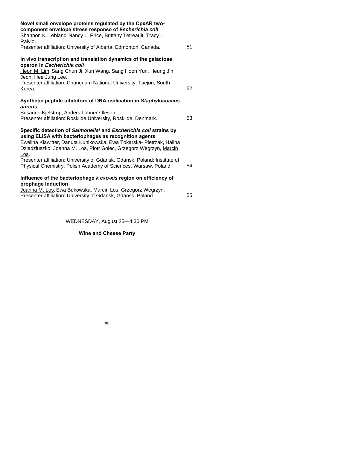| Novel small envelope proteins regulated by the CpxAR two-<br>component envelope stress response of Escherichia coli<br>Shannon K. Leblanc, Nancy L. Price, Brittany Tetreault, Tracy L.<br>Raivio.                                                                                       |    |
|------------------------------------------------------------------------------------------------------------------------------------------------------------------------------------------------------------------------------------------------------------------------------------------|----|
| Presenter affiliation: University of Alberta, Edmonton, Canada.                                                                                                                                                                                                                          | 51 |
| In vivo transcription and translation dynamics of the galactose<br>operon in Escherichia coli<br>Heon M. Lim, Sang Chun Ji, Xun Wang, Sang Hoon Yun, Heung Jin<br>Jeon, Hee Jung Lee.<br>Presenter affiliation: Chungnam National University, Taejon, South<br>Korea.                    | 52 |
| Synthetic peptide inhibitors of DNA replication in Staphylococcus<br>aureus<br>Susanne Kjelstrup, Anders Lobner-Olesen.<br>Presenter affiliation: Roskilde University, Roskilde, Denmark.                                                                                                | 53 |
| Specific detection of Salmonellal and Escherichia coli strains by<br>using ELISA with bacteriophages as recognition agents<br>Ewelina Klawitter, Danuta Kunikowska, Ewa Tokarska- Pietrzak, Halina<br>Dziadziuszko, Joanna M. Los, Piotr Golec, Grzegorz Wegrzyn, Marcin<br><u>Los</u> . |    |
| Presenter affiliation: University of Gdansk, Gdansk, Poland; Institute of<br>Physical Chemistry, Polish Academy of Sciences, Warsaw, Poland.                                                                                                                                             | 54 |
| Influence of the bacteriophage $\lambda$ exo-xis region on efficiency of<br>prophage induction                                                                                                                                                                                           |    |
| Joanna M. Los, Ewa Bukowska, Marcin Los, Grzegorz Wegrzyn.<br>Presenter affiliation: University of Gdansk, Gdansk, Poland.                                                                                                                                                               | 55 |

WEDNESDAY, August 25—4:30 PM

# **Wine and Cheese Party**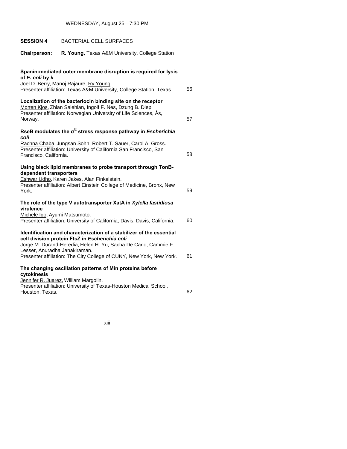# WEDNESDAY, August 25—7:30 PM

| <b>SESSION 4</b>                           | <b>BACTERIAL CELL SURFACES</b>                                                                                                                                                                                                                                    |    |
|--------------------------------------------|-------------------------------------------------------------------------------------------------------------------------------------------------------------------------------------------------------------------------------------------------------------------|----|
| <b>Chairperson:</b>                        | R. Young, Texas A&M University, College Station                                                                                                                                                                                                                   |    |
| of E. coli by $\lambda$                    | Spanin-mediated outer membrane disruption is required for lysis<br>Joel D. Berry, Manoj Rajaure, Ry Young.<br>Presenter affiliation: Texas A&M University, College Station, Texas.                                                                                | 56 |
| Norway.                                    | Localization of the bacteriocin binding site on the receptor<br>Morten Kjos, Zhian Salehian, Ingolf F. Nes, Dzung B. Diep.<br>Presenter affiliation: Norwegian University of Life Sciences, Ås,                                                                   | 57 |
|                                            | RseB modulates the $\sigma^E$ stress response pathway in Escherichia                                                                                                                                                                                              |    |
| coli<br>Francisco, California.             | Rachna Chaba, Jungsan Sohn, Robert T. Sauer, Carol A. Gross.<br>Presenter affiliation: University of California San Francisco, San                                                                                                                                | 58 |
| dependent transporters<br>York.            | Using black lipid membranes to probe transport through TonB-<br>Eshwar Udho, Karen Jakes, Alan Finkelstein.<br>Presenter affiliation: Albert Einstein College of Medicine, Bronx, New                                                                             | 59 |
|                                            | The role of the type V autotransporter XatA in Xylella fastidiosa                                                                                                                                                                                                 |    |
| virulence<br>Michele Igo, Ayumi Matsumoto. | Presenter affiliation: University of California, Davis, Davis, California.                                                                                                                                                                                        | 60 |
| Lesser, Anuradha Janakiraman.              | Identification and characterization of a stabilizer of the essential<br>cell division protein FtsZ in Escherichia coli<br>Jorge M. Durand-Heredia, Helen H. Yu, Sacha De Carlo, Cammie F.<br>Presenter affiliation: The City College of CUNY, New York, New York. | 61 |
|                                            | The changing oscillation patterns of Min proteins before                                                                                                                                                                                                          |    |
| cytokinesis<br>Houston, Texas.             | Jennifer R. Juarez, William Margolin.<br>Presenter affiliation: University of Texas-Houston Medical School,                                                                                                                                                       | 62 |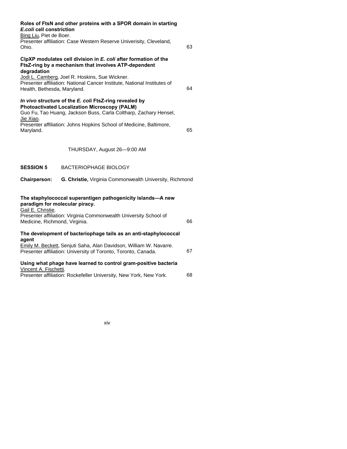| E.coli cell constriction<br>Bing Liu, Piet de Boer.<br>Ohio. | Roles of FtsN and other proteins with a SPOR domain in starting<br>Presenter affiliation: Case Western Reserve Univerisity, Cleveland,                                                                                                                    | 63 |
|--------------------------------------------------------------|-----------------------------------------------------------------------------------------------------------------------------------------------------------------------------------------------------------------------------------------------------------|----|
| degradation<br>Health, Bethesda, Maryland.                   | ClpXP modulates cell division in E. coli after formation of the<br>FtsZ-ring by a mechanism that involves ATP-dependent<br>Jodi L. Camberg, Joel R. Hoskins, Sue Wickner.<br>Presenter affiliation: National Cancer Institute, National Institutes of     | 64 |
| Jie Xiao.<br>Maryland.                                       | In vivo structure of the E. coli FtsZ-ring revealed by<br><b>Photoactivated Localization Microscopy (PALM)</b><br>Guo Fu, Tao Huang, Jackson Buss, Carla Coltharp, Zachary Hensel,<br>Presenter affiliation: Johns Hopkins School of Medicine, Baltimore, | 65 |
|                                                              | THURSDAY, August 26-9:00 AM                                                                                                                                                                                                                               |    |
| <b>SESSION 5</b>                                             | <b>BACTERIOPHAGE BIOLOGY</b>                                                                                                                                                                                                                              |    |
| <b>Chairperson:</b>                                          | G. Christie, Virginia Commonwealth University, Richmond                                                                                                                                                                                                   |    |
| paradigm for molecular piracy.<br>Gail E. Christie.          | The staphylococcal superantigen pathogenicity islands-A new                                                                                                                                                                                               |    |
| Medicine, Richmond, Virginia.                                | Presenter affiliation: Virginia Commonwealth University School of                                                                                                                                                                                         | 66 |
| agent                                                        | The development of bacteriophage tails as an anti-staphylococcal                                                                                                                                                                                          |    |
|                                                              | Emily M. Beckett, Senjuti Saha, Alan Davidson, William W. Navarre.<br>Presenter affiliation: University of Toronto, Toronto, Canada.                                                                                                                      | 67 |
| Vincent A. Fischetti.                                        | Using what phage have learned to control gram-positive bacteria<br>Presenter affiliation: Rockefeller University, New York, New York.                                                                                                                     | 68 |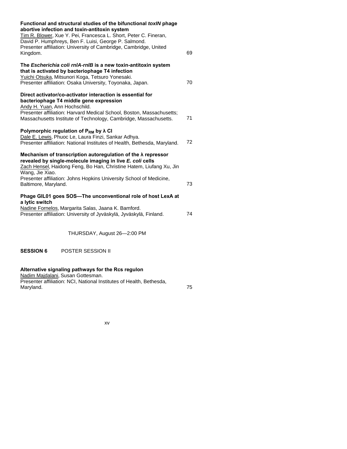| Functional and structural studies of the bifunctional toxIN phage<br>abortive infection and toxin-antitoxin system<br>Tim R. Blower, Xue Y. Pei, Francesca L. Short, Peter C. Fineran,<br>David P. Humphreys, Ben F. Luisi, George P. Salmond.<br>Presenter affiliation: University of Cambridge, Cambridge, United<br>Kingdom. | 69 |
|---------------------------------------------------------------------------------------------------------------------------------------------------------------------------------------------------------------------------------------------------------------------------------------------------------------------------------|----|
| The Escherichia coli rnIA-rnIB is a new toxin-antitoxin system<br>that is activated by bacteriophage T4 infection<br>Yuichi Otsuka, Mitsunori Koga, Tetsuro Yonesaki.<br>Presenter affiliation: Osaka University, Toyonaka, Japan.                                                                                              | 70 |
| Direct activator/co-activator interaction is essential for<br>bacteriophage T4 middle gene expression<br>Andy H. Yuan, Ann Hochschild.<br>Presenter affiliation: Harvard Medical School, Boston, Massachusetts;<br>Massachusetts Institute of Technology, Cambridge, Massachusetts.                                             | 71 |
| Polymorphic regulation of $P_{RM}$ by $\lambda$ CI<br>Dale E. Lewis, Phuoc Le, Laura Finzi, Sankar Adhya.<br>Presenter affiliation: National Institutes of Health, Bethesda, Maryland.                                                                                                                                          | 72 |
| Mechanism of transcription autoregulation of the $\lambda$ repressor<br>revealed by single-molecule imaging in live E. coli cells<br>Zach Hensel, Haidong Feng, Bo Han, Christine Hatem, Liufang Xu, Jin<br>Wang, Jie Xiao.<br>Presenter affiliation: Johns Hopkins University School of Medicine,                              | 73 |
| Baltimore, Maryland.<br>Phage GIL01 goes SOS-The unconventional role of host LexA at<br>a lytic switch<br>Nadine Fornelos, Margarita Salas, Jaana K. Bamford.<br>Presenter affiliation: University of Jyväskylä, Jyväskylä, Finland.                                                                                            | 74 |
| THURSDAY, August 26-2:00 PM                                                                                                                                                                                                                                                                                                     |    |

**SESSION 6** POSTER SESSION II

# **Alternative signaling pathways for the Rcs regulon**

Nadim Majdalani, Susan Gottesman. **Presenter affiliation: NCI, National Institutes of Health, Bethesda,** Maryland. 75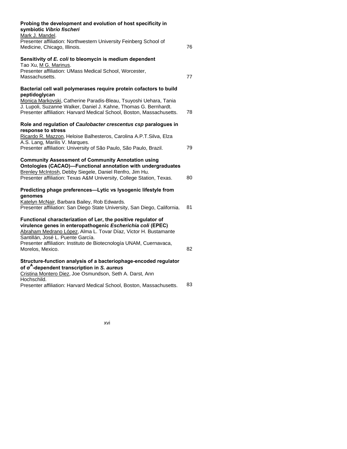| Probing the development and evolution of host specificity in<br>symbiotic Vibrio fischeri                                                                                                                                                                    |    |
|--------------------------------------------------------------------------------------------------------------------------------------------------------------------------------------------------------------------------------------------------------------|----|
| Mark J. Mandel.<br>Presenter affiliation: Northwestern University Feinberg School of<br>Medicine, Chicago, Illinois.                                                                                                                                         | 76 |
| Sensitivity of E. coli to bleomycin is medium dependent                                                                                                                                                                                                      |    |
| Tao Xu, M G. Marinus.<br>Presenter affiliation: UMass Medical School, Worcester,<br>Massachusetts.                                                                                                                                                           | 77 |
| Bacterial cell wall polymerases require protein cofactors to build                                                                                                                                                                                           |    |
| peptidoglycan<br>Monica Markovski, Catherine Paradis-Bleau, Tsuyoshi Uehara, Tania<br>J. Lupoli, Suzanne Walker, Daniel J. Kahne, Thomas G. Bernhardt.<br>Presenter affiliation: Harvard Medical School, Boston, Massachusetts.                              | 78 |
| Role and regulation of Caulobacter crescentus csp paralogues in                                                                                                                                                                                              |    |
| response to stress<br>Ricardo R. Mazzon, Heloise Balhesteros, Carolina A.P.T.Silva, Elza                                                                                                                                                                     |    |
| A.S. Lang, Marilis V. Marques.<br>Presenter affiliation: University of São Paulo, São Paulo, Brazil.                                                                                                                                                         | 79 |
| <b>Community Assessment of Community Annotation using</b><br>Ontologies (CACAO)-Functional annotation with undergraduates<br>Brenley McIntosh, Debby Siegele, Daniel Renfro, Jim Hu.<br>Presenter affiliation: Texas A&M University, College Station, Texas. | 80 |
| Predicting phage preferences-Lytic vs lysogenic lifestyle from                                                                                                                                                                                               |    |
| genomes<br>Katelyn McNair, Barbara Bailey, Rob Edwards.<br>Presenter affiliation: San Diego State University, San Diego, California.                                                                                                                         | 81 |
| Functional characterization of Ler, the positive regulator of<br>virulence genes in enteropathogenic Escherichia coli (EPEC)<br>Abraham Medrano López, Alma L. Tovar Díaz, Victor H. Bustamante<br>Santillán, José L. Puente García.                         |    |
| Presenter affiliation: Instituto de Biotecnología UNAM, Cuernavaca,<br>Morelos, Mexico.                                                                                                                                                                      | 82 |
| Structure-function analysis of a bacteriophage-encoded regulator<br>of $\sigma^A$ -dependent transcription in S. aureus<br>Cristina Montero Diez, Joe Osmundson, Seth A. Darst, Ann                                                                          |    |
| Hochschild.<br>Presenter affiliation: Harvard Medical School, Boston, Massachusetts.                                                                                                                                                                         | 83 |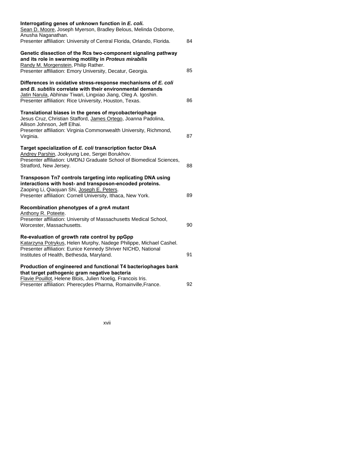| Interrogating genes of unknown function in E. coli.<br>Sean D. Moore, Joseph Myerson, Bradley Belous, Melinda Osborne,<br>Anusha Naganathan.                                                                                                              |    |
|-----------------------------------------------------------------------------------------------------------------------------------------------------------------------------------------------------------------------------------------------------------|----|
| Presenter affiliation: University of Central Florida, Orlando, Florida.                                                                                                                                                                                   | 84 |
| Genetic dissection of the Rcs two-component signaling pathway<br>and its role in swarming motility in Proteus mirabilis                                                                                                                                   |    |
| Randy M. Morgenstein, Philip Rather.<br>Presenter affiliation: Emory University, Decatur, Georgia.                                                                                                                                                        | 85 |
| Differences in oxidative stress-response mechanisms of E. coli<br>and B. subtilis correlate with their environmental demands<br>Jatin Narula, Abhinav Tiwari, Lingxiao Jiang, Oleg A. Igoshin.<br>Presenter affiliation: Rice University, Houston, Texas. | 86 |
| Translational biases in the genes of mycobacteriophage<br>Jesus Cruz, Christian Stafford, James Ortego, Joanna Padolina,<br>Allison Johnson, Jeff Elhai.<br>Presenter affiliation: Virginia Commonwealth University, Richmond,                            |    |
| Virginia.                                                                                                                                                                                                                                                 | 87 |
| Target specialization of E. coli transcription factor DksA<br>Andrey Parshin, Jookyung Lee, Sergei Borukhov.<br>Presenter affiliation: UMDNJ Graduate School of Biomedical Sciences,<br>Stratford, New Jersey.                                            | 88 |
| Transposon Tn7 controls targeting into replicating DNA using<br>interactions with host- and transposon-encoded proteins.<br>Zaoping Li, Qiaojuan Shi, Joseph E. Peters.<br>Presenter affiliation: Cornell University, Ithaca, New York.                   | 89 |
| Recombination phenotypes of a greA mutant<br>Anthony R. Poteete.                                                                                                                                                                                          |    |
| Presenter affiliation: University of Massachusetts Medical School,<br>Worcester, Massachusetts.                                                                                                                                                           | 90 |
| Re-evaluation of growth rate control by ppGpp<br>Katarzyna Potrykus, Helen Murphy, Nadege Philippe, Michael Cashel.<br>Presenter affiliation: Eunice Kennedy Shriver NICHD, National<br>Institutes of Health, Bethesda, Maryland.                         | 91 |
| Production of engineered and functional T4 bacteriophages bank<br>that target pathogenic gram negative bacteria<br>Flavie Pouillot, Helene Blois, Julien Noelig, Francois Iris.<br>Presenter affiliation: Pherecydes Pharma, Romainville, France.         | 92 |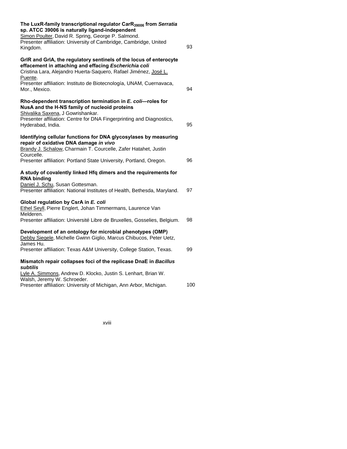| The LuxR-family transcriptional regulator CarR <sub>39006</sub> from Serratia<br>sp. ATCC 39006 is naturally ligand-independent<br>Simon Poulter, David R. Spring, George P. Salmond.                      |     |
|------------------------------------------------------------------------------------------------------------------------------------------------------------------------------------------------------------|-----|
| Presenter affiliation: University of Cambridge, Cambridge, United<br>Kingdom.                                                                                                                              | 93  |
| GrIR and GrIA, the regulatory sentinels of the locus of enterocyte<br>effacement in attaching and effacing Escherichia coli<br>Cristina Lara, Alejandro Huerta-Saquero, Rafael Jiménez, José L.<br>Puente. |     |
| Presenter affiliation: Instituto de Biotecnología, UNAM, Cuernavaca,<br>Mor., Mexico.                                                                                                                      | 94  |
| Rho-dependent transcription termination in E. coli-roles for<br>NusA and the H-NS family of nucleoid proteins<br>Shivalika Saxena, J Gowrishankar.                                                         |     |
| Presenter affiliation: Centre for DNA Fingerprinting and Diagnostics,<br>Hyderabad, India.                                                                                                                 | 95  |
| Identifying cellular functions for DNA glycosylases by measuring<br>repair of oxidative DNA damage in vivo<br>Brandy J. Schalow, Charmain T. Courcelle, Zafer Hatahet, Justin                              |     |
| Courcelle.<br>Presenter affiliation: Portland State University, Portland, Oregon.                                                                                                                          | 96  |
| A study of covalently linked Hfq dimers and the requirements for<br><b>RNA binding</b>                                                                                                                     |     |
| Daniel J. Schu, Susan Gottesman.<br>Presenter affiliation: National Institutes of Health, Bethesda, Maryland.                                                                                              | 97  |
| Global regulation by CsrA in E. coli<br>Ethel Seyll, Pierre Englert, Johan Timmermans, Laurence Van<br>Melderen.                                                                                           |     |
| Presenter affiliation: Université Libre de Bruxelles, Gosselies, Belgium.                                                                                                                                  | 98  |
| Development of an ontology for microbial phenotypes (OMP)<br>Debby Siegele, Michelle Gwinn Giglio, Marcus Chibucos, Peter Uetz,<br>James Hu.                                                               |     |
| Presenter affiliation: Texas A&M University, College Station, Texas.                                                                                                                                       | 99  |
| Mismatch repair collapses foci of the replicase DnaE in Bacillus<br>subtilis                                                                                                                               |     |
| Lyle A. Simmons, Andrew D. Klocko, Justin S. Lenhart, Brian W.<br>Walsh, Jeremy W. Schroeder.                                                                                                              |     |
| Presenter affiliation: University of Michigan, Ann Arbor, Michigan.                                                                                                                                        | 100 |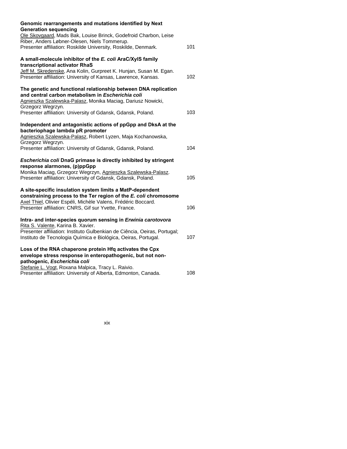| Genomic rearrangements and mutations identified by Next<br><b>Generation sequencing</b>                                                                                                                  |     |
|----------------------------------------------------------------------------------------------------------------------------------------------------------------------------------------------------------|-----|
| Ole Skovgaard, Mads Bak, Louise Brinck, Godefroid Charbon, Leise<br>Riber, Anders Løbner-Olesen, Niels Tommerup.                                                                                         |     |
| Presenter affiliation: Roskilde University, Roskilde, Denmark.                                                                                                                                           | 101 |
| A small-molecule inhibitor of the E. coli AraC/XyIS family<br>transcriptional activator RhaS                                                                                                             |     |
| Jeff M. Skredenske, Ana Kolin, Gurpreet K. Hunjan, Susan M. Egan.<br>Presenter affiliation: University of Kansas, Lawrence, Kansas.                                                                      | 102 |
| The genetic and functional relationship between DNA replication<br>and central carbon metabolism in Escherichia coli<br>Agnieszka Szalewska-Palasz, Monika Maciag, Dariusz Nowicki,<br>Grzegorz Wegrzyn. |     |
| Presenter affiliation: University of Gdansk, Gdansk, Poland.                                                                                                                                             | 103 |
| Independent and antagonistic actions of ppGpp and DksA at the<br>bacteriophage lambda pR promoter                                                                                                        |     |
| Agnieszka Szalewska-Palasz, Robert Lyzen, Maja Kochanowska,<br>Grzegorz Wegrzyn.                                                                                                                         |     |
| Presenter affiliation: University of Gdansk, Gdansk, Poland.                                                                                                                                             | 104 |
| Escherichia coli DnaG primase is directly inhibited by stringent<br>response alarmones, (p)ppGpp                                                                                                         |     |
| Monika Maciag, Grzegorz Wegrzyn, Agnieszka Szalewska-Palasz.<br>Presenter affiliation: University of Gdansk, Gdansk, Poland.                                                                             | 105 |
| A site-specific insulation system limits a MatP-dependent                                                                                                                                                |     |
| constraining process to the Ter region of the E. coli chromosome<br>Axel Thiel, Olivier Espéli, Michèle Valens, Frédéric Boccard.<br>Presenter affiliation: CNRS, Gif sur Yvette, France.                | 106 |
| Intra- and inter-species quorum sensing in Erwinia carotovora<br>Rita S. Valente, Karina B. Xavier.                                                                                                      |     |
| Presenter affiliation: Instituto Gulbenkian de Ciência, Oeiras, Portugal;<br>Instituto de Tecnologia Química e Biológica, Oeiras, Portugal.                                                              | 107 |
| Loss of the RNA chaperone protein Hfq activates the Cpx<br>envelope stress response in enteropathogenic, but not non-                                                                                    |     |
| pathogenic, Escherichia coli<br>Stefanie L. Vogt, Roxana Malpica, Tracy L. Raivio.                                                                                                                       |     |
| Presenter affiliation: University of Alberta, Edmonton, Canada.                                                                                                                                          | 108 |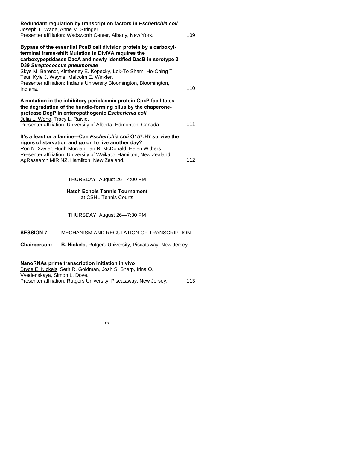| Redundant regulation by transcription factors in Escherichia coli<br>Joseph T. Wade, Anne M. Stringer.                                                                                                                                                                                                                                                                                                                        |     |
|-------------------------------------------------------------------------------------------------------------------------------------------------------------------------------------------------------------------------------------------------------------------------------------------------------------------------------------------------------------------------------------------------------------------------------|-----|
| Presenter affiliation: Wadsworth Center, Albany, New York.                                                                                                                                                                                                                                                                                                                                                                    | 109 |
| Bypass of the essential PcsB cell division protein by a carboxyl-<br>terminal frame-shift Mutation in DivIVA requires the<br>carboxypeptidases DacA and newly identified DacB in serotype 2<br>D39 Streptococcus pneumoniae<br>Skye M. Barendt, Kimberley E. Kopecky, Lok-To Sham, Ho-Ching T.<br>Tsui, Kyle J. Wayne, Malcolm E. Winkler.<br>Presenter affiliation: Indiana University Bloomington, Bloomington,<br>Indiana. | 110 |
|                                                                                                                                                                                                                                                                                                                                                                                                                               |     |
| A mutation in the inhibitory periplasmic protein CpxP facilitates<br>the degradation of the bundle-forming pilus by the chaperone-<br>protease DegP in enteropathogenic Escherichia coli<br>Julia L. Wong, Tracy L. Raivio.                                                                                                                                                                                                   |     |
| Presenter affiliation: University of Alberta, Edmonton, Canada.                                                                                                                                                                                                                                                                                                                                                               | 111 |
| It's a feast or a famine—Can <i>Escherichia coli</i> O157:H7 survive the<br>rigors of starvation and go on to live another day?<br>Ron N. Xavier, Hugh Morgan, Ian R. McDonald, Helen Withers.<br>Presenter affiliation: University of Waikato, Hamilton, New Zealand;                                                                                                                                                        |     |
| AgResearch MIRINZ, Hamilton, New Zealand.                                                                                                                                                                                                                                                                                                                                                                                     | 112 |
|                                                                                                                                                                                                                                                                                                                                                                                                                               |     |

THURSDAY, August 26—4:00 PM

**Hatch Echols Tennis Tournament**  at CSHL Tennis Courts

THURSDAY, August 26—7:30 PM

## **SESSION 7** MECHANISM AND REGULATION OF TRANSCRIPTION

**Chairperson: B. Nickels,** Rutgers University, Piscataway, New Jersey

# **NanoRNAs prime transcription initiation in vivo**

Bryce E. Nickels, Seth R. Goldman, Josh S. Sharp, Irina O. Vvedenskaya, Simon L. Dove. Presenter affiliation: Rutgers University, Piscataway, New Jersey. 113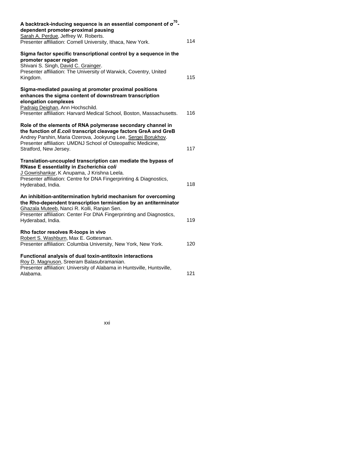| A backtrack-inducing sequence is an essential component of $\sigma^{70}$ -<br>dependent promoter-proximal pausing<br>Sarah A. Perdue, Jeffrey W. Roberts.                                                                                                                                  |     |
|--------------------------------------------------------------------------------------------------------------------------------------------------------------------------------------------------------------------------------------------------------------------------------------------|-----|
| Presenter affiliation: Cornell University, Ithaca, New York.                                                                                                                                                                                                                               | 114 |
| Sigma factor specific transcriptional control by a sequence in the<br>promoter spacer region<br>Shivani S. Singh, David C. Grainger.<br>Presenter affiliation: The University of Warwick, Coventry, United<br>Kingdom.                                                                     | 115 |
| Sigma-mediated pausing at promoter proximal positions<br>enhances the sigma content of downstream transcription<br>elongation complexes<br>Padraig Deighan, Ann Hochschild.<br>Presenter affiliation: Harvard Medical School, Boston, Massachusetts.                                       | 116 |
| Role of the elements of RNA polymerase secondary channel in<br>the function of E.coli transcript cleavage factors GreA and GreB<br>Andrey Parshin, Maria Ozerova, Jookyung Lee, Sergei Borukhov.<br>Presenter affiliation: UMDNJ School of Osteopathic Medicine,<br>Stratford, New Jersey. | 117 |
| Translation-uncoupled transcription can mediate the bypass of<br>RNase E essentiality in Escherichia coli<br>J Gowrishankar, K Anupama, J Krishna Leela.<br>Presenter affiliation: Centre for DNA Fingerprinting & Diagnostics,<br>Hyderabad, India.                                       | 118 |
| An inhibition-antitermination hybrid mechanism for overcoming<br>the Rho-dependent transcription termination by an antiterminator<br>Ghazala Muteeb, Nanci R. Kolli, Ranjan Sen.<br>Presenter affiliation: Center For DNA Fingerprinting and Diagnostics,<br>Hyderabad, India.             | 119 |
| Rho factor resolves R-loops in vivo<br>Robert S. Washburn, Max E. Gottesman.<br>Presenter affiliation: Columbia University, New York, New York.                                                                                                                                            | 120 |
| Functional analysis of dual toxin-antitoxin interactions<br>Roy D. Magnuson, Sreeram Balasubramanian.<br>Presenter affiliation: University of Alabama in Huntsville, Huntsville,<br>Alabama.                                                                                               | 121 |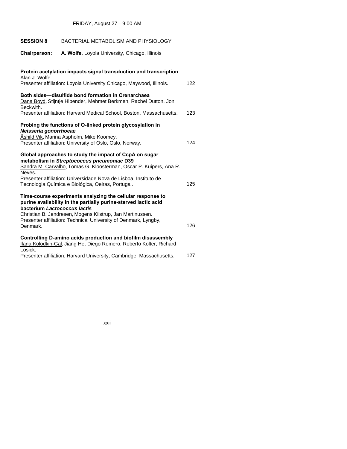**SESSION 8** BACTERIAL METABOLISM AND PHYSIOLOGY

| <b>Chairperson:</b><br>A. Wolfe, Loyola University, Chicago, Illinois                                                                                                                |     |
|--------------------------------------------------------------------------------------------------------------------------------------------------------------------------------------|-----|
| Protein acetylation impacts signal transduction and transcription<br>Alan J. Wolfe.                                                                                                  |     |
| Presenter affiliation: Loyola University Chicago, Maywood, Illinois.                                                                                                                 | 122 |
| Both sides-disulfide bond formation in Crenarchaea<br>Dana Boyd, Stijntje Hibender, Mehmet Berkmen, Rachel Dutton, Jon<br>Beckwith.                                                  |     |
| Presenter affiliation: Harvard Medical School, Boston, Massachusetts.                                                                                                                | 123 |
| Probing the functions of O-linked protein glycosylation in<br>Neisseria gonorrhoeae                                                                                                  |     |
| Åshild Vik, Marina Aspholm, Mike Koomey.<br>Presenter affiliation: University of Oslo, Oslo, Norway.                                                                                 | 124 |
| Global approaches to study the impact of CcpA on sugar<br>metabolism in Streptococcus pneumoniae D39<br>Sandra M. Carvalho, Tomas G. Kloosterman, Oscar P. Kuipers, Ana R.<br>Neves. |     |
| Presenter affiliation: Universidade Nova de Lisboa, Instituto de<br>Tecnologia Química e Biológica, Oeiras, Portugal.                                                                | 125 |
| Time-course experiments analyzing the cellular response to<br>purine availability in the partially purine-starved lactic acid<br>bacterium Lactococcus lactis                        |     |
| Christian B. Jendresen, Mogens Kilstrup, Jan Martinussen.<br>Presenter affiliation: Technical University of Denmark, Lyngby,<br>Denmark.                                             | 126 |
| Controlling D-amino acids production and biofilm disassembly<br>Ilana Kolodkin-Gal, Jiang He, Diego Romero, Roberto Kolter, Richard<br>Losick.                                       |     |
|                                                                                                                                                                                      |     |

Presenter affiliation: Harvard University, Cambridge, Massachusetts. 127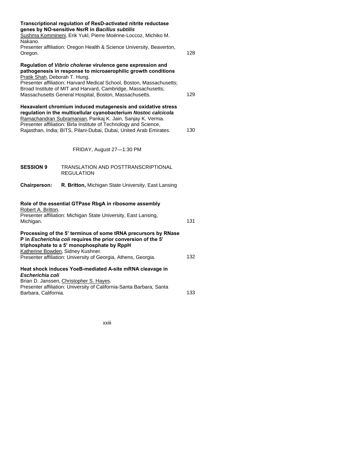| Nakano.                                                                                                                                                                                                                                                                                                                                  | Transcriptional regulation of ResD-activated nitrite reductase<br>genes by NO-sensitive NsrR in Bacillus subtilis<br>Sushma Kommineni, Erik Yukl, Pierre Moënne-Loccoz, Michiko M.                                                                                                                                               |     |
|------------------------------------------------------------------------------------------------------------------------------------------------------------------------------------------------------------------------------------------------------------------------------------------------------------------------------------------|----------------------------------------------------------------------------------------------------------------------------------------------------------------------------------------------------------------------------------------------------------------------------------------------------------------------------------|-----|
| Oregon.                                                                                                                                                                                                                                                                                                                                  | Presenter affiliation: Oregon Health & Science University, Beaverton,                                                                                                                                                                                                                                                            | 128 |
| Pratik Shah, Deborah T. Hung.                                                                                                                                                                                                                                                                                                            | Regulation of Vibrio cholerae virulence gene expression and<br>pathogenesis in response to microaerophilic growth conditions<br>Presenter affiliation: Harvard Medical School, Boston, Massachusetts;<br>Broad Institute of MIT and Harvard, Cambridge, Massachusetts;<br>Massachusetts General Hospital, Boston, Massachusetts. | 129 |
| Hexavalent chromium induced mutagenesis and oxidative stress<br>regulation in the multicellular cyanobacterium Nostoc calcicola<br>Ramachandran Subramanian, Pankaj K. Jain, Sanjay K. Verma.<br>Presenter affiliation: Birla Institute of Technology and Science,<br>Rajasthan, India; BITS, Pilani-Dubai, Dubai, United Arab Emirates. |                                                                                                                                                                                                                                                                                                                                  | 130 |
|                                                                                                                                                                                                                                                                                                                                          | FRIDAY, August 27-1:30 PM                                                                                                                                                                                                                                                                                                        |     |
| <b>SESSION 9</b>                                                                                                                                                                                                                                                                                                                         | TRANSLATION AND POSTTRANSCRIPTIONAL<br><b>REGULATION</b>                                                                                                                                                                                                                                                                         |     |
| <b>Chairperson:</b>                                                                                                                                                                                                                                                                                                                      | R. Britton, Michigan State University, East Lansing                                                                                                                                                                                                                                                                              |     |
| Robert A. Britton.                                                                                                                                                                                                                                                                                                                       | Role of the essential GTPase RbgA in ribosome assembly                                                                                                                                                                                                                                                                           |     |
| Michigan.                                                                                                                                                                                                                                                                                                                                | Presenter affiliation: Michigan State University, East Lansing,                                                                                                                                                                                                                                                                  | 131 |
|                                                                                                                                                                                                                                                                                                                                          | Processing of the 5' terminus of some tRNA precursors by RNase<br>P in Escherichia coli requires the prior conversion of the 5'<br>triphosphate to a 5' monophosphate by RppH<br>Katherine Bowden, Sidney Kushner.                                                                                                               |     |
|                                                                                                                                                                                                                                                                                                                                          | Presenter affiliation: University of Georgia, Athens, Georgia.                                                                                                                                                                                                                                                                   | 132 |
| Escherichia coli                                                                                                                                                                                                                                                                                                                         | Heat shock induces YoeB-mediated A-site mRNA cleavage in<br>Brian D. Janssen, Christopher S. Hayes.<br>Presenter affiliation: University of California-Santa Barbara, Santa                                                                                                                                                      |     |
| Barbara, California.                                                                                                                                                                                                                                                                                                                     |                                                                                                                                                                                                                                                                                                                                  | 133 |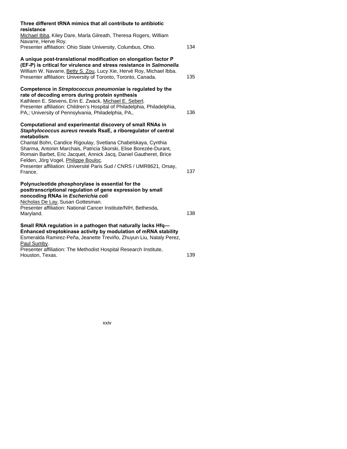| Three different tRNA mimics that all contribute to antibiotic<br>resistance                                                                                                                                                                                                                                                                                                                                                                                                     |     |
|---------------------------------------------------------------------------------------------------------------------------------------------------------------------------------------------------------------------------------------------------------------------------------------------------------------------------------------------------------------------------------------------------------------------------------------------------------------------------------|-----|
| Michael Ibba, Kiley Dare, Marla Gilreath, Theresa Rogers, William<br>Navarre, Herve Roy.                                                                                                                                                                                                                                                                                                                                                                                        |     |
| Presenter affiliation: Ohio State University, Columbus, Ohio.                                                                                                                                                                                                                                                                                                                                                                                                                   | 134 |
| A unique post-translational modification on elongation factor P<br>(EF-P) is critical for virulence and stress resistance in Salmonella<br>William W. Navarre, Betty S. Zou, Lucy Xie, Hervé Roy, Michael Ibba.<br>Presenter affiliation: University of Toronto, Toronto, Canada.                                                                                                                                                                                               | 135 |
| Competence in Streptococcus pneumoniae is regulated by the<br>rate of decoding errors during protein synthesis<br>Kathleen E. Stevens, Erin E. Zwack, Michael E. Sebert.<br>Presenter affiliation: Children's Hospital of Philadelphia, Philadelphia,<br>PA,; University of Pennsylvania, Philadelphia, PA,.                                                                                                                                                                    | 136 |
| Computational and experimental discovery of small RNAs in<br>Staphylococcus aureus reveals RsaE, a riboregulator of central<br>metabolism<br>Chantal Bohn, Candice Rigoulay, Svetlana Chabelskaya, Cynthia<br>Sharma, Antonin Marchais, Patricia Skorski, Elise Borezée-Durant,<br>Romain Barbet, Eric Jacquet, Annick Jacq, Daniel Gautheret, Brice<br>Felden, Jörg Vogel, Philippe Bouloc.<br>Presenter affiliation: Université Paris Sud / CNRS / UMR8621, Orsay,<br>France. | 137 |
| Polynucleotide phosphorylase is essential for the<br>posttranscriptional regulation of gene expression by small<br>noncoding RNAs in Escherichia coli<br>Nicholas De Lay, Susan Gottesman.<br>Presenter affiliation: National Cancer Institute/NIH, Bethesda,<br>Maryland.                                                                                                                                                                                                      | 138 |
| Small RNA regulation in a pathogen that naturally lacks Hfq-<br>Enhanced streptokinase activity by modulation of mRNA stability<br>Esmeralda Ramirez-Peña, Jeanette Treviño, Zhuyun Liu, Nataly Perez,<br>Paul Sumby.<br>Presenter affiliation: The Methodist Hospital Research Institute,                                                                                                                                                                                      |     |
| Houston, Texas.                                                                                                                                                                                                                                                                                                                                                                                                                                                                 | 139 |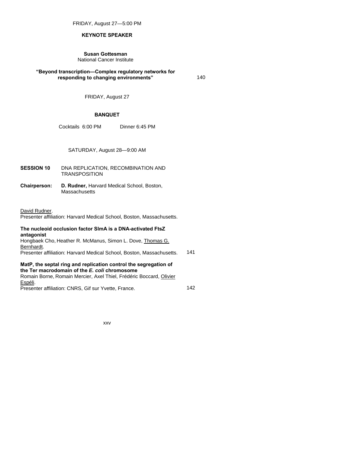FRIDAY, August 27—5:00 PM

## **KEYNOTE SPEAKER**

### **Susan Gottesman**  National Cancer Institute

## **"Beyond transcription—Complex regulatory networks for responding to changing environments"** 140

FRIDAY, August 27

## **BANQUET**

Cocktails 6:00 PM Dinner 6:45 PM

SATURDAY, August 28—9:00 AM

- **SESSION 10** DNA REPLICATION, RECOMBINATION AND **TRANSPOSITION**
- **Chairperson: D. Rudner,** Harvard Medical School, Boston, **Massachusetts**

David Rudner.

Presenter affiliation: Harvard Medical School, Boston, Massachusetts.

# **The nucleoid occlusion factor SlmA is a DNA-activated FtsZ antagonist**

Hongbaek Cho, Heather R. McManus, Simon L. Dove, Thomas G. Bernhardt.

Presenter affiliation: Harvard Medical School, Boston, Massachusetts. 141

## **MatP, the septal ring and replication control the segregation of the Ter macrodomain of the** *E. coli* **chromosome**

Romain Borne, Romain Mercier, Axel Thiel, Frédéric Boccard, Olivier Espéli. Presenter affiliation: CNRS, Gif sur Yvette, France. 15 142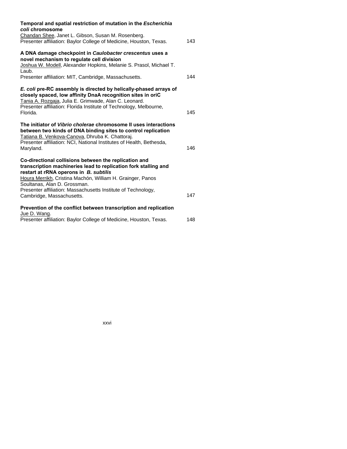| Temporal and spatial restriction of mutation in the Escherichia<br>coli chromosome                                                                                                                                                                                                                                                |     |
|-----------------------------------------------------------------------------------------------------------------------------------------------------------------------------------------------------------------------------------------------------------------------------------------------------------------------------------|-----|
| Chandan Shee, Janet L. Gibson, Susan M. Rosenberg.<br>Presenter affiliation: Baylor College of Medicine, Houston, Texas.                                                                                                                                                                                                          | 143 |
| A DNA damage checkpoint in Caulobacter crescentus uses a<br>novel mechanism to regulate cell division                                                                                                                                                                                                                             |     |
| Joshua W. Modell, Alexander Hopkins, Melanie S. Prasol, Michael T.<br>Laub.                                                                                                                                                                                                                                                       |     |
| Presenter affiliation: MIT, Cambridge, Massachusetts.                                                                                                                                                                                                                                                                             | 144 |
| E. coli pre-RC assembly is directed by helically-phased arrays of<br>closely spaced, low affinity DnaA recognition sites in oriC<br>Tania A. Rozgaja, Julia E. Grimwade, Alan C. Leonard.                                                                                                                                         |     |
| Presenter affiliation: Florida Institute of Technology, Melbourne,<br>Florida.                                                                                                                                                                                                                                                    | 145 |
| The initiator of <i>Vibrio cholerae</i> chromosome II uses interactions<br>between two kinds of DNA binding sites to control replication<br>Tatiana B. Venkova-Canova, Dhruba K. Chattoraj.<br>Presenter affiliation: NCI, National Institutes of Health, Bethesda,<br>Maryland.                                                  | 146 |
| Co-directional collisions between the replication and<br>transcription machineries lead to replication fork stalling and<br>restart at rRNA operons in B. subtilis<br>Houra Merrikh, Cristina Machón, William H. Grainger, Panos<br>Soultanas, Alan D. Grossman.<br>Presenter affiliation: Massachusetts Institute of Technology, |     |
| Cambridge, Massachusetts.                                                                                                                                                                                                                                                                                                         | 147 |
| Prevention of the conflict between transcription and replication<br>Jue D. Wang.                                                                                                                                                                                                                                                  |     |
| Presenter affiliation: Baylor College of Medicine, Houston, Texas.                                                                                                                                                                                                                                                                | 148 |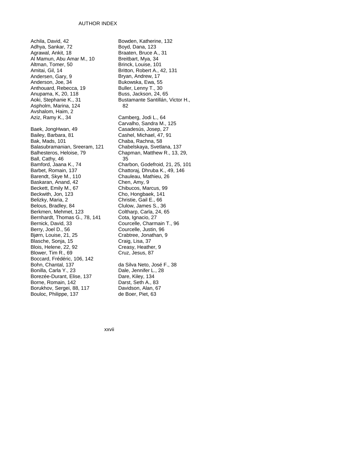#### AUTHOR INDEX

Achila, David, 42 Adhya, Sankar, 72 Agrawal, Ankit, 18 Al Mamun, Abu Amar M., 10 Altman, Tomer, 50 Amitai, Gil, 14 Andersen, Gary, 9 Anderson, Joe, 34 Anthouard, Rebecca, 19 Anupama, K, 20, 118 Aoki, Stephanie K., 31 Aspholm, Marina, 124 Avshalom, Haim, 2 Aziz, Ramy K., 34 Baek, JongHwan, 49 Bailey, Barbara, 81 Bak, Mads, 101 Balasubramanian, Sreeram, 121 Balhesteros, Heloise, 79 Ball, Cathy, 46 Bamford, Jaana K., 74 Barbet, Romain, 137 Barendt, Skye M., 110 Baskaran, Anand, 42 Beckett, Emily M., 67 Beckwith, Jon, 123 Belizky, Maria, 2 Belous, Bradley, 84 Berkmen, Mehmet, 123 Bernhardt, Thomas G., 78, 141 Bernick, David, 33 Berry, Joel D., 56 Bjørn, Louise, 21, 25 Blasche, Sonja, 15 Blois, Helene, 22, 92 Blower, Tim R., 69 Boccard, Frédéric, 106, 142 Bohn, Chantal, 137 Bonilla, Carla Y., 23 Borezée-Durant, Elise, 137 Borne, Romain, 142 Borukhov, Sergei, 88, 117 Bouloc, Philippe, 137

Bowden, Katherine, 132 Boyd, Dana, 123 Braaten, Bruce A., 31 Breitbart, Mya, 34 Brinck, Louise, 101 Britton, Robert A., 42, 131 Bryan, Andrew, 17 Bukowska, Ewa, 55 Buller, Lenny T., 30 Buss, Jackson, 24, 65 Bustamante Santillán, Victor H., 82 Camberg, Jodi L., 64 Carvalho, Sandra M., 125 Casadesús, Josep, 27 Cashel, Michael, 47, 91 Chaba, Rachna, 58 Chabelskaya, Svetlana, 137 Chapman, Matthew R., 13, 29, 35 Charbon, Godefroid, 21, 25, 101 Chattoraj, Dhruba K., 49, 146 Chauleau, Mathieu, 26 Chen, Amy, 9 Chibucos, Marcus, 99 Cho, Hongbaek, 141 Christie, Gail E., 66 Clulow, James S., 36 Coltharp, Carla, 24, 65 Cota, Ignacio, 27 Courcelle, Charmain T., 96 Courcelle, Justin, 96 Crabtree, Jonathan, 9 Craig, Lisa, 37 Creasy, Heather, 9 Cruz, Jesus, 87 da Silva Neto, José F., 38 Dale, Jennifer L., 28 Dare, Kiley, 134

Darst, Seth A., 83 Davidson, Alan, 67 de Boer, Piet, 63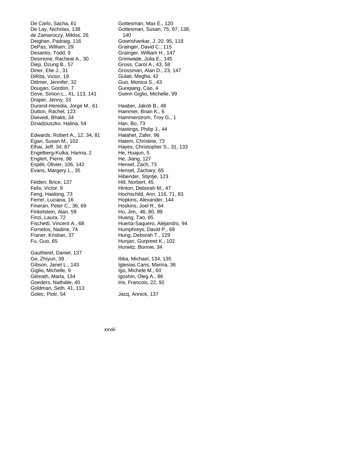De Carlo, Sacha, 61 De Lay, Nicholas, 138 de Zamaroczy, Miklos, 26 Deighan, Padraig, 116 DePas, William, 29 Desantis, Todd, 9 Desmone, Racheal A., 30 Diep, Dzung B., 57 Diner, Elie J., 31 DiRita, Victor, 19 Dittmer, Jennifer, 32 Dougan, Gordon, 7 Dove, Simon L., 41, 113, 141 Draper, Jenny, 33 Durand-Heredia, Jorge M., 61 Dutton, Rachel, 123 Dwivedi, Bhakti, 34 Dziadziuszko, Halina, 54 Edwards, Robert A., 12, 34, 81 Egan, Susan M., 102 Elhai, Jeff, 34, 87 Engelberg-Kulka, Hanna, 2 Englert, Pierre, 98 Espéli, Olivier, 106, 142 Evans, Margery L., 35 Felden, Brice, 137 Felix, Victor, 9 Feng, Haidong, 73 Ferrer, Luciana, 16 Fineran, Peter C., 36, 69 Finkelstein, Alan, 59 Finzi, Laura, 72 Fischetti, Vincent A., 68 Fornelos, Nadine, 74 Franer, Kristian, 37 Fu, Guo, 65 Gautheret, Daniel, 137 Ge, Zhiyun, 39 Gibson, Janet L., 143 Giglio, Michelle, 9 Gilreath, Marla, 134 Goeders, Nathalie, 40

Goldman, Seth, 41, 113 Golec, Piotr, 54

Gottesman, Max E., 120 Gottesman, Susan, 75, 97, 138, 140 Gowrishankar, J, 20, 95, 118 Grainger, David C., 115 Grainger, William H., 147 Grimwade, Julia E., 145 Gross, Carol A., 43, 58 Grossman, Alan D., 23, 147 Gulati, Megha, 42 Guo, Monica S., 43 Guoqiang, Cao, 4 Gwinn Giglio, Michelle, 99 Haaber, Jakob B., 48 Hammer, Brian K., 6 Hammerstrom, Troy G., 1 Han, Bo, 73 Hastings, Philip J., 44 Hatahet, Zafer, 96 Hatem, Christine, 73 Hayes, Christopher S., 31, 133 He, Huajun, 5 He, Jiang, 127 Hensel, Zach, 73 Hensel, Zachary, 65 Hibender, Stijntje, 123 Hill, Norbert, 45 Hinton, Deborah M., 47 Hochschild, Ann, 116, 71, 83 Hopkins, Alexander, 144 Hoskins, Joel R., 64 Hu, Jim, 46, 80, 99 Huang, Tao, 65 Huerta-Saquero, Alejandro, 94 Humphreys, David P., 69 Hung, Deborah T., 129 Hunjan, Gurpreet K., 102 Hurwitz, Bonnie, 34

Ibba, Michael, 134, 135 Iglesias Cans, Marina, 36 Igo, Michele M., 60 Igoshin, Oleg A., 86 Iris, Francois, 22, 92

Jacq, Annick, 137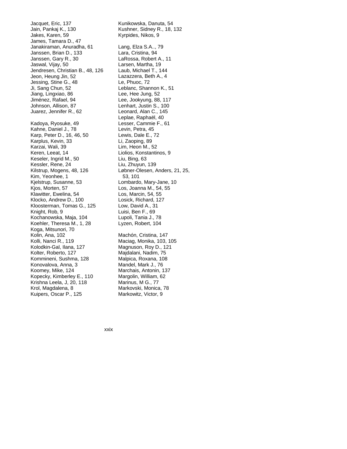Jacquet, Eric, 137 Jain, Pankaj K., 130 Jakes, Karen, 59 James, Tamara D., 47 Janakiraman, Anuradha, 61 Janssen, Brian D., 133 Janssen, Gary R., 30 Jaswal, Vijay, 50 Jendresen, Christian B., 48, 126 Jeon, Heung Jin, 52 Jessing, Stine G., 48 Ji, Sang Chun, 52 Jiang, Lingxiao, 86 Jiménez, Rafael, 94 Johnson, Allison, 87 Juarez, Jennifer R., 62 Kadoya, Ryosuke, 49 Kahne, Daniel J., 78 Karp, Peter D., 16, 46, 50 Karplus, Kevin, 33 Karzai, Wali, 39 Keren, Leeat, 14 Keseler, Ingrid M., 50 Kessler, Rene, 24 Kilstrup, Mogens, 48, 126 Kim, Yeonhee, 1 Kjelstrup, Susanne, 53 Kjos, Morten, 57 Klawitter, Ewelina, 54 Klocko, Andrew D., 100 Kloosterman, Tomas G., 125 Knight, Rob, 9 Kochanowska, Maja, 104 Koehler, Theresa M., 1, 28 Koga, Mitsunori, 70 Kolin, Ana, 102 Kolli, Nanci R., 119 Kolodkin-Gal, Ilana, 127 Kolter, Roberto, 127 Kommineni, Sushma, 128 Konovalova, Anna, 3 Koomey, Mike, 124 Kopecky, Kimberley E., 110 Krishna Leela, J, 20, 118 Krol, Magdalena, 8 Kuipers, Oscar P., 125

Kunikowska, Danuta, 54 Kushner, Sidney R., 18, 132 Kyrpides, Nikos, 9 Lang, Elza S.A.., 79 Lara, Cristina, 94 LaRossa, Robert A., 11 Larsen, Martha, 19 Laub, Michael T., 144 Lazazzera, Beth A., 4 Le, Phuoc, 72 Leblanc, Shannon K., 51 Lee, Hee Jung, 52 Lee, Jookyung, 88, 117 Lenhart, Justin S., 100 Leonard, Alan C., 145 Leplae, Raphaël, 40 Lesser, Cammie F., 61 Levin, Petra, 45 Lewis, Dale E., 72 Li, Zaoping, 89 Lim, Heon M., 52 Liolios, Konstantinos, 9 Liu, Bing, 63 Liu, Zhuyun, 139 Løbner-Olesen, Anders, 21, 25, 53, 101 Lombardo, Mary-Jane, 10 Los, Joanna M., 54, 55 Los, Marcin, 54, 55 Losick, Richard, 127 Low, David A., 31 Luisi, Ben F., 69 Lupoli, Tania J., 78 Lyzen, Robert, 104 Machón, Cristina, 147 Maciag, Monika, 103, 105 Magnuson, Roy D., 121 Majdalani, Nadim, 75 Malpica, Roxana, 108 Mandel, Mark J., 76 Marchais, Antonin, 137 Margolin, William, 62

Marinus, M G., 77 Markovski, Monica, 78 Markowitz, Victor, 9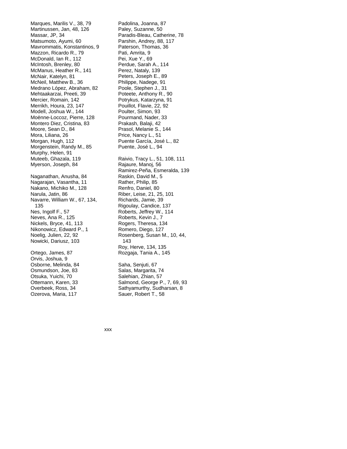Marques, Marilis V., 38, 79 Martinussen, Jan, 48, 126 Massar, JP, 34 Matsumoto, Ayumi, 60 Mavrommatis, Konstantinos, 9 Mazzon, Ricardo R., 79 McDonald, Ian R., 112 McIntosh, Brenley, 80 McManus, Heather R., 141 McNair, Katelyn, 81 McNeil, Matthew B., 36 Medrano López, Abraham, 82 Mehtaakarzai, Preeti, 39 Mercier, Romain, 142 Merrikh, Houra, 23, 147 Modell, Joshua W., 144 Moënne-Loccoz, Pierre, 128 Montero Diez, Cristina, 83 Moore, Sean D., 84 Mora, Liliana, 26 Morgan, Hugh, 112 Morgenstein, Randy M., 85 Murphy, Helen, 91 Muteeb, Ghazala, 119 Myerson, Joseph, 84 Naganathan, Anusha, 84 Nagarajan, Vasantha, 11 Nakano, Michiko M., 128 Narula, Jatin, 86 Navarre, William W., 67, 134, 135 Nes, Ingolf F., 57 Neves, Ana R., 125 Nickels, Bryce, 41, 113 Nikonowicz, Edward P., 1 Noelig, Julien, 22, 92 Nowicki, Dariusz, 103 Ortego, James, 87 Orvis, Joshua, 9 Osborne, Melinda, 84 Osmundson, Joe, 83 Otsuka, Yuichi, 70 Ottemann, Karen, 33 Overbeek, Ross, 34

Ozerova, Maria, 117

Padolina, Joanna, 87 Paley, Suzanne, 50 Paradis-Bleau, Catherine, 78 Parshin, Andrey, 88, 117 Paterson, Thomas, 36 Pati, Amrita, 9 Pei, Xue Y., 69 Perdue, Sarah A., 114 Perez, Nataly, 139 Peters, Joseph E., 89 Philippe, Nadege, 91 Poole, Stephen J., 31 Poteete, Anthony R., 90 Potrykus, Katarzyna, 91 Pouillot, Flavie, 22, 92 Poulter, Simon, 93 Pourmand, Nader, 33 Prakash, Balaji, 42 Prasol, Melanie S., 144 Price, Nancy L., 51 Puente García, José L., 82 Puente, José L., 94 Raivio, Tracy L., 51, 108, 111 Rajaure, Manoj, 56 Ramirez-Peña, Esmeralda, 139 Raskin, David M., 5 Rather, Philip, 85 Renfro, Daniel, 80 Riber, Leise, 21, 25, 101 Richards, Jamie, 39 Rigoulay, Candice, 137 Roberts, Jeffrey W., 114 Roberts, Kevin J., 7 Rogers, Theresa, 134 Romero, Diego, 127 Rosenberg, Susan M., 10, 44, 143 Roy, Herve, 134, 135 Rozgaja, Tania A., 145 Saha, Senjuti, 67 Salas, Margarita, 74 Salehian, Zhian, 57

Salmond, George P., 7, 69, 93 Sathyamurthy, Sudharsan, 8 Sauer, Robert T., 58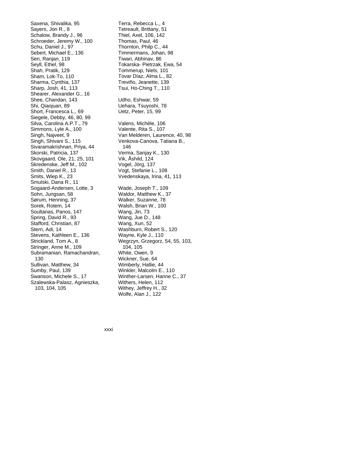Saxena, Shivalika, 95 Sayers, Jon R., 8 Schalow, Brandy J., 96 Schroeder, Jeremy W., 100 Schu, Daniel J., 97 Sebert, Michael E., 136 Sen, Ranjan, 119 Seyll, Ethel, 98 Shah, Pratik, 129 Sham, Lok-To, 110 Sharma, Cynthia, 137 Sharp, Josh, 41, 113 Shearer, Alexander G., 16 Shee, Chandan, 143 Shi, Qiaojuan, 89 Short, Francesca L., 69 Siegele, Debby, 46, 80, 99 Silva, Carolina A.P.T., 79 Simmons, Lyle A., 100 Singh, Najveet, 9 Singh, Shivani S., 115 Sivaramakrishnan, Priya, 44 Skorski, Patricia, 137 Skovgaard, Ole, 21, 25, 101 Skredenske, Jeff M., 102 Smith, Daniel R., 13 Smits, Wiep K., 23 Smulski, Dana R., 11 Sogaard-Andersen, Lotte, 3 Sohn, Jungsan, 58 Sørum, Henning, 37 Sorek, Rotem, 14 Soultanas, Panos, 147 Spring, David R., 93 Stafford, Christian, 87 Stern, Adi, 14 Stevens, Kathleen E., 136 Strickland, Tom A., 8 Stringer, Anne M., 109 Subramanian, Ramachandran, 130 Sullivan, Matthew, 34 Sumby, Paul, 139 Swanson, Michele S., 17 Szalewska-Palasz, Agnieszka, 103, 104, 105

Terra, Rebecca L., 4 Tetreault, Brittany, 51 Thiel, Axel, 106, 142 Thomas, Paul, 46 Thornton, Philp C., 44 Timmermans, Johan, 98 Tiwari, Abhinav, 86 Tokarska- Pietrzak, Ewa, 54 Tommerup, Niels, 101 Tovar Díaz, Alma L., 82 Treviño, Jeanette, 139 Tsui, Ho-Ching T., 110 Udho, Eshwar, 59 Uehara, Tsuyoshi, 78 Uetz, Peter, 15, 99 Valens, Michèle, 106 Valente, Rita S., 107 Van Melderen, Laurence, 40, 98 Venkova-Canova, Tatiana B., 146 Verma, Sanjay K., 130 Vik, Åshild, 124 Vogel, Jörg, 137 Vogt, Stefanie L., 108 Vvedenskaya, Irina, 41, 113 Wade, Joseph T., 109 Waldor, Matthew K., 37 Walker, Suzanne, 78 Walsh, Brian W., 100 Wang, Jin, 73 Wang, Jue D., 148 Wang, Xun, 52 Washburn, Robert S., 120 Wayne, Kyle J., 110 Wegrzyn, Grzegorz, 54, 55, 103, 104, 105 White, Owen, 9 Wickner, Sue, 64 Wimberly, Hallie, 44 Winkler, Malcolm E., 110 Winther-Larsen, Hanne C., 37 Withers, Helen, 112 Withey, Jeffrey H., 32 Wolfe, Alan J., 122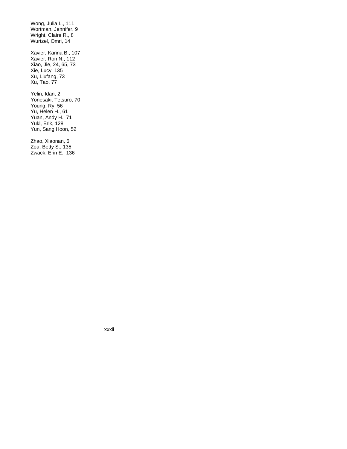Wong, Julia L., 111 Wortman, Jennifer, 9 Wright, Claire R., 8 Wurtzel, Omri, 14

Xavier, Karina B., 107 Xavier, Ron N., 112 Xiao, Jie, 24, 65, 73 Xie, Lucy, 135 Xu, Liufang, 73 Xu, Tao, 77

Yelin, Idan, 2 Yonesaki, Tetsuro, 70 Young, Ry, 56 Yu, Helen H., 61 Yuan, Andy H., 71 Yukl, Erik, 128 Yun, Sang Hoon, 52

Zhao, Xiaonan, 6 Zou, Betty S., 135 Zwack, Erin E., 136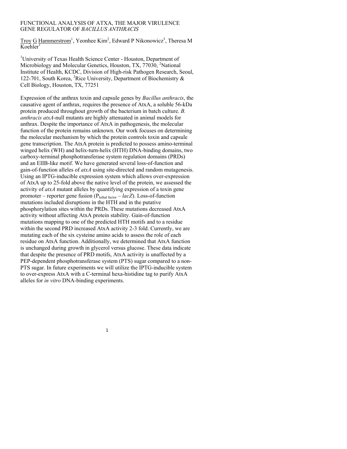## FUNCTIONAL ANALYSIS OF ATXA, THE MAJOR VIRULENCE GENE REGULATOR OF *BACILLUS ANTHRACIS*

Troy G Hammerstrom<sup>1</sup>, Yeonhee Kim<sup>2</sup>, Edward P Nikonowicz<sup>3</sup>, Theresa M  $K$ oehler<sup>1</sup>

<sup>1</sup>University of Texas Health Science Center - Houston, Department of Microbiology and Molecular Genetics, Houston, TX, 77030, <sup>2</sup>National Institute of Health, KCDC, Division of High-risk Pathogen Research, Seoul, 122-701, South Korea, <sup>3</sup>Rice University, Department of Biochemistry  $\&$ Cell Biology, Houston, TX, 77251

Expression of the anthrax toxin and capsule genes by *Bacillus anthracis*, the causative agent of anthrax, requires the presence of AtxA, a soluble 56-kDa protein produced throughout growth of the bacterium in batch culture. *B. anthracis atxA*-null mutants are highly attenuated in animal models for anthrax. Despite the importance of AtxA in pathogenesis, the molecular function of the protein remains unknown. Our work focuses on determining the molecular mechanism by which the protein controls toxin and capsule gene transcription. The AtxA protein is predicted to possess amino-terminal winged helix (WH) and helix-turn-helix (HTH) DNA-binding domains, two carboxy-terminal phosphotransferase system regulation domains (PRDs) and an EIIB-like motif. We have generated several loss-of-function and gain-of-function alleles of *atxA* using site-directed and random mutagenesis. Using an IPTG-inducible expression system which allows over-expression of AtxA up to 25-fold above the native level of the protein, we assessed the activity of *atxA* mutant alleles by quantifying expression of a toxin gene promoter – reporter gene fusion (Plethal factor – *lacZ*). Loss-of-function mutations included disruptions in the HTH and in the putative phosphorylation sites within the PRDs. These mutations decreased AtxA activity without affecting AtxA protein stability. Gain-of-function mutations mapping to one of the predicted HTH motifs and to a residue within the second PRD increased AtxA activity 2-3 fold. Currently, we are mutating each of the six cysteine amino acids to assess the role of each residue on AtxA function. Additionally, we determined that AtxA function is unchanged during growth in glycerol versus glucose. These data indicate that despite the presence of PRD motifs, AtxA activity is unaffected by a PEP-dependent phosphotransferase system (PTS) sugar compared to a non-PTS sugar. In future experiments we will utilize the IPTG-inducible system to over-express AtxA with a C-terminal hexa-histidine tag to purify AtxA alleles for *in vitro* DNA-binding experiments.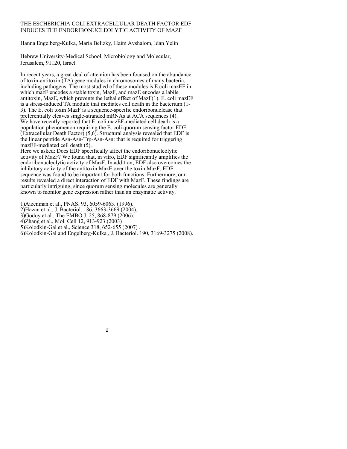# THE ESCHERICHIA COLI EXTRACELLULAR DEATH FACTOR EDF INDUCES THE ENDORIBONUCLEOLYTIC ACTIVITY OF MAZF

Hanna Engelberg-Kulka, Maria Belizky, Haim Avshalom, Idan Yelin

Hebrew University-Medical School, Microbiology and Molecular, Jerusalem, 91120, Israel

In recent years, a great deal of attention has been focused on the abundance of toxin-antitoxin (TA) gene modules in chromosomes of many bacteria, including pathogens. The most studied of these modules is E.coli mazEF in which mazF encodes a stable toxin, MazF, and mazE encodes a labile antitoxin, MazE, which prevents the lethal effect of Maz $F(1)$ . E. coli maz $E$ F is a stress-induced TA module that mediates cell death in the bacterium (1- 3). The E. coli toxin MazF is a sequence-specific endoribonuclease that preferentially cleaves single-stranded mRNAs at ACA sequences (4). We have recently reported that E. coli mazEF-mediated cell death is a population phenomenon requiring the E. coli quorum sensing factor EDF  $(Extracellular Death Factor)$  (5,6). Structural analysis revealed that EDF is the linear peptide Asn-Asn-Trp-Asn-Asn: that is required for triggering mazEF-mediated cell death (5).

Here we asked: Does EDF specifically affect the endoribonucleolytic activity of MazF? We found that, in vitro, EDF significantly amplifies the endoribonucleolytic activity of MazF. In addition, EDF also overcomes the inhibitory activity of the antitoxin MazE over the toxin MazF. EDF sequence was found to be important for both functions. Furthermore, our results revealed a direct interaction of EDF with MazF. These findings are particularly intriguing, since quorum sensing molecules are generally known to monitor gene expression rather than an enzymatic activity.

1)Aizenman et al., PNAS. 93, 6059-6063. (1996). 2)Hazan et al., J. Bacteriol. 186, 3663-3669 (2004). 3)Godoy et al., The EMBO J. 25, 868-879 (2006). 4)Zhang et al., Mol. Cell 12, 913-923.(2003) 5)Kolodkin-Gal et al., Science 318, 652-655 (2007) . 6)Kolodkin-Gal and Engelberg-Kulka , J. Bacteriol. 190, 3169-3275 (2008).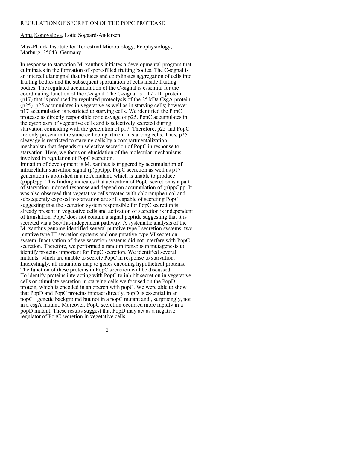## REGULATION OF SECRETION OF THE POPC PROTEASE

Anna Konovalova, Lotte Sogaard-Andersen

Max-Planck Institute for Terrestrial Microbiology, Ecophysiology, Marburg, 35043, Germany

In response to starvation M. xanthus initiates a developmental program that culminates in the formation of spore-filled fruiting bodies. The C-signal is an intercellular signal that induces and coordinates aggregation of cells into fruiting bodies and the subsequent sporulation of cells inside fruiting bodies. The regulated accumulation of the C-signal is essential for the coordinating function of the C-signal. The C-signal is a 17 kDa protein (p17) that is produced by regulated proteolysis of the 25 kDa CsgA protein (p25). p25 accumulates in vegetative as well as in starving cells; however, p17 accumulation is restricted to starving cells. We identified the PopC protease as directly responsible for cleavage of p25. PopC accumulates in the cytoplasm of vegetative cells and is selectively secreted during starvation coinciding with the generation of p17. Therefore, p25 and PopC are only present in the same cell compartment in starving cells. Thus, p25 cleavage is restricted to starving cells by a compartmentalization mechanism that depends on selective secretion of PopC in response to starvation. Here, we focus on elucidation of the molecular mechanisms involved in regulation of PopC secretion.

Initiation of development is M. xanthus is triggered by accumulation of intracellular starvation signal (p)ppGpp. PopC secretion as well as p17 generation is abolished in a relA mutant, which is unable to produce (p)ppGpp. This finding indicates that activation of PopC secretion is a part of starvation induced response and depend on accumulation of (p)ppGpp. It was also observed that vegetative cells treated with chloramphenicol and subsequently exposed to starvation are still capable of secreting PopC suggesting that the secretion system responsible for PopC secretion is already present in vegetative cells and activation of secretion is independent of translation. PopC does not contain a signal peptide suggesting that it is secreted via a Sec/Tat-independent pathway. A systematic analysis of the M. xanthus genome identified several putative type I secretion systems, two putative type III secretion systems and one putative type VI secretion system. Inactivation of these secretion systems did not interfere with PopC secretion. Therefore, we performed a random transposon mutagenesis to identify proteins important for PopC secretion. We identified several mutants, which are unable to secrete PopC in response to starvation. Interestingly, all mutations map to genes encoding hypothetical proteins. The function of these proteins in PopC secretion will be discussed. To identify proteins interacting with PopC to inhibit secretion in vegetative cells or stimulate secretion in starving cells we focused on the PopD protein, which is encoded in an operon with popC. We were able to show that PopD and PopC proteins interact directly. popD is essential in an popC+ genetic background but not in a popC mutant and , surprisingly, not in a csgA mutant. Moreover, PopC secretion occurred more rapidly in a popD mutant. These results suggest that PopD may act as a negative regulator of PopC secretion in vegetative cells.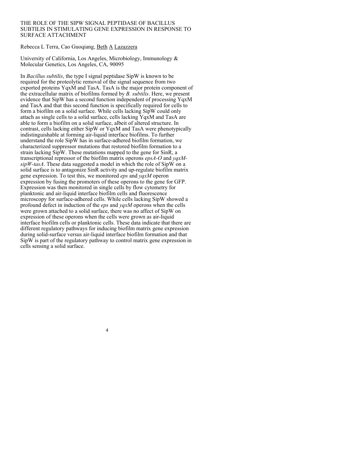## THE ROLE OF THE SIPW SIGNAL PEPTIDASE OF BACILLUS SUBTILIS IN STIMULATING GENE EXPRESSION IN RESPONSE TO SURFACE ATTACHMENT

#### Rebecca L Terra, Cao Guoqiang, Beth A Lazazzera

University of California, Los Angeles, Microbiology, Immunology & Molecular Genetics, Los Angeles, CA, 90095

In *Bacillus subtilis*, the type I signal peptidase SipW is known to be required for the proteolytic removal of the signal sequence from two exported proteins YqxM and TasA. TasA is the major protein component of the extracellular matrix of biofilms formed by *B. subtilis*. Here, we present evidence that SipW has a second function independent of processing YqxM and TasA and that this second function is specifically required for cells to form a biofilm on a solid surface. While cells lacking SipW could only attach as single cells to a solid surface, cells lacking YqxM and TasA are able to form a biofilm on a solid surface, albeit of altered structure. In contrast, cells lacking either SipW or YqxM and TasA were phenotypically indistinguishable at forming air-liquid interface biofilms. To further understand the role SipW has in surface-adhered biofilm formation, we characterized suppressor mutations that restored biofilm formation to a strain lacking SipW. These mutations mapped to the gene for SinR, a transcriptional repressor of the biofilm matrix operons *epsA-O* and *yqxMsipW-tasA*. These data suggested a model in which the role of SipW on a solid surface is to antagonize SinR activity and up-regulate biofilm matrix gene expression. To test this, we monitored *eps* and *yqxM* operon expression by fusing the promoters of these operons to the gene for GFP. Expression was then monitored in single cells by flow cytometry for planktonic and air-liquid interface biofilm cells and fluorescence microscopy for surface-adhered cells. While cells lacking SipW showed a profound defect in induction of the *eps* and *yqxM* operons when the cells were grown attached to a solid surface, there was no affect of SipW on expression of these operons when the cells were grown as air-liquid interface biofilm cells or planktonic cells. These data indicate that there are different regulatory pathways for inducing biofilm matrix gene expression during solid-surface versus air-liquid interface biofilm formation and that SipW is part of the regulatory pathway to control matrix gene expression in cells sensing a solid surface.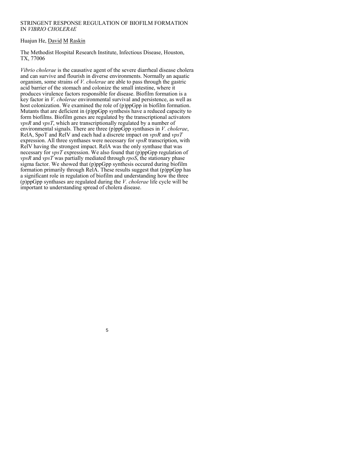## STRINGENT RESPONSE REGULATION OF BIOFILM FORMATION IN *VIBRIO CHOLERAE*

# Huajun He, David M Raskin

The Methodist Hospital Research Institute, Infectious Disease, Houston, TX, 77006

*Vibrio cholerae* is the causative agent of the severe diarrheal disease cholera and can survive and flourish in diverse environments. Normally an aquatic organism, some strains of *V. cholerae* are able to pass through the gastric acid barrier of the stomach and colonize the small intestine, where it produces virulence factors responsible for disease. Biofilm formation is a key factor in *V. cholerae* environmental survival and persistence, as well as host colonization. We examined the role of (p)ppGpp in biofilm formation. Mutants that are deficient in (p)ppGpp synthesis have a reduced capacity to form biofilms. Biofilm genes are regulated by the transcriptional activators *vpsR* and *vpsT*, which are transcriptionally regulated by a number of environmental signals. There are three (p)ppGpp synthases in *V. cholerae*, RelA, SpoT and RelV and each had a discrete impact on *vpsR* and *vpsT* expression. All three synthases were necessary for *vpsR* transcription, with RelV having the strongest impact. RelA was the only synthase that was necessary for *vpsT* expression. We also found that (p)ppGpp regulation of *vpsR* and *vpsT* was partially mediated through *rpoS*, the stationary phase sigma factor. We showed that (p)ppGpp synthesis occured during biofilm formation primarily through RelA. These results suggest that (p)ppGpp has a significant role in regulation of biofilm and understanding how the three (p)ppGpp synthases are regulated during the *V. cholerae* life cycle will be important to understanding spread of cholera disease.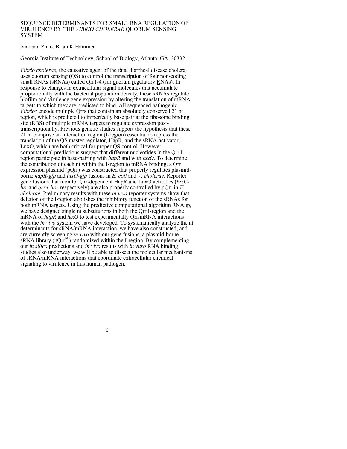#### SEQUENCE DETERMINANTS FOR SMALL RNA REGULATION OF VIRULENCE BY THE *VIBRIO CHOLERAE* QUORUM SENSING **SYSTEM**

## Xiaonan Zhao, Brian K Hammer

Georgia Institute of Technology, School of Biology, Atlanta, GA, 30332

*Vibrio cholerae*, the causative agent of the fatal diarrheal disease cholera, uses quorum sensing (QS) to control the transcription of four non-coding small RNAs (sRNAs) called Qrr1-4 (for quorum regulatory RNAs). In response to changes in extracellular signal molecules that accumulate proportionally with the bacterial population density, these sRNAs regulate biofilm and virulence gene expression by altering the translation of mRNA targets to which they are predicted to bind. All sequenced pathogenic *Vibrios* encode multiple Qrrs that contain an absolutely conserved 21 nt region, which is predicted to imperfectly base pair at the ribosome binding site (RBS) of multiple mRNA targets to regulate expression posttranscriptionally. Previous genetic studies support the hypothesis that these 21 nt comprise an interaction region (I-region) essential to repress the translation of the QS master regulator, HapR, and the sRNA-activator, LuxO, which are both critical for proper QS control. However, computational predictions suggest that different nucleotides in the Qrr Iregion participate in base-pairing with *hapR* and with *luxO*. To determine the contribution of each nt within the I-region to mRNA binding, a Qrr expression plasmid (pQrr) was constructed that properly regulates plasmidborne *hapR-gfp* and *luxO-gfp* fusions in *E. coli* and *V. cholerae*. Reporter gene fusions that monitor Qrr-dependent HapR and LuxO activities (*luxClux* and *grr4-lux*, respectively) are also properly controlled by pOrr in *V*. *cholerae*. Preliminary results with these *in vivo* reporter systems show that deletion of the I-region abolishes the inhibitory function of the sRNAs for both mRNA targets. Using the predictive computational algorithm RNAup, we have designed single nt substitutions in both the Qrr I-region and the mRNA of *hapR* and *luxO* to test experimentally Qrr/mRNA interactions with the *in vivo* system we have developed. To systematically analyze the nt determinants for sRNA/mRNA interaction, we have also constructed, and are currently screening *in vivo* with our gene fusions, a plasmid-borne sRNA library  $(pQrr^{lib})$  randomized within the I-region. By complementing our *in silico* predictions and *in vivo* results with *in vitro* RNA binding studies also underway, we will be able to dissect the molecular mechanisms of sRNA/mRNA interactions that coordinate extracellular chemical signaling to virulence in this human pathogen.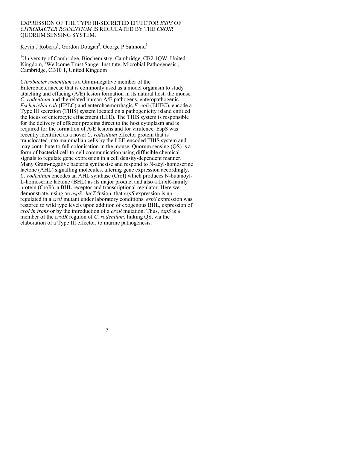#### EXPRESSION OF THE TYPE III-SECRETED EFFECTOR *ESPS* OF *CITROBACTER RODENTIUM* IS REGULATED BY THE *CROIR* QUORUM SENSING SYSTEM.

Kevin J Roberts<sup>1</sup>, Gordon Dougan<sup>2</sup>, George P Salmond<sup>1</sup>

<sup>1</sup>University of Cambridge, Biochemistry, Cambridge, CB2 1QW, United Kingdom,<sup>2</sup>Wellcome Trust Sanger Institute, Microbial Pathogenesis, Cambridge, CB10 1, United Kingdom

*Citrobacter rodentium* is a Gram-negative member of the Enterobacteriaceae that is commonly used as a model organism to study attaching and effacing (A/E) lesion formation in its natural host, the mouse. *C. rodentium* and the related human A/E pathogens, enteropathogenic *Escherichia coli* (EPEC) and enterohaemorrhagic *E. coli* (EHEC), encode a Type III secretion (TIIIS) system located on a pathogenicity island entitled the locus of enterocyte effacement (LEE). The TIIIS system is responsible for the delivery of effector proteins direct to the host cytoplasm and is required for the formation of A/E lesions and for virulence. EspS was recently identified as a novel *C. rodentium* effector protein that is translocated into mammalian cells by the LEE-encoded TIIIS system and may contribute to full colonisation in the mouse. Quorum sensing (QS) is a form of bacterial cell-to-cell communication using diffusible chemical signals to regulate gene expression in a cell density-dependent manner. Many Gram-negative bacteria synthesise and respond to N-acyl-homoserine lactone (AHL) signalling molecules, altering gene expression accordingly. *C. rodentium* encodes an AHL synthase (CroI) which produces N-butanoyl-L-homoserine lactone (BHL) as its major product and also a LuxR-family protein (CroR), a BHL receptor and transcriptional regulator. Here we demonstrate, using an *espS::lacZ* fusion, that *espS* expression is upregulated in a *croI* mutant under laboratory conditions. *espS* expression was restored to wild type levels upon addition of exogenous BHL, expression of *croI in trans* or by the introduction of a *croR* mutation. Thus, *espS* is a member of the *croIR* regulon of *C. rodentium*, linking QS, via the elaboration of a Type III effector, to murine pathogenesis.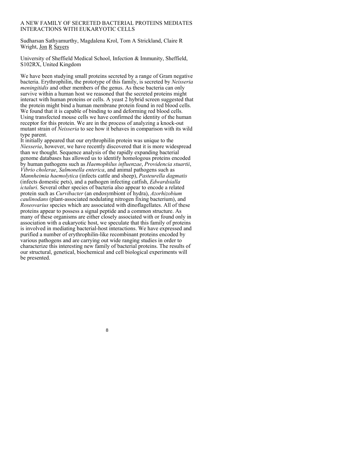### A NEW FAMILY OF SECRETED BACTERIAL PROTEINS MEDIATES INTERACTIONS WITH EUKARYOTIC CELLS

Sudharsan Sathyamurthy, Magdalena Krol, Tom A Strickland, Claire R Wright, Jon R Sayers

University of Sheffield Medical School, Infection & Immunity, Sheffield, S102RX, United Kingdom

We have been studying small proteins secreted by a range of Gram negative bacteria. Erythrophilin, the prototype of this family, is secreted by *Neisseria meningitidis* and other members of the genus. As these bacteria can only survive within a human host we reasoned that the secreted proteins might interact with human proteins or cells. A yeast 2 hybrid screen suggested that the protein might bind a human membrane protein found in red blood cells. We found that it is capable of binding to and deforming red blood cells. Using transfected mouse cells we have confirmed the identity of the human receptor for this protein. We are in the process of analyzing a knock-out mutant strain of *Neisseria* to see how it behaves in comparison with its wild type parent.

It initially appeared that our erythrophilin protein was unique to the *Niesseria*, however, we have recently discovered that it is more widespread than we thought. Sequence analysis of the rapidly expanding bacterial genome databases has allowed us to identify homologous proteins encoded by human pathogens such as *Haemophilus influenzae*, *Providencia stuartii*, *Vibrio cholerae*, *Salmonella enterica*, and animal pathogens such as *Mannheimia haemolytica* (infects cattle and sheep), *Pasteurella dagmatis* (infects domestic pets), and a pathogen infecting catfish, *Edwardsialla ictaluri*. Several other species of bacteria also appear to encode a related protein such as *Curvibacter* (an endosymbiont of hydra), *Azorhizobium caulinodans* (plant-associated nodulating nitrogen fixing bacterium), and *Roseovarius* species which are associated with dinoflagellates. All of these proteins appear to possess a signal peptide and a common structure. As many of these organisms are either closely associated with or found only in association with a eukaryotic host, we speculate that this family of proteins is involved in mediating bacterial-host interactions. We have expressed and purified a number of erythrophilin-like recombinant proteins encoded by various pathogens and are carrying out wide ranging studies in order to characterize this interesting new family of bacterial proteins. The results of our structural, genetical, biochemical and cell biological experiments will be presented.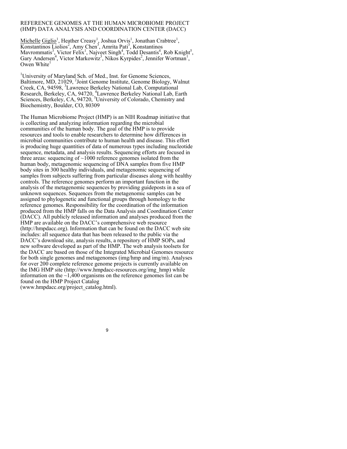#### REFERENCE GENOMES AT THE HUMAN MICROBIOME PROJECT (HMP) DATA ANALYSIS AND COORDINATION CENTER (DACC)

Michelle Giglio<sup>1</sup>, Heather Creasy<sup>1</sup>, Joshua Orvis<sup>1</sup>, Jonathan Crabtree<sup>1</sup>, Konstantinos Liolios<sup>2</sup>, Amy Chen<sup>3</sup>, Amrita Pati<sup>3</sup>, Konstantinos Mavrommatis<sup>3</sup>, Victor Felix<sup>1</sup>, Najveet Singh<sup>4</sup>, Todd Desantis<sup>4</sup>, Rob Knight<sup>5</sup>, Gary Andersen<sup>4</sup>, Victor Markowitz<sup>3</sup>, Nikos Kyrpides<sup>2</sup>, Jennifer Wortman<sup>1</sup>, Owen White $<sup>1</sup>$ </sup>

<sup>1</sup>University of Maryland Sch. of Med., Inst. for Genome Sciences, Baltimore, MD, 21029, <sup>2</sup>Joint Genome Institute, Genome Biology, Walnut Creek, CA, 94598, 3 Lawrence Berkeley National Lab, Computational Research, Berkeley, CA, 94720, <sup>4</sup>Lawrence Berkeley National Lab, Earth Sciences, Berkeley, CA, 94720, <sup>5</sup>University of Colorado, Chemistry and Biochemistry, Boulder, CO, 80309

The Human Microbiome Project (HMP) is an NIH Roadmap initiative that is collecting and analyzing information regarding the microbial communities of the human body. The goal of the HMP is to provide resources and tools to enable researchers to determine how differences in microbial communities contribute to human health and disease. This effort is producing huge quantities of data of numerous types including nucleotide sequence, metadata, and analysis results. Sequencing efforts are focused in three areas: sequencing of  $\sim$ 1000 reference genomes isolated from the human body, metagenomic sequencing of DNA samples from five HMP body sites in 300 healthy individuals, and metagenomic sequencing of samples from subjects suffering from particular diseases along with healthy controls. The reference genomes perform an important function in the analysis of the metagenomic sequences by providing guideposts in a sea of unknown sequences. Sequences from the metagenomic samples can be assigned to phylogenetic and functional groups through homology to the reference genomes. Responsibility for the coordination of the information produced from the HMP falls on the Data Analysis and Coordination Center (DACC). All publicly released information and analyses produced from the HMP are available on the DACC's comprehensive web resource (http://hmpdacc.org). Information that can be found on the DACC web site includes: all sequence data that has been released to the public via the DACC's download site, analysis results, a repository of HMP SOPs, and new software developed as part of the HMP. The web analysis toolsets for the DACC are based on those of the Integrated Microbial Genomes resource for both single genomes and metagenomes (img/hmp and img/m). Analyses for over 200 complete reference genome projects is currently available on the IMG HMP site (http://www.hmpdacc-resources.org/img\_hmp) while information on the  $\sim$ 1,400 organisms on the reference genomes list can be found on the HMP Project Catalog

(www.hmpdacc.org/project\_catalog.html).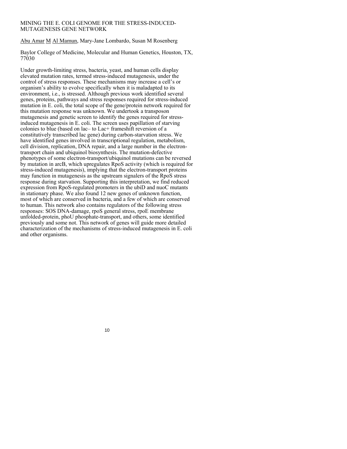## MINING THE E. COLI GENOME FOR THE STRESS-INDUCED-MUTAGENESIS GENE NETWORK

Abu Amar M Al Mamun, Mary-Jane Lombardo, Susan M Rosenberg

Baylor College of Medicine, Molecular and Human Genetics, Houston, TX, 77030

Under growth-limiting stress, bacteria, yeast, and human cells display elevated mutation rates, termed stress-induced mutagenesis, under the control of stress responses. These mechanisms may increase a cell's or organism's ability to evolve specifically when it is maladapted to its environment, i.e., is stressed. Although previous work identified several genes, proteins, pathways and stress responses required for stress-induced mutation in E. coli, the total scope of the gene/protein network required for this mutation response was unknown. We undertook a transposon mutagenesis and genetic screen to identify the genes required for stressinduced mutagenesis in E. coli. The screen uses papillation of starving colonies to blue (based on lac– to Lac+ frameshift reversion of a constitutively transcribed lac gene) during carbon-starvation stress. We have identified genes involved in transcriptional regulation, metabolism, cell division, replication, DNA repair, and a large number in the electrontransport chain and ubiquinol biosynthesis. The mutation-defective phenotypes of some electron-transport/ubiquinol mutations can be reversed by mutation in arcB, which upregulates RpoS activity (which is required for stress-induced mutagenesis), implying that the electron-transport proteins may function in mutagenesis as the upstream signalers of the RpoS stress response during starvation. Supporting this interpretation, we find reduced expression from RpoS-regulated promoters in the ubiD and nuoC mutants in stationary phase. We also found 12 new genes of unknown function, most of which are conserved in bacteria, and a few of which are conserved to human. This network also contains regulators of the following stress responses: SOS DNA-damage, rpoS general stress, rpoE membrane unfolded-protein, phoU phosphate-transport, and others, some identified previously and some not. This network of genes will guide more detailed characterization of the mechanisms of stress-induced mutagenesis in E. coli and other organisms.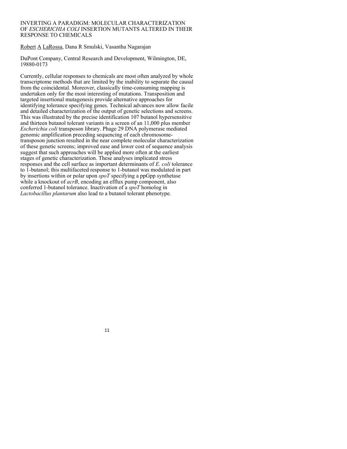## INVERTING A PARADIGM: MOLECULAR CHARACTERIZATION OF *ESCHERICHIA COLI* INSERTION MUTANTS ALTERED IN THEIR RESPONSE TO CHEMICALS

Robert A LaRossa, Dana R Smulski, Vasantha Nagarajan

DuPont Company, Central Research and Development, Wilmington, DE, 19880-0173

Currently, cellular responses to chemicals are most often analyzed by whole transcriptome methods that are limited by the inability to separate the causal from the coincidental. Moreover, classically time-consuming mapping is undertaken only for the most interesting of mutations. Transposition and targeted insertional mutagenesis provide alternative approaches for identifying tolerance specifying genes. Technical advances now allow facile and detailed characterization of the output of genetic selections and screens. This was illustrated by the precise identification 107 butanol hypersensitive and thirteen butanol tolerant variants in a screen of an 11,000 plus member *Escherichia coli* transposon library. Phage 29 DNA polymerase mediated genomic amplification preceding sequencing of each chromosometransposon junction resulted in the near complete molecular characterization of these genetic screens; improved ease and lower cost of sequence analysis suggest that such approaches will be applied more often at the earliest stages of genetic characterization. These analyses implicated stress responses and the cell surface as important determinants of *E. coli* tolerance to 1-butanol; this multifaceted response to 1-butanol was modulated in part by insertions within or polar upon *spoT* specifying a ppGpp synthetase while a knockout of *acrB*, encoding an efflux pump component, also conferred 1-butanol tolerance. Inactivation of a *spoT* homolog in *Lactobacillus plantarum* also lead to a butanol tolerant phenotype.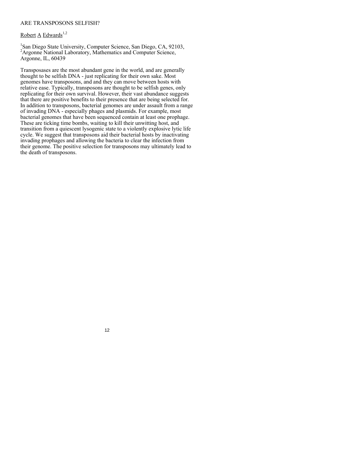### ARE TRANSPOSONS SELFISH?

# Robert A Edwards $1,2$

1 San Diego State University, Computer Science, San Diego, CA, 92103, <sup>2</sup> Argonne National Laboratory, Mathematics and Computer Science, Argonne, IL, 60439

Transposases are the most abundant gene in the world, and are generally thought to be selfish DNA - just replicating for their own sake. Most genomes have transposons, and and they can move between hosts with relative ease. Typically, transposons are thought to be selfish genes, only replicating for their own survival. However, their vast abundance suggests that there are positive benefits to their presence that are being selected for. In addition to transposons, bacterial genomes are under assault from a range of invading DNA - especially phages and plasmids. For example, most bacterial genomes that have been sequenced contain at least one prophage. These are ticking time bombs, waiting to kill their unwitting host, and transition from a quiescent lysogenic state to a violently explosive lytic life cycle. We suggest that transposons aid their bacterial hosts by inactivating invading prophages and allowing the bacteria to clear the infection from their genome. The positive selection for transposons may ultimately lead to the death of transposons.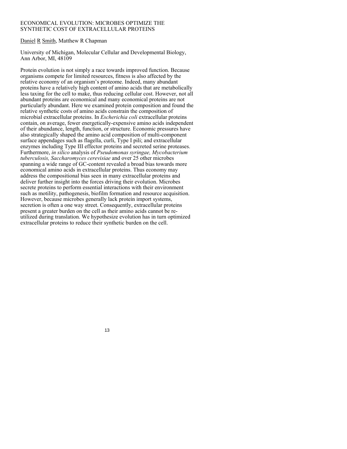#### ECONOMICAL EVOLUTION: MICROBES OPTIMIZE THE SYNTHETIC COST OF EXTRACELLULAR PROTEINS

## Daniel R Smith, Matthew R Chapman

University of Michigan, Molecular Cellular and Developmental Biology, Ann Arbor, MI, 48109

Protein evolution is not simply a race towards improved function. Because organisms compete for limited resources, fitness is also affected by the relative economy of an organism's proteome. Indeed, many abundant proteins have a relatively high content of amino acids that are metabolically less taxing for the cell to make, thus reducing cellular cost. However, not all abundant proteins are economical and many economical proteins are not particularly abundant. Here we examined protein composition and found the relative synthetic costs of amino acids constrain the composition of microbial extracellular proteins. In *Escherichia coli* extracellular proteins contain, on average, fewer energetically-expensive amino acids independent of their abundance, length, function, or structure. Economic pressures have also strategically shaped the amino acid composition of multi-component surface appendages such as flagella, curli, Type I pili; and extracellular enzymes including Type III effector proteins and secreted serine proteases. Furthermore, *in silico* analysis of *Pseudomonas syringae, Mycobacterium tuberculosis, Saccharomyces cerevisiae* and over 25 other microbes spanning a wide range of GC-content revealed a broad bias towards more economical amino acids in extracellular proteins. Thus economy may address the compositional bias seen in many extracellular proteins and deliver further insight into the forces driving their evolution. Microbes secrete proteins to perform essential interactions with their environment such as motility, pathogenesis, biofilm formation and resource acquisition. However, because microbes generally lack protein import systems, secretion is often a one way street. Consequently, extracellular proteins present a greater burden on the cell as their amino acids cannot be reutilized during translation. We hypothesize evolution has in turn optimized extracellular proteins to reduce their synthetic burden on the cell.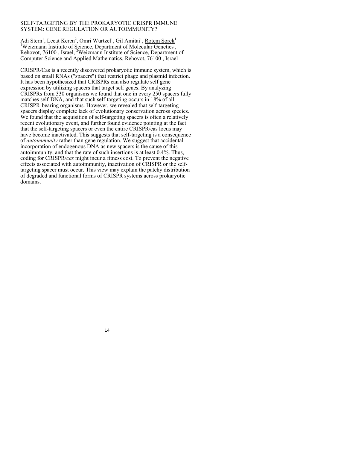### SELF-TARGETING BY THE PROKARYOTIC CRISPR IMMUNE SYSTEM: GENE REGULATION OR AUTOIMMUNITY?

Adi Stern<sup>1</sup>, Leeat Keren<sup>2</sup>, Omri Wurtzel<sup>1</sup>, Gil Amitai<sup>1</sup>, <u>Rotem Sorek<sup>1</sup></u><br><sup>1</sup>Weizmann Institute of Seignee, Denartment of Molecular Genetics <sup>1</sup>Weizmann Institute of Science, Department of Molecular Genetics, Rehovot, 76100, Israel, <sup>2</sup>Weizmann Institute of Science, Department of Computer Science and Applied Mathematics, Rehovot, 76100 , Israel

CRISPR/Cas is a recently discovered prokaryotic immune system, which is based on small RNAs ("spacers") that restrict phage and plasmid infection. It has been hypothesized that CRISPRs can also regulate self gene expression by utilizing spacers that target self genes. By analyzing CRISPRs from 330 organisms we found that one in every 250 spacers fully matches self-DNA, and that such self-targeting occurs in 18% of all CRISPR-bearing organisms. However, we revealed that self-targeting spacers display complete lack of evolutionary conservation across species. We found that the acquisition of self-targeting spacers is often a relatively recent evolutionary event, and further found evidence pointing at the fact that the self-targeting spacers or even the entire CRISPR/cas locus may have become inactivated. This suggests that self-targeting is a consequence of *autoimmunity* rather than gene regulation. We suggest that accidental incorporation of endogenous DNA as new spacers is the cause of this autoimmunity, and that the rate of such insertions is at least 0.4%. Thus, coding for CRISPR/*cas* might incur a fitness cost. To prevent the negative effects associated with autoimmunity, inactivation of CRISPR or the selftargeting spacer must occur. This view may explain the patchy distribution of degraded and functional forms of CRISPR systems across prokaryotic domains.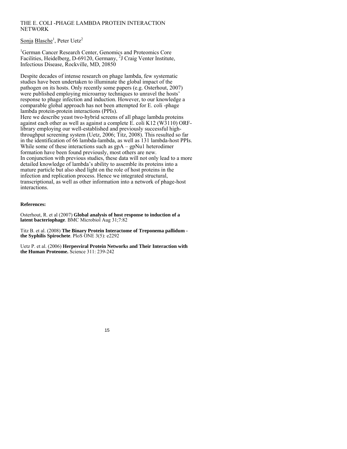# THE E. COLI -PHAGE LAMBDA PROTEIN INTERACTION **NETWORK**

Sonja Blasche<sup>1</sup>, Peter Uetz<sup>2</sup>

1 German Cancer Research Center, Genomics and Proteomics Core Facilities, Heidelberg, D-69120, Germany, <sup>2</sup>J Craig Venter Institute, Infectious Disease, Rockville, MD, 20850

Despite decades of intense research on phage lambda, few systematic studies have been undertaken to illuminate the global impact of the pathogen on its hosts. Only recently some papers (e.g. Osterhout, 2007) were published employing microarray techniques to unravel the hosts' response to phage infection and induction. However, to our knowledge a comparable global approach has not been attempted for E. coli -phage lambda protein-protein interactions (PPIs).

Here we describe yeast two-hybrid screens of all phage lambda proteins against each other as well as against a complete E. coli K12 (W3110) ORFlibrary employing our well-established and previously successful highthroughput screening system (Uetz, 2006; Titz, 2008). This resulted so far in the identification of 66 lambda-lambda, as well as 131 lambda-host PPIs. While some of these interactions such as  $gpA - gpNu1$  heterodimer formation have been found previously, most others are new. In conjunction with previous studies, these data will not only lead to a more detailed knowledge of lambda's ability to assemble its proteins into a mature particle but also shed light on the role of host proteins in the infection and replication process. Hence we integrated structural, transcriptional, as well as other information into a network of phage-host interactions.

### **References:**

Osterhout, R. et al (2007) **Global analysis of host response to induction of a latent bacteriophage**. BMC Microbiol Aug 31;7:82

Titz B. et al. (2008) **The Binary Protein Interactome of Treponema pallidum the Syphilis Spirochete**. PloS ONE 3(5): e2292

Uetz P. et al. (2006) **Herpesviral Protein Networks and Their Interaction with the Human Proteome.** Science 311: 239-242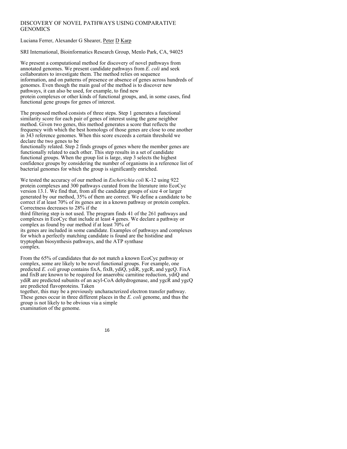# DISCOVERY OF NOVEL PATHWAYS USING COMPARATIVE **GENOMICS**

Luciana Ferrer, Alexander G Shearer, Peter D Karp

SRI International, Bioinformatics Research Group, Menlo Park, CA, 94025

We present a computational method for discovery of novel pathways from annotated genomes. We present candidate pathways from *E. coli* and seek collaborators to investigate them. The method relies on sequence information, and on patterns of presence or absence of genes across hundreds of genomes. Even though the main goal of the method is to discover new pathways, it can also be used, for example, to find new protein complexes or other kinds of functional groups, and, in some cases, find functional gene groups for genes of interest.

The proposed method consists of three steps. Step 1 generates a functional similarity score for each pair of genes of interest using the gene neighbor method. Given two genes, this method generates a score that reflects the frequency with which the best homologs of those genes are close to one another in 343 reference genomes. When this score exceeds a certain threshold we declare the two genes to be

functionally related. Step 2 finds groups of genes where the member genes are functionally related to each other. This step results in a set of candidate functional groups. When the group list is large, step 3 selects the highest confidence groups by considering the number of organisms in a reference list of bacterial genomes for which the group is significantly enriched.

We tested the accuracy of our method in *Escherichia coli* K-12 using 922 protein complexes and 300 pathways curated from the literature into EcoCyc version 13.1. We find that, from all the candidate groups of size 4 or larger generated by our method, 35% of them are correct. We define a candidate to be correct if at least 70% of its genes are in a known pathway or protein complex. Correctness decreases to 28% if the

third filtering step is not used. The program finds 41 of the 261 pathways and complexes in EcoCyc that include at least 4 genes. We declare a pathway or complex as found by our method if at least 70% of

its genes are included in some candidate. Examples of pathways and complexes for which a perfectly matching candidate is found are the histidine and tryptophan biosynthesis pathways, and the ATP synthase complex.

From the 65% of candidates that do not match a known EcoCyc pathway or complex, some are likely to be novel functional groups. For example, one predicted *E. coli* group contains fixA, fixB, ydiQ, ydiR, ygcR, and ygcQ. FixA and fixB are known to be required for anaerobic carnitine reduction, ydiQ and ydiR are predicted subunits of an acyl-CoA dehydrogenase, and ygcR and ygcQ are predicted flavoproteins. Taken

together, this may be a previously uncharacterized electron transfer pathway. These genes occur in three different places in the *E. coli* genome, and thus the group is not likely to be obvious via a simple examination of the genome.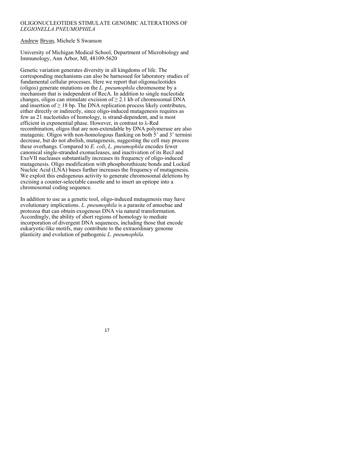## OLIGONUCLEOTIDES STIMULATE GENOMIC ALTERATIONS OF *LEGIONELLA PNEUMOPHILA*

## Andrew Bryan, Michele S Swanson

University of Michigan Medical School, Department of Microbiology and Immunology, Ann Arbor, MI, 48109-5620

Genetic variation generates diversity in all kingdoms of life. The corresponding mechanisms can also be harnessed for laboratory studies of fundamental cellular processes. Here we report that oligonucleotides (oligos) generate mutations on the *L. pneumophila* chromosome by a mechanism that is independent of RecA. In addition to single nucleotide changes, oligos can stimulate excision of  $\geq 2.1$  kb of chromosomal DNA and insertion of  $\geq 18$  bp. The DNA replication process likely contributes, either directly or indirectly, since oligo-induced mutagenesis requires as few as 21 nucleotides of homology, is strand-dependent, and is most efficient in exponential phase. However, in contrast to λ-Red recombination, oligos that are non-extendable by DNA polymerase are also mutagenic. Oligos with non-homologous flanking on both 5' and 3' termini decrease, but do not abolish, mutagenesis, suggesting the cell may process these overhangs. Compared to *E. coli*, *L. pneumophila* encodes fewer canonical single-stranded exonucleases, and inactivation of its RecJ and ExoVII nucleases substantially increases its frequency of oligo-induced mutagenesis. Oligo modification with phosphorothioate bonds and Locked Nucleic Acid (LNA) bases further increases the frequency of mutagenesis. We exploit this endogenous activity to generate chromosomal deletions by excising a counter-selectable cassette and to insert an epitope into a chromosomal coding sequence.

In addition to use as a genetic tool, oligo-induced mutagenesis may have evolutionary implications. *L. pneumophila* is a parasite of amoebae and protozoa that can obtain exogenous DNA via natural transformation. Accordingly, the ability of short regions of homology to mediate incorporation of divergent DNA sequences, including those that encode eukaryotic-like motifs, may contribute to the extraordinary genome plasticity and evolution of pathogenic *L. pneumophila*.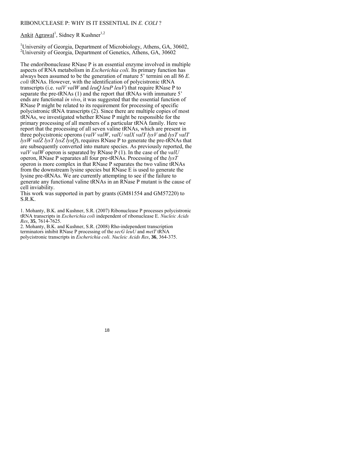## RIBONUCLEASE P: WHY IS IT ESSENTIAL IN *E. COLI* ?

Ankit Agrawal<sup>1</sup>, Sidney R Kushner<sup>1,2</sup>

<sup>1</sup>University of Georgia, Department of Microbiology, Athens, GA, 30602, 2 University of Georgia, Department of Genetics, Athens, GA, 30602

The endoribonuclease RNase P is an essential enzyme involved in multiple aspects of RNA metabolism in *Escherichia coli*. Its primary function has always been assumed to be the generation of mature 5' termini on all 86 *E. coli* tRNAs. However, with the identification of polycistronic tRNA transcripts (i.e. *valV valW* and *leuQ leuP leuV*) that require RNase P to separate the pre-tRNAs (1) and the report that tRNAs with immature 5' ends are functional *in vivo*, it was suggested that the essential function of RNase P might be related to its requirement for processing of specific polycistronic tRNA transcripts (2). Since there are multiple copies of most tRNAs, we investigated whether RNase P might be responsible for the primary processing of all members of a particular tRNA family. Here we report that the processing of all seven valine tRNAs, which are present in three polycistronic operons (*valV valW*, *valU valX valY lysV* and *lysT valT lysW valZ lysY lysZ lysQ*), requires RNase P to generate the pre-tRNAs that are subsequently converted into mature species. As previously reported, the *valV valW* operon is separated by RNase P (1). In the case of the *valU* operon, RNase P separates all four pre-tRNAs. Processing of the *lysT* operon is more complex in that RNase P separates the two valine tRNAs from the downstream lysine species but RNase E is used to generate the lysine pre-tRNAs. We are currently attempting to see if the failure to generate any functional valine tRNAs in an RNase P mutant is the cause of cell inviability.

This work was supported in part by grants (GM81554 and GM57220) to S.R.K.

1. Mohanty, B.K. and Kushner, S.R. (2007) Ribonuclease P processes polycistronic tRNA transcripts in *Escherichia coli* independent of ribonuclease E. *Nucleic Acids Res*, **35**, 7614-7625.

2. Mohanty, B.K. and Kushner, S.R. (2008) Rho-independent transcription terminators inhibit RNase P processing of the *secG leuU* and *metT* tRNA polycistronic transcripts in *Escherichia coli*. *Nucleic Acids Res*, **36**, 364-375.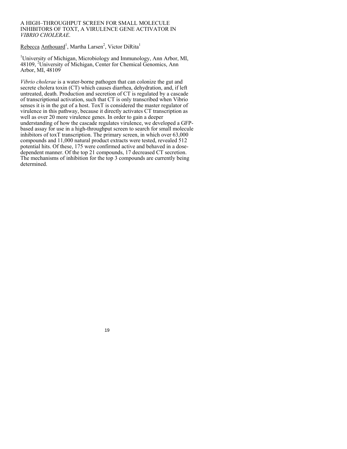#### A HIGH–THROUGHPUT SCREEN FOR SMALL MOLECULE INHIBITORS OF TOXT, A VIRULENCE GENE ACTIVATOR IN *VIBRIO CHOLERAE*.

Rebecca Anthouard<sup>1</sup>, Martha Larsen<sup>2</sup>, Victor DiRita<sup>1</sup>

<sup>1</sup>University of Michigan, Microbiology and Immunology, Ann Arbor, MI, 48109, <sup>2</sup>University of Michigan, Center for Chemical Genomics, Ann Arbor, MI, 48109

*Vibrio cholerae* is a water-borne pathogen that can colonize the gut and secrete cholera toxin (CT) which causes diarrhea, dehydration, and, if left untreated, death. Production and secretion of CT is regulated by a cascade of transcriptional activation, such that CT is only transcribed when Vibrio senses it is in the gut of a host. ToxT is considered the master regulator of virulence in this pathway, because it directly activates CT transcription as well as over 20 more virulence genes. In order to gain a deeper understanding of how the cascade regulates virulence, we developed a GFPbased assay for use in a high-throughput screen to search for small molecule inhibitors of toxT transcription. The primary screen, in which over 63,000 compounds and 11,000 natural product extracts were tested, revealed 512 potential hits. Of these, 175 were confirmed active and behaved in a dosedependent manner. Of the top 21 compounds, 17 decreased CT secretion. The mechanisms of inhibition for the top 3 compounds are currently being determined.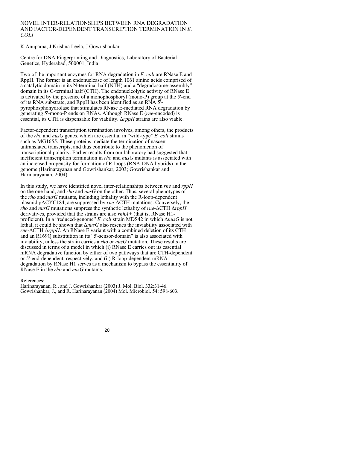#### NOVEL INTER-RELATIONSHIPS BETWEEN RNA DEGRADATION AND FACTOR-DEPENDENT TRANSCRIPTION TERMINATION IN *E. COLI*

K Anupama, J Krishna Leela, J Gowrishankar

Centre for DNA Fingerprinting and Diagnostics, Laboratory of Bacterial Genetics, Hyderabad, 500001, India

Two of the important enzymes for RNA degradation in *E. coli* are RNase E and RppH. The former is an endonuclease of length 1061 amino acids comprised of a catalytic domain in its N-terminal half (NTH) and a "degradosome-assembly" domain in its C-terminal half (CTH). The endonucleolytic activity of RNase E is activated by the presence of a monophosphoryl (mono-P) group at the 5'-end of its RNA substrate, and RppH has been identified as an RNA 5' pyrophosphohydrolase that stimulates RNase E-mediated RNA degradation by generating 5'-mono-P ends on RNAs. Although RNase E (*rne*-encoded) is essential, its CTH is dispensable for viability. Δ*rppH* strains are also viable.

Factor-dependent transcription termination involves, among others, the products of the *rho* and *nusG* genes, which are essential in "wild-type" *E. coli* strains such as MG1655. These proteins mediate the termination of nascent untranslated transcripts, and thus contribute to the phenomenon of transcriptional polarity. Earlier results from our laboratory had suggested that inefficient transcription termination in *rho* and *nusG* mutants is associated with an increased propensity for formation of R-loops (RNA-DNA hybrids) in the genome (Harinarayanan and Gowrishankar, 2003; Gowrishankar and Harinarayanan, 2004).

In this study, we have identified novel inter-relationships between *rne* and *rppH* on the one hand, and *rho* and *nusG* on the other. Thus, several phenotypes of the *rho* and *nusG* mutants, including lethality with the R-loop-dependent plasmid pACYC184, are suppressed by *rne*-ΔCTH mutations. Conversely, the *rho* and *nusG* mutations suppress the synthetic lethality of *rne*-ΔCTH Δ*rppH* derivatives, provided that the strains are also *rnhA+* (that is, RNase H1 proficient). In a "reduced-genome" *E. coli* strain MDS42 in which Δ*nusG* is not lethal, it could be shown that Δ*nusG* also rescues the inviability associated with *rne*-ΔCTH Δ*rppH*. An RNase E variant with a combined deletion of its CTH and an R169Q substitution in its "5'-sensor-domain" is also associated with inviability, unless the strain carries a *rho* or *nusG* mutation. These results are discussed in terms of a model in which (i) RNase E carries out its essential mRNA degradative function by either of two pathways that are CTH-dependent or 5'-end-dependent, respectively; and (ii) R-loop-dependent mRNA degradation by RNase H1 serves as a mechanism to bypass the essentiality of RNase E in the *rho* and *nusG* mutants.

References:

Harinarayanan, R., and J. Gowrishankar (2003) J. Mol. Biol. 332:31-46. Gowrishankar, J., and R. Harinarayanan (2004) Mol. Microbiol. 54: 598-603.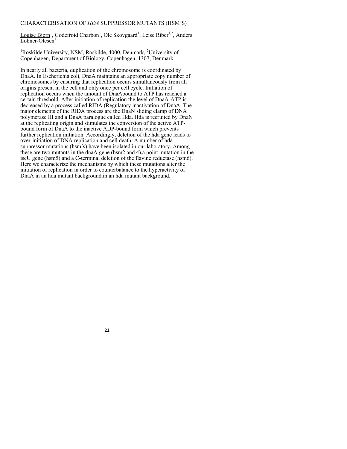# CHARACTERISATION OF *HDA* SUPPRESSOR MUTANTS (HSM´S)

Louise Bjørn<sup>1</sup>, Godefroid Charbon<sup>1</sup>, Ole Skovgaard<sup>1</sup>, Leise Riber<sup>1,2</sup>, Anders Løbner-Olesen<sup>1</sup>

<sup>1</sup>Roskilde University, NSM, Roskilde, 4000, Denmark, <sup>2</sup>University of Copenhagen, Department of Biology, Copenhagen, 1307, Denmark

In nearly all bacteria, duplication of the chromosome is coordinated by DnaA. In Escherichia coli, DnaA maintains an appropriate copy number of chromosomes by ensuring that replication occurs simultaneously from all origins present in the cell and only once per cell cycle. Initiation of replication occurs when the amount of DnaAbound to ATP has reached a certain threshold. After initiation of replication the level of DnaA-ATP is decreased by a process called RIDA (Regulatory inactivation of DnaA. The major elements of the RIDA process are the DnaN sliding clamp of DNA polymerase III and a DnaA paralogue called Hda. Hda is recruited by DnaN at the replicating origin and stimulates the conversion of the active ATPbound form of DnaA to the inactive ADP-bound form which prevents further replication initiation. Accordingly, deletion of the hda gene leads to over-initiation of DNA replication and cell death. A number of hda suppressor mutations (hsm´s) have been isolated in our laboratory. Among these are two mutants in the dnaA gene (hsm2 and 4),a point mutation in the iscU gene (hsm5) and a C-terminal deletion of the flavine reductase (hsm6). Here we characterize the mechanisms by which these mutations alter the initiation of replication in order to counterbalance to the hyperactivity of DnaA in an hda mutant background.in an hda mutant background.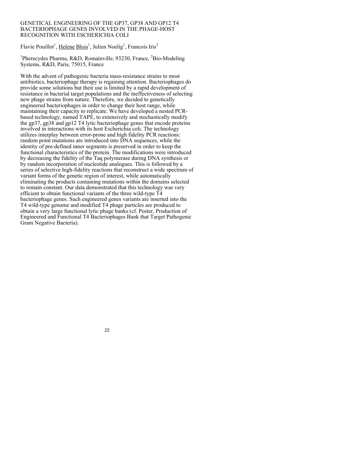#### GENETICAL ENGINEERING OF THE GP37, GP38 AND GP12 T4 BACTERIOPHAGE GENES INVOLVED IN THE PHAGE-HOST RECOGNITION WITH ESCHERICHIA COLI

Flavie Pouillot<sup>1</sup>, Helene Blois<sup>1</sup>, Julien Noelig<sup>1</sup>, Francois Iris<sup>2</sup>

<sup>1</sup>Pherecydes Pharma, R&D, Romainville, 93230, France, <sup>2</sup>Bio-Modeling Systems, R&D, Paris, 75015, France

With the advent of pathogenic bacteria mass-resistance strains to most antibiotics, bacteriophage therapy is regaining attention. Bacteriophages do provide some solutions but their use is limited by a rapid development of resistance in bacterial target populations and the ineffectiveness of selecting new phage strains from nature. Therefore, we decided to genetically engineered bacteriophages in order to change their host range, while maintaining their capacity to replicate. We have developed a nested PCRbased technology, named TAPE, to extensively and stochastically modify the gp37, gp38 and gp12 T4 lytic bacteriophage genes that encode proteins involved in interactions with its host Escherichia coli. The technology utilizes interplay between error-prone and high fidelity PCR reactions: random point mutations are introduced into DNA sequences, while the identity of pre-defined inner segments is preserved in order to keep the functional characteristics of the protein. The modifications were introduced by decreasing the fidelity of the Taq polymerase during DNA synthesis or by random incorporation of nucleotide analogues. This is followed by a series of selective high-fidelity reactions that reconstruct a wide spectrum of variant forms of the genetic region of interest, while automatically eliminating the products containing mutations within the domains selected to remain constant. Our data demonstrated that this technology was very efficient to obtain functional variants of the three wild-type T4 bacteriophage genes. Such engineered genes variants are inserted into the T4 wild-type genome and modified T4 phage particles are produced to obtain a very large functional lytic phage banks (cf. Poster, Production of Engineered and Functional T4 Bacteriophages Bank that Target Pathogenic Gram Negative Bacteria).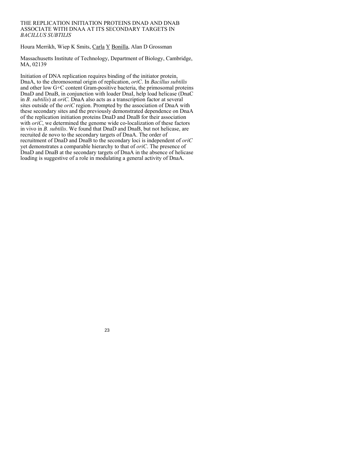### THE REPLICATION INITIATION PROTEINS DNAD AND DNAB ASSOCIATE WITH DNAA AT ITS SECONDARY TARGETS IN *BACILLUS SUBTILIS*

Houra Merrikh, Wiep K Smits, Carla Y Bonilla, Alan D Grossman

Massachusetts Institute of Technology, Department of Biology, Cambridge, MA, 02139

Initiation of DNA replication requires binding of the initiator protein, DnaA, to the chromosomal origin of replication, *oriC*. In *Bacillus subtilis* and other low G+C content Gram-positive bacteria, the primosomal proteins DnaD and DnaB, in conjunction with loader DnaI, help load helicase (DnaC in *B. subtilis*) at *oriC*. DnaA also acts as a transcription factor at several sites outside of the *oriC* region. Prompted by the association of DnaA with these secondary sites and the previously demonstrated dependence on DnaA of the replication initiation proteins DnaD and DnaB for their association with *oriC*, we determined the genome wide co-localization of these factors in vivo in *B. subtilis*. We found that DnaD and DnaB, but not helicase, are recruited de novo to the secondary targets of DnaA. The order of recruitment of DnaD and DnaB to the secondary loci is independent of *oriC* yet demonstrates a comparable hierarchy to that of *oriC*. The presence of DnaD and DnaB at the secondary targets of DnaA in the absence of helicase loading is suggestive of a role in modulating a general activity of DnaA.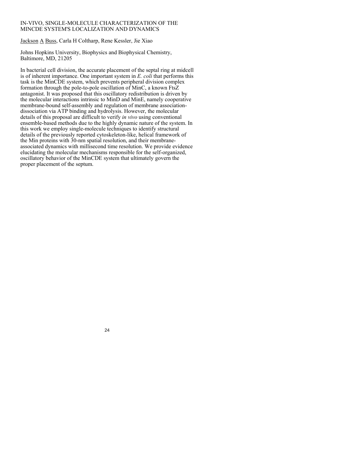## IN-VIVO, SINGLE-MOLECULE CHARACTERIZATION OF THE MINCDE SYSTEM'S LOCALIZATION AND DYNAMICS

Jackson A Buss, Carla H Coltharp, Rene Kessler, Jie Xiao

Johns Hopkins University, Biophysics and Biophysical Chemistry, Baltimore, MD, 21205

In bacterial cell division, the accurate placement of the septal ring at midcell is of inherent importance. One important system in *E. coli* that performs this task is the MinCDE system, which prevents peripheral division complex formation through the pole-to-pole oscillation of MinC, a known FtsZ antagonist. It was proposed that this oscillatory redistribution is driven by the molecular interactions intrinsic to MinD and MinE, namely cooperative membrane-bound self-assembly and regulation of membrane associationdissociation via ATP binding and hydrolysis. However, the molecular details of this proposal are difficult to verify *in vivo* using conventional ensemble-based methods due to the highly dynamic nature of the system. In this work we employ single-molecule techniques to identify structural details of the previously reported cytoskeleton-like, helical framework of the Min proteins with 30-nm spatial resolution, and their membraneassociated dynamics with millisecond time resolution. We provide evidence elucidating the molecular mechanisms responsible for the self-organized, oscillatory behavior of the MinCDE system that ultimately govern the proper placement of the septum.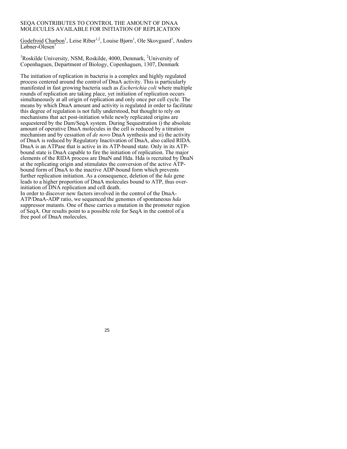#### SEQA CONTRIBUTES TO CONTROL THE AMOUNT OF DNAA MOLECULES AVAILABLE FOR INITIATION OF REPLICATION

Godefroid Charbon<sup>1</sup>, Leise Riber<sup>1,2</sup>, Louise Bjørn<sup>1</sup>, Ole Skovgaard<sup>1</sup>, Anders  $Løbner-Olesen<sup>1</sup>$ 

<sup>1</sup>Roskilde University, NSM, Roskilde, 4000, Denmark, <sup>2</sup>University of Copenhaguen, Department of Biology, Copenhaguen, 1307, Denmark

The initiation of replication in bacteria is a complex and highly regulated process centered around the control of DnaA activity. This is particularly manifested in fast growing bacteria such as *Escherichia coli* where multiple rounds of replication are taking place, yet initiation of replication occurs simultaneously at all origin of replication and only once per cell cycle. The means by which DnaA amount and activity is regulated in order to facilitate this degree of regulation is not fully understood, but thought to rely on mechanisms that act post-initiation while newly replicated origins are sequestered by the Dam/SeqA system. During Sequestration i) the absolute amount of operative DnaA molecules in the cell is reduced by a titration mechanism and by cessation of *de novo* DnaA synthesis and ii) the activity of DnaA is reduced by Regulatory Inactivation of DnaA, also called RIDA. DnaA is an ATPase that is active in its ATP-bound state. Only in its ATPbound state is DnaA capable to fire the initiation of replication. The major elements of the RIDA process are DnaN and Hda. Hda is recruited by DnaN at the replicating origin and stimulates the conversion of the active ATPbound form of DnaA to the inactive ADP-bound form which prevents further replication initiation. As a consequence, deletion of the *hda* gene leads to a higher proportion of DnaA molecules bound to ATP, thus overinitiation of DNA replication and cell death.

In order to discover new factors involved in the control of the DnaA-ATP/DnaA-ADP ratio, we sequenced the genomes of spontaneous *hda* suppressor mutants. One of these carries a mutation in the promoter region of SeqA. Our results point to a possible role for SeqA in the control of a free pool of DnaA molecules.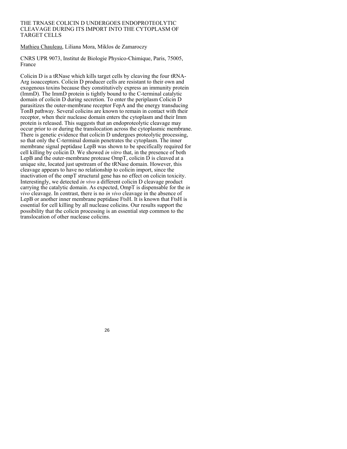#### THE TRNASE COLICIN D UNDERGOES ENDOPROTEOLYTIC CLEAVAGE DURING ITS IMPORT INTO THE CYTOPLASM OF TARGET CELLS

Mathieu Chauleau, Liliana Mora, Miklos de Zamaroczy

CNRS UPR 9073, Institut de Biologie Physico-Chimique, Paris, 75005, France

Colicin D is a tRNase which kills target cells by cleaving the four tRNA-Arg isoacceptors. Colicin D producer cells are resistant to their own and exogenous toxins because they constitutively express an immunity protein (ImmD). The ImmD protein is tightly bound to the C-terminal catalytic domain of colicin D during secretion. To enter the periplasm Colicin D parasitizes the outer-membrane receptor FepA and the energy transducing TonB pathway. Several colicins are known to remain in contact with their receptor, when their nuclease domain enters the cytoplasm and their Imm protein is released. This suggests that an endoproteolytic cleavage may occur prior to or during the translocation across the cytoplasmic membrane. There is genetic evidence that colicin D undergoes proteolytic processing, so that only the C-terminal domain penetrates the cytoplasm. The inner membrane signal peptidase LepB was shown to be specifically required for cell killing by colicin D. We showed *in vitro* that, in the presence of both LepB and the outer-membrane protease OmpT, colicin D is cleaved at a unique site, located just upstream of the tRNase domain. However, this cleavage appears to have no relationship to colicin import, since the inactivation of the ompT structural gene has no effect on colicin toxicity. Interestingly, we detected *in vivo* a different colicin D cleavage product carrying the catalytic domain. As expected, OmpT is dispensable for the *in vivo* cleavage. In contrast, there is no *in vivo* cleavage in the absence of LepB or another inner membrane peptidase FtsH. It is known that FtsH is essential for cell killing by all nuclease colicins. Our results support the possibility that the colicin processing is an essential step common to the translocation of other nuclease colicins.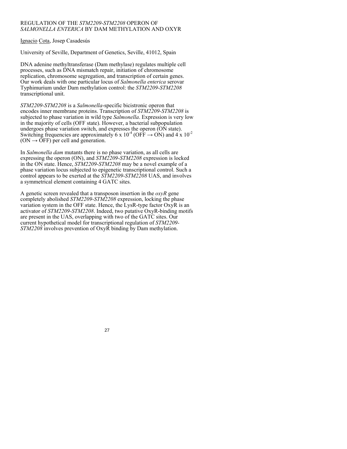## REGULATION OF THE *STM2209-STM2208* OPERON OF *SALMONELLA ENTERICA* BY DAM METHYLATION AND OXYR

Ignacio Cota, Josep Casadesús

University of Seville, Department of Genetics, Seville, 41012, Spain

DNA adenine methyltransferase (Dam methylase) regulates multiple cell processes, such as DNA mismatch repair, initiation of chromosome replication, chromosome segregation, and transcription of certain genes. Our work deals with one particular locus of *Salmonella enterica* serovar Typhimurium under Dam methylation control: the *STM2209-STM2208* transcriptional unit.

*STM2209-STM2208* is a *Salmonella*-specific bicistronic operon that encodes inner membrane proteins. Transcription of *STM2209-STM2208* is subjected to phase variation in wild type *Salmonella*. Expression is very low in the majority of cells (OFF state). However, a bacterial subpopulation undergoes phase variation switch, and expresses the operon (ON state). Switching frequencies are approximately 6 x  $10^{-4}$  (OFF  $\rightarrow$  ON) and 4 x  $10^{-2}$  $(ON \rightarrow OFF)$  per cell and generation.

In *Salmonella dam* mutants there is no phase variation, as all cells are expressing the operon (ON), and *STM2209-STM2208* expression is locked in the ON state. Hence, *STM2209-STM2208* may be a novel example of a phase variation locus subjected to epigenetic transcriptional control. Such a control appears to be exerted at the *STM2209-STM2208* UAS, and involves a symmetrical element containing 4 GATC sites.

A genetic screen revealed that a transposon insertion in the *oxyR* gene completely abolished *STM2209-STM2208* expression, locking the phase variation system in the OFF state. Hence, the LysR-type factor OxyR is an activator of *STM2209-STM2208*. Indeed, two putative OxyR-binding motifs are present in the UAS, overlapping with two of the GATC sites. Our current hypothetical model for transcriptional regulation of *STM2209- STM2208* involves prevention of OxyR binding by Dam methylation.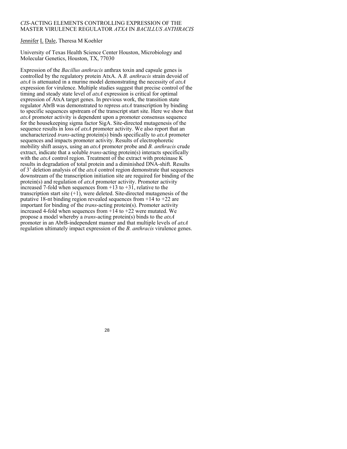#### *CIS*-ACTING ELEMENTS CONTROLLING EXPRESSION OF THE MASTER VIRULENCE REGULATOR *ATXA* IN *BACILLUS ANTHRACIS*

## Jennifer L Dale, Theresa M Koehler

University of Texas Health Science Center Houston, Microbiology and Molecular Genetics, Houston, TX, 77030

Expression of the *Bacillus anthracis* anthrax toxin and capsule genes is controlled by the regulatory protein AtxA. A *B. anthracis* strain devoid of *atxA* is attenuated in a murine model demonstrating the necessity of *atxA*  expression for virulence. Multiple studies suggest that precise control of the timing and steady state level of *atxA* expression is critical for optimal expression of AtxA target genes. In previous work, the transition state regulator AbrB was demonstrated to repress *atxA* transcription by binding to specific sequences upstream of the transcript start site. Here we show that *atxA* promoter activity is dependent upon a promoter consensus sequence for the housekeeping sigma factor SigA. Site-directed mutagenesis of the sequence results in loss of *atxA* promoter activity. We also report that an uncharacterized *trans*-acting protein(s) binds specifically to *atxA* promoter sequences and impacts promoter activity. Results of electrophoretic mobility shift assays, using an *atxA* promoter probe and *B. anthracis* crude extract, indicate that a soluble *trans*-acting protein(s) interacts specifically with the *atxA* control region. Treatment of the extract with proteinase K results in degradation of total protein and a diminished DNA-shift. Results of 3' deletion analysis of the *atxA* control region demonstrate that sequences downstream of the transcription initiation site are required for binding of the protein(s) and regulation of *atxA* promoter activity. Promoter activity increased 7-fold when sequences from  $+13$  to  $+31$ , relative to the transcription start site (+1), were deleted. Site-directed mutagenesis of the putative 18-nt binding region revealed sequences from  $+14$  to  $+22$  are important for binding of the *trans*-acting protein(s). Promoter activity increased 4-fold when sequences from +14 to +22 were mutated. We propose a model whereby a *trans*-acting protein(s) binds to the *atxA*  promoter in an AbrB-independent manner and that multiple levels of *atxA*  regulation ultimately impact expression of the *B. anthracis* virulence genes.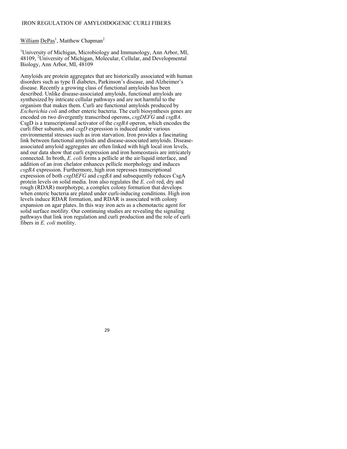#### IRON REGULATION OF AMYLOIDOGENIC CURLI FIBERS

# William DePas<sup>1</sup>, Matthew Chapman<sup>2</sup>

<sup>1</sup>University of Michigan, Microbiology and Immunology, Ann Arbor, MI, 48109, <sup>2</sup>University of Michigan, Molecular, Cellular, and Developmental Biology, Ann Arbor, MI, 48109

Amyloids are protein aggregates that are historically associated with human disorders such as type II diabetes, Parkinson's disease, and Alzheimer's disease. Recently a growing class of functional amyloids has been described. Unlike disease-associated amyloids, functional amyloids are synthesized by intricate cellular pathways and are not harmful to the organism that makes them. Curli are functional amyloids produced by *Escherichia coli* and other enteric bacteria. The curli biosynthesis genes are encoded on two divergently transcribed operons, *csgDEFG* and *csgBA*. CsgD is a transcriptional activator of the *csgBA* operon, which encodes the curli fiber subunits, and *csgD* expression is induced under various environmental stresses such as iron starvation. Iron provides a fascinating link between functional amyloids and disease-associated amyloids. Diseaseassociated amyloid aggregates are often linked with high local iron levels, and our data show that curli expression and iron homeostasis are intricately connected. In broth, *E. coli* forms a pellicle at the air/liquid interface, and addition of an iron chelator enhances pellicle morphology and induces *csgBA* expression. Furthermore, high iron represses transcriptional expression of both *csgDEFG* and *csgBA* and subsequently reduces CsgA protein levels on solid media. Iron also regulates the *E. coli* red, dry and rough (RDAR) morphotype, a complex colony formation that develops when enteric bacteria are plated under curli-inducing conditions. High iron levels induce RDAR formation, and RDAR is associated with colony expansion on agar plates. In this way iron acts as a chemotactic agent for solid surface motility. Our continuing studies are revealing the signaling pathways that link iron regulation and curli production and the role of curli fibers in *E. coli* motility.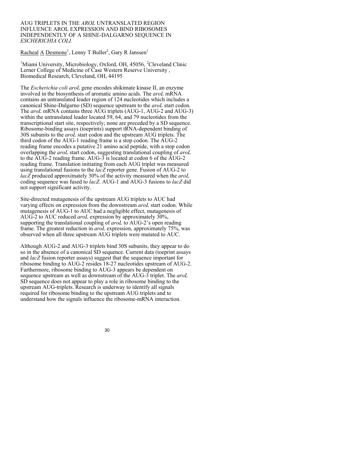#### AUG TRIPLETS IN THE *AROL* UNTRANSLATED REGION INFLUENCE AROL EXPRESSION AND BIND RIBOSOMES INDEPENDENTLY OF A SHINE-DALGARNO SEQUENCE IN *ESCHERICHIA COLI.*

Racheal A Desmone<sup>1</sup>, Lenny T Buller<sup>2</sup>, Gary R Janssen<sup>1</sup>

<sup>1</sup>Miami University, Microbiology, Oxford, OH, 45056, <sup>2</sup>Cleveland Clinic Lerner College of Medicine of Case Western Reserve University , Biomedical Research, Cleveland, OH, 44195

The *Escherichia coli aroL* gene encodes shikimate kinase II, an enzyme involved in the biosynthesis of aromatic amino acids. The *aroL* mRNA contains an untranslated leader region of 124 nucleotides which includes a canonical Shine-Dalgarno (SD) sequence upstream to the *aroL* start codon. The *aroL* mRNA contains three AUG triplets (AUG-1, AUG-2 and AUG-3) within the untranslated leader located 59, 64, and 79 nucleotides from the transcriptional start site, respectively; none are preceded by a SD sequence. Ribosome-binding assays (toeprints) support tRNA-dependent binding of 30S subunits to the *aroL* start codon and the upstream AUG triplets. The third codon of the AUG-1 reading frame is a stop codon. The AUG-2 reading frame encodes a putative 21 amino acid peptide, with a stop codon overlapping the *aroL* start codon, suggesting translational coupling of *aroL*  to the AUG-2 reading frame. AUG-3 is located at codon 6 of the AUG-2 reading frame. Translation initiating from each AUG triplet was measured using translational fusions to the *lacZ* reporter gene. Fusion of AUG-2 to *lacZ* produced approximately 30% of the activity measured when the *aroL* coding sequence was fused to *lacZ*. AUG-1 and AUG-3 fusions to *lacZ* did not support significant activity.

Site-directed mutagenesis of the upstream AUG triplets to AUC had varying effects on expression from the downstream *aroL* start codon. While mutagenesis of AUG-1 to AUC had a negligible effect, mutagenesis of AUG-2 to AUC reduced *aroL* expression by approximately 30%, supporting the translational coupling of *aroL* to AUG-2's open reading frame. The greatest reduction in *aroL* expression, approximately 75%, was observed when all three upstream AUG triplets were mutated to AUC.

Although AUG-2 and AUG-3 triplets bind 30S subunits, they appear to do so in the absence of a canonical SD sequence. Current data (toeprint assays and *lacZ* fusion reporter assays) suggest that the sequence important for ribosome binding to AUG-2 resides 18-27 nucleotides upstream of AUG-2. Furthermore, ribosome binding to AUG-3 appears be dependent on sequence upstream as well as downstream of the AUG-3 triplet. The *aroL* SD sequence does not appear to play a role in ribosome binding to the upstream AUG-triplets. Research is underway to identify all signals required for ribosome binding to the upstream AUG triplets and to understand how the signals influence the ribosome-mRNA interaction.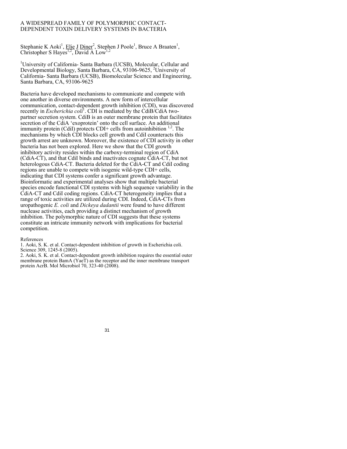## A WIDESPREAD FAMILY OF POLYMORPHIC CONTACT-DEPENDENT TOXIN DELIVERY SYSTEMS IN BACTERIA

Stephanie K Aoki<sup>1</sup>, Elie J Diner<sup>2</sup>, Stephen J Poole<sup>1</sup>, Bruce A Braaten<sup>1</sup>, Christopher S Hayes<sup>1,2</sup>, David A Low<sup>1,2</sup>

<sup>1</sup>University of California- Santa Barbara (UCSB), Molecular, Cellular and Developmental Biology, Santa Barbara, CA, 93106-9625, <sup>2</sup>University of California- Santa Barbara (UCSB), Biomolecular Science and Engineering, Santa Barbara, CA, 93106-9625

Bacteria have developed mechanisms to communicate and compete with one another in diverse environments. A new form of intercellular communication, contact-dependent growth inhibition (CDI), was discovered recently in *Escherichia coli*<sup>1</sup>. CDI is mediated by the CdiB/CdiA twopartner secretion system. CdiB is an outer membrane protein that facilitates secretion of the CdiA 'exoprotein' onto the cell surface. An additional immunity protein (CdiI) protects CDI+ cells from autoinhibition  $^{1,2}$ . The mechanisms by which CDI blocks cell growth and CdiI counteracts this growth arrest are unknown. Moreover, the existence of CDI activity in other bacteria has not been explored. Here we show that the CDI growth inhibitory activity resides within the carboxy-terminal region of CdiA (CdiA-CT), and that CdiI binds and inactivates cognate CdiA-CT, but not heterologous CdiA-CT. Bacteria deleted for the CdiA-CT and CdiI coding regions are unable to compete with isogenic wild-type CDI+ cells, indicating that CDI systems confer a significant growth advantage. Bioinformatic and experimental analyses show that multiple bacterial species encode functional CDI systems with high sequence variability in the CdiA-CT and CdiI coding regions. CdiA-CT heterogeneity implies that a range of toxic activities are utilized during CDI. Indeed, CdiA-CTs from uropathogenic *E. coli* and *Dickeya dadantii* were found to have different nuclease activities, each providing a distinct mechanism of growth inhibition. The polymorphic nature of CDI suggests that these systems constitute an intricate immunity network with implications for bacterial competition.

#### References

1. Aoki, S. K. et al. Contact-dependent inhibition of growth in Escherichia coli. Science 309, 1245-8 (2005).

2. Aoki, S. K. et al. Contact-dependent growth inhibition requires the essential outer membrane protein BamA (YaeT) as the receptor and the inner membrane transport protein AcrB. Mol Microbiol 70, 323-40 (2008).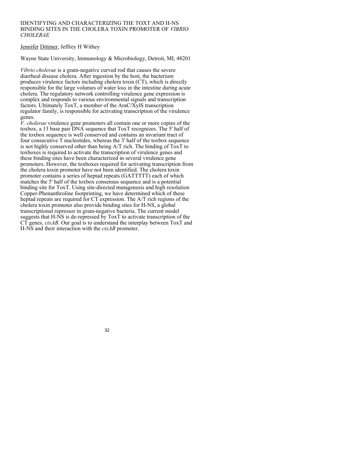#### IDENTIFYING AND CHARACTERIZING THE TOXT AND H-NS BINDING SITES IN THE CHOLERA TOXIN PROMOTER OF *VIBRIO CHOLERAE*

# Jennifer Dittmer, Jeffrey H Withey

Wayne State University, Immunology & Microbiology, Detroit, MI, 48201

*Vibrio cholerae* is a gram-negative curved rod that causes the severe diarrheal disease cholera. After ingestion by the host, the bacterium produces virulence factors including cholera toxin (CT), which is directly responsible for the large volumes of water loss in the intestine during acute cholera. The regulatory network controlling virulence gene expression is complex and responds to various environmental signals and transcription factors. Ultimately ToxT, a member of the AraC/XylS transcription regulator family, is responsible for activating transcription of the virulence genes.

*V. cholerae* virulence gene promoters all contain one or more copies of the toxbox, a 13 base pair DNA sequence that ToxT recognizes. The 5' half of the toxbox sequence is well conserved and contains an invariant tract of four consecutive T nucleotides, whereas the 3' half of the toxbox sequence is not highly conserved other than being A/T rich. The binding of ToxT to toxboxes is required to activate the transcription of virulence genes and these binding sites have been characterized in several virulence gene promoters. However, the toxboxes required for activating transcription from the cholera toxin promoter have not been identified. The cholera toxin promoter contains a series of heptad repeats (GATTTTT) each of which matches the 5' half of the toxbox consensus sequence and is a potential binding site for ToxT. Using site-directed mutagenesis and high resolution Copper-Phenanthroline footprinting, we have determined which of these heptad repeats are required for CT expression. The A/T rich regions of the cholera toxin promoter also provide binding sites for H-NS, a global transcriptional repressor in gram-negative bacteria. The current model suggests that H-NS is de-repressed by ToxT to activate transcription of the CT genes, *ctxAB*. Our goal is to understand the interplay between ToxT and H-NS and their interaction with the *ctxAB* promoter.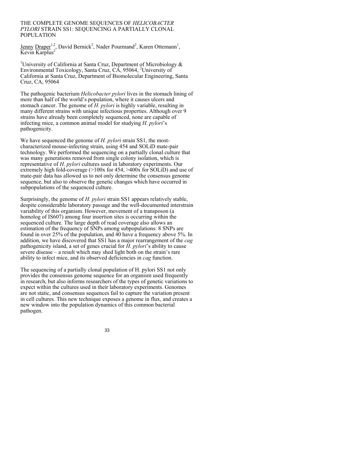#### THE COMPLETE GENOME SEQUENCES OF *HELICOBACTER PYLORI* STRAIN SS1: SEQUENCING A PARTIALLY CLONAL POPULATION

Jenny Draper<sup>1,2</sup>, David Bernick<sup>2</sup>, Nader Pourmand<sup>2</sup>, Karen Ottemann<sup>1</sup>, Kevin Karplus<sup>2</sup>

<sup>1</sup>University of California at Santa Cruz, Department of Microbiology  $\&$ Environmental Toxicology, Santa Cruz, CA, 95064, 2 University of California at Santa Cruz, Department of Biomolecular Engineering, Santa Cruz, CA, 95064

The pathogenic bacterium *Helicobacter pylori* lives in the stomach lining of more than half of the world's population, where it causes ulcers and stomach cancer. The genome of *H. pylori* is highly variable, resulting in many different strains with unique infectious properties. Although over 9 strains have already been completely sequenced, none are capable of infecting mice, a common animal model for studying *H. pylori*'s pathogenicity.

We have sequenced the genome of *H. pylori* strain SS1, the mostcharacterized mouse-infecting strain, using 454 and SOLiD mate-pair technology. We performed the sequencing on a partially clonal culture that was many generations removed from single colony isolation, which is representative of *H. pylori* cultures used in laboratory experiments. Our extremely high fold-coverage (>100x for 454, >400x for SOLiD) and use of mate-pair data has allowed us to not only determine the consensus genome sequence, but also to observe the genetic changes which have occurred in subpopulations of the sequenced culture.

Surprisingly, the genome of *H. pylori* strain SS1 appears relatively stable, despite considerable laboratory passage and the well-documented interstrain variability of this organism. However, movement of a transposon (a homolog of IS607) among four insertion sites is occurring within the sequenced culture. The large depth of read coverage also allows an estimation of the frequency of SNPs among subpopulations: 8 SNPs are found in over 25% of the population, and  $\overline{40}$  have a frequency above 5%. In addition, we have discovered that SS1 has a major rearrangement of the *cag*  pathogenicity island, a set of genes crucial for *H. pylori*'s ability to cause severe disease – a result which may shed light both on the strain's rare ability to infect mice, and its observed deficiencies in *cag* function.

The sequencing of a partially clonal population of H. pylori SS1 not only provides the consensus genome sequence for an organism used frequently in research, but also informs researchers of the types of genetic variations to expect within the cultures used in their laboratory experiments. Genomes are not static, and consensus sequences fail to capture the variation present in cell cultures. This new technique exposes a genome in flux, and creates a new window into the population dynamics of this common bacterial pathogen.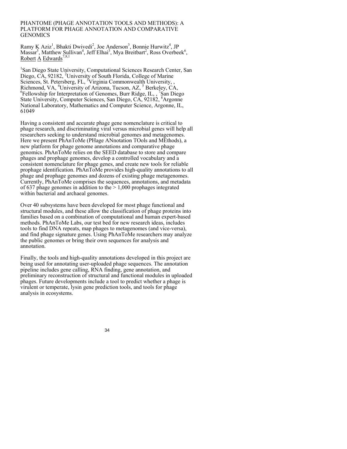#### PHANTOME (PHAGE ANNOTATION TOOLS AND METHODS): A PLATFORM FOR PHAGE ANNOTATION AND COMPARATIVE GENOMICS

Ramy K Aziz<sup>1</sup>, Bhakti Dwivedi<sup>2</sup>, Joe Anderson<sup>3</sup>, Bonnie Hurwitz<sup>4</sup>, JP Massar<sup>5</sup>, Matthew Sullivan<sup>4</sup>, Jeff Elhai<sup>3</sup>, Mya Breitbart<sup>2</sup>, Ross Overbeek<sup>6</sup>, Robert  $A$  Edwards<sup>7,8,1</sup>

<sup>1</sup>San Diego State University, Computational Sciences Research Center, San Diego, CA, 92182, <sup>2</sup>University of South Florida, College of Marine Sciences, St. Petersberg, FL, <sup>3</sup>Virginia Commonwealth University, , Richmond, VA, <sup>4</sup>University of Arizona, Tucson, AZ, <sup>5</sup> Berkeley, CA, Fellowship for Interpretation of Genomes, Burr Ridge, IL,, <sup>7</sup>San Diego State University, Computer Sciences, San Diego, CA, 92182, <sup>8</sup>Argonne National Laboratory, Mathematics and Computer Science, Argonne, IL, 61049

Having a consistent and accurate phage gene nomenclature is critical to phage research, and discriminating viral versus microbial genes will help all researchers seeking to understand microbial genomes and metagenomes. Here we present PhAnToMe (PHage ANnotation TOols and MEthods), a new platform for phage genome annotations and comparative phage genomics. PhAnToMe relies on the SEED database to store and compare phages and prophage genomes, develop a controlled vocabulary and a consistent nomenclature for phage genes, and create new tools for reliable prophage identification. PhAnToMe provides high-quality annotations to all phage and prophage genomes and dozens of existing phage metagenomes. Currently, PhAnToMe comprises the sequences, annotations, and metadata of 637 phage genomes in addition to the  $> 1,000$  prophages integrated within bacterial and archaeal genomes.

Over 40 subsystems have been developed for most phage functional and structural modules, and these allow the classification of phage proteins into families based on a combination of computational and human expert-based methods. PhAnToMe Labs, our test bed for new research ideas, includes tools to find DNA repeats, map phages to metagenomes (and vice-versa), and find phage signature genes. Using PhAnToMe researchers may analyze the public genomes or bring their own sequences for analysis and annotation.

Finally, the tools and high-quality annotations developed in this project are being used for annotating user-uploaded phage sequences. The annotation pipeline includes gene calling, RNA finding, gene annotation, and preliminary reconstruction of structural and functional modules in uploaded phages. Future developments include a tool to predict whether a phage is virulent or temperate, lysin gene prediction tools, and tools for phage analysis in ecosystems.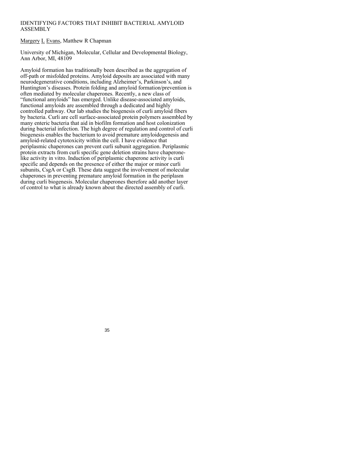# IDENTIFYING FACTORS THAT INHIBIT BACTERIAL AMYLOID ASSEMBLY

Margery L Evans, Matthew R Chapman

University of Michigan, Molecular, Cellular and Developmental Biology, Ann Arbor, MI, 48109

Amyloid formation has traditionally been described as the aggregation of off-path or misfolded proteins. Amyloid deposits are associated with many neurodegenerative conditions, including Alzheimer's, Parkinson's, and Huntington's diseases. Protein folding and amyloid formation/prevention is often mediated by molecular chaperones. Recently, a new class of "functional amyloids" has emerged. Unlike disease-associated amyloids, functional amyloids are assembled through a dedicated and highly controlled pathway. Our lab studies the biogenesis of curli amyloid fibers by bacteria. Curli are cell surface-associated protein polymers assembled by many enteric bacteria that aid in biofilm formation and host colonization during bacterial infection. The high degree of regulation and control of curli biogenesis enables the bacterium to avoid premature amyloidogenesis and amyloid-related cytotoxicity within the cell. I have evidence that periplasmic chaperones can prevent curli subunit aggregation. Periplasmic protein extracts from curli specific gene deletion strains have chaperonelike activity in vitro. Induction of periplasmic chaperone activity is curli specific and depends on the presence of either the major or minor curli subunits, CsgA or CsgB. These data suggest the involvement of molecular chaperones in preventing premature amyloid formation in the periplasm during curli biogenesis. Molecular chaperones therefore add another layer of control to what is already known about the directed assembly of curli.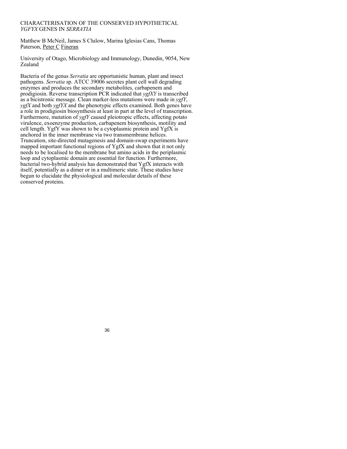## CHARACTERISATION OF THE CONSERVED HYPOTHETICAL *YGFYX* GENES IN *SERRATIA*

Matthew B McNeil, James S Clulow, Marina Iglesias Cans, Thomas Paterson, Peter C Fineran

University of Otago, Microbiology and Immunology, Dunedin, 9054, New Zealand

Bacteria of the genus *Serratia* are opportunistic human, plant and insect pathogens. *Serratia* sp. ATCC 39006 secretes plant cell wall degrading enzymes and produces the secondary metabolites, carbapenem and prodigiosin. Reverse transcription PCR indicated that *ygfXY* is transcribed as a bicistronic message. Clean marker-less mutations were made in *ygfY*, *ygfX* and both *ygfYX* and the phenotypic effects examined. Both genes have a role in prodigiosin biosynthesis at least in part at the level of transcription. Furthermore, mutation of *ygfY* caused pleiotropic effects, affecting potato virulence, exoenzyme production, carbapenem biosynthesis, motility and cell length. YgfY was shown to be a cytoplasmic protein and YgfX is anchored in the inner membrane via two transmembrane helices. Truncation, site-directed mutagenesis and domain-swap experiments have mapped important functional regions of YgfX and shown that it not only needs to be localised to the membrane but amino acids in the periplasmic loop and cytoplasmic domain are essential for function. Furthermore, bacterial two-hybrid analysis has demonstrated that YgfX interacts with itself, potentially as a dimer or in a multimeric state. These studies have begun to elucidate the physiological and molecular details of these conserved proteins.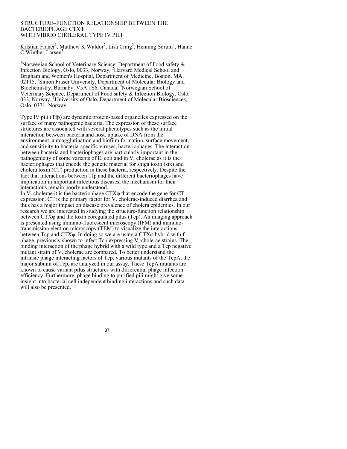#### STRUCTURE–FUNCTION RELATIONSHIP BETWEEN THE BACTERIOPHAGE CTXΦ WITH VIBRIO CHOLERAE TYPE IV PILI

Kristian Franer<sup>1</sup>, Matthew K Waldor<sup>2</sup>, Lisa Craig<sup>3</sup>, Henning Sørum<sup>4</sup>, Hanne  $\overline{\text{C}$  Winther-Larsen<sup>5</sup>

<sup>1</sup>Norwegian School of Veterinary Science, Department of Food safety  $\&$ Infection Biology, Oslo, 0033, Norway, <sup>2</sup>Harvard Medical School and Brigham and Women's Hospital, Department of Medicine, Boston, MA, 02115, <sup>3</sup>Simon Fraser University, Department of Molecular Biology and Biochemistry, Burnaby, V5A 1S6, Canada, <sup>4</sup>Norwegian School of Veterinary Science, Department of Food safety & Infection Biology, Oslo, 033, Norway, <sup>5</sup>University of Oslo, Department of Molecular Biosciences, Oslo, 0371, Norway

Type IV pili (Tfp) are dynamic protein-based organelles expressed on the surface of many pathogenic bacteria. The expression of these surface structures are associated with several phenotypes such as the initial interaction between bacteria and host, uptake of DNA from the environment, autoagglutination and biofilm formation, surface movement, and sensitivity to bacteria-specific viruses, bacteriophages. The interaction between bacteria and bacteriophages are particularly important in the pathogenicity of some variants of E. coli and in V. cholerae as it is the bacteriophages that encode the genetic material for shiga toxin (stx) and cholera toxin (CT) production in these bacteria, respectively. Despite the fact that interactions between Tfp and the different bacteriophages have implication in important infectious diseases, the mechanism for their interactions remain poorly understood.

In V. cholerae it is the bacteriophage CTXφ that encode the gene for CT expression. CT is the primary factor for V. cholerae-induced diarrhea and thus has a major impact on disease prevalence of cholera epidemics. In our research we are interested in studying the structure-function relationship between CTXφ and the toxin coregulated pilus (Tcp). An imaging approach is presented using immuno-fluorescent microscopy (IFM) and immunotransmission electron microscopy (TEM) to visualize the interactions between Tcp and CTXφ. In doing so we are using a CTXφ hybrid with fphage, previously shown to infect Tcp expressing V. cholerae strains. The binding interaction of the phage hybrid with a wild type and a Tcp negative mutant strain of V. cholerae are compared. To better understand the intrinsic phage interacting factors of Tcp, various mutants of the TcpA, the major subunit of Tcp, are analyzed in our assay. These TcpA mutants are known to cause variant pilus structures with differential phage infection efficiency. Furthermore, phage binding to purified pili might give some insight into bacterial cell independent binding interactions and such data will also be presented.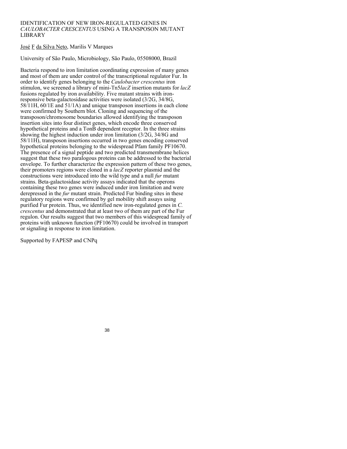### IDENTIFICATION OF NEW IRON-REGULATED GENES IN *CAULOBACTER CRESCENTUS* USING A TRANSPOSON MUTANT LIBRARY

# José F da Silva Neto, Marilis V Marques

University of São Paulo, Microbiology, São Paulo, 05508000, Brazil

Bacteria respond to iron limitation coordinating expression of many genes and most of them are under control of the transcriptional regulator Fur. In order to identify genes belonging to the *Caulobacter crescentus* iron stimulon, we screened a library of mini-Tn5*lacZ* insertion mutants for *lacZ* fusions regulated by iron availability. Five mutant strains with ironresponsive beta-galactosidase activities were isolated (3/2G, 34/8G, 58/11H, 60/1E and 51/1A) and unique transposon insertions in each clone were confirmed by Southern blot. Cloning and sequencing of the transposon/chromosome boundaries allowed identifying the transposon insertion sites into four distinct genes, which encode three conserved hypothetical proteins and a TonB dependent receptor. In the three strains showing the highest induction under iron limitation (3/2G, 34/8G and 58/11H), transposon insertions occurred in two genes encoding conserved hypothetical proteins belonging to the widespread Pfam family PF10670. The presence of a signal peptide and two predicted transmembrane helices suggest that these two paralogous proteins can be addressed to the bacterial envelope. To further characterize the expression pattern of these two genes, their promoters regions were cloned in a *lacZ* reporter plasmid and the constructions were introduced into the wild type and a null *fur* mutant strains. Beta-galactosidase activity assays indicated that the operons containing these two genes were induced under iron limitation and were derepressed in the *fur* mutant strain. Predicted Fur binding sites in these regulatory regions were confirmed by gel mobility shift assays using purified Fur protein. Thus, we identified new iron-regulated genes in *C. crescentus* and demonstrated that at least two of them are part of the Fur regulon. Our results suggest that two members of this widespread family of proteins with unknown function (PF10670) could be involved in transport or signaling in response to iron limitation.

Supported by FAPESP and CNPq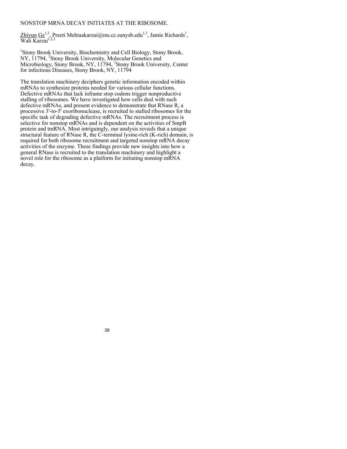# NONSTOP MRNA DECAY INITIATES AT THE RIBOSOME.

Zhiyun Ge<sup>1,3</sup>, Preeti Mehtaakarzai@ms.cc.sunysb.edu<sup>1,3</sup>, Jamie Richards<sup>1</sup>, Wali Karzai<sup>1,2,3</sup>

<sup>1</sup>Stony Brook University, Biochemistry and Cell Biology, Stony Brook, NY, 11794, <sup>2</sup>Stony Brook University, Molecular Genetics and Microbiology, Stony Brook, NY, 11794, <sup>3</sup>Stony Brook University, Center for infectious Diseases, Stony Brook, NY, 11794

The translation machinery deciphers genetic information encoded within mRNAs to synthesize proteins needed for various cellular functions. Defective mRNAs that lack inframe stop codons trigger nonproductive stalling of ribosomes. We have investigated how cells deal with such defective mRNAs, and present evidence to demonstrate that RNase R, a processive 3'-to-5' exoribonuclease, is recruited to stalled ribosomes for the specific task of degrading defective mRNAs. The recruitment process is selective for nonstop mRNAs and is dependent on the activities of SmpB protein and tmRNA. Most intriguingly, our analysis reveals that a unique structural feature of RNase R, the C-terminal lysine-rich (K-rich) domain, is required for both ribosome recruitment and targeted nonstop mRNA decay activities of the enzyme. These findings provide new insights into how a general RNase is recruited to the translation machinery and highlight a novel role for the ribosome as a platform for initiating nonstop mRNA decay.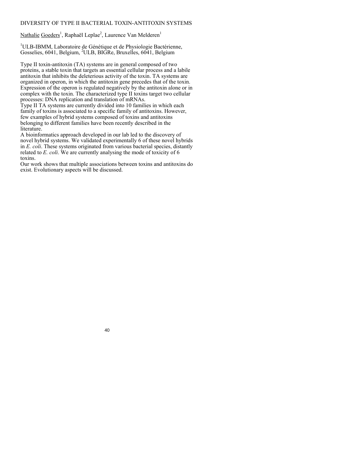## DIVERSITY OF TYPE II BACTERIAL TOXIN-ANTITOXIN SYSTEMS

Nathalie Goeders<sup>1</sup>, Raphaël Leplae<sup>2</sup>, Laurence Van Melderen<sup>1</sup>

<sup>1</sup>ULB-IBMM, Laboratoire de Génétique et de Physiologie Bactérienne, Gosselies, 6041, Belgium, <sup>2</sup>ULB, BIGRe, Bruxelles, 6041, Belgium

Type II toxin-antitoxin (TA) systems are in general composed of two proteins, a stable toxin that targets an essential cellular process and a labile antitoxin that inhibits the deleterious activity of the toxin. TA systems are organized in operon, in which the antitoxin gene precedes that of the toxin. Expression of the operon is regulated negatively by the antitoxin alone or in complex with the toxin. The characterized type II toxins target two cellular processes: DNA replication and translation of mRNAs.

Type II TA systems are currently divided into 10 families in which each family of toxins is associated to a specific family of antitoxins. However, few examples of hybrid systems composed of toxins and antitoxins belonging to different families have been recently described in the literature.

A bioinformatics approach developed in our lab led to the discovery of novel hybrid systems. We validated experimentally 6 of these novel hybrids in *E. coli*. These systems originated from various bacterial species, distantly related to *E. coli*. We are currently analysing the mode of toxicity of 6 toxins.

Our work shows that multiple associations between toxins and antitoxins do exist. Evolutionary aspects will be discussed.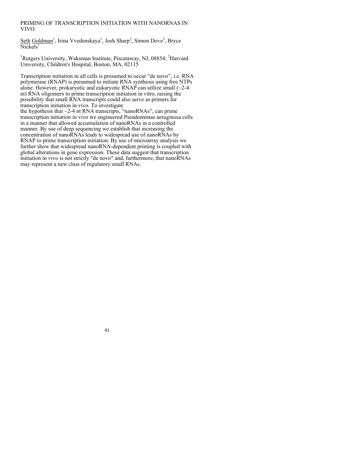## PRIMING OF TRANSCRIPTION INITIATION WITH NANORNAS IN VIVO

Seth Goldman<sup>1</sup>, Irina Vvedenskaya<sup>1</sup>, Josh Sharp<sup>2</sup>, Simon Dove<sup>2</sup>, Bryce  $\overline{\text{Nick}}$ els<sup>1</sup>

<sup>1</sup>Rutgers University, Waksman Institute, Piscataway, NJ, 08854, <sup>2</sup>Harvard University, Children's Hospital, Boston, MA, 02115

Transcription initiation in all cells is presumed to occur "de novo", i.e. RNA polymerase (RNAP) is presumed to initiate RNA synthesis using free NTPs alone. However, prokaryotic and eukaryotic  $RNAP$  can utilize small ( $\sim$ 2-4 nt) RNA oligomers to prime transcription initiation in vitro, raising the possibility that small RNA transcripts could also serve as primers for transcription initiation in vivo. To investigate

the hypothesis that  $\sim$ 2-4 nt RNA transcripts, "nanoRNAs", can prime transcription initiation in vivo we engineered Pseudomonas aeruginosa cells in a manner that allowed accumulation of nanoRNAs in a controlled manner. By use of deep sequencing we establish that increasing the concentration of nanoRNAs leads to widespread use of nanoRNAs by RNAP to prime transcription initiation. By use of microarray analysis we further show that widespread nanoRNA-dependent priming is coupled with global alterations in gene expression. These data suggest that transcription initiation in vivo is not strictly "de novo" and, furthermore, that nanoRNAs may represent a new class of regulatory small RNAs.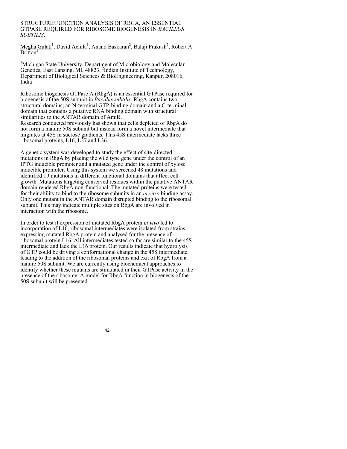#### STRUCTURE/FUNCTION ANALYSIS OF RBGA, AN ESSENTIAL GTPASE REQUIRED FOR RIBOSOME BIOGENESIS IN *BACILLUS SUBTILIS*.

Megha Gulati<sup>1</sup>, David Achila<sup>1</sup>, Anand Baskaran<sup>2</sup>, Balaji Prakash<sup>2</sup>, Robert A Britton<sup>1</sup>

<sup>1</sup>Michigan State University, Department of Microbiology and Molecular Genetics, East Lansing, MI,  $48823$ , <sup>2</sup>Indian Institute of Technology, Department of Biological Sciences & BioEngineering, Kanpur, 208016, India

Ribosome biogenesis GTPase A (RbgA) is an essential GTPase required for biogenesis of the 50S subunit in *Bacillus subtilis*. RbgA contains two structural domains; an N-terminal GTP-binding domain and a C-terminal domain that contains a putative RNA binding domain with structural similarities to the ANTAR domain of AmiR.

Research conducted previously has shown that cells depleted of RbgA do not form a mature 50S subunit but instead form a novel intermediate that migrates at 45S in sucrose gradients. This 45S intermediate lacks three ribosomal proteins, L16, L27 and L36.

A genetic system was developed to study the effect of site-directed mutations in RbgA by placing the wild type gene under the control of an IPTG inducible promoter and a mutated gene under the control of xylose inducible promoter. Using this system we screened 48 mutations and identified 19 mutations in different functional domains that affect cell growth. Mutations targeting conserved residues within the putative ANTAR domain rendered RbgA non-functional. The mutated proteins were tested for their ability to bind to the ribosome subunits in an *in vitro* binding assay. Only one mutant in the ANTAR domain disrupted binding to the ribosomal subunit. This may indicate multiple sites on RbgA are involved in interaction with the ribosome.

In order to test if expression of mutated RbgA protein *in vivo* led to incorporation of L16, ribosomal intermediates were isolated from strains expressing mutated RbgA protein and analysed for the presence of ribosomal protein L16. All intermediates tested so far are similar to the 45S intermediate and lack the L16 protein. Our results indicate that hydrolysis of GTP could be driving a conformational change in the 45S intermediate, leading to the addition of the ribosomal proteins and exit of RbgA from a mature 50S subunit. We are currently using biochemical approaches to identify whether these mutants are stimulated in their GTPase activity in the presence of the ribosome. A model for RbgA function in biogenesis of the 50S subunit will be presented.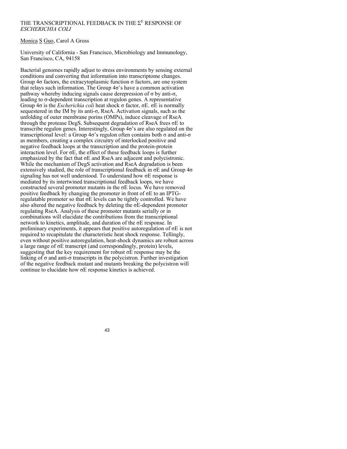## THE TRANSCRIPTIONAL FEEDBACK IN THE  $\Sigma^{\text{\tiny E}}$  RESPONSE OF *ESCHERICHIA COLI*

### Monica S Guo, Carol A Gross

University of California - San Francisco, Microbiology and Immunology, San Francisco, CA, 94158

Bacterial genomes rapidly adjust to stress environments by sensing external conditions and converting that information into transcriptome changes. Group 4σ factors, the extracytoplasmic function σ factors, are one system that relays such information. The Group  $4\sigma$ 's have a common activation pathway whereby inducing signals cause derepression of  $\sigma$  by anti- $\sigma$ , leading to σ-dependent transcription at regulon genes. A representative Group 4σ is the *Escherichia coli* heat shock σ factor, σE. σE is normally sequestered in the IM by its anti-σ, RseA. Activation signals, such as the unfolding of outer membrane porins (OMPs), induce cleavage of RseA through the protease DegS. Subsequent degradation of RseA frees σE to transcribe regulon genes. Interestingly, Group 4σ's are also regulated on the transcriptional level: a Group 4σ's regulon often contains both σ and anti-σ as members, creating a complex circuitry of interlocked positive and negative feedback loops at the transcription and the protein-protein interaction level. For  $\sigma E$ , the effect of these feedback loops is further emphasized by the fact that σE and RseA are adjacent and polycistronic. While the mechanism of DegS activation and RseA degradation is been extensively studied, the role of transcriptional feedback in  $\sigma E$  and Group  $4\sigma$ signaling has not well understood. To understand how σE response is mediated by its intertwined transcriptional feedback loops, we have constructed several promoter mutants in the σE locus. We have removed positive feedback by changing the promoter in front of σE to an IPTGregulatable promoter so that  $\sigma E$  levels can be tightly controlled. We have also altered the negative feedback by deleting the σE-dependent promoter regulating RseA. Analysis of these promoter mutants serially or in combinations will elucidate the contributions from the transcriptional network to kinetics, amplitude, and duration of the σE response. In preliminary experiments, it appears that positive autoregulation of  $\sigma E$  is not required to recapitulate the characteristic heat shock response. Tellingly, even without positive autoregulation, heat-shock dynamics are robust across a large range of σE transcript (and correspondingly, protein) levels, suggesting that the key requirement for robust  $\sigma$ E response may be the linking of  $\sigma$  and anti- $\sigma$  transcripts in the polycistron. Further investigation of the negative feedback mutant and mutants breaking the polycistron will continue to elucidate how σE response kinetics is achieved.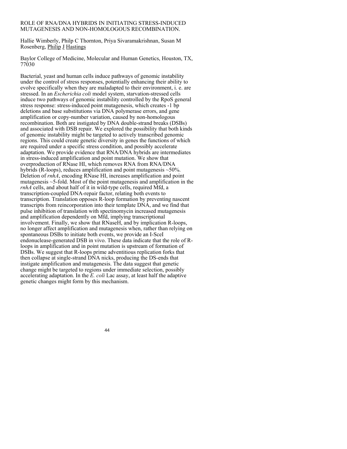### ROLE OF RNA/DNA HYBRIDS IN INITIATING STRESS-INDUCED MUTAGENESIS AND NON-HOMOLOGOUS RECOMBINATION.

Hallie Wimberly, Philp C Thornton, Priya Sivaramakrishnan, Susan M Rosenberg, Philip J Hastings

Baylor College of Medicine, Molecular and Human Genetics, Houston, TX, 77030

Bacterial, yeast and human cells induce pathways of genomic instability under the control of stress responses, potentially enhancing their ability to evolve specifically when they are maladapted to their environment, i. e. are stressed. In an *Escherichia coli* model system, starvation-stressed cells induce two pathways of genomic instability controlled by the RpoS general stress response: stress-induced point mutagenesis, which creates -1 bp deletions and base substitutions via DNA polymerase errors, and gene amplification or copy-number variation, caused by non-homologous recombination. Both are instigated by DNA double-strand breaks (DSBs) and associated with DSB repair. We explored the possibility that both kinds of genomic instability might be targeted to actively transcribed genomic regions. This could create genetic diversity in genes the functions of which are required under a specific stress condition, and possibly accelerate adaptation. We provide evidence that RNA/DNA hybrids are intermediates in stress-induced amplification and point mutation. We show that overproduction of RNase HI, which removes RNA from RNA/DNA hybrids (R-loops), reduces amplification and point mutagenesis  $\sim$  50%. Deletion of *rnhA*, encoding RNase HI, increases amplification and point mutagenesis ~5-fold. Most of the point mutagenesis and amplification in the *rnhA* cells, and about half of it in wild-type cells, required Mfd, a transcription-coupled DNA-repair factor, relating both events to transcription. Translation opposes R-loop formation by preventing nascent transcripts from reincorporation into their template DNA, and we find that pulse inhibition of translation with spectinomycin increased mutagenesis and amplification dependently on Mfd, implying transcriptional involvement. Finally, we show that RNaseH, and by implication R-loops, no longer affect amplification and mutagenesis when, rather than relying on spontaneous DSBs to initiate both events, we provide an I-SceI endonuclease-generated DSB in vivo. These data indicate that the role of Rloops in amplification and in point mutation is upstream of formation of DSBs. We suggest that R-loops prime adventitious replication forks that then collapse at single-strand DNA nicks, producing the DS-ends that instigate amplification and mutagenesis. The data suggest that genetic change might be targeted to regions under immediate selection, possibly accelerating adaptation. In the *E. coli* Lac assay, at least half the adaptive genetic changes might form by this mechanism.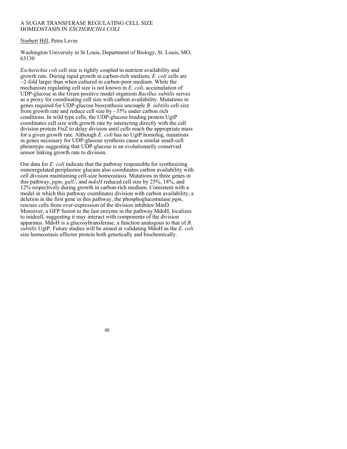### A SUGAR TRANSFERASE REGULATING CELL SIZE HOMEOSTASIS IN *ESCHERICHIA COLI*

## Norbert Hill, Petra Levin

Washington University in St Louis, Department of Biology, St. Louis, MO, 63130

*Escherichia coli* cell size is tightly coupled to nutrient availability and growth rate. During rapid growth in carbon-rich medium, *E. coli* cells are  $\sim$ 2-fold larger than when cultured in carbon-poor medium. While the mechanism regulating cell size is not known in *E. coli*, accumulation of UDP-glucose in the Gram positive model organism *Bacillus subtilis* serves as a proxy for coordinating cell size with carbon availability. Mutations in genes required for UDP-glucose biosynthesis uncouple *B. subtilis* cell size from growth rate and reduce cell size by  $\sim$ 35% under carbon rich conditions. In wild type cells, the UDP-glucose binding protein UgtP coordinates cell size with growth rate by interacting directly with the cell division protein FtsZ to delay division until cells reach the appropriate mass for a given growth rate. Although *E. coli* has no UgtP homolog, mutations in genes necessary for UDP-glucose synthesis cause a similar small-cell phenotype suggesting that UDP-glucose is an evolutionarily conserved sensor linking growth rate to division.

Our data for *E. coli* indicate that the pathway responsible for synthesizing osmoregulated periplasmic glucans also coordinates carbon availability with cell division maintaining cell-size homeostasis. Mutations in three genes in this pathway, *pgm*, *galU*, and *mdoH* reduced cell size by 25%, 18%, and 12% respectively during growth in carbon-rich medium. Consistent with a model in which this pathway coordinates division with carbon availability, a deletion in the first gene in this pathway, the phosphoglucomutase *pgm*, rescues cells from over-expression of the division inhibitor MinD. Moreover, a GFP fusion to the last enzyme in the pathway MdoH, localizes to midcell, suggesting it may interact with components of the division apparatus. MdoH is a glucosyltransferase, a function analogous to that of *B. subtilis* UgtP. Future studies will be aimed at validating MdoH as the *E. coli*  size homeostasis effector protein both genetically and biochemically.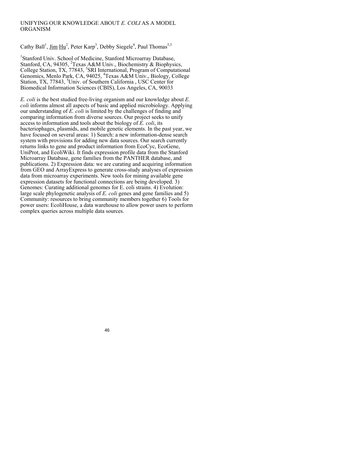## UNIFYING OUR KNOWLEDGE ABOUT *E. COLI* AS A MODEL ORGANISM

Cathy Ball<sup>1</sup>, Jim  $\text{Hu}^2$ , Peter Karp<sup>3</sup>, Debby Siegele<sup>4</sup>, Paul Thomas<sup>5,3</sup>

<sup>1</sup>Stanford Univ. School of Medicine, Stanford Microarray Database, Stanford, CA, 94305, <sup>2</sup>Texas A&M Univ., Biochemistry & Biophysics, College Station, TX, 77843, <sup>3</sup>SRI International, Program of Computational Genomics, Menlo Park, CA, 94025, <sup>4</sup>Texas A&M Univ., Biology, College Station, TX, 77843, <sup>5</sup>Univ. of Southern California, USC Center for Biomedical Information Sciences (CBIS), Los Angeles, CA, 90033

*E. coli* is the best studied free-living organism and our knowledge about *E. coli* informs almost all aspects of basic and applied microbiology. Applying our understanding of *E. coli* is limited by the challenges of finding and comparing information from diverse sources. Our project seeks to unify access to information and tools about the biology of *E. coli*, its bacteriophages, plasmids, and mobile genetic elements. In the past year, we have focused on several areas: 1) Search: a new information-dense search system with provisions for adding new data sources. Our search currently returns links to gene and product information from EcoCyc, EcoGene, UniProt, and EcoliWiki. It finds expression profile data from the Stanford Microarray Database, gene families from the PANTHER database, and publications. 2) Expression data: we are curating and acquiring information from GEO and ArrayExpress to generate cross-study analyses of expression data from microarray experiments. New tools for mining available gene expression datasets for functional connections are being developed. 3) Genomes: Curating additional genomes for E. coli strains. 4) Evolution: large scale phylogenetic analysis of *E. coli* genes and gene families and 5) Community: resources to bring community members together 6) Tools for power users: EcoliHouse, a data warehouse to allow power users to perform complex queries across multiple data sources.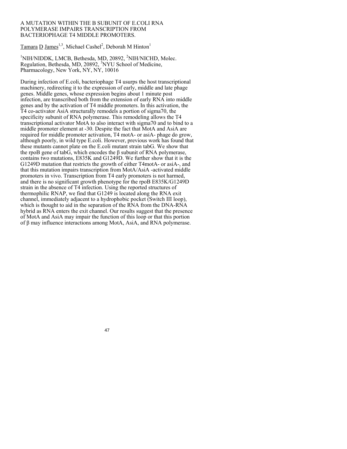#### A MUTATION WITHIN THE Β SUBUNIT OF E.COLI RNA POLYMERASE IMPAIRS TRANSCRIPTION FROM BACTERIOPHAGE T4 MIDDLE PROMOTERS.

Tamara D James<sup>1,3</sup>, Michael Cashel<sup>2</sup>, Deborah M Hinton<sup>1</sup>

<sup>1</sup>NIH/NIDDK, LMCB, Bethesda, MD, 20892, <sup>2</sup>NIH/NICHD, Molec. Regulation, Bethesda, MD, 20892, <sup>3</sup>NYU School of Medicine, Pharmacology, New York, NY, NY, 10016

During infection of E.coli, bacteriophage T4 usurps the host transcriptional machinery, redirecting it to the expression of early, middle and late phage genes. Middle genes, whose expression begins about 1 minute post infection, are transcribed both from the extension of early RNA into middle genes and by the activation of T4 middle promoters. In this activation, the T4 co-activator AsiA structurally remodels a portion of sigma70, the specificity subunit of RNA polymerase. This remodeling allows the T4 transcriptional activator MotA to also interact with sigma70 and to bind to a middle promoter element at -30. Despite the fact that MotA and AsiA are required for middle promoter activation, T4 motA- or asiA- phage do grow, although poorly, in wild type E.coli. However, previous work has found that these mutants cannot plate on the E.coli mutant strain tabG. We show that the rpoB gene of tab $\tilde{G}$ , which encodes the  $\beta$  subunit of RNA polymerase, contains two mutations, E835K and G1249D. We further show that it is the G1249D mutation that restricts the growth of either T4motA- or asiA-, and that this mutation impairs transcription from MotA/AsiA -activated middle promoters in vivo. Transcription from T4 early promoters is not harmed, and there is no significant growth phenotype for the rpoB E835K/G1249D strain in the absence of T4 infection. Using the reported structures of thermophilic RNAP, we find that G1249 is located along the RNA exit channel, immediately adjacent to a hydrophobic pocket (Switch III loop), which is thought to aid in the separation of the RNA from the DNA-RNA hybrid as RNA enters the exit channel. Our results suggest that the presence of MotA and AsiA may impair the function of this loop or that this portion of β may influence interactions among MotA, AsiA, and RNA polymerase.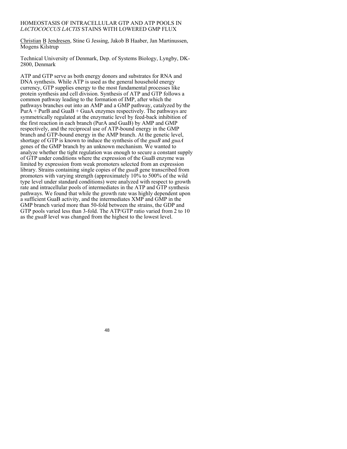#### HOMEOSTASIS OF INTRACELLULAR GTP AND ATP POOLS IN *LACTOCOCCUS LACTIS* STAINS WITH LOWERED GMP FLUX

Christian B Jendresen, Stine G Jessing, Jakob B Haaber, Jan Martinussen, Mogens Kilstrup

Technical University of Denmark, Dep. of Systems Biology, Lyngby, DK-2800, Denmark

ATP and GTP serve as both energy donors and substrates for RNA and DNA synthesis. While ATP is used as the general household energy currency, GTP supplies energy to the most fundamental processes like protein synthesis and cell division. Synthesis of ATP and GTP follows a common pathway leading to the formation of IMP, after which the pathways branches out into an AMP and a GMP pathway, catalyzed by the  $PurA + PurB$  and GuaB + GuaA enzymes respectively. The pathways are symmetrically regulated at the enzymatic level by feed-back inhibition of the first reaction in each branch (PurA and GuaB) by AMP and GMP respectively, and the reciprocal use of ATP-bound energy in the GMP branch and GTP-bound energy in the AMP branch. At the genetic level, shortage of GTP is known to induce the synthesis of the *guaB* and *guaA* genes of the GMP branch by an unknown mechanism. We wanted to analyze whether the tight regulation was enough to secure a constant supply of GTP under conditions where the expression of the GuaB enzyme was limited by expression from weak promoters selected from an expression library. Strains containing single copies of the *guaB* gene transcribed from promoters with varying strength (approximately 10% to 500% of the wild type level under standard conditions) were analyzed with respect to growth rate and intracellular pools of intermediates in the ATP and GTP synthesis pathways. We found that while the growth rate was highly dependent upon a sufficient GuaB activity, and the intermediates XMP and GMP in the GMP branch varied more than 50-fold between the strains, the GDP and GTP pools varied less than 3-fold. The ATP/GTP ratio varied from 2 to 10 as the *guaB* level was changed from the highest to the lowest level.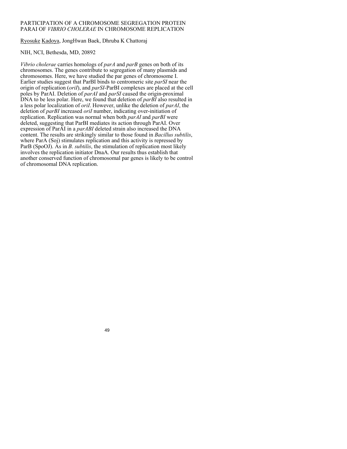## PARTICIPATION OF A CHROMOSOME SEGREGATION PROTEIN PARAI OF *VIBRIO CHOLERAE* IN CHROMOSOME REPLICATION

Ryosuke Kadoya, JongHwan Baek, Dhruba K Chattoraj

## NIH, NCI, Bethesda, MD, 20892

*Vibrio cholerae* carries homologs of *parA* and *parB* genes on both of its chromosomes. The genes contribute to segregation of many plasmids and chromosomes. Here, we have studied the par genes of chromosome I. Earlier studies suggest that ParBI binds to centromeric site *parSI* near the origin of replication (*oriI*), and *parSI*-ParBI complexes are placed at the cell poles by ParAI. Deletion of *parAI* and *parSI* caused the origin-proximal DNA to be less polar. Here, we found that deletion of *parBI* also resulted in a less polar localization of *oriI*. However, unlike the deletion of *parAI*, the deletion of *parBI* increased *oriI* number, indicating over-initiation of replication. Replication was normal when both *parAI* and *parBI* were deleted, suggesting that ParBI mediates its action through ParAI. Over expression of ParAI in a *parABI* deleted strain also increased the DNA content. The results are strikingly similar to those found in *Bacillus subtilis*, where ParA (Soj) stimulates replication and this activity is repressed by ParB (SpoOJ). As in *B. subtilis*, the stimulation of replication most likely involves the replication initiator DnaA. Our results thus establish that another conserved function of chromosomal par genes is likely to be control of chromosomal DNA replication.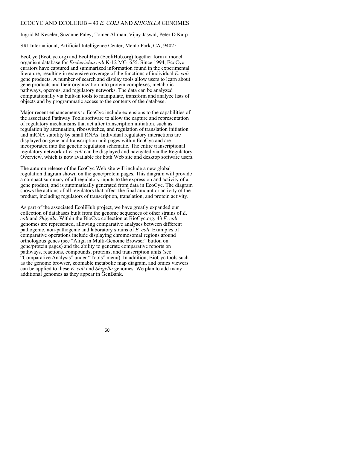### ECOCYC AND ECOLIHUB – 43 *E. COLI* AND *SHIGELLA* GENOMES

Ingrid M Keseler, Suzanne Paley, Tomer Altman, Vijay Jaswal, Peter D Karp

SRI International, Artificial Intelligence Center, Menlo Park, CA, 94025

EcoCyc (EcoCyc.org) and EcoliHub (EcoliHub.org) together form a model organism database for *Escherichia coli* K-12 MG1655. Since 1994, EcoCyc curators have captured and summarized information found in the experimental literature, resulting in extensive coverage of the functions of individual *E. coli* gene products. A number of search and display tools allow users to learn about gene products and their organization into protein complexes, metabolic pathways, operons, and regulatory networks. The data can be analyzed computationally via built-in tools to manipulate, transform and analyze lists of objects and by programmatic access to the contents of the database.

Major recent enhancements to EcoCyc include extensions to the capabilities of the associated Pathway Tools software to allow the capture and representation of regulatory mechanisms that act after transcription initiation, such as regulation by attenuation, riboswitches, and regulation of translation initiation and mRNA stability by small RNAs. Individual regulatory interactions are displayed on gene and transcription unit pages within EcoCyc and are incorporated into the genetic regulation schematic. The entire transcriptional regulatory network of *E. coli* can be displayed and navigated via the Regulatory Overview, which is now available for both Web site and desktop software users.

The autumn release of the EcoCyc Web site will include a new global regulation diagram shown on the gene/protein pages. This diagram will provide a compact summary of all regulatory inputs to the expression and activity of a gene product, and is automatically generated from data in EcoCyc. The diagram shows the actions of all regulators that affect the final amount or activity of the product, including regulators of transcription, translation, and protein activity.

As part of the associated EcoliHub project, we have greatly expanded our collection of databases built from the genome sequences of other strains of *E. coli* and *Shigella*. Within the BioCyc collection at BioCyc.org, 43 *E. coli* genomes are represented, allowing comparative analyses between different pathogenic, non-pathogenic and laboratory strains of *E. coli*. Examples of comparative operations include displaying chromosomal regions around orthologous genes (see "Align in Multi-Genome Browser" button on gene/protein pages) and the ability to generate comparative reports on pathways, reactions, compounds, proteins, and transcription units (see "Comparative Analysis" under "Tools" menu). In addition, BioCyc tools such as the genome browser, zoomable metabolic map diagram, and omics viewers can be applied to these *E. coli* and *Shigella* genomes. We plan to add many additional genomes as they appear in GenBank.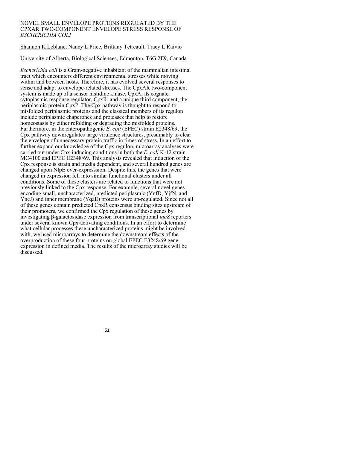### NOVEL SMALL ENVELOPE PROTEINS REGULATED BY THE CPXAR TWO-COMPONENT ENVELOPE STRESS RESPONSE OF *ESCHERICHIA COLI*

Shannon K Leblanc, Nancy L Price, Brittany Tetreault, Tracy L Raivio

University of Alberta, Biological Sciences, Edmonton, T6G 2E9, Canada

*Escherichia coli* is a Gram-negative inhabitant of the mammalian intestinal tract which encounters different environmental stresses while moving within and between hosts. Therefore, it has evolved several responses to sense and adapt to envelope-related stresses. The CpxAR two-component system is made up of a sensor histidine kinase, CpxA, its cognate cytoplasmic response regulator, CpxR, and a unique third component, the periplasmic protein CpxP. The Cpx pathway is thought to respond to misfolded periplasmic proteins and the classical members of its regulon include periplasmic chaperones and proteases that help to restore homeostasis by either refolding or degrading the misfolded proteins. Furthermore, in the enteropathogenic *E. coli* (EPEC) strain E2348/69, the Cpx pathway downregulates large virulence structures, presumably to clear the envelope of unnecessary protein traffic in times of stress. In an effort to further expand our knowledge of the Cpx regulon, microarray analyses were carried out under Cpx-inducing conditions in both the *E. coli* K-12 strain MC4100 and EPEC E2348/69. This analysis revealed that induction of the Cpx response is strain and media dependent, and several hundred genes are changed upon NlpE over-expresssion. Despite this, the genes that were changed in expression fell into similar functional clusters under all conditions. Some of these clusters are related to functions that were not previously linked to the Cpx response. For example, several novel genes encoding small, uncharacterized, predicted periplasmic (YnfD, YjfN, and YncJ) and inner membrane (YqaE) proteins were up-regulated. Since not all of these genes contain predicted CpxR consensus binding sites upstream of their promoters, we confirmed the Cpx regulation of these genes by investigating β-galactosidase expression from transcriptional *lacZ* reporters under several known Cpx-activating conditions. In an effort to determine what cellular processes these uncharacterized proteins might be involved with, we used microarrays to determine the downstream effects of the overproduction of these four proteins on global EPEC E3248/69 gene expression in defined media. The results of the microarray studies will be discussed.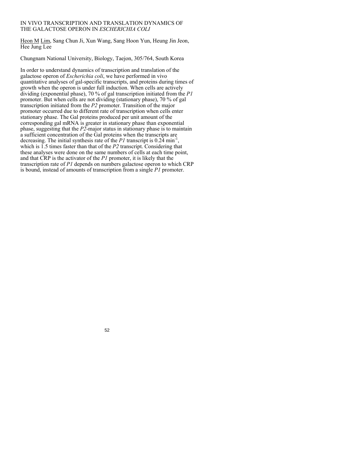### IN VIVO TRANSCRIPTION AND TRANSLATION DYNAMICS OF THE GALACTOSE OPERON IN *ESCHERICHIA COLI*

Heon M Lim, Sang Chun Ji, Xun Wang, Sang Hoon Yun, Heung Jin Jeon, Hee Jung Lee

Chungnam National University, Biology, Taejon, 305/764, South Korea

In order to understand dynamics of transcription and translation of the galactose operon of *Escherichia coli*, we have performed in vivo quantitative analyses of gal-specific transcripts, and proteins during times of growth when the operon is under full induction. When cells are actively dividing (exponential phase), 70 % of gal transcription initiated from the *P1* promoter. But when cells are not dividing (stationary phase), 70 % of gal transcription initiated from the *P2* promoter. Transition of the major promoter occurred due to different rate of transcription when cells enter stationary phase. The Gal proteins produced per unit amount of the corresponding gal mRNA is greater in stationary phase than exponential phase, suggesting that the *P2*-major status in stationary phase is to maintain a sufficient concentration of the Gal proteins when the transcripts are decreasing. The initial synthesis rate of the  $PI$  transcript is  $0.24 \text{ min}^{-1}$ , which is 1.5 times faster than that of the *P2* transcript. Considering that these analyses were done on the same numbers of cells at each time point, and that CRP is the activator of the *P1* promoter, it is likely that the transcription rate of *P1* depends on numbers galactose operon to which CRP is bound, instead of amounts of transcription from a single *P1* promoter.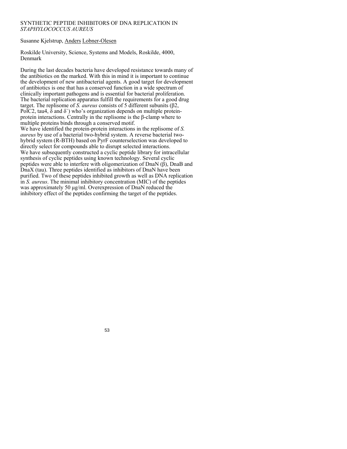## SYNTHETIC PEPTIDE INHIBITORS OF DNA REPLICATION IN *STAPHYLOCOCCUS AUREUS*

Susanne Kjelstrup, Anders Lobner-Olesen

Roskilde University, Science, Systems and Models, Roskilde, 4000, Denmark

During the last decades bacteria have developed resistance towards many of the antibiotics on the marked. With this in mind it is important to continue the development of new antibacterial agents. A good target for development of antibiotics is one that has a conserved function in a wide spectrum of clinically important pathogens and is essential for bacterial proliferation. The bacterial replication apparatus fulfill the requirements for a good drug target. The replisome of *S. aureus* consists of 5 different subunits (β2, PolC2, tau4,  $\delta$  and  $\delta$ ) who's organization depends on multiple proteinprotein interactions. Centrally in the replisome is the β-clamp where to multiple proteins binds through a conserved motif. We have identified the protein-protein interactions in the replisome of *S. aureus* by use of a bacterial two-hybrid system. A reverse bacterial twohybrid system (R-BTH) based on PyrF counterselection was developed to directly select for compounds able to disrupt selected interactions. We have subsequently constructed a cyclic peptide library for intracellular

synthesis of cyclic peptides using known technology. Several cyclic peptides were able to interfere with oligomerization of DnaN (β), DnaB and DnaX (tau). Three peptides identified as inhibitors of DnaN have been purified. Two of these peptides inhibited growth as well as DNA replication in *S. aureus*. The minimal inhibitory concentration (MIC) of the peptides was approximately 50 μg/ml. Overexpression of DnaN reduced the inhibitory effect of the peptides confirming the target of the peptides.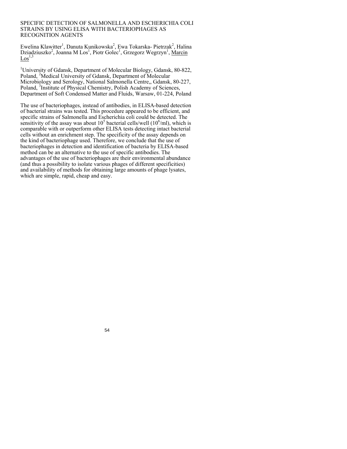### SPECIFIC DETECTION OF SALMONELLA AND ESCHERICHIA COLI STRAINS BY USING ELISA WITH BACTERIOPHAGES AS RECOGNITION AGENTS

Ewelina Klawitter<sup>1</sup>, Danuta Kunikowska<sup>2</sup>, Ewa Tokarska- Pietrzak<sup>2</sup>, Halina Dziadziuszko<sup>2</sup>, Joanna M Los<sup>1</sup>, Piotr Golec<sup>1</sup>, Grzegorz Wegrzyn<sup>1</sup>, Marcin  $\text{Los}^{1,3}$ 

<sup>1</sup>University of Gdansk, Department of Molecular Biology, Gdansk, 80-822, Poland, <sup>2</sup>Medical University of Gdansk, Department of Molecular Microbiology and Serology, National Salmonella Centre,, Gdansk, 80-227, Poland, <sup>3</sup>Institute of Physical Chemistry, Polish Academy of Sciences, Department of Soft Condensed Matter and Fluids, Warsaw, 01-224, Poland

The use of bacteriophages, instead of antibodies, in ELISA-based detection of bacterial strains was tested. This procedure appeared to be efficient, and specific strains of Salmonella and Escherichia coli could be detected. The sensitivity of the assay was about  $10^5$  bacterial cells/well  $(10^6\text{/ml})$ , which is comparable with or outperform other ELISA tests detecting intact bacterial cells without an enrichment step. The specificity of the assay depends on the kind of bacteriophage used. Therefore, we conclude that the use of bacteriophages in detection and identification of bacteria by ELISA-based method can be an alternative to the use of specific antibodies. The advantages of the use of bacteriophages are their environmental abundance (and thus a possibility to isolate various phages of different specificities) and availability of methods for obtaining large amounts of phage lysates, which are simple, rapid, cheap and easy.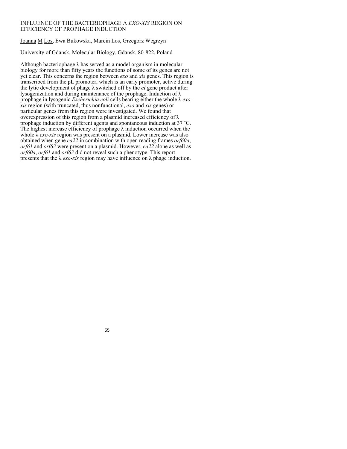## INFLUENCE OF THE BACTERIOPHAGE Λ *EXO*-*XIS* REGION ON EFFICIENCY OF PROPHAGE INDUCTION

Joanna M Los, Ewa Bukowska, Marcin Los, Grzegorz Wegrzyn

University of Gdansk, Molecular Biology, Gdansk, 80-822, Poland

Although bacteriophage  $\lambda$  has served as a model organism in molecular biology for more than fifty years the functions of some of its genes are not yet clear. This concerns the region between *exo* and *xis* genes. This region is transcribed from the pL promoter, which is an early promoter, active during the lytic development of phage λ switched off by the *cI* gene product after lysogenization and during maintenance of the prophage. Induction of λ prophage in lysogenic *Escherichia coli* cells bearing either the whole λ *exoxis* region (with truncated, thus nonfunctional, *exo* and *xis* genes) or particular genes from this region were investigated. We found that overexpression of this region from a plasmid increased efficiency of λ prophage induction by different agents and spontaneous induction at 37 ˚C. The highest increase efficiency of prophage  $\lambda$  induction occurred when the whole λ *exo*-*xis* region was present on a plasmid. Lower increase was also obtained when gene *ea22* in combination with open reading frames *orf60a*, *orf61* and *orf63* were present on a plasmid. However, *ea22* alone as well as *orf60a*, *orf61* and *orf63* did not reveal such a phenotype. This report presents that the λ *exo*-*xis* region may have influence on λ phage induction.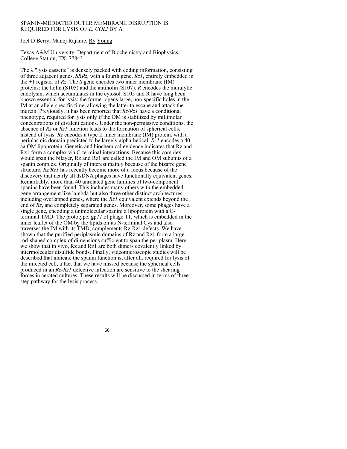### SPANIN-MEDIATED OUTER MEMBRANE DISRUPTION IS REQUIRED FOR LYSIS OF *E. COLI* BY Λ

Joel D Berry, Manoj Rajaure, Ry Young

Texas A&M University, Department of Biochemistry and Biophysics, College Station, TX, 77843

The λ "lysis cassette" is densely packed with coding information, consisting of three adjacent genes, *SRRz*, with a fourth gene, *Rz1*, entirely embedded in the  $+1$  register of  $Rz$ . The *S* gene encodes two inner membrane (IM) proteins: the holin (S105) and the antiholin (S107). *R* encodes the muralytic endolysin, which accumulates in the cytosol. S105 and R have long been known essential for lysis: the former opens large, non-specific holes in the IM at an allele-specific time, allowing the latter to escape and attack the murein. Previously, it has been reported that *Rz/Rz1* have a conditional phenotype, required for lysis only if the OM is stabilized by millimolar concentrations of divalent cations. Under the non-permissive conditions, the absence of *Rz* or *Rz1* function leads to the formation of spherical cells, instead of lysis. *Rz* encodes a type II inner membrane (IM) protein, with a periplasmic domain predicted to be largely alpha-helical. *Rz1* encodes a 40 aa OM lipoprotein. Genetic and biochemical evidence indicates that Rz and Rz1 form a complex via C-terminal interactions. Because this complex would span the bilayer, Rz and Rz1 are called the IM and OM subunits of a spanin complex. Originally of interest mainly because of the bizarre gene structure, *Rz/Rz1* has recently become more of a focus because of the discovery that nearly all dsDNA phages have functionally equivalent genes. Remarkably, more than 40 unrelated gene families of two-component spanins have been found. This includes many others with the embedded gene arrangement like lambda but also three other distinct architectures, including overlapped genes, where the *Rz1* equivalent extends beyond the end of *Rz*, and completely separated genes. Moreover, some phages have a single gene, encoding a unimolecular spanin: a lipoprotein with a Cterminal TMD. The prototype, gp*11* of phage T1, which is embedded in the inner leaflet of the OM by the lipids on its N-terminal Cys and also traverses the IM with its TMD, complements Rz-Rz1 defects. We have shown that the purified periplasmic domains of Rz and Rz1 form a large rod-shaped complex of dimensions sufficient to span the periplasm. Here we show that in vivo, Rz and Rz1 are both dimers covalently linked by intermolecular disulfide bonds. Finally, videomicroscopic studies will be described that indicate the spanin function is, after all, required for lysis of the infected cell, a fact that we have missed because the spherical cells produced in an *Rz-Rz1* defective infection are sensitive to the shearing forces in aerated cultures. These results will be discussed in terms of threestep pathway for the lysis process.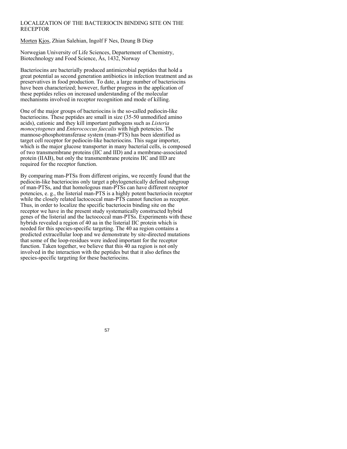## LOCALIZATION OF THE BACTERIOCIN BINDING SITE ON THE **RECEPTOR**

Morten Kjos, Zhian Salehian, Ingolf F Nes, Dzung B Diep

Norwegian University of Life Sciences, Departement of Chemistry, Biotechnology and Food Science, Ås, 1432, Norway

Bacteriocins are bacterially produced antimicrobial peptides that hold a great potential as second generation antibiotics in infection treatment and as preservatives in food production. To date, a large number of bacteriocins have been characterized; however, further progress in the application of these peptides relies on increased understanding of the molecular mechanisms involved in receptor recognition and mode of killing.

One of the major groups of bacteriocins is the so-called pediocin-like bacteriocins. These peptides are small in size (35-50 unmodified amino acids), cationic and they kill important pathogens such as *Listeria monocytogenes* and *Enterococcus faecalis* with high potencies. The mannose-phosphotransferase system (man-PTS) has been identified as target cell receptor for pediocin-like bacteriocins. This sugar importer, which is the major glucose transporter in many bacterial cells, is composed of two transmembrane proteins (IIC and IID) and a membrane-associated protein (IIAB), but only the transmembrane proteins IIC and IID are required for the receptor function.

By comparing man-PTSs from different origins, we recently found that the pediocin-like bacteriocins only target a phylogenetically defined subgroup of man-PTSs, and that homologous man-PTSs can have different receptor potencies, e. g., the listerial man-PTS is a highly potent bacteriocin receptor while the closely related lactococcal man-PTS cannot function as receptor. Thus, in order to localize the specific bacteriocin binding site on the receptor we have in the present study systematically constructed hybrid genes of the listerial and the lactococcal man-PTSs. Experiments with these hybrids revealed a region of 40 aa in the listerial IIC protein which is needed for this species-specific targeting. The 40 aa region contains a predicted extracellular loop and we demonstrate by site-directed mutations that some of the loop-residues were indeed important for the receptor function. Taken together, we believe that this 40 aa region is not only involved in the interaction with the peptides but that it also defines the species-specific targeting for these bacteriocins.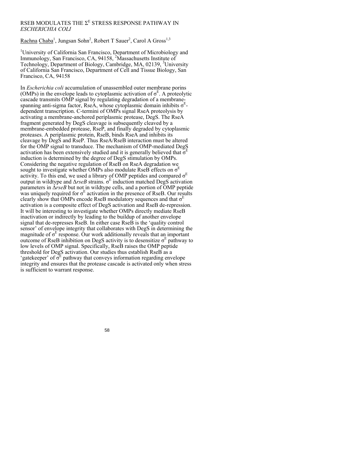## RSEB MODULATES THE  $\Sigma^{\text{\tiny E}}$  STRESS RESPONSE PATHWAY IN *ESCHERICHIA COLI*

Rachna Chaba<sup>1</sup>, Jungsan Sohn<sup>2</sup>, Robert T Sauer<sup>2</sup>, Carol A Gross<sup>1,3</sup>

<sup>1</sup>University of California San Francisco, Department of Microbiology and Immunology, San Francisco, CA, 94158, <sup>2</sup>Massachusetts Institute of Technology, Department of Biology, Cambridge, MA, 02139, <sup>3</sup>University of California San Francisco, Department of Cell and Tissue Biology, San Francisco, CA, 94158

In *Escherichia coli* accumulation of unassembled outer membrane porins (OMPs) in the envelope leads to cytoplasmic activation of  $\sigma^E$ . A proteolytic cascade transmits OMP signal by regulating degradation of a membranespanning anti-sigma factor, RseA, whose cytoplasmic domain inhibits  $\sigma^E$ dependent transcription. C-termini of OMPs signal RseA proteolysis by activating a membrane-anchored periplasmic protease, DegS. The RseA fragment generated by DegS cleavage is subsequently cleaved by a membrane-embedded protease, RseP, and finally degraded by cytoplasmic proteases. A periplasmic protein, RseB, binds RseA and inhibits its cleavage by DegS and RseP. Thus RseA/RseB interaction must be altered for the OMP signal to transduce. The mechanism of OMP-mediated DegS activation has been extensively studied and it is generally believed that  $\sigma^E$ induction is determined by the degree of DegS stimulation by OMPs. Considering the negative regulation of RseB on RseA degradation we sought to investigate whether OMPs also modulate RseB effects on  $\sigma$ <sup>E</sup> activity. To this end, we used a library of OMP peptides and compared  $\sigma$ <sup>E</sup> output in wildtype and  $\triangle$ *rseB* strains.  $\sigma^E$  induction matched DegS activation parameters in Δ*rseB* but not in wildtype cells, and a portion of OMP peptide was uniquely required for  $\sigma^E$  activation in the presence of RseB. Our results clearly show that OMPs encode RseB modulatory sequences and that  $\sigma^E$ activation is a composite effect of DegS activation and RseB de-repression. It will be interesting to investigate whether OMPs directly mediate RseB inactivation or indirectly by leading to the buildup of another envelope signal that de-represses RseB. In either case RseB is the 'quality control sensor' of envelope integrity that collaborates with DegS in determining the magnitude of  $\sigma^E$  response. Our work additionally reveals that an important outcome of RseB inhibition on DegS activity is to desensitize  $\sigma^E$  pathway to low levels of OMP signal. Specifically, RseB raises the OMP peptide threshold for DegS activation. Our studies thus establish RseB as a 'gatekeeper' of  $\sigma^E$  pathway that conveys information regarding envelope integrity and ensures that the protease cascade is activated only when stress is sufficient to warrant response.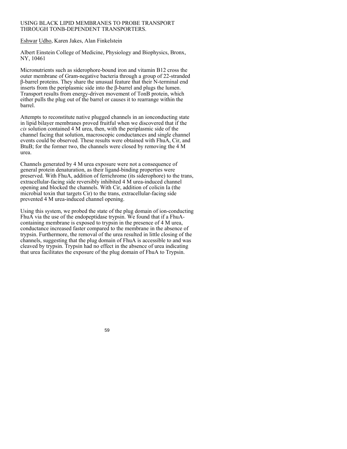## USING BLACK LIPID MEMBRANES TO PROBE TRANSPORT THROUGH TONB-DEPENDENT TRANSPORTERS.

Eshwar Udho, Karen Jakes, Alan Finkelstein

Albert Einstein College of Medicine, Physiology and Biophysics, Bronx, NY, 10461

Micronutrients such as siderophore-bound iron and vitamin B12 cross the outer membrane of Gram-negative bacteria through a group of 22-stranded β-barrel proteins. They share the unusual feature that their N-terminal end inserts from the periplasmic side into the β-barrel and plugs the lumen. Transport results from energy-driven movement of TonB protein, which either pulls the plug out of the barrel or causes it to rearrange within the barrel.

Attempts to reconstitute native plugged channels in an ionconducting state in lipid bilayer membranes proved fruitful when we discovered that if the *cis* solution contained 4 M urea, then, with the periplasmic side of the channel facing that solution, macroscopic conductances and single channel events could be observed. These results were obtained with FhuA, Cir, and BtuB; for the former two, the channels were closed by removing the 4 M urea.

Channels generated by 4 M urea exposure were not a consequence of general protein denaturation, as their ligand-binding properties were preserved. With FhuA, addition of ferrichrome (its siderophore) to the trans, extracellular-facing side reversibly inhibited 4 M urea-induced channel opening and blocked the channels. With Cir, addition of colicin Ia (the microbial toxin that targets Cir) to the trans, extracellular-facing side prevented 4 M urea-induced channel opening.

Using this system, we probed the state of the plug domain of ion-conducting FhuA via the use of the endopeptidase trypsin. We found that if a FhuAcontaining membrane is exposed to trypsin in the presence of 4 M urea, conductance increased faster compared to the membrane in the absence of trypsin. Furthermore, the removal of the urea resulted in little closing of the channels, suggesting that the plug domain of FhuA is accessible to and was cleaved by trypsin. Trypsin had no effect in the absence of urea indicating that urea facilitates the exposure of the plug domain of FhuA to Trypsin.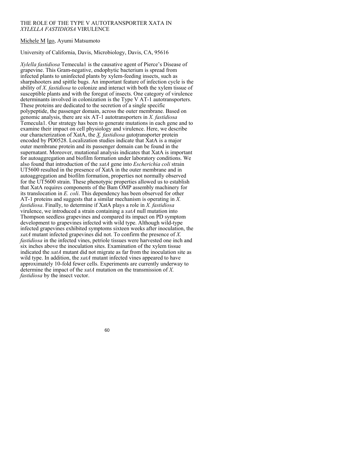### THE ROLE OF THE TYPE V AUTOTRANSPORTER XATA IN *XYLELLA FASTIDIOSA* VIRULENCE

## Michele M Igo, Ayumi Matsumoto

### University of California, Davis, Microbiology, Davis, CA, 95616

*Xylella fastidiosa* Temecula1 is the causative agent of Pierce's Disease of grapevine. This Gram-negative, endophytic bacterium is spread from infected plants to uninfected plants by xylem-feeding insects, such as sharpshooters and spittle bugs. An important feature of infection cycle is the ability of *X. fastidiosa* to colonize and interact with both the xylem tissue of susceptible plants and with the foregut of insects. One category of virulence determinants involved in colonization is the Type V AT-1 autotransporters. These proteins are dedicated to the secretion of a single specific polypeptide, the passenger domain, across the outer membrane. Based on genomic analysis, there are six AT-1 autotransporters in *X. fastidiosa*  Temecula1. Our strategy has been to generate mutations in each gene and to examine their impact on cell physiology and virulence. Here, we describe our characterization of XatA, the *X. fastidiosa* autotransporter protein encoded by PD0528. Localization studies indicate that XatA is a major outer membrane protein and its passenger domain can be found in the supernatant. Moreover, mutational analysis indicates that XatA is important for autoaggregation and biofilm formation under laboratory conditions. We also found that introduction of the *xatA* gene into *Escherichia coli* strain UT5600 resulted in the presence of XatA in the outer membrane and in autoaggregation and biofilm formation, properties not normally observed for the UT5600 strain. These phenotypic properties allowed us to establish that XatA requires components of the Bam OMP assembly machinery for its translocation in *E. coli*. This dependency has been observed for other AT-1 proteins and suggests that a similar mechanism is operating in *X. fastidiosa*. Finally, to determine if XatA plays a role in *X. fastidiosa*  virulence, we introduced a strain containing a *xatA* null mutation into Thompson seedless grapevines and compared its impact on PD symptom development to grapevines infected with wild type. Although wild-type infected grapevines exhibited symptoms sixteen weeks after inoculation, the *xatA* mutant infected grapevines did not. To confirm the presence of *X. fastidiosa* in the infected vines, petriole tissues were harvested one inch and six inches above the inoculation sites. Examination of the xylem tissue indicated the *xatA* mutant did not migrate as far from the inoculation site as wild type. In addition, the *xatA* mutant infected vines appeared to have approximately 10-fold fewer cells. Experiments are currently underway to determine the impact of the *xatA* mutation on the transmission of *X. fastidiosa* by the insect vector.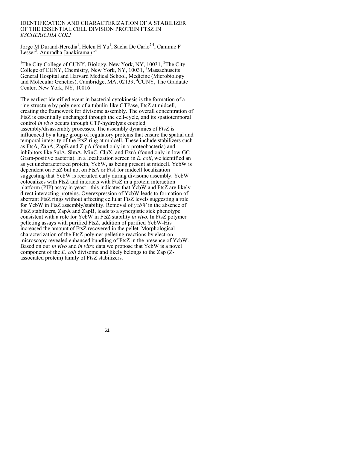#### IDENTIFICATION AND CHARACTERIZATION OF A STABILIZER OF THE ESSENTIAL CELL DIVISION PROTEIN FTSZ IN *ESCHERICHIA COLI*

Jorge M Durand-Heredia<sup>1</sup>, Helen H Yu<sup>1</sup>, Sacha De Carlo<sup>2,4</sup>, Cammie F Lesser<sup>3</sup>, Anuradha Janakiraman<sup>1,4</sup>

<sup>1</sup>The City College of CUNY, Biology, New York, NY, 10031, <sup>2</sup>The City College of CUNY, Chemistry, New York, NY, 10031, <sup>3</sup>Massachusetts General Hospital and Harvard Medical School, Medicine (Microbiology and Molecular Genetics), Cambridge, MA, 02139, <sup>4</sup>CUNY, The Graduate Center, New York, NY, 10016

The earliest identified event in bacterial cytokinesis is the formation of a ring structure by polymers of a tubulin-like GTPase, FtsZ at midcell, creating the framework for divisome assembly. The overall concentration of FtsZ is essentially unchanged through the cell-cycle, and its spatiotemporal control *in vivo* occurs through GTP-hydrolysis coupled assembly/disassembly processes. The assembly dynamics of FtsZ is influenced by a large group of regulatory proteins that ensure the spatial and temporal integrity of the FtsZ ring at midcell. These include stabilizers such as FtsA, ZapA, ZapB and ZipA (found only in γ-proteobacteria) and inhibitors like SulA, SlmA, MinC, ClpX, and EzrA (found only in low GC Gram-positive bacteria). In a localization screen in *E. coli*, we identified an as yet uncharacterized protein, YcbW, as being present at midcell. YcbW is dependent on FtsZ but not on FtsA or FtsI for midcell localization suggesting that YcbW is recruited early during divisome assembly. YcbW colocalizes with FtsZ and interacts with FtsZ in a protein interaction platform (PIP) assay in yeast - this indicates that YcbW and FtsZ are likely direct interacting proteins. Overexpression of YcbW leads to formation of aberrant FtsZ rings without affecting cellular FtsZ levels suggesting a role for YcbW in FtsZ assembly/stability. Removal of *ycbW* in the absence of FtsZ stabilizers, ZapA and ZapB, leads to a synergistic sick phenotype consistent with a role for YcbW in FtsZ stability *in vivo*. In FtsZ polymer pelleting assays with purified FtsZ, addition of purified YcbW-His increased the amount of FtsZ recovered in the pellet. Morphological characterization of the FtsZ polymer pelleting reactions by electron microscopy revealed enhanced bundling of FtsZ in the presence of YcbW. Based on our *in vivo* and *in vitro* data we propose that YcbW is a novel component of the *E. coli* divisome and likely belongs to the Zap (Zassociated protein) family of FtsZ stabilizers.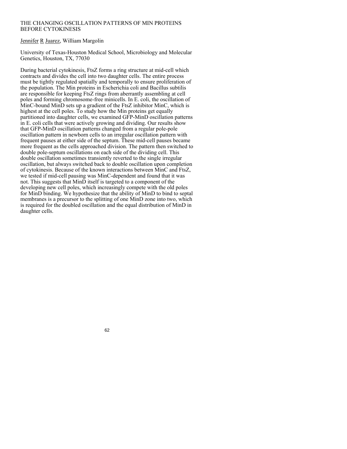## THE CHANGING OSCILLATION PATTERNS OF MIN PROTEINS BEFORE CYTOKINESIS

### Jennifer R Juarez, William Margolin

University of Texas-Houston Medical School, Microbiology and Molecular Genetics, Houston, TX, 77030

During bacterial cytokinesis, FtsZ forms a ring structure at mid-cell which contracts and divides the cell into two daughter cells. The entire process must be tightly regulated spatially and temporally to ensure proliferation of the population. The Min proteins in Escherichia coli and Bacillus subtilis are responsible for keeping FtsZ rings from aberrantly assembling at cell poles and forming chromosome-free minicells. In E. coli, the oscillation of MinC-bound MinD sets up a gradient of the FtsZ inhibitor MinC, which is highest at the cell poles. To study how the Min proteins get equally partitioned into daughter cells, we examined GFP-MinD oscillation patterns in E. coli cells that were actively growing and dividing. Our results show that GFP-MinD oscillation patterns changed from a regular pole-pole oscillation pattern in newborn cells to an irregular oscillation pattern with frequent pauses at either side of the septum. These mid-cell pauses became more frequent as the cells approached division. The pattern then switched to double pole-septum oscillations on each side of the dividing cell. This double oscillation sometimes transiently reverted to the single irregular oscillation, but always switched back to double oscillation upon completion of cytokinesis. Because of the known interactions between MinC and FtsZ, we tested if mid-cell pausing was MinC-dependent and found that it was not. This suggests that MinD itself is targeted to a component of the developing new cell poles, which increasingly compete with the old poles for MinD binding. We hypothesize that the ability of MinD to bind to septal membranes is a precursor to the splitting of one MinD zone into two, which is required for the doubled oscillation and the equal distribution of MinD in daughter cells.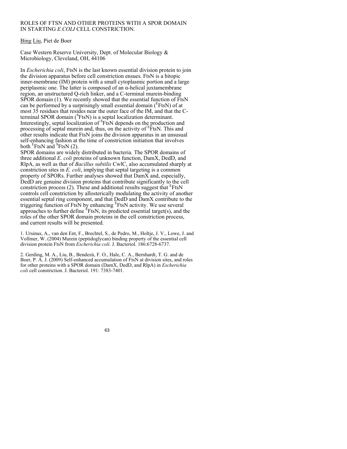### ROLES OF FTSN AND OTHER PROTEINS WITH A SPOR DOMAIN IN STARTING *E.COLI* CELL CONSTRICTION.

## Bing Liu, Piet de Boer

Case Western Reserve University, Dept. of Molecular Biology & Microbiology, Cleveland, OH, 44106

In *Escherichia coli*, FtsN is the last known essential division protein to join the division apparatus before cell constriction ensues. FtsN is a bitopic inner-membrane (IM) protein with a small cytoplasmic portion and a large periplasmic one. The latter is composed of an  $\alpha$ -helical juxtamembrane region, an unstructured Q-rich linker, and a C-terminal murein-binding SPOR domain (1). We recently showed that the essential function of FtsN can be performed by a surprisingly small essential domain ( $E$ FtsN) of at most 35 residues that resides near the outer face of the IM, and that the Cterminal SPOR domain  $(^{S}FtsN)$  is a septal localization determinant. Interestingly, septal localization of <sup>S</sup>FtsN depends on the production and processing of septal murein and, thus, on the activity of  $E$ <sub>E</sub>  $F$ tsN. This and other results indicate that FtsN joins the division apparatus in an unsusual self-enhancing fashion at the time of constriction initiation that involves both  $E$ FtsN and  $E$ FtsN (2).

SPOR domains are widely distributed in bacteria. The SPOR domains of three additional *E. coli* proteins of unknown function, DamX, DedD, and RlpA, as well as that of *Bacillus subtilis* CwlC, also accumulated sharply at constriction sites in *E. coli*, implying that septal targeting is a common property of SPORs. Further analyses showed that DamX and, especially, DedD are genuine division proteins that contribute significantly to the cell constriction process (2). These and additional results suggest that  $E$ FtsN controls cell constriction by allosterically modulating the activity of another essential septal ring component, and that DedD and DamX contribute to the triggering function of FtsN by enhancing  $E$ FtsN activity. We use several approaches to further define  $E$ FtsN, its predicted essential target(s), and the roles of the other SPOR domain proteins in the cell constriction process, and current results will be presented.

1. Ursinus, A., van den Ent, F., Brechtel, S., de Pedro, M., Holtje, J. V., Lowe, J. and Vollmer, W. (2004) Murein (peptidoglycan) binding property of the essential cell division protein FtsN from *Escherichia coli*. J. Bacteriol. 186:6728-6737.

2. Gerding, M. A., Liu, B., Bendezú, F. O., Hale, C. A., Bernhardt, T. G. and de Boer, P. A. J. (2009) Self-enhanced accumulation of FtsN at division sites, and roles for other proteins with a SPOR domain (DamX, DedD, and RlpA) in *Escherichia coli* cell constriction. J. Bacteriol. 191: 7383-7401.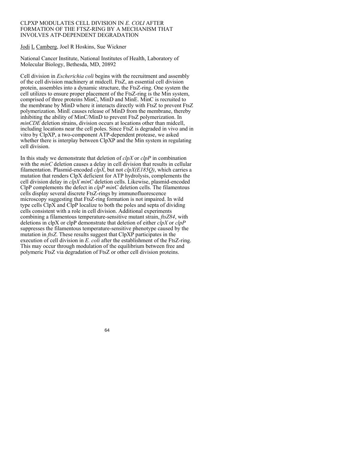### CLPXP MODULATES CELL DIVISION IN *E. COLI* AFTER FORMATION OF THE FTSZ-RING BY A MECHANISM THAT INVOLVES ATP-DEPENDENT DEGRADATION

Jodi L Camberg, Joel R Hoskins, Sue Wickner

National Cancer Institute, National Institutes of Health, Laboratory of Molecular Biology, Bethesda, MD, 20892

Cell division in *Escherichia coli* begins with the recruitment and assembly of the cell division machinery at midcell. FtsZ, an essential cell division protein, assembles into a dynamic structure, the FtsZ-ring. One system the cell utilizes to ensure proper placement of the FtsZ-ring is the Min system, comprised of three proteins MinC, MinD and MinE. MinC is recruited to the membrane by MinD where it interacts directly with FtsZ to prevent FtsZ polymerization. MinE causes release of MinD from the membrane, thereby inhibiting the ability of MinC/MinD to prevent FtsZ polymerization. In *minCDE* deletion strains, division occurs at locations other than midcell, including locations near the cell poles. Since FtsZ is degraded in vivo and in vitro by ClpXP, a two-component ATP-dependent protease, we asked whether there is interplay between ClpXP and the Min system in regulating cell division.

In this study we demonstrate that deletion of *clpX* or *clpP* in combination with the *minC* deletion causes a delay in cell division that results in cellular filamentation. Plasmid-encoded *clpX*, but not *clpX(E185Q)*, which carries a mutation that renders ClpX deficient for ATP hydrolysis, complements the cell division delay in *clpX minC* deletion cells. Likewise, plasmid-encoded ClpP complements the defect in *clpP minC* deletion cells. The filamentous cells display several discrete FtsZ-rings by immunofluorescence microscopy suggesting that FtsZ-ring formation is not impaired. In wild type cells ClpX and ClpP localize to both the poles and septa of dividing cells consistent with a role in cell division. Additional experiments combining a filamentous temperature-sensitive mutant strain, *ftsZ84*, with deletions in clpX or clpP demonstrate that deletion of either *clpX* or *clpP* suppresses the filamentous temperature-sensitive phenotype caused by the mutation in *ftsZ*. These results suggest that ClpXP participates in the execution of cell division in *E. coli* after the establishment of the FtsZ-ring. This may occur through modulation of the equilibrium between free and polymeric FtsZ via degradation of FtsZ or other cell division proteins.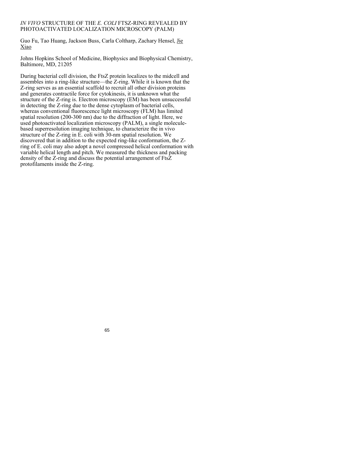## *IN VIVO* STRUCTURE OF THE *E. COLI* FTSZ-RING REVEALED BY PHOTOACTIVATED LOCALIZATION MICROSCOPY (PALM)

Guo Fu, Tao Huang, Jackson Buss, Carla Coltharp, Zachary Hensel, Jie Xiao

Johns Hopkins School of Medicine, Biophysics and Biophysical Chemistry, Baltimore, MD, 21205

During bacterial cell division, the FtsZ protein localizes to the midcell and assembles into a ring-like structure—the Z-ring. While it is known that the Z-ring serves as an essential scaffold to recruit all other division proteins and generates contractile force for cytokinesis, it is unknown what the structure of the Z-ring is. Electron microscopy (EM) has been unsuccessful in detecting the Z-ring due to the dense cytoplasm of bacterial cells, whereas conventional fluorescence light microscopy (FLM) has limited spatial resolution (200-300 nm) due to the diffraction of light. Here, we used photoactivated localization microscopy (PALM), a single moleculebased superresolution imaging technique, to characterize the in vivo structure of the Z-ring in E. coli with 30-nm spatial resolution. We discovered that in addition to the expected ring-like conformation, the Zring of E. coli may also adopt a novel compressed helical conformation with variable helical length and pitch. We measured the thickness and packing density of the Z-ring and discuss the potential arrangement of FtsZ protofilaments inside the Z-ring.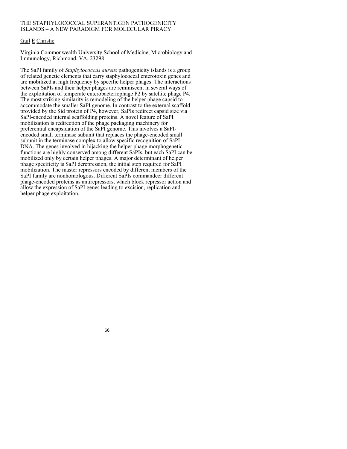## THE STAPHYLOCOCCAL SUPERANTIGEN PATHOGENICITY ISLANDS – A NEW PARADIGM FOR MOLECULAR PIRACY.

## Gail E Christie

Virginia Commonwealth University School of Medicine, Microbiology and Immunology, Richmond, VA, 23298

The SaPI family of *Staphylococcus aureus* pathogenicity islands is a group of related genetic elements that carry staphylococcal enterotoxin genes and are mobilized at high frequency by specific helper phages. The interactions between SaPIs and their helper phages are reminiscent in several ways of the exploitation of temperate enterobacteriophage P2 by satellite phage P4. The most striking similarity is remodeling of the helper phage capsid to accommodate the smaller SaPI genome. In contrast to the external scaffold provided by the Sid protein of P4, however, SaPIs redirect capsid size via SaPI-encoded internal scaffolding proteins. A novel feature of SaPI mobilization is redirection of the phage packaging machinery for preferential encapsidation of the SaPI genome. This involves a SaPIencoded small terminase subunit that replaces the phage-encoded small subunit in the terminase complex to allow specific recognition of SaPI DNA. The genes involved in hijacking the helper phage morphogenetic functions are highly conserved among different SaPIs, but each SaPI can be mobilized only by certain helper phages. A major determinant of helper phage specificity is SaPI derepression, the initial step required for SaPI mobilization. The master repressors encoded by different members of the SaPI family are nonhomologous. Different SaPIs commandeer different phage-encoded proteins as antirepressors, which block repressor action and allow the expression of SaPI genes leading to excision, replication and helper phage exploitation.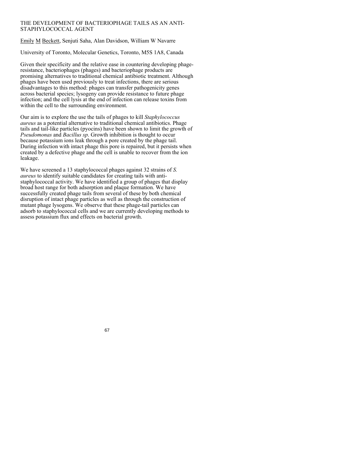## THE DEVELOPMENT OF BACTERIOPHAGE TAILS AS AN ANTI-STAPHYLOCOCCAL AGENT

Emily M Beckett, Senjuti Saha, Alan Davidson, William W Navarre

University of Toronto, Molecular Genetics, Toronto, M5S 1A8, Canada

Given their specificity and the relative ease in countering developing phageresistance, bacteriophages (phages) and bacteriophage products are promising alternatives to traditional chemical antibiotic treatment. Although phages have been used previously to treat infections, there are serious disadvantages to this method: phages can transfer pathogenicity genes across bacterial species; lysogeny can provide resistance to future phage infection; and the cell lysis at the end of infection can release toxins from within the cell to the surrounding environment.

Our aim is to explore the use the tails of phages to kill *Staphylococcus aureus* as a potential alternative to traditional chemical antibiotics. Phage tails and tail-like particles (pyocins) have been shown to limit the growth of *Pseudomonas* and *Bacillus sp*. Growth inhibition is thought to occur because potassium ions leak through a pore created by the phage tail. During infection with intact phage this pore is repaired, but it persists when created by a defective phage and the cell is unable to recover from the ion leakage.

We have screened a 13 staphylococcal phages against 32 strains of *S. aureus* to identify suitable candidates for creating tails with antistaphylococcal activity. We have identified a group of phages that display broad host range for both adsorption and plaque formation. We have successfully created phage tails from several of these by both chemical disruption of intact phage particles as well as through the construction of mutant phage lysogens. We observe that these phage-tail particles can adsorb to staphylococcal cells and we are currently developing methods to assess potassium flux and effects on bacterial growth.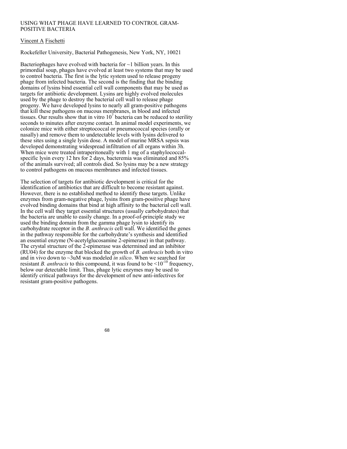## USING WHAT PHAGE HAVE LEARNED TO CONTROL GRAM-POSITIVE BACTERIA

## Vincent A Fischetti

Rockefeller University, Bacterial Pathogenesis, New York, NY, 10021

Bacteriophages have evolved with bacteria for  $\sim$ 1 billion years. In this primordial soup, phages have evolved at least two systems that may be used to control bacteria. The first is the lytic system used to release progeny phage from infected bacteria. The second is the finding that the binding domains of lysins bind essential cell wall components that may be used as targets for antibiotic development. Lysins are highly evolved molecules used by the phage to destroy the bacterial cell wall to release phage progeny. We have developed lysins to nearly all gram-positive pathogens that kill these pathogens on mucous membranes, in blood and infected tissues. Our results show that in vitro  $10<sup>7</sup>$  bacteria can be reduced to sterility seconds to minutes after enzyme contact. In animal model experiments, we colonize mice with either streptococcal or pneumococcal species (orally or nasally) and remove them to undetectable levels with lysins delivered to these sites using a single lysin dose. A model of murine MRSA sepsis was developed demonstrating widespread infiltration of all organs within 3h. When mice were treated intraperitoneally with 1 mg of a staphylococcalspecific lysin every 12 hrs for 2 days, bacteremia was eliminated and 85% of the animals survived; all controls died. So lysins may be a new strategy to control pathogens on mucous membranes and infected tissues.

The selection of targets for antibiotic development is critical for the identification of antibiotics that are difficult to become resistant against. However, there is no established method to identify these targets. Unlike enzymes from gram-negative phage, lysins from gram-positive phage have evolved binding domains that bind at high affinity to the bacterial cell wall. In the cell wall they target essential structures (usually carbohydrates) that the bacteria are unable to easily change. In a proof-of-principle study we used the binding domain from the gamma phage lysin to identify its carbohydrate receptor in the *B. anthracis* cell wall. We identified the genes in the pathway responsible for the carbohydrate's synthesis and identified an essential enzyme (N-acetylglucosamine 2-epimerase) in that pathway. The crystal structure of the 2-epimerase was determined and an inhibitor (RU04) for the enzyme that blocked the growth of *B. anthracis* both in vitro and in vivo down to ~3uM was modeled *in silico*. When we searched for resistant *B. anthracis* to this compound, it was found to be  $\leq 10^{-10}$  frequency, below our detectable limit. Thus, phage lytic enzymes may be used to identify critical pathways for the development of new anti-infectives for resistant gram-positive pathogens.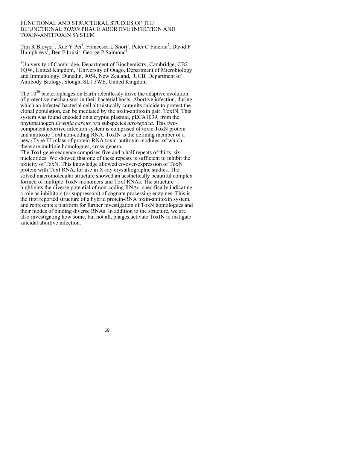#### FUNCTIONAL AND STRUCTURAL STUDIES OF THE BIFUNCTIONAL *TOXIN* PHAGE ABORTIVE INFECTION AND TOXIN-ANTITOXIN SYSTEM

Tim R Blower<sup>1</sup>, Xue Y Pei<sup>1</sup>, Francesca L Short<sup>1</sup>, Peter C Fineran<sup>2</sup>, David P  $\overline{\text{Humphreys}^3}$ , Ben F Luisi<sup>1</sup>, George P Salmond<sup>1</sup>

<sup>1</sup>University of Cambridge, Department of Biochemistry, Cambridge, CB2 1QW, United Kingdom, <sup>2</sup>University of Otago, Department of Microbiology and Immunology, Dunedin, 9054, New Zealand, <sup>3</sup>UCB, Department of Antibody Biology, Slough, SL1 3WE, United Kingdom

The  $10^{30}$  bacteriophages on Earth relentlessly drive the adaptive evolution of protective mechanisms in their bacterial hosts. Abortive infection, during which an infected bacterial cell altruistically commits suicide to protect the clonal population, can be mediated by the toxin-antitoxin pair, ToxIN. This system was found encoded on a cryptic plasmid, pECA1039, from the phytopathogen *Erwinia carotovora* subspecies *atroseptica*. This twocomponent abortive infection system is comprised of toxic ToxN protein and antitoxic ToxI non-coding RNA. ToxIN is the defining member of a new (Type III) class of protein-RNA toxin-antitoxin modules, of which there are multiple homologues, cross-genera.

The ToxI gene sequence comprises five and a half repeats of thirty-six nucleotides. We showed that one of these repeats is sufficient to inhibit the toxicity of ToxN. This knowledge allowed co-over-expression of ToxN protein with ToxI RNA, for use in X-ray crystallographic studies. The solved macromolecular structure showed an aesthetically beautiful complex formed of multiple ToxN monomers and ToxI RNAs. The structure highlights the diverse potential of non-coding RNAs, specifically indicating a role as inhibitors (or suppressors) of cognate processing enzymes. This is the first reported structure of a hybrid protein-RNA toxin-antitoxin system, and represents a platform for further investigation of ToxN homologues and their modes of binding diverse RNAs. In addition to the structure, we are also investigating how some, but not all, phages activate ToxIN to instigate suicidal abortive infection.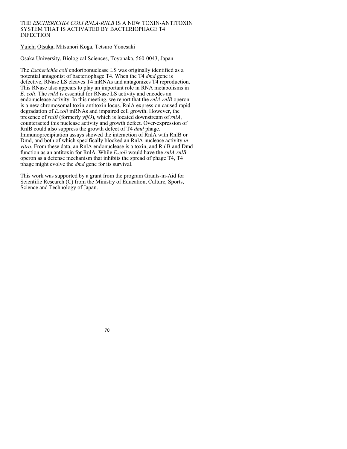### THE *ESCHERICHIA COLI RNLA-RNLB* IS A NEW TOXIN-ANTITOXIN SYSTEM THAT IS ACTIVATED BY BACTERIOPHAGE T4 INFECTION

Yuichi Otsuka, Mitsunori Koga, Tetsuro Yonesaki

Osaka University, Biological Sciences, Toyonaka, 560-0043, Japan

The *Escherichia coli* endoribonuclease LS was originally identified as a potential antagonist of bacteriophage T4. When the T4 *dmd* gene is defective, RNase LS cleaves T4 mRNAs and antagonizes T4 reproduction. This RNase also appears to play an important role in RNA metabolisms in *E. coli*. The *rnlA* is essential for RNase LS activity and encodes an endonuclease activity. In this meeting, we report that the *rnlA-rnlB* operon is a new chromosomal toxin-antitoxin locus. RnlA expression caused rapid degradation of *E.coli* mRNAs and impaired cell growth. However, the presence of *rnlB* (formerly *yfjO*), which is located downstream of *rnlA*, counteracted this nuclease activity and growth defect. Over-expression of RnlB could also suppress the growth defect of T4 *dmd* phage. Immunoprecipitation assays showed the interaction of RnlA with RnlB or Dmd, and both of which specifically blocked an RnlA nuclease activity *in vitro*. From these data, an RnlA endonuclease is a toxin, and RnlB and Dmd function as an antitoxin for RnlA. While *E.coli* would have the *rnlA-rnlB* operon as a defense mechanism that inhibits the spread of phage T4, T4 phage might evolve the *dmd* gene for its survival.

This work was supported by a grant from the program Grants-in-Aid for Scientific Research (C) from the Ministry of Education, Culture, Sports, Science and Technology of Japan.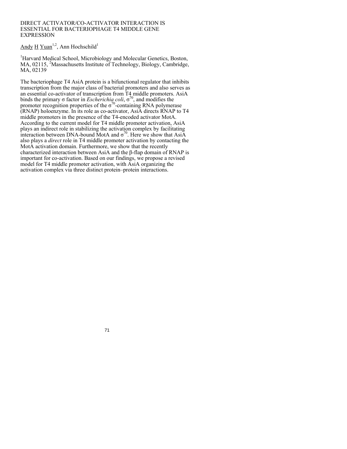#### DIRECT ACTIVATOR/CO-ACTIVATOR INTERACTION IS ESSENTIAL FOR BACTERIOPHAGE T4 MIDDLE GENE **EXPRESSION**

# Andy  $H$  Yuan<sup>1,2</sup>, Ann Hochschild<sup>1</sup>

<sup>1</sup>Harvard Medical School, Microbiology and Molecular Genetics, Boston, MA, 02115, <sup>2</sup>Massachusetts Institute of Technology, Biology, Cambridge, MA, 02139

The bacteriophage T4 AsiA protein is a bifunctional regulator that inhibits transcription from the major class of bacterial promoters and also serves as an essential co-activator of transcription from T4 middle promoters. AsiA binds the primary  $\sigma$  factor in *Escherichia coli*,  $\sigma^{70}$ , and modifies the promoter recognition properties of the  $\sigma^{70}$ -containing RNA polymerase (RNAP) holoenzyme. In its role as co-activator, AsiA directs RNAP to T4 middle promoters in the presence of the T4-encoded activator MotA. According to the current model for T4 middle promoter activation, AsiA plays an indirect role in stabilizing the activation complex by facilitating interaction between DNA-bound MotA and  $\sigma^{70}$ . Here we show that AsiA also plays a *direct* role in T4 middle promoter activation by contacting the MotA activation domain. Furthermore, we show that the recently characterized interaction between AsiA and the β-flap domain of RNAP is important for co-activation. Based on our findings, we propose a revised model for T4 middle promoter activation, with AsiA organizing the activation complex via three distinct protein–protein interactions.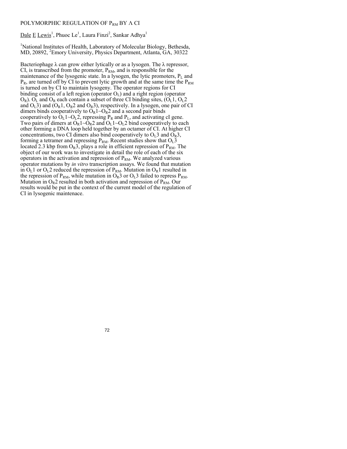#### POLYMORPHIC REGULATION OF P<sub>RM</sub> BY Λ CI

Dale E Lewis<sup>1</sup>, Phuoc Le<sup>1</sup>, Laura Finzi<sup>2</sup>, Sankar Adhya<sup>1</sup>

<sup>1</sup>National Institutes of Health, Laboratory of Molecular Biology, Bethesda, MD, 20892, <sup>2</sup> Emory University, Physics Department, Atlanta, GA, 30322

Bacteriophage  $\lambda$  can grow either lytically or as a lysogen. The  $\lambda$  repressor, CI, is transcribed from the promoter,  $P_{RM}$ , and is responsible for the maintenance of the lysogenic state. In a lysogen, the lytic promoters,  $P<sub>L</sub>$  and  $P_R$ , are turned off by CI to prevent lytic growth and at the same time the  $P_{RM}$ is turned on by CI to maintain lysogeny. The operator regions for CI binding consist of a left region (operator  $O<sub>L</sub>$ ) and a right region (operator  $O_R$ ).  $O_L$  and  $O_R$  each contain a subset of three CI binding sites,  $(O_L 1, O_L 2)$ and  $O<sub>L</sub>3$ ) and  $(O<sub>R</sub>1, O<sub>R</sub>2$  and  $O<sub>R</sub>3$ ), respectively. In a lysogen, one pair of CI dimers binds cooperatively to  $O_R1-O_R2$  and a second pair binds cooperatively to  $O<sub>L</sub> 1~O<sub>L</sub> 2$ , repressing  $P<sub>R</sub>$  and  $P<sub>L</sub>$ , and activating cI gene. Two pairs of dimers at  $O_R1 \sim O_R2$  and  $O_L1 \sim O_L2$  bind cooperatively to each other forming a DNA loop held together by an octamer of CI. At higher CI concentrations, two CI dimers also bind cooperatively to  $O<sub>L</sub>3$  and  $O<sub>R</sub>3$ , forming a tetramer and repressing  $P_{RM}$ . Recent studies show that  $O<sub>L</sub>$ 3 located 2.3 kbp from  $O_R$ 3, plays a role in efficient repression of  $P_{RM}$ . The object of our work was to investigate in detail the role of each of the six operators in the activation and repression of  $P_{RM}$ . We analyzed various operator mutations by *in vitro* transcription assays. We found that mutation in  $O<sub>L</sub>1$  or  $O<sub>L</sub>2$  reduced the repression of  $P<sub>RM</sub>$ . Mutation in  $O<sub>R</sub>1$  resulted in the repression of  $P_{RM}$ , while mutation in  $O_R$ 3 or  $O_I$ 3 failed to repress  $P_{RM}$ . Mutation in  $O_R2$  resulted in both activation and repression of  $P_{RM}$ . Our results would be put in the context of the current model of the regulation of CI in lysogenic maintenace.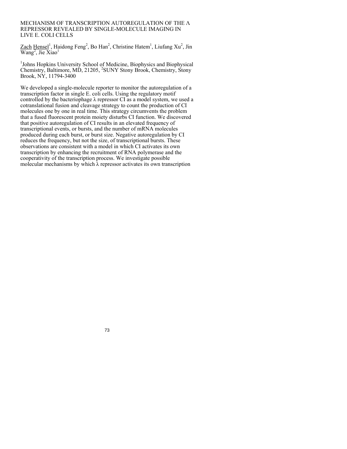#### MECHANISM OF TRANSCRIPTION AUTOREGULATION OF THE Λ REPRESSOR REVEALED BY SINGLE-MOLECULE IMAGING IN LIVE E. COLI CELLS

Zach Hensel<sup>1</sup>, Haidong Feng<sup>2</sup>, Bo Han<sup>2</sup>, Christine Hatem<sup>1</sup>, Liufang Xu<sup>2</sup>, Jin  $Wang<sup>2</sup>$ , Jie Xiao<sup>1</sup>

<sup>1</sup>Johns Hopkins University School of Medicine, Biophysics and Biophysical Chemistry, Baltimore, MD, 21205, <sup>2</sup>SUNY Stony Brook, Chemistry, Stony Brook, NY, 11794-3400

We developed a single-molecule reporter to monitor the autoregulation of a transcription factor in single E. coli cells. Using the regulatory motif controlled by the bacteriophage  $\lambda$  repressor CI as a model system, we used a cotranslational fusion and cleavage strategy to count the production of CI molecules one by one in real time. This strategy circumvents the problem that a fused fluorescent protein moiety disturbs CI function. We discovered that positive autoregulation of CI results in an elevated frequency of transcriptional events, or bursts, and the number of mRNA molecules produced during each burst, or burst size. Negative autoregulation by CI reduces the frequency, but not the size, of transcriptional bursts. These observations are consistent with a model in which CI activates its own transcription by enhancing the recruitment of RNA polymerase and the cooperativity of the transcription process. We investigate possible molecular mechanisms by which  $\lambda$  repressor activates its own transcription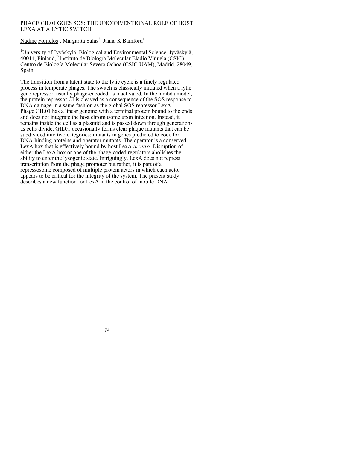## PHAGE GIL01 GOES SOS: THE UNCONVENTIONAL ROLE OF HOST LEXA AT A LYTIC SWITCH

Nadine Fornelos<sup>1</sup>, Margarita Salas<sup>2</sup>, Jaana K Bamford<sup>1</sup>

<sup>1</sup>University of Jyväskylä, Biological and Environmental Science, Jyväskylä, 40014, Finland, <sup>2</sup>Instituto de Biología Molecular Eladio Viñuela (CSIC), Centro de Biología Molecular Severo Ochoa (CSIC-UAM), Madrid, 28049, Spain

The transition from a latent state to the lytic cycle is a finely regulated process in temperate phages. The switch is classically initiated when a lytic gene repressor, usually phage-encoded, is inactivated. In the lambda model, the protein repressor CI is cleaved as a consequence of the SOS response to DNA damage in a same fashion as the global SOS repressor LexA. Phage GIL01 has a linear genome with a terminal protein bound to the ends and does not integrate the host chromosome upon infection. Instead, it remains inside the cell as a plasmid and is passed down through generations as cells divide. GIL01 occasionally forms clear plaque mutants that can be subdivided into two categories: mutants in genes predicted to code for DNA-binding proteins and operator mutants. The operator is a conserved LexA box that is effectively bound by host LexA *in vitro*. Disruption of either the LexA box or one of the phage-coded regulators abolishes the ability to enter the lysogenic state. Intriguingly, LexA does not repress transcription from the phage promoter but rather, it is part of a repressosome composed of multiple protein actors in which each actor appears to be critical for the integrity of the system. The present study describes a new function for LexA in the control of mobile DNA.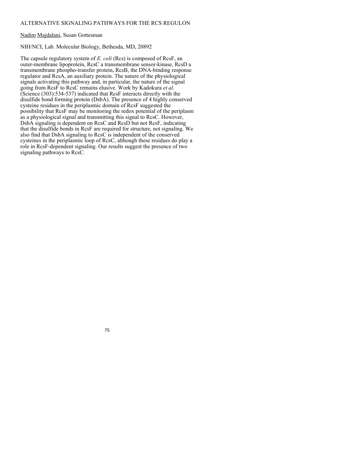## ALTERNATIVE SIGNALING PATHWAYS FOR THE RCS REGULON

## Nadim Majdalani, Susan Gottesman

## NIH/NCI, Lab. Molecular Biology, Bethesda, MD, 20892

The capsule regulatory system of *E. coli* (Rcs) is composed of RcsF, an outer-membrane lipoprotein, RcsC a transmembrane sensor-kinase, RcsD a transmembrane phospho-transfer protein, RcsB, the DNA-binding response regulator and RcsA, an auxiliary protein. The nature of the physiological signals activating this pathway and, in particular, the nature of the signal going from RcsF to RcsC remains elusive. Work by Kadokura *et al*. (Science (303):534-537) indicated that RcsF interacts directly with the disulfide bond forming protein (DsbA). The presence of 4 highly conserved cysteine residues in the periplasmic domain of RcsF suggested the possibility that RcsF may be monitoring the redox potential of the periplasm as a physiological signal and transmitting this signal to RcsC. However, DsbA signaling is dependent on RcsC and RcsD but not RcsF, indicating that the disulfide bonds in RcsF are required for structure, not signaling. We also find that DsbA signaling to RcsC is independent of the conserved cysteines in the periplasmic loop of RcsC, although these residues do play a role in RcsF-dependent signaling. Our results suggest the presence of two signaling pathways to RcsC.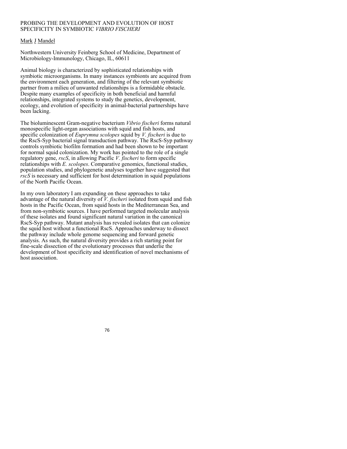## PROBING THE DEVELOPMENT AND EVOLUTION OF HOST SPECIFICITY IN SYMBIOTIC *VIBRIO FISCHERI*

# Mark J Mandel

Northwestern University Feinberg School of Medicine, Department of Microbiology-Immunology, Chicago, IL, 60611

Animal biology is characterized by sophisticated relationships with symbiotic microorganisms. In many instances symbionts are acquired from the environment each generation, and filtering of the relevant symbiotic partner from a milieu of unwanted relationships is a formidable obstacle. Despite many examples of specificity in both beneficial and harmful relationships, integrated systems to study the genetics, development, ecology, and evolution of specificity in animal-bacterial partnerships have been lacking.

The bioluminescent Gram-negative bacterium *Vibrio fischeri* forms natural monospecific light-organ associations with squid and fish hosts, and specific colonization of *Euprymna scolopes* squid by *V. fischeri* is due to the RscS-Syp bacterial signal transduction pathway. The RscS-Syp pathway controls symbiotic biofilm formation and had been shown to be important for normal squid colonization. My work has pointed to the role of a single regulatory gene, *rscS*, in allowing Pacific *V. fischeri* to form specific relationships with *E. scolopes*. Comparative genomics, functional studies, population studies, and phylogenetic analyses together have suggested that *rscS* is necessary and sufficient for host determination in squid populations of the North Pacific Ocean.

In my own laboratory I am expanding on these approaches to take advantage of the natural diversity of *V. fischeri* isolated from squid and fish hosts in the Pacific Ocean, from squid hosts in the Mediterranean Sea, and from non-symbiotic sources. I have performed targeted molecular analysis of these isolates and found significant natural variation in the canonical RscS-Syp pathway. Mutant analysis has revealed isolates that can colonize the squid host without a functional RscS. Approaches underway to dissect the pathway include whole genome sequencing and forward genetic analysis. As such, the natural diversity provides a rich starting point for fine-scale dissection of the evolutionary processes that underlie the development of host specificity and identification of novel mechanisms of host association.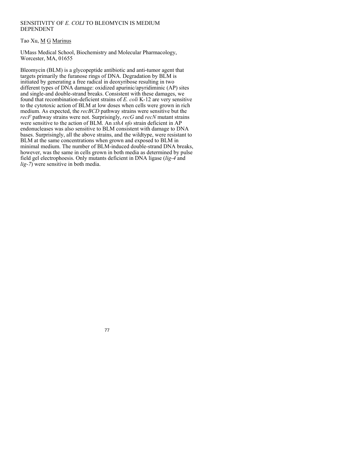## SENSITIVITY OF *E. COLI* TO BLEOMYCIN IS MEDIUM DEPENDENT

Tao Xu, M G Marinus

UMass Medical School, Biochemistry and Molecular Pharmacology, Worcester, MA, 01655

Bleomycin (BLM) is a glycopeptide antibiotic and anti-tumor agent that targets primarily the furanose rings of DNA. Degradation by BLM is initiated by generating a free radical in deoxyribose resulting in two different types of DNA damage: oxidized apurinic/apyridiminic (AP) sites and single-and double-strand breaks. Consistent with these damages, we found that recombination-deficient strains of *E. coli* K-12 are very sensitive to the cytotoxic action of BLM at low doses when cells were grown in rich medium. As expected, the *recBCD* pathway strains were sensitive but the *recF* pathway strains were not. Surprisingly, *recG* and *recN* mutant strains were sensitive to the action of BLM. An *xthA nfo* strain deficient in AP endonucleases was also sensitive to BLM consistent with damage to DNA bases. Surprisingly, all the above strains, and the wildtype, were resistant to BLM at the same concentrations when grown and exposed to BLM in minimal medium. The number of BLM-induced double-strand DNA breaks, however, was the same in cells grown in both media as determined by pulse field gel electrophoesis. Only mutants deficient in DNA ligase (*lig-4* and *lig-7*) were sensitive in both media.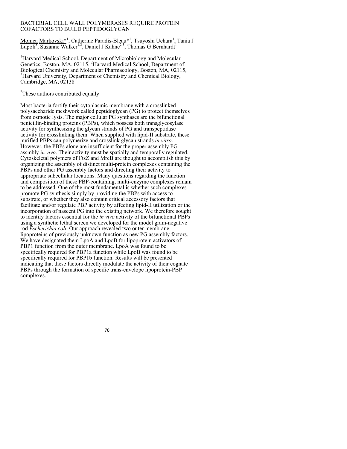#### BACTERIAL CELL WALL POLYMERASES REQUIRE PROTEIN COFACTORS TO BUILD PEPTIDOGLYCAN

Monica Markovski<sup>\*1</sup>, Catherine Paradis-Bleau<sup>\*1</sup>, Tsuyoshi Uehara<sup>1</sup>, Tania J  $\overline{\text{Lupoli}^3}$ , Suzanne Walker<sup>1,3</sup>, Daniel J Kahne<sup>2,3</sup>, Thomas G Bernhardt<sup>1</sup>

<sup>1</sup>Harvard Medical School, Department of Microbiology and Molecular Genetics, Boston, MA, 02115, <sup>2</sup>Harvard Medical School, Department of Biological Chemistry and Molecular Pharmacology, Boston, MA, 02115, 3 <sup>3</sup>Harvard University, Department of Chemistry and Chemical Biology, Cambridge, MA, 02138

\* These authors contributed equally

Most bacteria fortify their cytoplasmic membrane with a crosslinked polysaccharide meshwork called peptidoglycan (PG) to protect themselves from osmotic lysis. The major cellular PG synthases are the bifunctional penicillin-binding proteins (PBPs), which possess both transglycosylase activity for synthesizing the glycan strands of PG and transpeptidase activity for crosslinking them. When supplied with lipid-II substrate, these purified PBPs can polymerize and crosslink glycan strands *in vitro*. However, the PBPs alone are insufficient for the proper assembly PG assmbly *in vivo*. Their activity must be spatially and temporally regulated. Cytoskeletal polymers of FtsZ and MreB are thought to accomplish this by organizing the assembly of distinct multi-protein complexes containing the PBPs and other PG assembly factors and directing their activity to appropriate subcellular locations. Many questions regarding the function and composition of these PBP-containing, multi-enzyme complexes remain to be addressed. One of the most fundamental is whether such complexes promote PG synthesis simply by providing the PBPs with access to substrate, or whether they also contain critical accessory factors that facilitate and/or regulate PBP activity by affecting lipid-II utilization or the incorporation of nascent PG into the existing network. We therefore sought to identify factors essential for the *in vivo* activity of the bifunctional PBPs using a synthetic lethal screen we developed for the model gram-negative rod *Escherichia coli*. Our approach revealed two outer membrane lipoproteins of previously unknown function as new PG assembly factors. We have designated them LpoA and LpoB for lipoprotein activators of PBP1 function from the outer membrane. LpoA was found to be specifically required for PBP1a function while LpoB was found to be specifically required for PBP1b function. Results will be presented indicating that these factors directly modulate the activity of their cognate PBPs through the formation of specific trans-envelope lipoprotein-PBP complexes.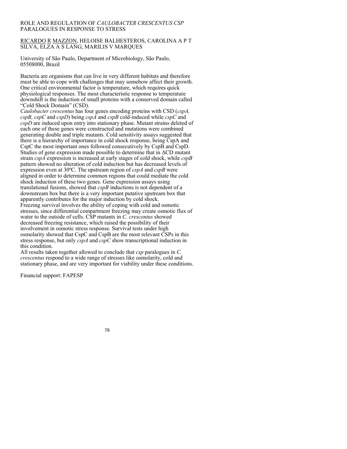## ROLE AND REGULATION OF *CAULOBACTER CRESCENTUS CSP* PARALOGUES IN RESPONSE TO STRESS

## RICARDO R MAZZON, HELOISE BALHESTEROS, CAROLINA A P T SILVA, ELZA A S LANG, MARILIS V MARQUES

University of São Paulo, Department of Microbiology, São Paulo, 05508000, Brazil

Bacteria are organisms that can live in very different habitats and therefore must be able to cope with challenges that may somehow affect their growth. One critical environmental factor is temperature, which requires quick physiological responses. The most characteristic response to temperature downshift is the induction of small proteins with a conserved domain called "Cold Shock Domain" (CSD).

*Caulobacter crescentus* has four genes encoding proteins with CSD (*cspA, cspB, cspC* and *cspD*) being *cspA* and *cspB* cold-induced while *cspC* and *cspD* are induced upon entry into stationary phase. Mutant strains deleted of each one of these genes were constructed and mutations were combined generating double and triple mutants. Cold sensitivity assays suggested that there is a hierarchy of importance in cold shock response, being CspA and CspC the most important ones followed consecutively by CspB and CspD. Studies of gene expression made possible to determine that in ΔCD mutant strain *cspA* expression is increased at early stages of cold shock, while *cspB* pattern showed no alteration of cold induction but has decreased levels of expression even at 30ºC. The upstream region of *cspA* and *cspB* were aligned in order to determine common regions that could mediate the cold shock induction of these two genes. Gene expression assays using translational fusions, showed that *cspB* inductions is not dependent of a downstream box but there is a very important putative upstream box that apparently contributes for the major induction by cold shock. Freezing survival involves the ability of coping with cold and osmotic stresses, since differential compartment freezing may create osmotic flux of water to the outside of cells. CSP mutants in *C. crescentus* showed decreased freezing resistance, which raised the possibility of their involvement in osmotic stress response. Survival tests under high osmolarity showed that CspC and CspB are the most relevant CSPs in this stress response, but only *cspA* and *cspC* show transcriptional induction in this condition.

All results taken together allowed to conclude that *csp* paralogues in *C. crescentus* respond to a wide range of stresses like osmolarity, cold and stationary phase, and are very important for viability under these conditions.

Financial support: FAPESP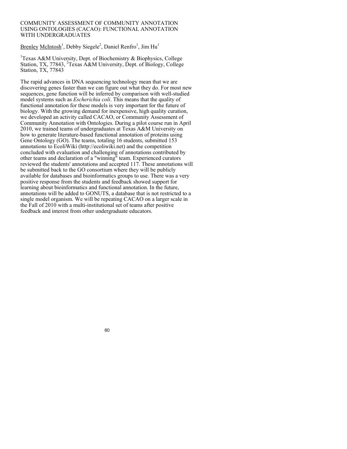### COMMUNITY ASSESSMENT OF COMMUNITY ANNOTATION USING ONTOLOGIES (CACAO): FUNCTIONAL ANNOTATION WITH UNDERGRADUATES

Brenley McIntosh<sup>1</sup>, Debby Siegele<sup>2</sup>, Daniel Renfro<sup>1</sup>, Jim Hu<sup>1</sup>

<sup>1</sup>Texas A&M University, Dept. of Biochemistry & Biophysics, College Station, TX, 77843, <sup>2</sup>Texas A&M University, Dept. of Biology, College Station, TX, 77843

The rapid advances in DNA sequencing technology mean that we are discovering genes faster than we can figure out what they do. For most new sequences, gene function will be inferred by comparison with well-studied model systems such as *Escherichia coli*. This means that the quality of functional annotation for these models is very important for the future of biology. With the growing demand for inexpensive, high quality curation, we developed an activity called CACAO, or Community Assessment of Community Annotation with Ontologies. During a pilot course run in April 2010, we trained teams of undergraduates at Texas A&M University on how to generate literature-based functional annotation of proteins using Gene Ontology (GO). The teams, totaling 16 students, submitted 153 annotations to EcoliWiki (http://ecoliwiki.net) and the competition concluded with evaluation and challenging of annotations contributed by other teams and declaration of a "winning" team. Experienced curators reviewed the students' annotations and accepted 117. These annotations will be submitted back to the GO consortium where they will be publicly available for databases and bioinformatics groups to use. There was a very positive response from the students and feedback showed support for learning about bioinformatics and functional annotation. In the future, annotations will be added to GONUTS, a database that is not restricted to a single model organism. We will be repeating CACAO on a larger scale in the Fall of 2010 with a multi-institutional set of teams after positive feedback and interest from other undergraduate educators.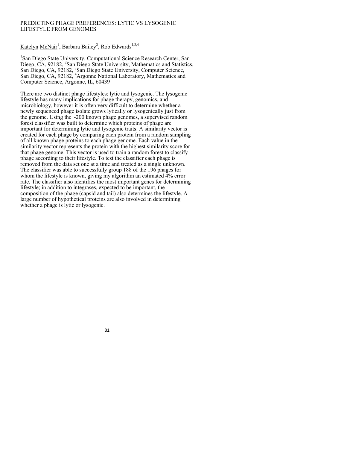## PREDICTING PHAGE PREFERENCES: LYTIC VS LYSOGENIC LIFESTYLE FROM GENOMES

Katelyn McNair<sup>1</sup>, Barbara Bailey<sup>2</sup>, Rob Edwards<sup>1,3,4</sup>

<sup>1</sup>San Diego State University, Computational Science Research Center, San Diego, CA, 92182, <sup>2</sup>San Diego State University, Mathematics and Statistics, San Diego, CA, 92182, <sup>3</sup>San Diego State University, Computer Science, San Diego, CA, 92182, <sup>4</sup>Argonne National Laboratory, Mathematics and Computer Science, Argonne, IL, 60439

There are two distinct phage lifestyles: lytic and lysogenic. The lysogenic lifestyle has many implications for phage therapy, genomics, and microbiology, however it is often very difficult to determine whether a newly sequenced phage isolate grows lytically or lysogenically just from the genome. Using the  $\sim$ 200 known phage genomes, a supervised random forest classifier was built to determine which proteins of phage are important for determining lytic and lysogenic traits. A similarity vector is created for each phage by comparing each protein from a random sampling of all known phage proteins to each phage genome. Each value in the similarity vector represents the protein with the highest similarity score for that phage genome. This vector is used to train a random forest to classify phage according to their lifestyle. To test the classifier each phage is removed from the data set one at a time and treated as a single unknown. The classifier was able to successfully group 188 of the 196 phages for whom the lifestyle is known, giving my algorithm an estimated 4% error rate. The classifier also identifies the most important genes for determining lifestyle; in addition to integrases, expected to be important, the composition of the phage (capsid and tail) also determines the lifestyle. A large number of hypothetical proteins are also involved in determining whether a phage is lytic or lysogenic.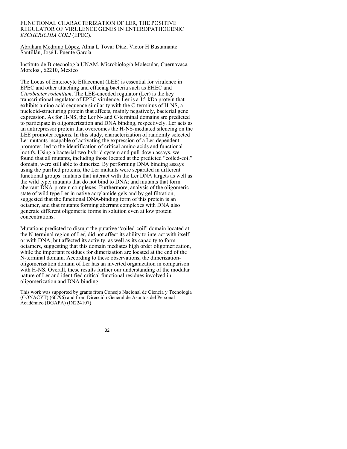FUNCTIONAL CHARACTERIZATION OF LER, THE POSITIVE REGULATOR OF VIRULENCE GENES IN ENTEROPATHOGENIC *ESCHERICHIA COLI* (EPEC).

Abraham Medrano López, Alma L Tovar Díaz, Victor H Bustamante Santillán, José L Puente García

Instituto de Biotecnología UNAM, Microbiología Molecular, Cuernavaca Morelos , 62210, Mexico

The Locus of Enterocyte Effacement (LEE) is essential for virulence in EPEC and other attaching and effacing bacteria such as EHEC and *Citrobacter rodentium*. The LEE-encoded regulator (Ler) is the key transcriptional regulator of EPEC virulence. Ler is a 15-kDa protein that exhibits amino acid sequence similarity with the C-terminus of H-NS, a nucleoid-structuring protein that affects, mainly negatively, bacterial gene expression. As for H-NS, the Ler N- and C-terminal domains are predicted to participate in oligomerization and DNA binding, respectively. Ler acts as an antirepressor protein that overcomes the H-NS-mediated silencing on the LEE promoter regions. In this study, characterization of randomly selected Ler mutants incapable of activating the expression of a Ler-dependent promoter, led to the identification of critical amino acids and functional motifs. Using a bacterial two-hybrid system and pull-down assays, we found that all mutants, including those located at the predicted "coiled-coil" domain, were still able to dimerize. By performing DNA binding assays using the purified proteins, the Ler mutants were separated in different functional groups: mutants that interact with the Ler DNA targets as well as the wild type; mutants that do not bind to DNA; and mutants that form aberrant DNA-protein complexes. Furthermore, analysis of the oligomeric state of wild type Ler in native acrylamide gels and by gel filtration, suggested that the functional DNA-binding form of this protein is an octamer, and that mutants forming aberrant complexes with DNA also generate different oligomeric forms in solution even at low protein concentrations.

Mutations predicted to disrupt the putative "coiled-coil" domain located at the N-terminal region of Ler, did not affect its ability to interact with itself or with DNA, but affected its activity, as well as its capacity to form octamers, suggesting that this domain mediates high order oligomerization, while the important residues for dimerization are located at the end of the N-terminal domain. According to these observations, the dimerizationoligomerization domain of Ler has an inverted organization in comparison with H-NS. Overall, these results further our understanding of the modular nature of Ler and identified critical functional residues involved in oligomerization and DNA binding.

This work was supported by grants from Consejo Nacional de Ciencia y Tecnología (CONACYT) (60796) and from Dirección General de Asuntos del Personal Académico (DGAPA) (IN224107)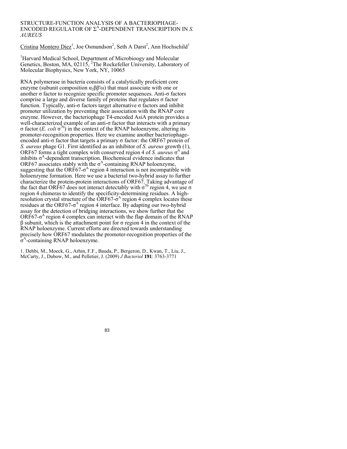#### STRUCTURE-FUNCTION ANALYSIS OF A BACTERIOPHAGE-ENCODED REGULATOR OF  $\Sigma^A$ -DEPENDENT TRANSCRIPTION IN *S*. *AUREUS*

 $C$ ristina Montero Diez<sup>1</sup>, Joe Osmundson<sup>2</sup>, Seth A Darst<sup>2</sup>, Ann Hochschild<sup>1</sup>

<sup>1</sup>Harvard Medical School, Department of Microbioogy and Molecular Genetics, Boston, MA, 02115, <sup>2</sup>The Rockefeller University, Laboratory of Molecular Biophysics, New York, NY, 10065

RNA polymerase in bacteria consists of a catalytically proficient core enzyme (subunit composition  $\alpha_2\beta\beta\omega$ ) that must associate with one or another σ factor to recognize specific promoter sequences. Anti-σ factors comprise a large and diverse family of proteins that regulates σ factor function. Typically, anti-σ factors target alternative σ factors and inhibit promoter utilization by preventing their association with the RNAP core enzyme. However, the bacteriophage T4-encoded AsiA protein provides a well-characterized example of an anti-σ factor that interacts with a primary σ factor (*E. coli* σ70) in the context of the RNAP holoenzyme, altering its promoter-recognition properties. Here we examine another bacteriophageencoded anti-σ factor that targets a primary σ factor: the ORF67 protein of *S. aureus* phage G1. First identified as an inhibitor of *S. aureus* growth (1), ORF67 forms a tight complex with conserved region 4 of *S. aureus*  $\sigma$ <sup>A</sup> and inhibits  $\sigma^A$ -dependent transcription. Biochemical evidence indicates that ORF67 associates stably with the  $\sigma$ <sup>A</sup>-containing RNAP holoenzyme, suggesting that the ORF67- $\sigma$ <sup>A</sup> region 4 interaction is not incompatible with holoenzyme formation. Here we use a bacterial two-hybrid assay to further characterize the protein-protein interactions of ORF67. Taking advantage of the fact that ORF67 does not interact detectably with  $\sigma^{70}$  region 4, we use  $\sigma$ region 4 chimeras to identify the specificity-determining residues. A highresolution crystal structure of the ORF67- $\sigma$ <sup>A</sup> region 4 complex locates these residues at the ORF67- $\sigma$ <sup>A</sup> region 4 interface. By adapting our two-hybrid assay for the detection of bridging interactions, we show further that the  $ORF67-\sigma^A$  region 4 complex can interact with the flap domain of the RNAP  $β$  subunit, which is the attachment point for  $σ$  region  $4$  in the context of the RNAP holoenzyme. Current efforts are directed towards understanding precisely how ORF67 modulates the promoter-recognition properties of the  $σ<sup>A</sup>$ -containing RNAP holoenzyme.

1. Dehbi, M., Moeck, G., Arhin, F.F., Bauda, P., Bergeron, D., Kwan, T., Liu, J., McCarty, J., Dubow, M., and Pelletier, J. (2009) *J Bacteriol* **191**: 3763-3771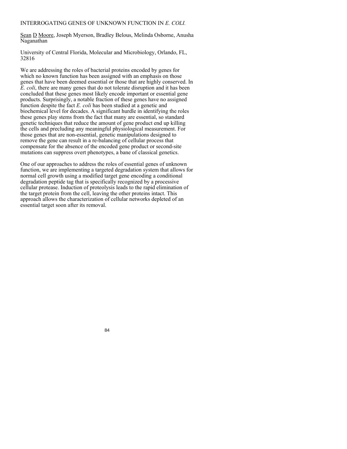## INTERROGATING GENES OF UNKNOWN FUNCTION IN *E. COLI.*

Sean D Moore, Joseph Myerson, Bradley Belous, Melinda Osborne, Anusha Naganathan

University of Central Florida, Molecular and Microbiology, Orlando, FL, 32816

We are addressing the roles of bacterial proteins encoded by genes for which no known function has been assigned with an emphasis on those genes that have been deemed essential or those that are highly conserved. In *E. coli*, there are many genes that do not tolerate disruption and it has been concluded that these genes most likely encode important or essential gene products. Surprisingly, a notable fraction of these genes have no assigned function despite the fact *E. coli* has been studied at a genetic and biochemical level for decades. A significant hurdle in identifying the roles these genes play stems from the fact that many are essential, so standard genetic techniques that reduce the amount of gene product end up killing the cells and precluding any meaningful physiological measurement. For those genes that are non-essential, genetic manipulations designed to remove the gene can result in a re-balancing of cellular process that compensate for the absence of the encoded gene product or second-site mutations can suppress overt phenotypes, a bane of classical genetics.

One of our approaches to address the roles of essential genes of unknown function, we are implementing a targeted degradation system that allows for normal cell growth using a modified target gene encoding a conditional degradation peptide tag that is specifically recognized by a processive cellular protease. Induction of proteolysis leads to the rapid elimination of the target protein from the cell, leaving the other proteins intact. This approach allows the characterization of cellular networks depleted of an essential target soon after its removal.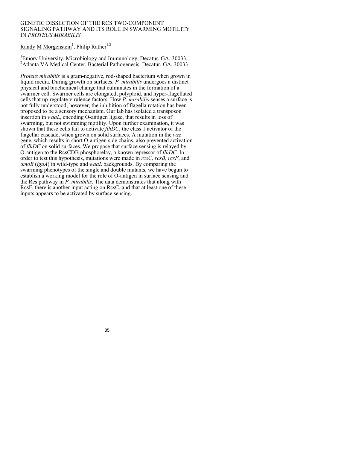### GENETIC DISSECTION OF THE RCS TWO-COMPONENT SIGNALING PATHWAY AND ITS ROLE IN SWARMING MOTILITY IN *PROTEUS MIRABILIS*

# Randy M Morgenstein<sup>1</sup>, Philip Rather<sup>1,2</sup>

Emory University, Microbiology and Immunology, Decatur, GA, 30033, <sup>2</sup> Atlanta VA Medical Center, Bacterial Pathogenesis, Decatur, GA, 30033

*Proteus mirabilis* is a gram-negative, rod-shaped bacterium when grown in liquid media. During growth on surfaces, *P. mirabilis* undergoes a distinct physical and biochemical change that culminates in the formation of a swarmer cell. Swarmer cells are elongated, polyploid, and hyper-flagellated cells that up-regulate virulence factors. How *P. mirabilis* senses a surface is not fully understood, however, the inhibition of flagella rotation has been proposed to be a sensory mechanism. Our lab has isolated a transposon insertion in *waaL*, encoding O-antigen ligase, that results in loss of swarming, but not swimming motility. Upon further examination, it was shown that these cells fail to activate *flhDC*, the class 1 activator of the flagellar cascade, when grown on solid surfaces. A mutation in the *wzz* gene, which results in short O-antigen side chains, also prevented activation of *flhDC* on solid surfaces. We propose that surface sensing is relayed by O-antigen to the RcsCDB phosphorelay, a known repressor of *flhDC*. In order to test this hypothesis, mutations were made in *rcsC, rcsB, rcsF*, and *umoB* (*igaA*) in wild-type and *waaL* backgrounds. By comparing the swarming phenotypes of the single and double mutants, we have begun to establish a working model for the role of O-antigen in surface sensing and the Rcs pathway in *P. mirabilis*. The data demonstrates that along with RcsF, there is another input acting on RcsC, and that at least one of these inputs appears to be activated by surface sensing.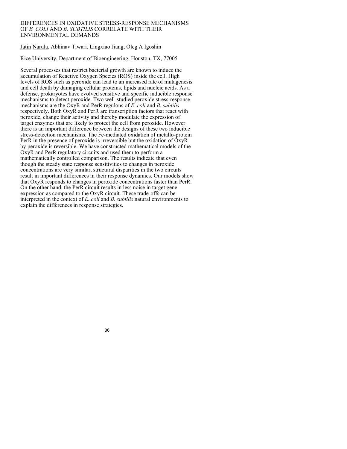#### DIFFERENCES IN OXIDATIVE STRESS-RESPONSE MECHANISMS OF *E. COLI* AND *B. SUBTILIS* CORRELATE WITH THEIR ENVIRONMENTAL DEMANDS

## Jatin Narula, Abhinav Tiwari, Lingxiao Jiang, Oleg A Igoshin

Rice University, Department of Bioengineering, Houston, TX, 77005

Several processes that restrict bacterial growth are known to induce the accumulation of Reactive Oxygen Species (ROS) inside the cell. High levels of ROS such as peroxide can lead to an increased rate of mutagenesis and cell death by damaging cellular proteins, lipids and nucleic acids. As a defense, prokaryotes have evolved sensitive and specific inducible response mechanisms to detect peroxide. Two well-studied peroxide stress-response mechanisms are the OxyR and PerR regulons of *E. coli* and *B. subtilis* respectively. Both OxyR and PerR are transcription factors that react with peroxide, change their activity and thereby modulate the expression of target enzymes that are likely to protect the cell from peroxide. However there is an important difference between the designs of these two inducible stress-detection mechanisms. The Fe-mediated oxidation of metallo-protein PerR in the presence of peroxide is irreversible but the oxidation of OxyR by peroxide is reversible. We have constructed mathematical models of the OxyR and PerR regulatory circuits and used them to perform a mathematically controlled comparison. The results indicate that even though the steady state response sensitivities to changes in peroxide concentrations are very similar, structural disparities in the two circuits result in important differences in their response dynamics. Our models show that OxyR responds to changes in peroxide concentrations faster than PerR. On the other hand, the PerR circuit results in less noise in target gene expression as compared to the OxyR circuit. These trade-offs can be interpreted in the context of *E. coli* and *B. subtilis* natural environments to explain the differences in response strategies.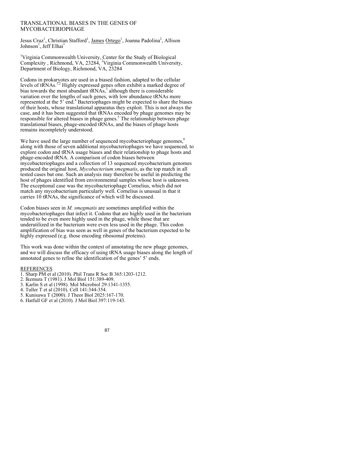### TRANSLATIONAL BIASES IN THE GENES OF MYCOBACTERIOPHAGE

Jesus Cruz<sup>1</sup>, Christian Stafford<sup>1</sup>, James Ortego<sup>1</sup>, Joanna Padolina<sup>2</sup>, Allison Johnson<sup>1</sup>, Jeff Elhai<sup>1</sup>

<sup>1</sup>Virginia Commonwealth University, Center for the Study of Biological Complexity, Richmond, VA, 23284,<sup>2</sup> Virginia Commonwealth University, Department of Biology, Richmond, VA, 23284

Codons in prokaryotes are used in a biased fashion, adapted to the cellular levels of tRNAs.<sup>1,2</sup> Highly expressed genes often exhibit a marked degree of bias towards the most abundant  $tRNAs$ ,<sup>3</sup> although there is considerable variation over the lengths of such genes, with low abundance tRNAs more represented at the 5' end.<sup>4</sup> Bacteriophages might be expected to share the biases of their hosts, whose translational apparatus they exploit. This is not always the case, and it has been suggested that tRNAs encoded by phage genomes may be responsible for altered biases in phage genes.<sup>5</sup> The relationship between phage translational biases, phage-encoded tRNAs, and the biases of phage hosts remains incompletely understood.

We have used the large number of sequenced mycobacteriophage genomes,<sup>6</sup> along with those of seven additional mycobacteriophages we have sequenced, to explore codon and tRNA usage biases and their relationship to phage hosts and phage-encoded tRNA. A comparison of codon biases between mycobacteriophages and a collection of 13 sequenced mycobacterium genomes produced the original host, *Mycobacterium smegmatis*, as the top match in all tested cases but one. Such an analysis may therefore be useful in predicting the host of phages identified from environmental samples whose host is unknown. The exceptional case was the mycobacteriophage Cornelius, which did not match any mycobacterium particularly well. Cornelius is unusual in that it carries 10 tRNAs, the significance of which will be discussed.

Codon biases seen in *M. smegmatis* are sometimes amplified within the mycobacteriophages that infect it. Codons that are highly used in the bacterium tended to be even more highly used in the phage, while those that are underutilized in the bacterium were even less used in the phage. This codon amplification of bias was seen as well in genes of the bacterium expected to be highly expressed (e.g. those encoding ribosomal proteins).

This work was done within the context of annotating the new phage genomes, and we will discuss the efficacy of using tRNA usage biases along the length of annotated genes to refine the identification of the genes' 5' ends.

#### REFERENCES

- 1. Sharp PM et al (2010). Phil Trans R Soc B 365:1203-1212.
- 2. Ikemura T (1981). J Mol Biol 151:389-409.
- 3. Karlin S et al (1998). Mol Microbiol 29:1341-1355.
- 4. Tuller T et al (2010). Cell 141:344-354.
- 5. Kunisawa T (2000). J Theor Biol 2025:167-170.
- 6. Hatfull GF et al (2010). J Mol Biol 397:119-143.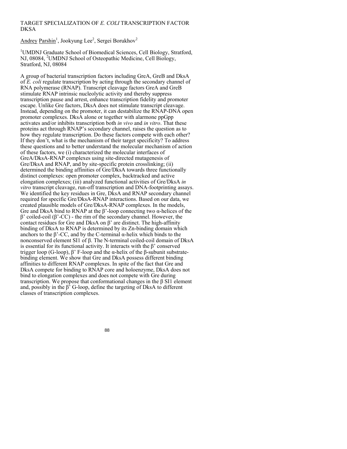## TARGET SPECIALIZATION OF *E. COLI* TRANSCRIPTION FACTOR **DKSA**

Andrey Parshin<sup>1</sup>, Jookyung Lee<sup>2</sup>, Sergei Borukhov<sup>2</sup>

<sup>1</sup>UMDNJ Graduate School of Biomedical Sciences, Cell Biology, Stratford, NJ, 08084, <sup>2</sup>UMDNJ School of Osteopathic Medicine, Cell Biology, Stratford, NJ, 08084

A group of bacterial transcription factors including GreA, GreB and DksA of *E. coli* regulate transcription by acting through the secondary channel of RNA polymerase (RNAP). Transcript cleavage factors GreA and GreB stimulate RNAP intrinsic nucleolytic activity and thereby suppress transcription pause and arrest, enhance transcription fidelity and promoter escape. Unlike Gre factors, DksA does not stimulate transcript cleavage. Instead, depending on the promoter, it can destabilize the RNAP-DNA open promoter complexes. DksA alone or together with alarmone ppGpp activates and/or inhibits transcription both *in vivo* and *in vitro*. That these proteins act through RNAP's secondary channel, raises the question as to how they regulate transcription. Do these factors compete with each other? If they don't, what is the mechanism of their target specificity? To address these questions and to better understand the molecular mechanism of action of these factors, we (i) characterized the molecular interfaces of GreA/DksA-RNAP complexes using site-directed mutagenesis of Gre/DksA and RNAP, and by site-specific protein crosslinking; (ii) determined the binding affinities of Gre/DksA towards three functionally distinct complexes: open promoter complex, backtracked and active elongation complexes; (iii) analyzed functional activities of Gre/DksA *in vitro* transcript cleavage, run-off transcription and DNA-footprinting assays. We identified the key residues in Gre, DksA and RNAP secondary channel required for specific Gre/DksA-RNAP interactions. Based on our data, we created plausible models of Gre/DksA-RNAP complexes. In the models, Gre and DksA bind to RNAP at the β'-loop connecting two α-helices of the β' coiled-coil (β'-CC) - the rim of the secondary channel. However, the contact residues for Gre and DksA on β' are distinct. The high-affinity binding of DksA to RNAP is determined by its Zn-binding domain which anchors to the β'-CC, and by the C-terminal α-helix which binds to the nonconserved element SI1 of β. The N-terminal coiled-coil domain of DksA is essential for its functional activity. It interacts with the β' conserved trigger loop (G-loop),  $\beta$ ' F-loop and the α-helix of the β-subunit substratebinding element. We show that Gre and DksA possess different binding affinities to different RNAP complexes. In spite of the fact that Gre and DksA compete for binding to RNAP core and holoenzyme, DksA does not bind to elongation complexes and does not compete with Gre during transcription. We propose that conformational changes in the β SI1 element and, possibly in the β' G-loop, define the targeting of DksA to different classes of transcription complexes.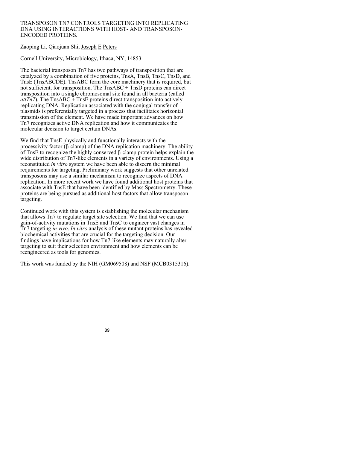### TRANSPOSON TN7 CONTROLS TARGETING INTO REPLICATING DNA USING INTERACTIONS WITH HOST- AND TRANSPOSON-ENCODED PROTEINS.

# Zaoping Li, Qiaojuan Shi, Joseph E Peters

Cornell University, Microbiology, Ithaca, NY, 14853

The bacterial transposon Tn7 has two pathways of transposition that are catalyzed by a combination of five proteins, TnsA, TnsB, TnsC, TnsD, and TnsE (TnsABCDE). TnsABC form the core machinery that is required, but not sufficient, for transposition. The TnsABC + TnsD proteins can direct transposition into a single chromosomal site found in all bacteria (called  $atTn7$ ). The TnsABC + TnsE proteins direct transposition into actively replicating DNA. Replication associated with the conjugal transfer of plasmids is preferentially targeted in a process that facilitates horizontal transmission of the element. We have made important advances on how Tn7 recognizes active DNA replication and how it communicates the molecular decision to target certain DNAs.

We find that TnsE physically and functionally interacts with the processivity factor (β-clamp) of the DNA replication machinery. The ability of TnsE to recognize the highly conserved β-clamp protein helps explain the wide distribution of Tn7-like elements in a variety of environments. Using a reconstituted *in vitro* system we have been able to discern the minimal requirements for targeting. Preliminary work suggests that other unrelated transposons may use a similar mechanism to recognize aspects of DNA replication. In more recent work we have found additional host proteins that associate with TnsE that have been identified by Mass Spectrometry. These proteins are being pursued as additional host factors that allow transposon targeting.

Continued work with this system is establishing the molecular mechanism that allows Tn7 to regulate target site selection. We find that we can use gain-of-activity mutations in TnsE and TnsC to engineer vast changes in Tn7 targeting *in vivo*. *In vitro* analysis of these mutant proteins has revealed biochemical activities that are crucial for the targeting decision. Our findings have implications for how Tn7-like elements may naturally alter targeting to suit their selection environment and how elements can be reengineered as tools for genomics.

This work was funded by the NIH (GM069508) and NSF (MCB0315316).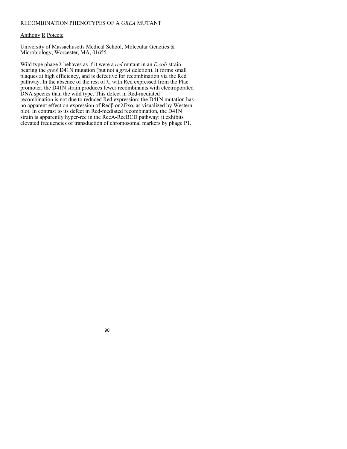## RECOMBINATION PHENOTYPES OF A *GREA* MUTANT

## Anthony R Poteete

University of Massachusetts Medical School, Molecular Genetics & Microbiology, Worcester, MA, 01655

Wild type phage λ behaves as if it were a *red* mutant in an *E.coli* strain bearing the *greA* D41N mutation (but not a *greA* deletion). It forms small plaques at high efficiency, and is defective for recombination via the Red pathway. In the absence of the rest of  $\lambda$ , with Red expressed from the Ptac promoter, the D41N strain produces fewer recombinants with electroporated DNA species than the wild type. This defect in Red-mediated recombination is not due to reduced Red expression; the D41N mutation has no apparent effect on expression of Redβ or λExo, as visualized by Western blot. In contrast to its defect in Red-mediated recombination, the D41N strain is apparently hyper-rec in the RecA-RecBCD pathway: it exhibits elevated frequencies of transduction of chromosomal markers by phage P1.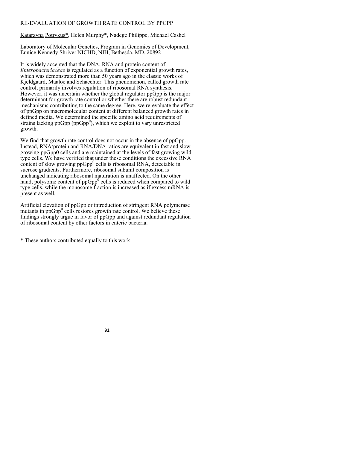## RE-EVALUATION OF GROWTH RATE CONTROL BY PPGPP

Katarzyna Potrykus\*, Helen Murphy\*, Nadege Philippe, Michael Cashel

Laboratory of Molecular Genetics, Program in Genomics of Development, Eunice Kennedy Shriver NICHD, NIH, Bethesda, MD, 20892

It is widely accepted that the DNA, RNA and protein content of *Enterobacteriaceae* is regulated as a function of exponential growth rates, which was demonstrated more than 50 years ago in the classic works of Kjeldgaard, Maaloe and Schaechter. This phenomenon, called growth rate control, primarily involves regulation of ribosomal RNA synthesis. However, it was uncertain whether the global regulator ppGpp is the major determinant for growth rate control or whether there are robust redundant mechanisms contributing to the same degree. Here, we re-evaluate the effect of ppGpp on macromolecular content at different balanced growth rates in defined media. We determined the specific amino acid requirements of strains lacking ppGpp (ppGpp<sup>0</sup>), which we exploit to vary unrestricted growth.

We find that growth rate control does not occur in the absence of ppGpp. Instead, RNA/protein and RNA/DNA ratios are equivalent in fast and slow growing ppGpp0 cells and are maintained at the levels of fast growing wild type cells. We have verified that under these conditions the excessive RNA content of slow growing  $ppGpp<sup>0</sup>$  cells is ribosomal RNA, detectable in sucrose gradients. Furthermore, ribosomal subunit composition is unchanged indicating ribosomal maturation is unaffected. On the other hand, polysome content of  $ppGpp<sup>0</sup>$  cells is reduced when compared to wild type cells, while the monosome fraction is increased as if excess mRNA is present as well.

Artificial elevation of ppGpp or introduction of stringent RNA polymerase mutants in ppGpp $^0$  cells restores growth rate control. We believe these findings strongly argue in favor of ppGpp and against redundant regulation of ribosomal content by other factors in enteric bacteria.

\* These authors contributed equally to this work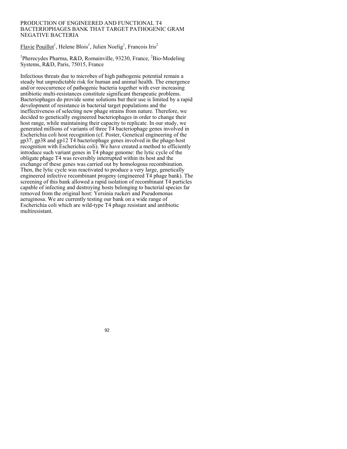### PRODUCTION OF ENGINEERED AND FUNCTIONAL T4 BACTERIOPHAGES BANK THAT TARGET PATHOGENIC GRAM NEGATIVE BACTERIA

Flavie Pouillot<sup>1</sup>, Helene Blois<sup>1</sup>, Julien Noelig<sup>1</sup>, Francois Iris<sup>2</sup>

<sup>1</sup>Pherecydes Pharma, R&D, Romainville, 93230, France, <sup>2</sup>Bio-Modeling Systems, R&D, Paris, 75015, France

Infectious threats due to microbes of high pathogenic potential remain a steady but unpredictable risk for human and animal health. The emergence and/or reoccurrence of pathogenic bacteria together with ever increasing antibiotic multi-resistances constitute significant therapeutic problems. Bacteriophages do provide some solutions but their use is limited by a rapid development of resistance in bacterial target populations and the ineffectiveness of selecting new phage strains from nature. Therefore, we decided to genetically engineered bacteriophages in order to change their host range, while maintaining their capacity to replicate. In our study, we generated millions of variants of three T4 bacteriophage genes involved in Escherichia coli host recognition (cf. Poster, Genetical engineering of the gp37, gp38 and gp12 T4 bacteriophage genes involved in the phage-host recognition with Escherichia coli). We have created a method to efficiently introduce such variant genes in T4 phage genome: the lytic cycle of the obligate phage T4 was reversibly interrupted within its host and the exchange of these genes was carried out by homologous recombination. Then, the lytic cycle was reactivated to produce a very large, genetically engineered infective recombinant progeny (engineered T4 phage bank). The screening of this bank allowed a rapid isolation of recombinant T4 particles capable of infecting and destroying hosts belonging to bacterial species far removed from the original host: Yersinia ruckeri and Pseudomonas aeruginosa. We are currently testing our bank on a wide range of Escherichia coli which are wild-type T4 phage resistant and antibiotic multiresistant.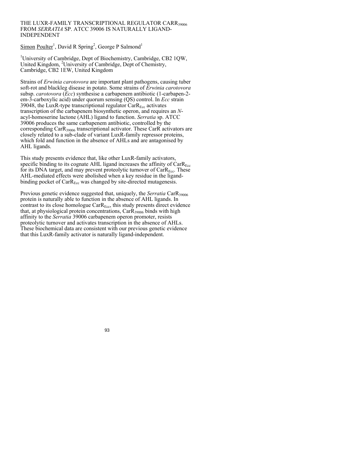### THE LUXR-FAMILY TRANSCRIPTIONAL REGULATOR CARR39006 FROM *SERRATIA* SP. ATCC 39006 IS NATURALLY LIGAND-INDEPENDENT

Simon Poulter<sup>1</sup>, David R Spring<sup>2</sup>, George P Salmond<sup>1</sup>

<sup>1</sup>University of Cambridge, Dept of Biochemistry, Cambridge, CB2 1QW, United Kingdom, <sup>2</sup>University of Cambridge, Dept of Chemistry, Cambridge, CB2 1EW, United Kingdom

Strains of *Erwinia carotovora* are important plant pathogens, causing tuber soft-rot and blackleg disease in potato. Some strains of *Erwinia carotovora* subsp. *carotovora* (*Ecc*) synthesise a carbapenem antibiotic (1-carbapen-2 em-3-carboxylic acid) under quorum sensing (QS) control. In *Ecc* strain 39048, the LuxR-type transcriptional regulator  $CarR<sub>Ec</sub>$  activates transcription of the carbapenem biosynthetic operon, and requires an *N*acyl-homoserine lactone (AHL) ligand to function. *Serratia* sp. ATCC 39006 produces the same carbapenem antibiotic, controlled by the corresponding CarR39006 transcriptional activator. These CarR activators are closely related to a sub-clade of variant LuxR-family repressor proteins, which fold and function in the absence of AHLs and are antagonised by AHL ligands.

This study presents evidence that, like other LuxR-family activators, specific binding to its cognate AHL ligand increases the affinity of  $CarR<sub>Ec</sub>$ for its DNA target, and may prevent proteolytic turnover of  $CarR<sub>Ecc</sub>$ . These AHL-mediated effects were abolished when a key residue in the ligandbinding pocket of  $CarR_{Ecc}$  was changed by site-directed mutagenesis.

Previous genetic evidence suggested that, uniquely, the *Serratia* CarR<sub>39006</sub> protein is naturally able to function in the absence of AHL ligands. In contrast to its close homologue  $CarR<sub>Ecc</sub>$ , this study presents direct evidence that, at physiological protein concentrations,  $CarR<sub>39006</sub>$  binds with high affinity to the *Serratia* 39006 carbapenem operon promoter, resists proteolytic turnover and activates transcription in the absence of AHLs. These biochemical data are consistent with our previous genetic evidence that this LuxR-family activator is naturally ligand-independent.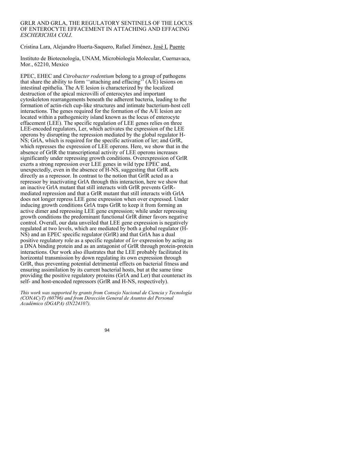## GRLR AND GRLA, THE REGULATORY SENTINELS OF THE LOCUS OF ENTEROCYTE EFFACEMENT IN ATTACHING AND EFFACING *ESCHERICHIA COLI*.

Cristina Lara, Alejandro Huerta-Saquero, Rafael Jiménez, José L Puente

Instituto de Biotecnología, UNAM, Microbiología Molecular, Cuernavaca, Mor., 62210, Mexico

EPEC, EHEC and *Citrobacter rodentium* belong to a group of pathogens that share the ability to form ''attaching and effacing'' (A/E) lesions on intestinal epithelia. The A/E lesion is characterized by the localized destruction of the apical microvilli of enterocytes and important cytoskeleton rearrangements beneath the adherent bacteria, leading to the formation of actin-rich cup-like structures and intimate bacterium-host cell interactions. The genes required for the formation of the A/E lesion are located within a pathogenicity island known as the locus of enterocyte effacement (LEE). The specific regulation of LEE genes relies on three LEE-encoded regulators, Ler, which activates the expression of the LEE operons by disrupting the repression mediated by the global regulator H-NS; GrlA, which is required for the specific activation of ler; and GrlR, which represses the expression of LEE operons. Here, we show that in the absence of GrlR the transcriptional activity of LEE operons increases significantly under repressing growth conditions. Overexpression of GrlR exerts a strong repression over LEE genes in wild type EPEC and, unexpectedly, even in the absence of H-NS, suggesting that GrlR acts directly as a repressor. In contrast to the notion that GrlR acted as a repressor by inactivating GrlA through this interaction, here we show that an inactive GrlA mutant that still interacts with GrlR prevents GrlRmediated repression and that a GrlR mutant that still interacts with GrlA does not longer repress LEE gene expression when over expressed. Under inducing growth conditions GrlA traps GrlR to keep it from forming an active dimer and repressing LEE gene expression; while under repressing growth conditions the predominant functional GrlR dimer favors negative control. Overall, our data unveiled that LEE gene expression is negatively regulated at two levels, which are mediated by both a global regulator (H-NS) and an EPEC specific regulator (GrlR) and that GrlA has a dual positive regulatory role as a specific regulator of *ler* expression by acting as a DNA binding protein and as an antagonist of GrlR through protein-protein interactions. Our work also illustrates that the LEE probably facilitated its horizontal transmission by down regulating its own expression through GrlR, thus preventing potential detrimental effects on bacterial fitness and ensuring assimilation by its current bacterial hosts, but at the same time providing the positive regulatory proteins (GrlA and Ler) that counteract its self- and host-encoded repressors (GrlR and H-NS, respectively).

*This work was supported by grants from Consejo Nacional de Ciencia y Tecnología (CONACyT) (60796) and from Dirección General de Asuntos del Personal Académico (DGAPA) (IN224107).*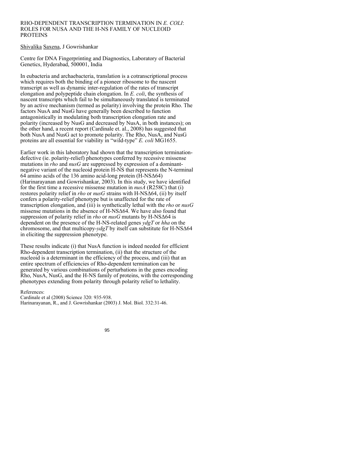#### RHO-DEPENDENT TRANSCRIPTION TERMINATION IN *E. COLI*: ROLES FOR NUSA AND THE H-NS FAMILY OF NUCLEOID PROTEINS

## Shivalika Saxena, J Gowrishankar

Centre for DNA Fingerprinting and Diagnostics, Laboratory of Bacterial Genetics, Hyderabad, 500001, India

In eubacteria and archaebacteria, translation is a cotranscriptional process which requires both the binding of a pioneer ribosome to the nascent transcript as well as dynamic inter-regulation of the rates of transcript elongation and polypeptide chain elongation. In *E. coli*, the synthesis of nascent transcripts which fail to be simultaneously translated is terminated by an active mechanism (termed as polarity) involving the protein Rho. The factors NusA and NusG have generally been described to function antagonistically in modulating both transcription elongation rate and polarity (increased by NusG and decreased by NusA, in both instances); on the other hand, a recent report (Cardinale et. al., 2008) has suggested that both NusA and NusG act to promote polarity. The Rho, NusA, and NusG proteins are all essential for viability in "wild-type" *E. coli* MG1655.

Earlier work in this laboratory had shown that the transcription terminationdefective (ie. polarity-relief) phenotypes conferred by recessive missense mutations in *rho* and *nusG* are suppressed by expression of a dominantnegative variant of the nucleoid protein H-NS that represents the N-terminal 64 amino acids of the 136 amino acid-long protein (H-NSΔ64) (Harinarayanan and Gowrishankar, 2003). In this study, we have identified for the first time a recessive missense mutation in *nusA* (R258C) that (i) restores polarity relief in *rho* or *nusG* strains with H-NSΔ64, (ii) by itself confers a polarity-relief phenotype but is unaffected for the rate of transcription elongation, and (iii) is synthetically lethal with the *rho* or *nusG* missense mutations in the absence of H-NSΔ64. We have also found that suppression of polarity relief in *rho* or *nusG* mutants by H-NSΔ64 is dependent on the presence of the H-NS-related genes *ydgT* or *hha* on the chromosome, and that multicopy-*ydgT* by itself can substitute for H-NSΔ64 in eliciting the suppression phenotype.

These results indicate (i) that NusA function is indeed needed for efficient Rho-dependent transcription termination, (ii) that the structure of the nucleoid is a determinant in the efficiency of the process, and (iii) that an entire spectrum of efficiencies of Rho-dependent termination can be generated by various combinations of perturbations in the genes encoding Rho, NusA, NusG, and the H-NS family of proteins, with the corresponding phenotypes extending from polarity through polarity relief to lethality.

References:

Cardinale et al (2008) Science 320: 935-938. Harinarayanan, R., and J. Gowrishankar (2003) J. Mol. Biol. 332:31-46.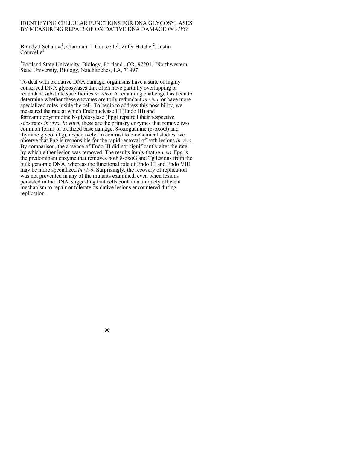## IDENTIFYING CELLULAR FUNCTIONS FOR DNA GLYCOSYLASES BY MEASURING REPAIR OF OXIDATIVE DNA DAMAGE *IN VIVO*

Brandy J Schalow<sup>1</sup>, Charmain T Courcelle<sup>1</sup>, Zafer Hatahet<sup>2</sup>, Justin  $\overline{\text{Course}}$ lle<sup>1</sup>

<sup>1</sup>Portland State University, Biology, Portland, OR, 97201, <sup>2</sup>Northwestern State University, Biology, Natchitoches, LA, 71497

To deal with oxidative DNA damage, organisms have a suite of highly conserved DNA glycosylases that often have partially overlapping or redundant substrate specificities *in vitro*. A remaining challenge has been to determine whether these enzymes are truly redundant *in vivo*, or have more specialized roles inside the cell. To begin to address this possibility, we measured the rate at which Endonuclease III (Endo III) and formamidopyrimidine N-glycosylase (Fpg) repaired their respective substrates *in vivo*. *In vitro*, these are the primary enzymes that remove two common forms of oxidized base damage, 8-oxoguanine (8-oxoG) and thymine glycol (Tg), respectively. In contrast to biochemical studies, we observe that Fpg is responsible for the rapid removal of both lesions *in vivo*. By comparison, the absence of Endo III did not significantly alter the rate by which either lesion was removed. The results imply that *in vivo*, Fpg is the predominant enzyme that removes both 8-oxoG and Tg lesions from the bulk genomic DNA, whereas the functional role of Endo III and Endo VIII may be more specialized *in vivo*. Surprisingly, the recovery of replication was not prevented in any of the mutants examined, even when lesions persisted in the DNA, suggesting that cells contain a uniquely efficient mechanism to repair or tolerate oxidative lesions encountered during replication.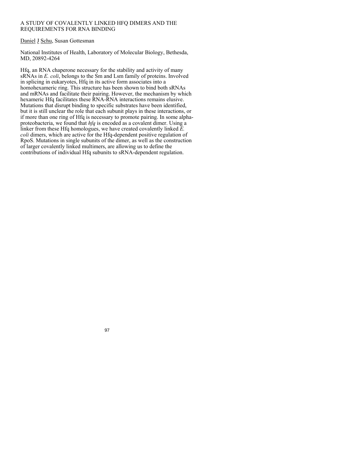## A STUDY OF COVALENTLY LINKED HFQ DIMERS AND THE REQUIREMENTS FOR RNA BINDING

## Daniel J Schu, Susan Gottesman

National Institutes of Health, Laboratory of Molecular Biology, Bethesda, MD, 20892-4264

Hfq, an RNA chaperone necessary for the stability and activity of many sRNAs in *E. coli*, belongs to the Sm and Lsm family of proteins. Involved in splicing in eukaryotes. Hfq in its active form associates into a homohexameric ring. This structure has been shown to bind both sRNAs and mRNAs and facilitate their pairing. However, the mechanism by which hexameric Hfq facilitates these RNA-RNA interactions remains elusive. Mutations that disrupt binding to specific substrates have been identified, but it is still unclear the role that each subunit plays in these interactions, or if more than one ring of Hfq is necessary to promote pairing. In some alphaproteobacteria, we found that *hfq* is encoded as a covalent dimer. Using a linker from these Hfq homologues, we have created covalently linked *E. coli* dimers, which are active for the Hfq-dependent positive regulation of RpoS. Mutations in single subunits of the dimer, as well as the construction of larger covalently linked multimers, are allowing us to define the contributions of individual Hfq subunits to sRNA-dependent regulation.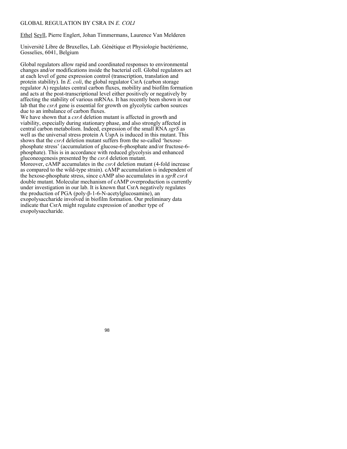## GLOBAL REGULATION BY CSRA IN *E. COLI*

Ethel Seyll, Pierre Englert, Johan Timmermans, Laurence Van Melderen

Université Libre de Bruxelles, Lab. Génétique et Physiologie bactérienne, Gosselies, 6041, Belgium

Global regulators allow rapid and coordinated responses to environmental changes and/or modifications inside the bacterial cell. Global regulators act at each level of gene expression control (transcription, translation and protein stability). In *E. coli*, the global regulator CsrA (carbon storage regulator A) regulates central carbon fluxes, mobility and biofilm formation and acts at the post-transcriptional level either positively or negatively by affecting the stability of various mRNAs. It has recently been shown in our lab that the *csrA* gene is essential for growth on glycolytic carbon sources due to an imbalance of carbon fluxes.

We have shown that a *csrA* deletion mutant is affected in growth and viability, especially during stationary phase, and also strongly affected in central carbon metabolism. Indeed, expression of the small RNA *sgrS* as well as the universal stress protein A UspA is induced in this mutant. This shows that the *csrA* deletion mutant suffers from the so-called 'hexosephosphate stress' (accumulation of glucose-6-phosphate and/or fructose-6 phosphate). This is in accordance with reduced glycolysis and enhanced gluconeogenesis presented by the *csrA* deletion mutant.

Moreover, cAMP accumulates in the *csrA* deletion mutant (4-fold increase as compared to the wild-type strain). cAMP accumulation is independent of the hexose-phosphate stress, since cAMP also accumulates in a *sgrR csrA*  double mutant. Molecular mechanism of cAMP overproduction is currently under investigation in our lab. It is known that CsrA negatively regulates the production of PGA (poly-β-1-6-N-acetylglucosamine), an exopolysaccharide involved in biofilm formation. Our preliminary data indicate that CsrA might regulate expression of another type of exopolysaccharide.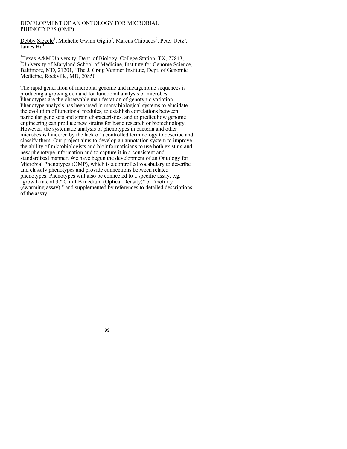### DEVELOPMENT OF AN ONTOLOGY FOR MICROBIAL PHENOTYPES (OMP)

Debby Siegele<sup>1</sup>, Michelle Gwinn Giglio<sup>2</sup>, Marcus Chibucos<sup>2</sup>, Peter Uetz<sup>3</sup>,  $I$ ames  $H<sub>II</sub>$ 

<sup>1</sup>Texas A&M University, Dept. of Biology, College Station, TX, 77843, <sup>2</sup>University of Maryland School of Medicine, Institute for Genome Science, Baltimore, MD, 21201, <sup>3</sup>The J. Craig Ventner Institute, Dept. of Genomic Medicine, Rockville, MD, 20850

The rapid generation of microbial genome and metagenome sequences is producing a growing demand for functional analysis of microbes. Phenotypes are the observable manifestation of genotypic variation. Phenotype analysis has been used in many biological systems to elucidate the evolution of functional modules, to establish correlations between particular gene sets and strain characteristics, and to predict how genome engineering can produce new strains for basic research or biotechnology. However, the systematic analysis of phenotypes in bacteria and other microbes is hindered by the lack of a controlled terminology to describe and classify them. Our project aims to develop an annotation system to improve the ability of microbiologists and bioinformaticians to use both existing and new phenotype information and to capture it in a consistent and standardized manner. We have begun the development of an Ontology for Microbial Phenotypes (OMP), which is a controlled vocabulary to describe and classify phenotypes and provide connections between related phenotypes. Phenotypes will also be connected to a specific assay, e.g. "growth rate at 37°C in LB medium (Optical Density)" or "motility (swarming assay)," and supplemented by references to detailed descriptions of the assay.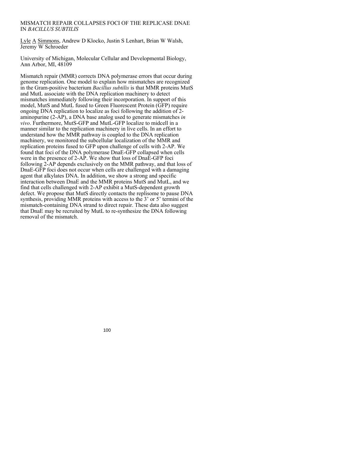## MISMATCH REPAIR COLLAPSES FOCI OF THE REPLICASE DNAE IN *BACILLUS SUBTILIS*

Lyle A Simmons, Andrew D Klocko, Justin S Lenhart, Brian W Walsh, Jeremy W Schroeder

University of Michigan, Molecular Cellular and Developmental Biology, Ann Arbor, MI, 48109

Mismatch repair (MMR) corrects DNA polymerase errors that occur during genome replication. One model to explain how mismatches are recognized in the Gram-positive bacterium *Bacillus subtilis* is that MMR proteins MutS and MutL associate with the DNA replication machinery to detect mismatches immediately following their incorporation. In support of this model, MutS and MutL fused to Green Fluorescent Protein (GFP) require ongoing DNA replication to localize as foci following the addition of 2 aminopurine (2-AP), a DNA base analog used to generate mismatches *in vivo*. Furthermore, MutS-GFP and MutL-GFP localize to midcell in a manner similar to the replication machinery in live cells. In an effort to understand how the MMR pathway is coupled to the DNA replication machinery, we monitored the subcellular localization of the MMR and replication proteins fused to GFP upon challenge of cells with 2-AP. We found that foci of the DNA polymerase DnaE-GFP collapsed when cells were in the presence of 2-AP. We show that loss of DnaE-GFP foci following 2-AP depends exclusively on the MMR pathway, and that loss of DnaE-GFP foci does not occur when cells are challenged with a damaging agent that alkylates DNA. In addition, we show a strong and specific interaction between DnaE and the MMR proteins MutS and MutL, and we find that cells challenged with 2-AP exhibit a MutS-dependent growth defect. We propose that MutS directly contacts the replisome to pause DNA synthesis, providing MMR proteins with access to the 3' or 5' termini of the mismatch-containing DNA strand to direct repair. These data also suggest that DnaE may be recruited by MutL to re-synthesize the DNA following removal of the mismatch.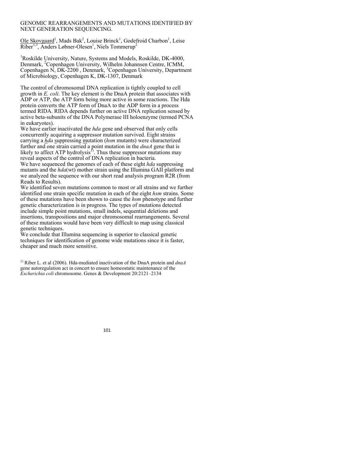## GENOMIC REARRANGEMENTS AND MUTATIONS IDENTIFIED BY NEXT GENERATION SEQUENCING.

Ole Skovgaard<sup>1</sup>, Mads Bak<sup>2</sup>, Louise Brinck<sup>1</sup>, Godefroid Charbon<sup>1</sup>, Leise Riber<sup>1,3</sup>, Anders Løbner-Olesen<sup>1</sup>, Niels Tommerup<sup>2</sup>

<sup>1</sup>Roskilde University, Nature, Systems and Models, Roskilde, DK-4000, Denmark, <sup>2</sup>Copenhagen University, Wilhelm Johannsen Centre, ICMM, Copenhagen N, DK-2200, Denmark, <sup>3</sup>Copenhagen University, Department of Microbiology, Copenhagen K, DK-1307, Denmark

The control of chromosomal DNA replication is tightly coupled to cell growth in *E. coli*. The key element is the DnaA protein that associates with ADP or ATP, the ATP form being more active in some reactions. The Hda protein converts the ATP form of DnaA to the ADP form in a process termed RIDA. RIDA depends further on active DNA replication sensed by active beta-subunits of the DNA Polymerase III holoenzyme (termed PCNA in eukaryotes).

We have earlier inactivated the *hda* gene and observed that only cells concurrently acquiring a suppressor mutation survived. Eight strains carrying a *hda* suppressing mutation (*hsm* mutants) were characterized further and one strain carried a point mutation in the *dnaA* gene that is likely to affect ATP hydrolysis<sup> $<sup>†</sup>$ . Thus these suppressor mutations may</sup></sup> reveal aspects of the control of DNA replication in bacteria.

We have sequenced the genomes of each of these eight *hda* suppressing mutants and the *hda*(wt) mother strain using the Illumina GAII platform and we analyzed the sequence with our short read analysis program R2R (from Reads to Results).

We identified seven mutations common to most or all strains and we further identified one strain specific mutation in each of the eight *hsm* strains. Some of these mutations have been shown to cause the *hsm* phenotype and further genetic characterization is in progress. The types of mutations detected include simple point mutations, small indels, sequential deletions and insertions, transpositions and major chromosomal rearrangements. Several of these mutations would have been very difficult to map using classical genetic techniques.

We conclude that Illumina sequencing is superior to classical genetic techniques for identification of genome wide mutations since it is faster, cheaper and much more sensitive.

1) Riber L. et al (2006). Hda-mediated inactivation of the DnaA protein and *dnaA* gene autoregulation act in concert to ensure homeostatic maintenance of the *Escherichia coli* chromosome. Genes & Development 20:2121–2134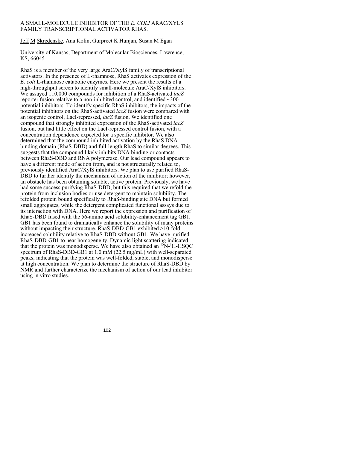## A SMALL-MOLECULE INHIBITOR OF THE *E. COLI* ARAC/XYLS FAMILY TRANSCRIPTIONAL ACTIVATOR RHAS.

Jeff M Skredenske, Ana Kolin, Gurpreet K Hunjan, Susan M Egan

University of Kansas, Department of Molecular Biosciences, Lawrence, KS, 66045

RhaS is a member of the very large AraC/XylS family of transcriptional activators. In the presence of L-rhamnose, RhaS activates expression of the *E. coli* L-rhamnose catabolic enzymes. Here we present the results of a high-throughput screen to identify small-molecule AraC/XylS inhibitors. We assayed 110,000 compounds for inhibition of a RhaS-activated *lacZ* reporter fusion relative to a non-inhibited control, and identified  $\sim$ 300 potential inhibitors. To identify specific RhaS inhibitors, the impacts of the potential inhibitors on the RhaS-activated *lacZ* fusion were compared with an isogenic control, LacI-repressed, *lacZ* fusion. We identified one compound that strongly inhibited expression of the RhaS-activated *lacZ* fusion, but had little effect on the LacI-repressed control fusion, with a concentration dependence expected for a specific inhibitor. We also determined that the compound inhibited activation by the RhaS DNAbinding domain (RhaS-DBD) and full-length RhaS to similar degrees. This suggests that the compound likely inhibits DNA binding or contacts between RhaS-DBD and RNA polymerase. Our lead compound appears to have a different mode of action from, and is not structurally related to, previously identified AraC/XylS inhibitors. We plan to use purified RhaS-DBD to further identify the mechanism of action of the inhibitor; however, an obstacle has been obtaining soluble, active protein. Previously, we have had some success purifying RhaS-DBD, but this required that we refold the protein from inclusion bodies or use detergent to maintain solubility. The refolded protein bound specifically to RhaS-binding site DNA but formed small aggregates, while the detergent complicated functional assays due to its interaction with DNA. Here we report the expression and purification of RhaS-DBD fused with the 56-amino acid solubility-enhancement tag GB1. GB1 has been found to dramatically enhance the solubility of many proteins without impacting their structure. RhaS-DBD-GB1 exhibited >10-fold increased solubility relative to RhaS-DBD without GB1. We have purified RhaS-DBD-GB1 to near homogeneity. Dynamic light scattering indicated that the protein was monodisperse. We have also obtained an  ${}^{15}N$ - ${}^{1}H$ -HSQC spectrum of RhaS-DBD-GB1 at 1.0 mM (22.5 mg/mL) with well-separated peaks, indicating that the protein was well-folded, stable, and monodisperse at high concentration. We plan to determine the structure of RhaS-DBD by NMR and further characterize the mechanism of action of our lead inhibitor using in vitro studies.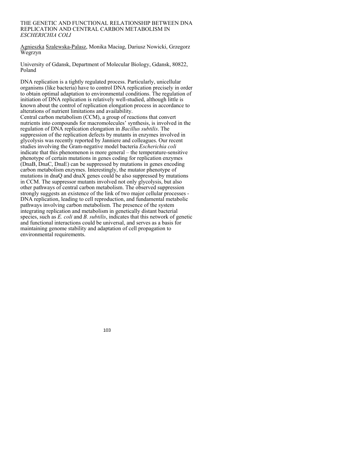#### THE GENETIC AND FUNCTIONAL RELATIONSHIP BETWEEN DNA REPLICATION AND CENTRAL CARBON METABOLISM IN *ESCHERICHIA COLI*

Agnieszka Szalewska-Palasz, Monika Maciag, Dariusz Nowicki, Grzegorz Wegrzyn

University of Gdansk, Department of Molecular Biology, Gdansk, 80822, Poland

DNA replication is a tightly regulated process. Particularly, unicellular organisms (like bacteria) have to control DNA replication precisely in order to obtain optimal adaptation to environmental conditions. The regulation of initiation of DNA replication is relatively well-studied, although little is known about the control of replication elongation process in accordance to alterations of nutrient limitations and availability.

Central carbon metabolism (CCM), a group of reactions that convert nutrients into compounds for macromolecules' synthesis, is involved in the regulation of DNA replication elongation in *Bacillus subtilis*. The suppression of the replication defects by mutants in enzymes involved in glycolysis was recently reported by Janniere and colleagues. Our recent studies involving the Gram-negative model bacteria *Escherichia coli* indicate that this phenomenon is more general – the temperature-sensitive phenotype of certain mutations in genes coding for replication enzymes (DnaB, DnaC, DnaE) can be suppressed by mutations in genes encoding carbon metabolism enzymes. Interestingly, the mutator phenotype of mutations in dnaQ and dnaX genes could be also suppressed by mutations in CCM. The suppressor mutants involved not only glycolysis, but also other pathways of central carbon metabolism. The observed suppression strongly suggests an existence of the link of two major cellular processes - DNA replication, leading to cell reproduction, and fundamental metabolic pathways involving carbon metabolism. The presence of the system integrating replication and metabolism in genetically distant bacterial species, such as *E. coli* and *B. subtilis*, indicates that this network of genetic and functional interactions could be universal, and serves as a basis for maintaining genome stability and adaptation of cell propagation to environmental requirements.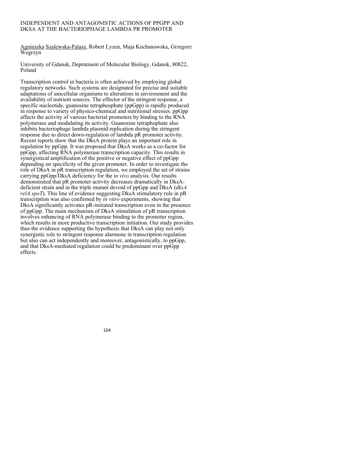## INDEPENDENT AND ANTAGONISTIC ACTIONS OF PPGPP AND DKSA AT THE BACTERIOPHAGE LAMBDA PR PROMOTER

Agnieszka Szalewska-Palasz, Robert Lyzen, Maja Kochanowska, Grzegorz Wegrzyn

University of Gdansk, Depratment of Molecular Biology, Gdansk, 80822, Poland

Transcription control in bacteria is often achieved by employing global regulatory networks. Such systems are designated for precise and suitable adaptations of unicellular organisms to alterations in environment and the availability of nutrient sources. The effector of the stringent response, a specific nucleotide, guanosine tetraphosphate (ppGpp) is rapidly produced in response to variety of physico-chemical and nutritional stresses. ppGpp affects the activity of various bacterial promoters by binding to the RNA polymerase and modulating its activity. Guanosine tetraphophate also inhibits bacteriophage lambda plasmid replication during the stringent response due to direct down-regulation of lambda pR promoter activity. Recent reports show that the DksA protein plays an important role in regulation by ppGpp. It was proposed that DksA works as a co-factor for ppGpp, affecting RNA polymerase transcription capacity. This results in synergistical amplification of the positive or negative effect of ppGpp depending on specificity of the given promoter. In order to investigate the role of DksA in pR transcription regulation, we employed the set of strains carrying ppGpp/DksA deficiency for the i*n vivo* analysis. Our results demonstrated that pR promoter activity decreases dramatically in DksAdeficient strain and in the triple mutant devoid of ppGpp and DksA (*dksA relA spoT*). This line of evidence suggesting DksA stimulatory role in pR transcription was also confirmed by *in vitro* experiments, showing that DksA significantly activates pR-initiated transcription even in the presence of ppGpp. The main mechanism of DksA stimulation of pR transcription involves enhancing of RNA polymerase binding to the promoter region, which results in more productive transcription initiation. Our study provides thus the evidence supporting the hypothesis that DksA can play not only synergistic role to stringent response alarmone in transcription regulation but also can act independently and moreover, antagonistically, to ppGpp, and that DksA-mediated regulation could be predominant over ppGpp effects.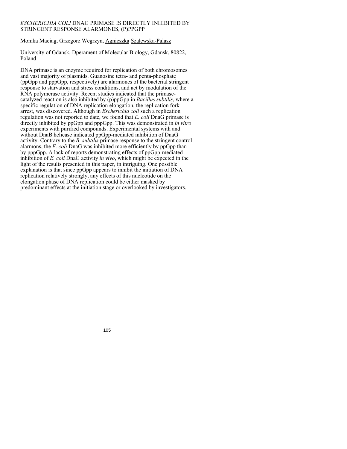## *ESCHERICHIA COLI* DNAG PRIMASE IS DIRECTLY INHIBITED BY STRINGENT RESPONSE ALARMONES, (P)PPGPP

Monika Maciag, Grzegorz Wegrzyn, Agnieszka Szalewska-Palasz

University of Gdansk, Dperament of Molecular Biology, Gdansk, 80822, Poland

DNA primase is an enzyme required for replication of both chromosomes and vast majority of plasmids. Guanosine tetra- and penta-phosphate (ppGpp and pppGpp, respectively) are alarmones of the bacterial stringent response to starvation and stress conditions, and act by modulation of the RNA polymerase activity. Recent studies indicated that the primasecatalyzed reaction is also inhibited by (p)ppGpp in *Bacillus subtilis*, where a specific regulation of DNA replication elongation, the replication fork arrest, was discovered. Although in *Escherichia coli* such a replication regulation was not reported to date, we found that *E. coli* DnaG primase is directly inhibited by ppGpp and pppGpp. This was demonstrated in *in vitro* experiments with purified compounds. Experimental systems with and without DnaB helicase indicated ppGpp-mediated inhibition of DnaG activity. Contrary to the *B. subtilis* primase response to the stringent control alarmons, the *E. coli* DnaG was inhibited more efficiently by ppGpp than by pppGpp. A lack of reports demonstrating effects of ppGpp-mediated inhibition of *E. coli* DnaG activity *in vivo*, which might be expected in the light of the results presented in this paper, in intriguing. One possible explanation is that since ppGpp appears to inhibit the initiation of DNA replication relatively strongly, any effects of this nucleotide on the elongation phase of DNA replication could be either masked by predominant effects at the initiation stage or overlooked by investigators.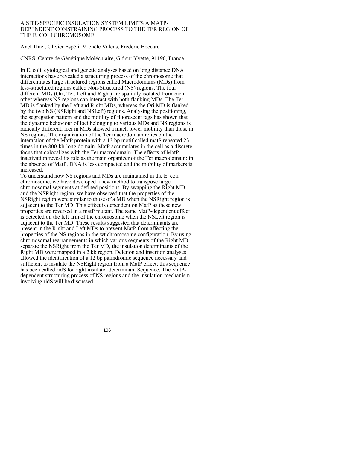#### A SITE-SPECIFIC INSULATION SYSTEM LIMITS A MATP-DEPENDENT CONSTRAINING PROCESS TO THE TER REGION OF THE E. COLI CHROMOSOME

Axel Thiel, Olivier Espéli, Michèle Valens, Frédéric Boccard

CNRS, Centre de Génétique Moléculaire, Gif sur Yvette, 91190, France

In E. coli, cytological and genetic analyses based on long distance DNA interactions have revealed a structuring process of the chromosome that differentiates large structured regions called Macrodomains (MDs) from less-structured regions called Non-Structured (NS) regions. The four different MDs (Ori, Ter, Left and Right) are spatially isolated from each other whereas NS regions can interact with both flanking MDs. The Ter MD is flanked by the Left and Right MDs, whereas the Ori MD is flanked by the two NS (NSRight and NSLeft) regions. Analysing the positioning, the segregation pattern and the motility of fluorescent tags has shown that the dynamic behaviour of loci belonging to various MDs and NS regions is radically different; loci in MDs showed a much lower mobility than those in NS regions. The organization of the Ter macrodomain relies on the interaction of the MatP protein with a 13 bp motif called matS repeated 23 times in the 800-kb-long domain. MatP accumulates in the cell as a discrete focus that colocalizes with the Ter macrodomain. The effects of MatP inactivation reveal its role as the main organizer of the Ter macrodomain: in the absence of MatP, DNA is less compacted and the mobility of markers is increased.

To understand how NS regions and MDs are maintained in the E. coli chromosome, we have developed a new method to transpose large chromosomal segments at defined positions. By swapping the Right MD and the NSRight region, we have observed that the properties of the NSRight region were similar to those of a MD when the NSRight region is adjacent to the Ter MD. This effect is dependent on MatP as these new properties are reversed in a matP mutant. The same MatP-dependent effect is detected on the left arm of the chromosome when the NSLeft region is adjacent to the Ter MD. These results suggested that determinants are present in the Right and Left MDs to prevent MatP from affecting the properties of the NS regions in the wt chromosome configuration. By using chromosomal rearrangements in which various segments of the Right MD separate the NSRight from the Ter MD, the insulation determinants of the Right MD were mapped in a 2 kb region. Deletion and insertion analyses allowed the identification of a 12 bp palindromic sequence necessary and sufficient to insulate the NSRight region from a MatP effect; this sequence has been called ridS for right insulator determinant Sequence. The MatPdependent structuring process of NS regions and the insulation mechanism involving ridS will be discussed.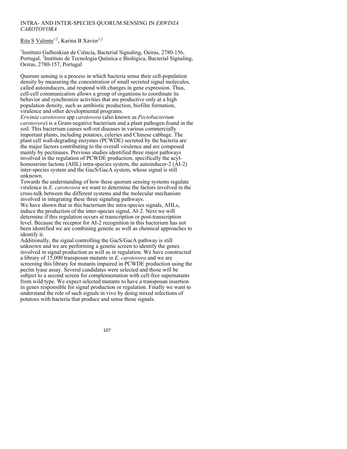## INTRA- AND INTER-SPECIES QUORUM SENSING IN *ERWINIA CAROTOVORA*

Rita S Valente<sup>1,2</sup>, Karina B Xavier<sup>1,2</sup>

<sup>1</sup>Instituto Gulbenkian de Ciência, Bacterial Signaling, Oeiras, 2780-156, Portugal, <sup>2</sup>Instituto de Tecnologia Química e Biológica, Bacterial Signaling, Oeiras, 2780-157, Portugal

Quorum sensing is a process in which bacteria sense their cell-population density by measuring the concentration of small secreted signal molecules, called autoinducers, and respond with changes in gene expression. Thus, cell-cell communication allows a group of organisms to coordinate its behavior and synchronize activities that are productive only at a high population density, such as antibiotic production, biofilm formation, virulence and other developmental programs.

*Erwinia carotovora* spp *carotovora* (also known as *Pectobacterium carotovora*) is a Gram-negative bacterium and a plant pathogen found in the soil. This bacterium causes soft-rot diseases in various commercially important plants, including potatoes, celeries and Chinese cabbage. The plant cell wall-degrading enzymes (PCWDE) secreted by the bacteria are the major factors contributing to the overall virulence and are composed mainly by pectinases. Previous studies identified three major pathways involved in the regulation of PCWDE production, specifically the acylhomoserine lactone (AHL) intra-species system, the autoinducer-2 (AI-2) inter-species system and the GacS/GacA system, whose signal is still unknown.

Towards the understanding of how these quorum sensing systems regulate virulence in *E. carotovora* we want to determine the factors involved in the cross-talk between the different systems and the molecular mechanism involved in integrating these three signaling pathways.

We have shown that in this bacterium the intra-species signals, AHLs, induce the production of the inter-species signal, AI-2. Next we will determine if this regulation occurs at transcription or post-transcription level. Because the receptor for AI-2 recognition in this bacterium has not been identified we are combining genetic as well as chemical approaches to identify it.

Additionally, the signal controlling the GacS/GacA pathway is still unknown and we are performing a genetic screen to identify the genes involved in signal production as well as in regulation. We have constructed a library of 15,000 transposan mutants in *E. carotovora* and we are screening this library for mutants impaired in PCWDE production using the pectin lyase assay. Several candidates were selected and those will be subject to a second screen for complementation with cell-free supernatants from wild type. We expect selected mutants to have a transposan insertion in genes responsible for signal production or regulation. Finally we want to understand the role of such signals in vivo by doing mixed infections of potatoes with bacteria that produce and sense those signals.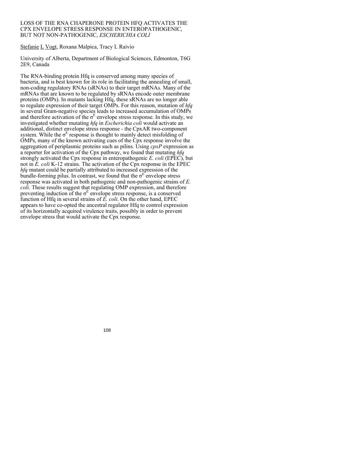#### LOSS OF THE RNA CHAPERONE PROTEIN HFQ ACTIVATES THE CPX ENVELOPE STRESS RESPONSE IN ENTEROPATHOGENIC, BUT NOT NON-PATHOGENIC, *ESCHERICHIA COLI*

Stefanie L Vogt, Roxana Malpica, Tracy L Raivio

University of Alberta, Department of Biological Sciences, Edmonton, T6G 2E9, Canada

The RNA-binding protein Hfq is conserved among many species of bacteria, and is best known for its role in facilitating the annealing of small, non-coding regulatory RNAs (sRNAs) to their target mRNAs. Many of the mRNAs that are known to be regulated by sRNAs encode outer membrane proteins (OMPs). In mutants lacking Hfq, these sRNAs are no longer able to regulate expression of their target OMPs. For this reason, mutation of *hfq* in several Gram-negative species leads to increased accumulation of OMPs and therefore activation of the  $\sigma^E$  envelope stress response. In this study, we investigated whether mutating *hfq* in *Escherichia coli* would activate an additional, distinct envelope stress response - the CpxAR two-component system. While the  $\sigma^E$  response is thought to mainly detect misfolding of OMPs, many of the known activating cues of the Cpx response involve the aggregation of periplasmic proteins such as pilins. Using *cpxP* expression as a reporter for activation of the Cpx pathway, we found that mutating *hfq* strongly activated the Cpx response in enteropathogenic *E. coli* (EPEC), but not in  $\overline{E}$ , coli K-12 strains. The activation of the Cpx response in the EPEC *hfq* mutant could be partially attributed to increased expression of the bundle-forming pilus. In contrast, we found that the  $\sigma^E$  envelope stress response was activated in both pathogenic and non-pathogenic strains of *E. coli*. These results suggest that regulating OMP expression, and therefore preventing induction of the  $\sigma^E$  envelope stress response, is a conserved function of Hfq in several strains of *E. coli*. On the other hand, EPEC appears to have co-opted the ancestral regulator Hfq to control expression of its horizontally acquired virulence traits, possibly in order to prevent envelope stress that would activate the Cpx response.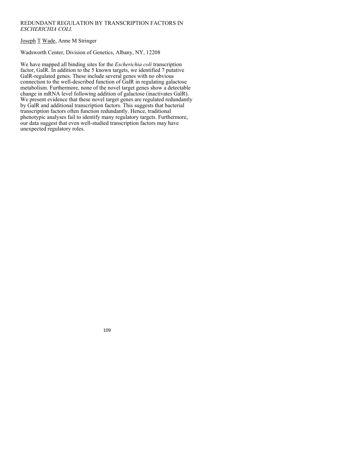## REDUNDANT REGULATION BY TRANSCRIPTION FACTORS IN *ESCHERICHIA COLI*.

# Joseph T Wade, Anne M Stringer

## Wadsworth Center, Division of Genetics, Albany, NY, 12208

We have mapped all binding sites for the *Escherichia coli* transcription factor, GalR. In addition to the 5 known targets, we identified 7 putative GalR-regulated genes. These include several genes with no obvious connection to the well-described function of GalR in regulating galactose metabolism. Furthermore, none of the novel target genes show a detectable change in mRNA level following addition of galactose (inactivates GalR). We present evidence that these novel target genes are regulated redundantly by GalR and additional transcription factors. This suggests that bacterial transcription factors often function redundantly. Hence, traditional phenotypic analyses fail to identify many regulatory targets. Furthermore, our data suggest that even well-studied transcription factors may have unexpected regulatory roles.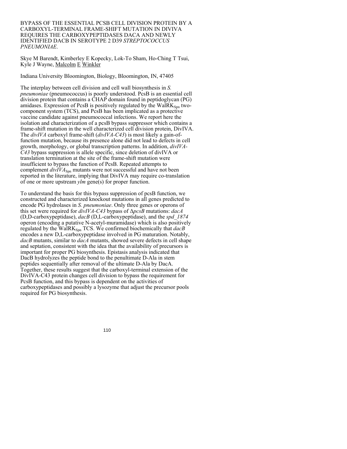BYPASS OF THE ESSENTIAL PCSB CELL DIVISION PROTEIN BY A CARBOXYL-TERMINAL FRAME-SHIFT MUTATION IN DIVIVA REQUIRES THE CARBOXYPEPTIDASES DACA AND NEWLY IDENTIFIED DACB IN SEROTYPE 2 D39 *STREPTOCOCCUS PNEUMONIAE*.

Skye M Barendt, Kimberley E Kopecky, Lok-To Sham, Ho-Ching T Tsui, Kyle J Wayne, Malcolm E Winkler

Indiana University Bloomington, Biology, Bloomington, IN, 47405

The interplay between cell division and cell wall biosynthesis in *S. pneumoniae* (pneumococcus) is poorly understood. PcsB is an essential cell division protein that contains a CHAP domain found in peptidoglycan (PG) amidases. Expression of PcsB is positively regulated by the  $WaIRK<sub>Spn</sub>$  twocomponent system (TCS), and PcsB has been implicated as a protective vaccine candidate against pneumococcal infections. We report here the isolation and characterization of a pcsB bypass suppressor which contains a frame-shift mutation in the well characterized cell division protein, DivIVA. The *divIVA* carboxyl frame-shift (*divIVA-C43*) is most likely a gain-offunction mutation, because its presence alone did not lead to defects in cell growth, morphology, or global transcription patterns. In addition, *divIVA-C43* bypass suppression is allele specific, since deletion of divIVA or translation termination at the site of the frame-shift mutation were insufficient to bypass the function of PcsB. Repeated attempts to complement *divIVA*<sub>Spn</sub> mutants were not successful and have not been reported in the literature, implying that DivIVA may require co-translation of one or more upstream *ylm* gene(s) for proper function.

To understand the basis for this bypass suppression of pcsB function, we constructed and characterized knockout mutations in all genes predicted to encode PG hydrolases in *S. pneumoniae*. Only three genes or operons of this set were required for *divIVA-C43* bypass of Δ*pcsB* mutations: *dacA* (D,D-carboxypeptidase), *dacB* (D,L-carboxypeptidase), and the *spd\_1874* operon (encoding a putative N-acetyl-muramidase) which is also positively regulated by the WalRK<sub>Spn</sub> TCS. We confirmed biochemically that *dacB* encodes a new D,L-carboxypeptidase involved in PG maturation. Notably, *dacB* mutants, similar to *dacA* mutants, showed severe defects in cell shape and septation, consistent with the idea that the availability of precursors is important for proper PG biosynthesis. Epistasis analysis indicated that DacB hydrolyzes the peptide bond to the penultimate D-Ala in stem peptides sequentially after removal of the ultimate D-Ala by DacA. Together, these results suggest that the carboxyl-terminal extension of the DivIVA-C43 protein changes cell division to bypass the requirement for PcsB function, and this bypass is dependent on the activities of carboxypeptidases and possibly a lysozyme that adjust the precursor pools required for PG biosynthesis.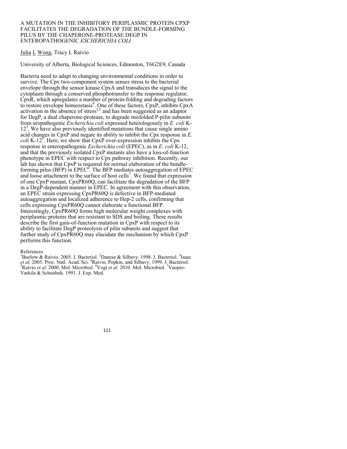#### A MUTATION IN THE INHIBITORY PERIPLASMIC PROTEIN CPXP FACILITATES THE DEGRADATION OF THE BUNDLE-FORMING PILUS BY THE CHAPERONE-PROTEASE DEGP IN ENTEROPATHOGENIC *ESCHERICHIA COLI*

## Julia L Wong, Tracy L Raivio

University of Alberta, Biological Sciences, Edmonton, T6G2E9, Canada

Bacteria need to adapt to changing environmental conditions in order to survive. The Cpx two-component system senses stress to the bacterial envelope through the sensor kinase CpxA and transduces the signal to the cytoplasm through a conserved phosphotransfer to the response regulator, CpxR, which upregulates a number of protein-folding and degrading factors to restore envelope homeostasis<sup>4</sup>. One of these factors, CpxP, inhibits CpxA activation in the absence of stress<sup>2,5</sup> and has been suggested as an adaptor for DegP, a dual chaperone-protease, to degrade misfolded P-pilin subunits from uropathogenic *Escherichia coli* expressed heterologously in *E. coli* K-12<sup>3</sup>. We have also previously identified mutations that cause single amino acid changes in CpxP and negate its ability to inhibit the Cpx response in *E. coli* K-12<sup> $\text{F}$ . Here, we show that CpxP over-expression inhibits the Cpx</sup> response in enteropathogenic *Escherichia coli* (EPEC), as in *E. coli* K-12, and that the previously isolated CpxP mutants also have a loss-of-function phenotype in EPEC with respect to Cpx pathway inhibition. Recently, our lab has shown that CpxP is required for normal elaboration of the bundleforming pilus (BFP) in EPEC $<sup>6</sup>$ . The BFP mediates autoaggregation of EPEC</sup> and loose attachment to the surface of host cells<sup>7</sup>. We found that expression of one CpxP mutant, CpxPR60Q, can facilitate the degradation of the BFP in a DegP-dependent manner in EPEC. In agreement with this observation, an EPEC strain expressing CpxPR60Q is defective in BFP-mediated autoaggregation and localized adherence to Hep-2 cells, confirming that cells expressing CpxPR60Q cannot elaborate a functional BFP. Interestingly, CpxPR60Q forms high molecular weight complexes with periplasmic proteins that are resistant to SDS and boiling. These results describe the first gain-of-function mutation in CpxP with respect to its ability to facilitate DegP proteolysis of pilin subunits and suggest that further study of CpxPR60Q may elucidate the mechanism by which CpxP performs this function.

#### References

<sup>1</sup>Buelow & Raivio. 2005. J. Bacteriol. <sup>2</sup>Danese & Silhavy. 1998. J. Bacteriol. <sup>3</sup>Isaac et al. 2005. Proc. Natl. Acad. Sci. <sup>4</sup>Raivio, Popkin, and Silhavy. 1999. J. Bacteriol.<br><sup>5</sup> Boivio, et al. 2000. Mal. Migrabial. <sup>6</sup> Vegt at al. 2010. Mal. Migrabial. <sup>7</sup> Vuonig. Raivio et al. 2000. Mol. Microbiol. <sup>6</sup>Vogt et al. 2010. Mol. Microbiol. <sup>7</sup>Vuopio-Varkila & Schoolnik. 1991. J. Exp. Med.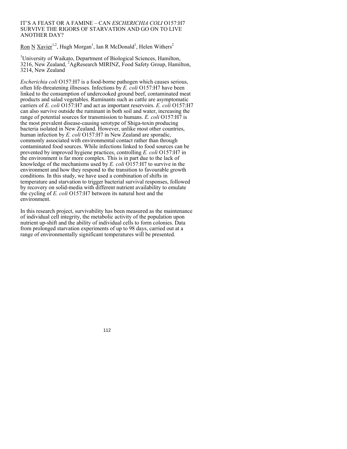# IT'S A FEAST OR A FAMINE – CAN *ESCHERICHIA COLI* O157:H7 SURVIVE THE RIGORS OF STARVATION AND GO ON TO LIVE ANOTHER DAY?

Ron N Xavier<sup>1,2</sup>, Hugh Morgan<sup>1</sup>, Ian R McDonald<sup>1</sup>, Helen Withers<sup>2</sup>

<sup>1</sup>University of Waikato, Department of Biological Sciences, Hamilton, 3216, New Zealand, 2 AgResearch MIRINZ, Food Safety Group, Hamilton, 3214, New Zealand

*Escherichia coli* O157:H7 is a food-borne pathogen which causes serious, often life-threatening illnesses. Infections by *E. coli* O157:H7 have been linked to the consumption of undercooked ground beef, contaminated meat products and salad vegetables. Ruminants such as cattle are asymptomatic carriers of *E. coli* O157:H7 and act as important reservoirs. *E. coli* O157:H7 can also survive outside the ruminant in both soil and water, increasing the range of potential sources for transmission to humans. *E. coli* O157:H7 is the most prevalent disease-causing serotype of Shiga-toxin producing bacteria isolated in New Zealand. However, unlike most other countries, human infection by *E. coli* O157:H7 in New Zealand are sporadic, commonly associated with environmental contact rather than through contaminated food sources. While infections linked to food sources can be prevented by improved hygiene practices, controlling *E. coli* O157:H7 in the environment is far more complex. This is in part due to the lack of knowledge of the mechanisms used by *E. coli* O157:H7 to survive in the environment and how they respond to the transition to favourable growth conditions. In this study, we have used a combination of shifts in temperature and starvation to trigger bacterial survival responses, followed by recovery on solid-media with different nutrient availability to emulate the cycling of *E. coli* O157:H7 between its natural host and the environment.

In this research project, survivability has been measured as the maintenance of individual cell integrity, the metabolic activity of the population upon nutrient up-shift and the ability of individual cells to form colonies. Data from prolonged starvation experiments of up to 98 days, carried out at a range of environmentally significant temperatures will be presented.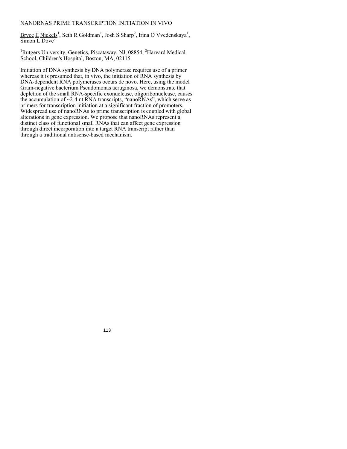# NANORNAS PRIME TRANSCRIPTION INITIATION IN VIVO

Bryce  $E$  Nickels<sup>1</sup>, Seth R Goldman<sup>1</sup>, Josh S Sharp<sup>2</sup>, Irina O Vvedenskaya<sup>1</sup>,  $Simon$  L Dove<sup>2</sup>

<sup>1</sup>Rutgers University, Genetics, Piscataway, NJ, 08854, <sup>2</sup>Harvard Medical School, Children's Hospital, Boston, MA, 02115

Initiation of DNA synthesis by DNA polymerase requires use of a primer whereas it is presumed that, in vivo, the initiation of RNA synthesis by DNA-dependent RNA polymerases occurs de novo. Here, using the model Gram-negative bacterium Pseudomonas aeruginosa, we demonstrate that depletion of the small RNA-specific exonuclease, oligoribonuclease, causes the accumulation of  $\sim$ 2-4 nt RNA transcripts, "nanoRNAs", which serve as primers for transcription initiation at a significant fraction of promoters. Widespread use of nanoRNAs to prime transcription is coupled with global alterations in gene expression. We propose that nanoRNAs represent a distinct class of functional small RNAs that can affect gene expression through direct incorporation into a target RNA transcript rather than through a traditional antisense-based mechanism.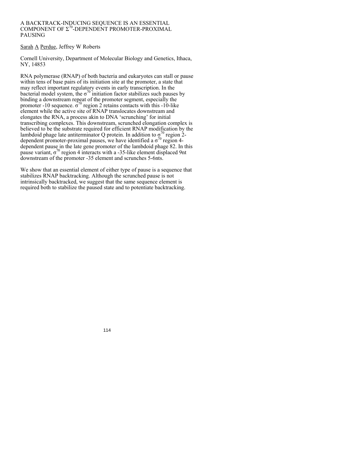## A BACKTRACK-INDUCING SEQUENCE IS AN ESSENTIAL COMPONENT OF  $\Sigma^{70}$ -DEPENDENT PROMOTER-PROXIMAL PAUSING

# Sarah A Perdue, Jeffrey W Roberts

Cornell University, Department of Molecular Biology and Genetics, Ithaca, NY, 14853

RNA polymerase (RNAP) of both bacteria and eukaryotes can stall or pause within tens of base pairs of its initiation site at the promoter, a state that may reflect important regulatory events in early transcription. In the bacterial model system, the  $\sigma^{70}$  initiation factor stabilizes such pauses by binding a downstream repeat of the promoter segment, especially the promoter -10 sequence.  $\sigma^{70}$  region 2 retains contacts with this -10-like element while the active site of RNAP translocates downstream and elongates the RNA, a process akin to DNA 'scrunching' for initial transcribing complexes. This downstream, scrunched elongation complex is believed to be the substrate required for efficient RNAP modification by the lambdoid phage late antiterminator Q protein. In addition to  $\sigma^{70}$  region 2dependent promoter-proximal pauses, we have identified a  $\sigma^{70}$  region 4dependent pause in the late gene promoter of the lambdoid phage 82. In this pause variant,  $\sigma^{70}$  region 4 interacts with a -35-like element displaced 9nt downstream of the promoter -35 element and scrunches 5-6nts.

We show that an essential element of either type of pause is a sequence that stabilizes RNAP backtracking. Although the scrunched pause is not intrinsically backtracked, we suggest that the same sequence element is required both to stabilize the paused state and to potentiate backtracking.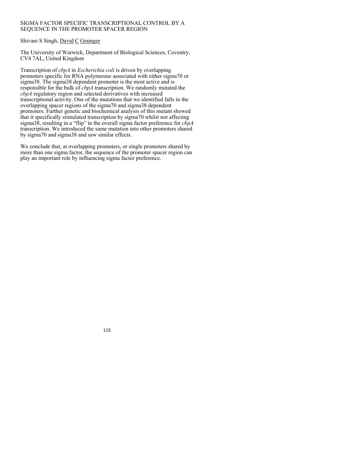# SIGMA FACTOR SPECIFIC TRANSCRIPTIONAL CONTROL BY A SEQUENCE IN THE PROMOTER SPACER REGION

# Shivani S Singh, David C Grainger

The University of Warwick, Department of Biological Sciences, Coventry, CV4 7AL, United Kingdom

Transcription of *cbpA* in *Escherichia coli* is driven by overlapping promoters specific for RNA polymerase associated with either sigma70 or sigma38. The sigma38 dependent promoter is the most active and is responsible for the bulk of *cbpA* transcription. We randomly mutated the *cbpA* regulatory region and selected derivatives with increased transcriptional activity. One of the mutations that we identified falls in the overlapping spacer regions of the sigma70 and sigma38 dependent promoters. Further genetic and biochemical analysis of this mutant showed that it specifically stimulated transcription by sigma70 whilst not affecting sigma38, resulting in a "flip" in the overall sigma factor preference for *cbpA* transcription. We introduced the same mutation into other promoters shared by sigma70 and sigma38 and saw similar effects.

We conclude that, at overlapping promoters, or single promoters shared by more than one sigma factor, the sequence of the promoter spacer region can play an important role by influencing sigma factor preference.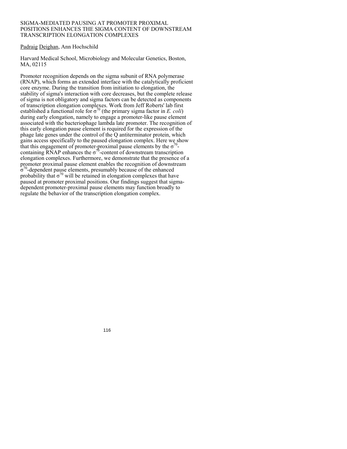## SIGMA-MEDIATED PAUSING AT PROMOTER PROXIMAL POSITIONS ENHANCES THE SIGMA CONTENT OF DOWNSTREAM TRANSCRIPTION ELONGATION COMPLEXES

# Padraig Deighan, Ann Hochschild

Harvard Medical School, Microbiology and Molecular Genetics, Boston, MA, 02115

Promoter recognition depends on the sigma subunit of RNA polymerase (RNAP), which forms an extended interface with the catalytically proficient core enzyme. During the transition from initiation to elongation, the stability of sigma's interaction with core decreases, but the complete release of sigma is not obligatory and sigma factors can be detected as components of transcription elongation complexes. Work from Jeff Roberts' lab first established a functional role for  $\sigma^{70}$  (the primary sigma factor in *E. coli*) during early elongation, namely to engage a promoter-like pause element associated with the bacteriophage lambda late promoter. The recognition of this early elongation pause element is required for the expression of the phage late genes under the control of the Q antiterminator protein, which gains access specifically to the paused elongation complex. Here we show that this engagement of promoter-proximal pause elements by the  $\sigma^{0}$ containing RNAP enhances the  $\sigma^{70}$ -content of downstream transcription elongation complexes. Furthermore, we demonstrate that the presence of a promoter proximal pause element enables the recognition of downstream  $\sigma^{70}$ -dependent pause elements, presumably because of the enhanced probability that  $\sigma^{70}$  will be retained in elongation complexes that have paused at promoter proximal positions. Our findings suggest that sigmadependent promoter-proximal pause elements may function broadly to regulate the behavior of the transcription elongation complex.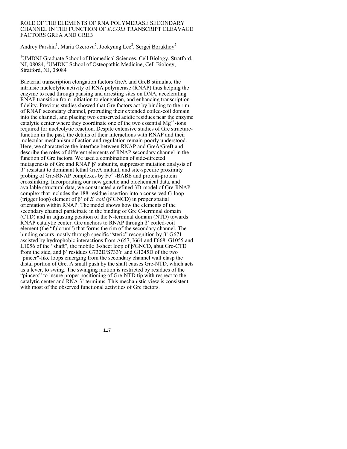#### ROLE OF THE ELEMENTS OF RNA POLYMERASE SECONDARY CHANNEL IN THE FUNCTION OF *E.COLI* TRANSCRIPT CLEAVAGE FACTORS GREA AND GREB

Andrey Parshin<sup>1</sup>, Maria Ozerova<sup>2</sup>, Jookyung Lee<sup>2</sup>, Sergei Borukhov<sup>2</sup>

<sup>1</sup>UMDNJ Graduate School of Biomedical Sciences, Cell Biology, Stratford, NJ, 08084, <sup>2</sup>UMDNJ School of Osteopathic Medicine, Cell Biology, Stratford, NJ, 08084

Bacterial transcription elongation factors GreA and GreB stimulate the intrinsic nucleolytic activity of RNA polymerase (RNAP) thus helping the enzyme to read through pausing and arresting sites on DNA, accelerating RNAP transition from initiation to elongation, and enhancing transcription fidelity. Previous studies showed that Gre factors act by binding to the rim of RNAP secondary channel, protruding their extended coiled-coil domain into the channel, and placing two conserved acidic residues near the enzyme catalytic center where they coordinate one of the two essential  $Mg^{2+}$ -ions required for nucleolytic reaction. Despite extensive studies of Gre structurefunction in the past, the details of their interactions with RNAP and their molecular mechanism of action and regulation remain poorly understood. Here, we characterize the interface between RNAP and GreA/GreB and describe the roles of different elements of RNAP secondary channel in the function of Gre factors. We used a combination of side-directed mutagenesis of Gre and RNAP β' subunits, suppressor mutation analysis of β' resistant to dominant lethal GreA mutant, and site-specific proximity probing of Gre-RNAP complexes by  $Fe^{2+}$ -BABE and protein-protein crosslinking. Incorporating our new genetic and biochemical data, and available structural data, we constructed a refined 3D-model of Gre-RNAP complex that includes the 188-residue insertion into a conserved G-loop (trigger loop) element of β' of *E. coli* (β'GNCD) in proper spatial orientation within RNAP. The model shows how the elements of the secondary channel participate in the binding of Gre C-terminal domain (CTD) and in adjusting position of the N-terminal domain (NTD) towards RNAP catalytic center. Gre anchors to RNAP through β' coiled-coil element (the "fulcrum") that forms the rim of the secondary channel. The binding occurs mostly through specific "steric" recognition by β' G671 assisted by hydrophobic interactions from A657, I664 and F668. G1055 and L1056 of the "shaft", the mobile β-sheet loop of β'GNCD, abut Gre-CTD from the side, and β' residues G732D/S733Y and G1245D of the two "pincer"-like loops emerging from the secondary channel wall clasp the distal portion of Gre. A small push by the shaft causes Gre-NTD, which acts as a lever, to swing. The swinging motion is restricted by residues of the "pincers" to insure proper positioning of Gre-NTD tip with respect to the catalytic center and  $\overline{RNA}$   $\overline{3}$ ' terminus. This mechanistic view is consistent with most of the observed functional activities of Gre factors.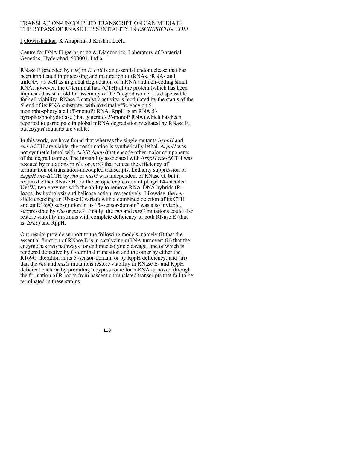# TRANSLATION-UNCOUPLED TRANSCRIPTION CAN MEDIATE THE BYPASS OF RNASE E ESSENTIALITY IN *ESCHERICHIA COLI*

J Gowrishankar, K Anupama, J Krishna Leela

Centre for DNA Fingerprinting & Diagnostics, Laboratory of Bacterial Genetics, Hyderabad, 500001, India

RNase E (encoded by *rne*) in *E. coli* is an essential endonuclease that has been implicated in processing and maturation of tRNAs, rRNAs and tmRNA, as well as in global degradation of mRNA and non-coding small RNA; however, the C-terminal half (CTH) of the protein (which has been implicated as scaffold for assembly of the "degradosome") is dispensable for cell viability. RNase E catalytic activity is modulated by the status of the 5'-end of its RNA substrate, with maximal efficiency on 5' monophosphorylated (5'-monoP) RNA. RppH is an RNA 5' pyrophosphohydrolase (that generates 5'-monoP RNA) which has been reported to participate in global mRNA degradation mediated by RNase E, but Δ*rppH* mutants are viable.

In this work, we have found that whereas the single mutants Δ*rppH* and *rne*-ΔCTH are viable, the combination is synthetically lethal. Δ*rppH* was not synthetic lethal with Δ*rhlB* Δ*pnp* (that encode other major components of the degradosome). The inviability associated with Δ*rppH rne*-ΔCTH was rescued by mutations in *rho* or *nusG* that reduce the efficiency of termination of translation-uncoupled transcripts. Lethality suppression of Δ*rppH rne*-ΔCTH by *rho* or *nusG* was independent of RNase G, but it required either RNase H1 or the ectopic expression of phage T4-encoded UvsW, two enzymes with the ability to remove RNA-DNA hybrids (Rloops) by hydrolysis and helicase action, respectively. Likewise, the *rne* allele encoding an RNase E variant with a combined deletion of its CTH and an R169Q substitution in its "5'-sensor-domain" was also inviable, suppressible by *rho* or *nusG*. Finally, the *rho* and *nusG* mutations could also restore viability in strains with complete deficiency of both RNase E (that is, Δ*rne*) and RppH.

Our results provide support to the following models, namely (i) that the essential function of RNase E is in catalyzing mRNA turnover; (ii) that the enzyme has two pathways for endonucleolytic cleavage, one of which is rendered defective by C-terminal truncation and the other by either the R169Q alteration in its 5'-sensor-domain or by RppH deficiency; and (iii) that the *rho* and *nusG* mutations restore viability in RNase E- and RppH deficient bacteria by providing a bypass route for mRNA turnover, through the formation of R-loops from nascent untranslated transcripts that fail to be terminated in these strains.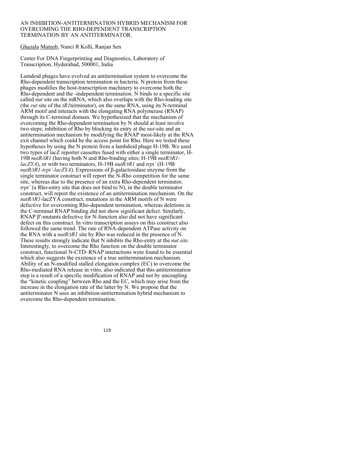#### AN INHIBITION-ANTITERMINATION HYBRID MECHANISM FOR OVERCOMING THE RHO-DEPENDENT TRANSCRIPTION TERMINATION BY AN ANTITERMINATOR.

Ghazala Muteeb, Nanci R Kolli, Ranjan Sen

Center For DNA Fingerprinting and Diagnostics, Laboratory of Transcription, Hyderabad, 500001, India

Lamdoid phages have evolved an antitermination system to overcome the Rho-dependent transcription termination in bacteria. N protein from these phages modifies the host-transcription machinery to overcome both the Rho-dependent and the -independent termination. N binds to a specific site called *nut* site on the mRNA, which also overlaps with the Rho-loading site (the *rut* site of the *tR1*terminator), on the same RNA, using its N-terminal ARM motif and interacts with the elongating RNA polymerase (RNAP) through its C-terminal domain. We hypothesized that the mechanism of overcoming the Rho-dependent termination by N should at least involve two steps; inhibition of Rho by blocking its entry at the *nut*-site and an antitermination mechanism by modifying the RNAP most-likely at the RNA exit channel which could be the access point for Rho. Here we tested these hypotheses by using the N protein from a lambdoid phage H-19B. We used two types of lacZ reporter cassettes fused with either a single terminator, H-19B *nutR/tR1* (having both N and Rho-binding sites; H-19B *nutR/tR1 lacZYA*), or with two terminators, H-19B *nutR/tR1* and *trpt'* (H-19B *nutR/tR1-trpt'-lacZYA*). Expressions of β-galactosidase enzyme from the single terminator construct will report the N-Rho competition for the same site, whereas due to the presence of an extra Rho-dependent terminator, *trpt'* (a Rho-entry site that does not bind to N), in the double terminator construct, will report the existence of an antitermination mechanism. On the *nutR/tR1*-lacZYA construct, mutations in the ARM motifs of N were defective for overcoming Rho-dependent termination, whereas deletions in the C-terminal RNAP binding did not show significant defect. Similarly, RNAP β'-mutants defective for N-function also did not have significant defect on this construct. In vitro transcription assays on this construct also followed the same trend. The rate of RNA-dependent ATPase activity on the RNA with a *nutR/tR1* site by Rho was reduced in the presence of N. These results strongly indicate that N inhibits the Rho-entry at the *nut site*. Interestingly, to overcome the Rho function on the double terminator construct, functional N-CTD–RNAP interactions were found to be essential which also suggests the existence of a true antitermination mechanism. Ability of an N-modified stalled elongation complex (EC) to overcome the Rho-mediated RNA release in vitro, also indicated that this antitermination step is a result of a specific modification of RNAP and not by uncoupling the "kinetic coupling" between Rho and the EC, which may arise from the increase in the elongation rate of the latter by N. We propose that the antiterminator N uses an inhibition-antitermination hybrid mechanism to overcome the Rho-dependent termination.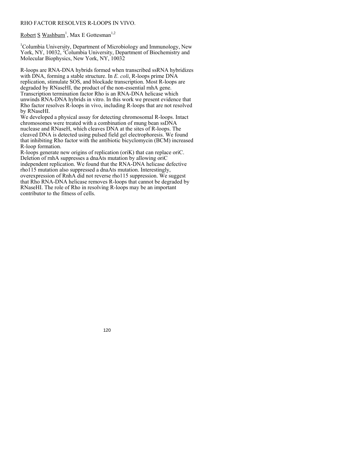# RHO FACTOR RESOLVES R-LOOPS IN VIVO.

Robert S Washburn<sup>1</sup>, Max E Gottesman<sup>1,2</sup>

<sup>1</sup>Columbia University, Department of Microbiology and Immunology, New York, NY, 10032, <sup>2</sup>Columbia University, Department of Biochemistry and Molecular Biophysics, New York, NY, 10032

R-loops are RNA-DNA hybrids formed when transcribed ssRNA hybridizes with DNA, forming a stable structure. In *E. coli*, R-loops prime DNA replication, stimulate SOS, and blockade transcription. Most R-loops are degraded by RNaseHI, the product of the non-essential rnhA gene. Transcription termination factor Rho is an RNA-DNA helicase which unwinds RNA-DNA hybrids in vitro. In this work we present evidence that Rho factor resolves R-loops in vivo, including R-loops that are not resolved by RNaseHI.

We developed a physical assay for detecting chromosomal R-loops. Intact chromosomes were treated with a combination of mung bean ssDNA nuclease and RNaseH, which cleaves DNA at the sites of R-loops. The cleaved DNA is detected using pulsed field gel electrophoresis. We found that inhibiting Rho factor with the antibiotic bicyclomycin (BCM) increased R-loop formation.

R-loops generate new origins of replication (oriK) that can replace oriC. Deletion of rnhA suppresses a dnaAts mutation by allowing oriC independent replication. We found that the RNA-DNA helicase defective rho115 mutation also suppressed a dnaAts mutation. Interestingly, overexpression of RnhA did not reverse rho115 suppression. We suggest that Rho RNA-DNA helicase removes R-loops that cannot be degraded by RNaseHI. The role of Rho in resolving R-loops may be an important contributor to the fitness of cells.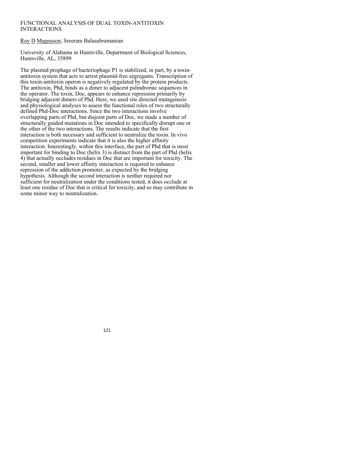# FUNCTIONAL ANALYSIS OF DUAL TOXIN-ANTITOXIN INTERACTIONS

Roy D Magnuson, Sreeram Balasubramanian

University of Alabama in Huntsville, Department of Biological Sciences, Huntsville, AL, 35899

The plasmid prophage of bacteriophage P1 is stabilized, in part, by a toxinantitoxin system that acts to arrest plasmid-free segregants. Transcription of this toxin-antitoxin operon is negatively regulated by the protein products. The antitoxin, Phd, binds as a dimer to adjacent palindromic sequences in the operator. The toxin, Doc, appears to enhance repression primarily by bridging adjacent dimers of Phd. Here, we used site directed mutagenesis and physiological analyses to assess the functional roles of two structurally defined Phd-Doc interactions. Since the two interactions involve overlapping parts of Phd, but disjoint parts of Doc, we made a number of structurally guided mutations in Doc intended to specifically disrupt one or the other of the two interactions. The results indicate that the first interaction is both necessary and sufficient to neutralize the toxin. In vivo competition experiments indicate that it is also the higher affinity interaction. Interestingly, within this interface, the part of Phd that is most important for binding to Doc (helix 3) is distinct from the part of Phd (helix 4) that actually occludes residues in Doc that are important for toxicity. The second, smaller and lower affinity interaction is required to enhance repression of the addiction promoter, as expected by the bridging hypothesis. Although the second interaction is neither required nor sufficient for neutralization under the conditions tested, it does occlude at least one residue of Doc that is critical for toxicity, and so may contribute in some minor way to neutralization.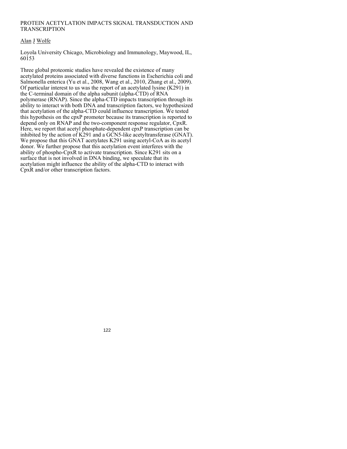# PROTEIN ACETYLATION IMPACTS SIGNAL TRANSDUCTION AND TRANSCRIPTION

# Alan J Wolfe

Loyola University Chicago, Microbiology and Immunology, Maywood, IL, 60153

Three global proteomic studies have revealed the existence of many acetylated proteins associated with diverse functions in Escherichia coli and Salmonella enterica (Yu et al., 2008, Wang et al., 2010, Zhang et al., 2009). Of particular interest to us was the report of an acetylated lysine (K291) in the C-terminal domain of the alpha subunit (alpha-CTD) of RNA polymerase (RNAP). Since the alpha-CTD impacts transcription through its ability to interact with both DNA and transcription factors, we hypothesized that acetylation of the alpha-CTD could influence transcription. We tested this hypothesis on the cpxP promoter because its transcription is reported to depend only on RNAP and the two-component response regulator, CpxR. Here, we report that acetyl phosphate-dependent cpxP transcription can be inhibited by the action of K291 and a GCN5-like acetyltransferase (GNAT). We propose that this GNAT acetylates K291 using acetyl-CoA as its acetyl donor. We further propose that this acetylation event interferes with the ability of phospho-CpxR to activate transcription. Since K291 sits on a surface that is not involved in DNA binding, we speculate that its acetylation might influence the ability of the alpha-CTD to interact with CpxR and/or other transcription factors.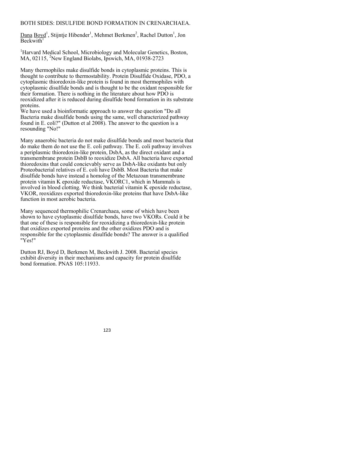# BOTH SIDES: DISULFIDE BOND FORMATION IN CRENARCHAEA.

Dana Boyd<sup>1</sup>, Stijntje Hibender<sup>1</sup>, Mehmet Berkmen<sup>2</sup>, Rachel Dutton<sup>1</sup>, Jon  $Backwith$ <sup>1</sup>

<sup>1</sup>Harvard Medical School, Microbiology and Molecular Genetics, Boston, MA, 02115, <sup>2</sup>New England Biolabs, Ipswich, MA, 01938-2723

Many thermophiles make disulfide bonds in cytoplasmic proteins. This is thought to contribute to thermostability. Protein Disulfide Oxidase, PDO, a cytoplasmic thioredoxin-like protein is found in most thermophiles with cytoplasmic disulfide bonds and is thought to be the oxidant responsible for their formation. There is nothing in the literature about how PDO is reoxidized after it is reduced during disulfide bond formation in its substrate proteins.

We have used a bioinformatic approach to answer the question "Do all Bacteria make disulfide bonds using the same, well characterized pathway found in E. coli?" (Dutton et al 2008). The answer to the question is a resounding "No!"

Many anaerobic bacteria do not make disulfide bonds and most bacteria that do make them do not use the E. coli pathway. The E. coli pathway involves a periplasmic thioredoxin-like protein, DsbA, as the direct oxidant and a transmembrane protein DsbB to reoxidize DsbA. All bacteria have exported thioredoxins that could concievably serve as DsbA-like oxidants but only Proteobacterial relatives of E. coli have DsbB. Most Bacteria that make disulfide bonds have instead a homolog of the Metazoan transmembrane protein vitamin K epoxide reductase, VKORC1, which in Mammals is involved in blood clotting. We think bacterial vitamin K epoxide reductase, VKOR, reoxidizes exported thioredoxin-like proteins that have DsbA-like function in most aerobic bacteria.

Many sequenced thermophilic Crenarchaea, some of which have been shown to have cytoplasmic disulfide bonds, have two VKORs. Could it be that one of these is responsible for reoxidizing a thioredoxin-like protein that oxidizes exported proteins and the other oxidizes PDO and is responsible for the cytoplasmic disulfide bonds? The answer is a qualified "Yes!"

Dutton RJ, Boyd D, Berkmen M, Beckwith J. 2008. Bacterial species exhibit diversity in their mechanisms and capacity for protein disulfide bond formation. PNAS 105:11933.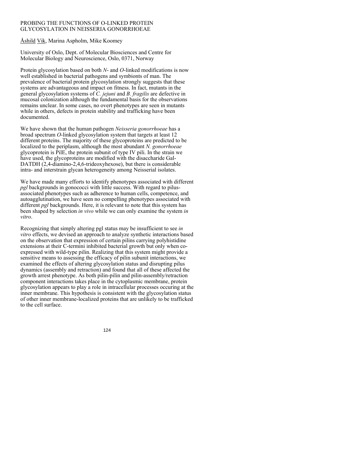# PROBING THE FUNCTIONS OF O-LINKED PROTEIN GLYCOSYLATION IN NEISSERIA GONORRHOEAE

Åshild Vik, Marina Aspholm, Mike Koomey

University of Oslo, Dept. of Molecular Biosciences and Centre for Molecular Biology and Neuroscience, Oslo, 0371, Norway

Protein glycosylation based on both *N*- and *O*-linked modifications is now well established in bacterial pathogens and symbionts of man. The prevalence of bacterial protein glycosylation strongly suggests that these systems are advantageous and impact on fitness. In fact, mutants in the general glycosylation systems of *C. jejuni* and *B. fragilis* are defective in mucosal colonization although the fundamental basis for the observations remains unclear. In some cases, no overt phenotypes are seen in mutants while in others, defects in protein stability and trafficking have been documented.

We have shown that the human pathogen *Neisseria gonorrhoeae* has a broad spectrum *O*-linked glycosylation system that targets at least 12 different proteins. The majority of these glycoproteins are predicted to be localized to the periplasm, although the most abundant *N. gonorrhoeae*  glycoprotein is PilE, the protein subunit of type IV pili. In the strain we have used, the glycoproteins are modified with the disaccharide Gal-DATDH (2,4-diamino-2,4,6-trideoxyhexose), but there is considerable intra- and interstrain glycan heterogeneity among Neisserial isolates.

We have made many efforts to identify phenotypes associated with different *pgl* backgrounds in gonococci with little success. With regard to pilusassociated phenotypes such as adherence to human cells, competence, and autoagglutination, we have seen no compelling phenotypes associated with different *pgl* backgrounds. Here, it is relevant to note that this system has been shaped by selection *in vivo* while we can only examine the system *in vitro*.

Recognizing that simply altering pgl status may be insufficient to see *in vitro* effects, we devised an approach to analyze synthetic interactions based on the observation that expression of certain pilins carrying polyhistidine extensions at their C-termini inhibited bacterial growth but only when coexpressed with wild-type pilin. Realizing that this system might provide a sensitive means to assessing the efficacy of pilin subunit interactions, we examined the effects of altering glycosylation status and disrupting pilus dynamics (assembly and retraction) and found that all of these affected the growth arrest phenotype. As both pilin-pilin and pilin-assembly/retraction component interactions takes place in the cytoplasmic membrane, protein glycosylation appears to play a role in intracellular processes occuring at the inner membrane. This hypothesis is consistent with the glycosylation status of other inner membrane-localized proteins that are unlikely to be trafficked to the cell surface.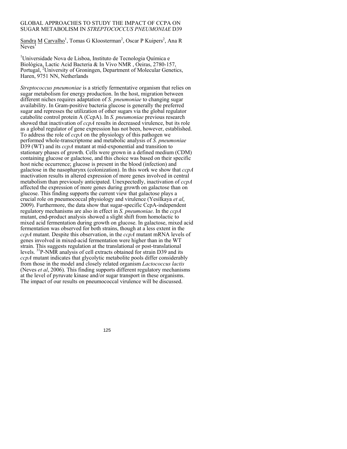## GLOBAL APPROACHES TO STUDY THE IMPACT OF CCPA ON SUGAR METABOLISM IN *STREPTOCOCCUS PNEUMONIAE* D39

Sandra M Carvalho<sup>1</sup>, Tomas G Kloosterman<sup>2</sup>, Oscar P Kuipers<sup>2</sup>, Ana R  $N$ eves<sup>1</sup>

<sup>1</sup>Universidade Nova de Lisboa, Instituto de Tecnologia Química e Biológica, Lactic Acid Bacteria & In Vivo NMR , Oeiras, 2780-157, Portugal, <sup>2</sup>University of Groningen, Department of Molecular Genetics, Haren, 9751 NN, Netherlands

*Streptococcus pneumoniae* is a strictly fermentative organism that relies on sugar metabolism for energy production. In the host, migration between different niches requires adaptation of *S. pneumoniae* to changing sugar availability. In Gram-positive bacteria glucose is generally the preferred sugar and represses the utilization of other sugars via the global regulator catabolite control protein A (CcpA). In *S. pneumoniae* previous research showed that inactivation of *ccpA* results in decreased virulence, but its role as a global regulator of gene expression has not been, however, established. To address the role of *ccpA* on the physiology of this pathogen we performed whole-transcriptome and metabolic analysis of *S. pneumoniae* D39 (WT) and its *ccpA* mutant at mid-exponential and transition to stationary phases of growth. Cells were grown in a defined medium (CDM) containing glucose or galactose, and this choice was based on their specific host niche occurrence; glucose is present in the blood (infection) and galactose in the nasopharynx (colonization). In this work we show that *ccpA* inactivation results in altered expression of more genes involved in central metabolism than previously anticipated. Unexpectedly, inactivation of *ccpA* affected the expression of more genes during growth on galactose than on glucose. This finding supports the current view that galactose plays a crucial role on pneumococcal physiology and virulence (Yesilkaya *et al*, 2009). Furthermore, the data show that sugar-specific CcpA-independent regulatory mechanisms are also in effect in *S. pneumoniae*. In the *ccpA* mutant, end-product analysis showed a slight shift from homolactic to mixed acid fermentation during growth on glucose. In galactose, mixed acid fermentation was observed for both strains, though at a less extent in the *ccpA* mutant. Despite this observation, in the *ccpA* mutant mRNA levels of genes involved in mixed-acid fermentation were higher than in the WT strain. This suggests regulation at the translational or post-translational levels. 31P-NMR analysis of cell extracts obtained for strain D39 and its *ccpA* mutant indicates that glycolytic metabolite pools differ considerably from those in the model and closely related organism *Lactococcus lactis* (Neves *et al*, 2006). This finding supports different regulatory mechanisms at the level of pyruvate kinase and/or sugar transport in these organisms. The impact of our results on pneumococcal virulence will be discussed.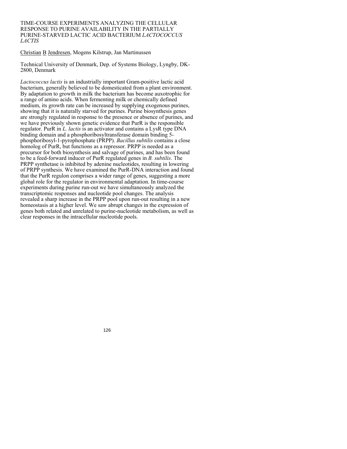#### TIME-COURSE EXPERIMENTS ANALYZING THE CELLULAR RESPONSE TO PURINE AVAILABILITY IN THE PARTIALLY PURINE-STARVED LACTIC ACID BACTERIUM *LACTOCOCCUS LACTIS*

Christian B Jendresen, Mogens Kilstrup, Jan Martinussen

Technical University of Denmark, Dep. of Systems Biology, Lyngby, DK-2800, Denmark

*Lactococcus lactis* is an industrially important Gram-positive lactic acid bacterium, generally believed to be domesticated from a plant environment. By adaptation to growth in milk the bacterium has become auxotrophic for a range of amino acids. When fermenting milk or chemically defined medium, its growth rate can be increased by supplying exogenous purines, showing that it is naturally starved for purines. Purine biosynthesis genes are strongly regulated in response to the presence or absence of purines, and we have previously shown genetic evidence that PurR is the responsible regulator. PurR in *L. lactis* is an activator and contains a LysR type DNA binding domain and a phosphoribosyltransferase domain binding 5 phosphoribosyl-1-pyrophosphate (PRPP). *Bacillus subtilis* contains a close homolog of PurR, but functions as a repressor. PRPP is needed as a precursor for both biosynthesis and salvage of purines, and has been found to be a feed-forward inducer of PurR regulated genes in *B. subtilis*. The PRPP synthetase is inhibited by adenine nucleotides, resulting in lowering of PRPP synthesis. We have examined the PurR-DNA interaction and found that the PurR regulon comprises a wider range of genes, suggesting a more global role for the regulator in environmental adaptation. In time-course experiments during purine run-out we have simultaneously analyzed the transcriptomic responses and nucleotide pool changes. The analysis revealed a sharp increase in the PRPP pool upon run-out resulting in a new homeostasis at a higher level. We saw abrupt changes in the expression of genes both related and unrelated to purine-nucleotide metabolism, as well as clear responses in the intracellular nucleotide pools.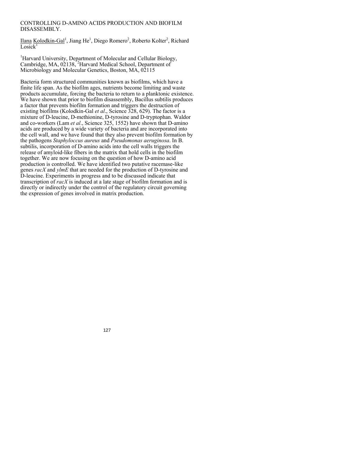# CONTROLLING D-AMINO ACIDS PRODUCTION AND BIOFILM DISASSEMBLY.

Ilana Kolodkin-Gal<sup>1</sup>, Jiang He<sup>1</sup>, Diego Romero<sup>2</sup>, Roberto Kolter<sup>2</sup>, Richard  $\overline{\text{Losick}}^1$ 

<sup>1</sup>Harvard University, Department of Molecular and Cellular Biology, Cambridge, MA, 02138,<sup>2</sup>Harvard Medical School, Department of Microbiology and Molecular Genetics, Boston, MA, 02115

Bacteria form structured communities known as biofilms, which have a finite life span. As the biofilm ages, nutrients become limiting and waste products accumulate, forcing the bacteria to return to a planktonic existence. We have shown that prior to biofilm disassembly, Bacillus subtilis produces a factor that prevents biofilm formation and triggers the destruction of existing biofilms (Kolodkin-Gal *et al*., Science 328, 629). The factor is a mixture of D-leucine, D-methionine, D-tyrosine and D-tryptophan. Waldor and co-workers (Lam *et al*., Science 325, 1552) have shown that D-amino acids are produced by a wide variety of bacteria and are incorporated into the cell wall, and we have found that they also prevent biofilm formation by the pathogens *Staphyloccus aureus* and *Pseudomonas aeruginosa*. In B. subtilis, incorporation of D-amino acids into the cell walls triggers the release of amyloid-like fibers in the matrix that hold cells in the biofilm together. We are now focusing on the question of how D-amino acid production is controlled. We have identified two putative racemase-like genes *racX* and *ylmE* that are needed for the production of D-tyrosine and D-leucine. Experiments in progress and to be discussed indicate that transcription of *racX* is induced at a late stage of biofilm formation and is directly or indirectly under the control of the regulatory circuit governing the expression of genes involved in matrix production.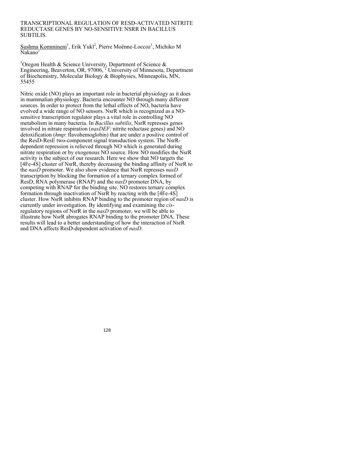#### TRANSCRIPTIONAL REGULATION OF RESD-ACTIVATED NITRITE REDUCTASE GENES BY NO-SENSITIVE NSRR IN BACILLUS SUBTILIS.

Sushma Kommineni<sup>1</sup>, Erik Yukl<sup>2</sup>, Pierre Moënne-Loccoz<sup>1</sup>, Michiko M  $N$ akano<sup>1</sup>

<sup>1</sup>Oregon Health & Science University, Department of Science & Engineering, Beaverton, OR, 97006,<sup>2</sup> University of Minnesota, Department of Biochemistry, Molecular Biology & Biophysics, Minneapolis, MN, 55455

Nitric oxide (NO) plays an important role in bacterial physiology as it does in mammalian physiology. Bacteria encounter NO through many different sources. In order to protect from the lethal effects of NO, bacteria have evolved a wide range of NO sensors. NsrR which is recognized as a NOsensitive transcription regulator plays a vital role in controlling NO metabolism in many bacteria. In *Bacillus subtilis*, NsrR represses genes involved in nitrate respiration (*nasDEF*: nitrite reductase genes) and NO detoxification (*hmp*: flavohemoglobin) that are under a positive control of the ResD-ResE two-component signal transduction system. The NsrRdependent repression is relieved through NO which is generated during nitrate respiration or by exogenous NO source. How NO modifies the NsrR activity is the subject of our research. Here we show that NO targets the [4Fe-4S] cluster of NsrR, thereby decreasing the binding affinity of NsrR to the *nasD* promoter. We also show evidence that NsrR represses *nasD* transcription by blocking the formation of a ternary complex formed of ResD, RNA polymerase (RNAP) and the *nasD* promoter DNA, by competing with RNAP for the binding site. NO restores ternary complex formation through inactivation of NsrR by reacting with the [4Fe-4S] cluster. How NsrR inhibits RNAP binding to the promoter region of *nasD* is currently under investigation. By identifying and examining the *cis*regulatory regions of NsrR in the *nasD* promoter, we will be able to illustrate how NsrR abrogates RNAP binding to the promoter DNA. These results will lead to a better understanding of how the interaction of NsrR and DNA affects ResD-dependent activation of *nasD*.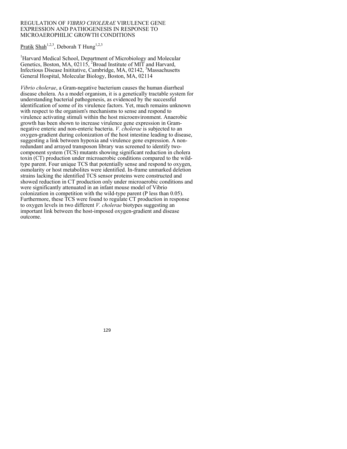### REGULATION OF *VIBRIO CHOLERAE* VIRULENCE GENE EXPRESSION AND PATHOGENESIS IN RESPONSE TO MICROAEROPHILIC GROWTH CONDITIONS

Pratik Shah<sup>1,2,3</sup>, Deborah T Hung<sup>1,2,3</sup>

<sup>1</sup>Harvard Medical School, Department of Microbiology and Molecular Genetics, Boston, MA,  $02115$ , <sup>2</sup>Broad Institute of MIT and Harvard, Infectious Disease Inititative, Cambridge, MA, 02142, <sup>3</sup>Massachusetts General Hospital, Molecular Biology, Boston, MA, 02114

*Vibrio cholerae*, a Gram-negative bacterium causes the human diarrheal disease cholera. As a model organism, it is a genetically tractable system for understanding bacterial pathogenesis, as evidenced by the successful identification of some of its virulence factors. Yet, much remains unknown with respect to the organism's mechanisms to sense and respond to virulence activating stimuli within the host microenvironment. Anaerobic growth has been shown to increase virulence gene expression in Gramnegative enteric and non-enteric bacteria. *V. cholerae* is subjected to an oxygen-gradient during colonization of the host intestine leading to disease, suggesting a link between hypoxia and virulence gene expression. A nonredundant and arrayed transposon library was screened to identify twocomponent system (TCS) mutants showing significant reduction in cholera toxin (CT) production under microaerobic conditions compared to the wildtype parent. Four unique TCS that potentially sense and respond to oxygen, osmolarity or host metabolites were identified. In-frame unmarked deletion strains lacking the identified TCS sensor proteins were constructed and showed reduction in CT production only under microaerobic conditions and were significantly attenuated in an infant mouse model of Vibrio colonization in competition with the wild-type parent (P less than 0.05). Furthermore, these TCS were found to regulate CT production in response to oxygen levels in two different *V. cholerae* biotypes suggesting an important link between the host-imposed oxygen-gradient and disease outcome.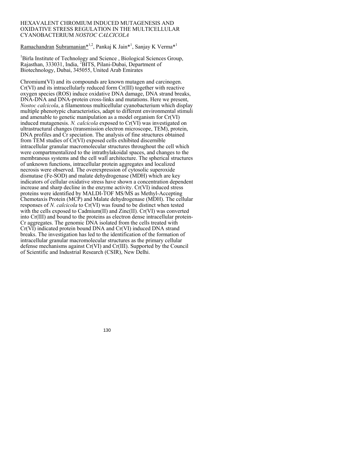#### HEXAVALENT CHROMIUM INDUCED MUTAGENESIS AND OXIDATIVE STRESS REGULATION IN THE MULTICELLULAR CYANOBACTERIUM *NOSTOC CALCICOLA*

# Ramachandran Subramanian\*<sup>1,2</sup>, Pankaj K Jain\*<sup>1</sup>, Sanjay K Verma\*<sup>1</sup>

<sup>1</sup>Birla Institute of Technology and Science, Biological Sciences Group, Rajasthan, 333031, India, <sup>2</sup>BITS, Pilani-Dubai, Department of Biotechnology, Dubai, 345055, United Arab Emirates

Chromium(VI) and its compounds are known mutagen and carcinogen. Cr(VI) and its intracellularly reduced form Cr(III) together with reactive oxygen species (ROS) induce oxidative DNA damage, DNA strand breaks, DNA-DNA and DNA-protein cross-links and mutations. Here we present, *Nostoc calcicola*, a filamentous multicellular cyanobacterium which display multiple phenotypic characteristics, adapt to different environmental stimuli and amenable to genetic manipulation as a model organism for Cr(VI) induced mutagenesis. *N. calcicola* exposed to Cr(VI) was investigated on ultrastructural changes (transmission electron microscope, TEM), protein, DNA profiles and Cr speciation. The analysis of fine structures obtained from TEM studies of Cr(VI) exposed cells exhibited discernible intracellular granular macromolecular structures throughout the cell which were compartmentalized to the intrathylakoidal spaces, and changes to the membranous systems and the cell wall architecture. The spherical structures of unknown functions, intracellular protein aggregates and localized necrosis were observed. The overexpression of cytosolic superoxide dismutase (Fe-SOD) and malate dehydrogenase (MDH) which are key indicators of cellular oxidative stress have shown a concentration dependent increase and sharp decline in the enzyme activity. Cr(VI) induced stress proteins were identified by MALDI-TOF MS/MS as Methyl-Accepting Chemotaxis Protein (MCP) and Malate dehydrogenase (MDH). The cellular responses of *N. calcicola* to Cr(VI) was found to be distinct when tested with the cells exposed to Cadmium(II) and Zinc(II). Cr(VI) was converted into Cr(III) and bound to the proteins as electron dense intracellular protein-Cr aggregates. The genomic DNA isolated from the cells treated with Cr(VI) indicated protein bound DNA and Cr(VI) induced DNA strand breaks. The investigation has led to the identification of the formation of intracellular granular macromolecular structures as the primary cellular defense mechanisms against Cr(VI) and Cr(III). Supported by the Council of Scientific and Industrial Research (CSIR), New Delhi.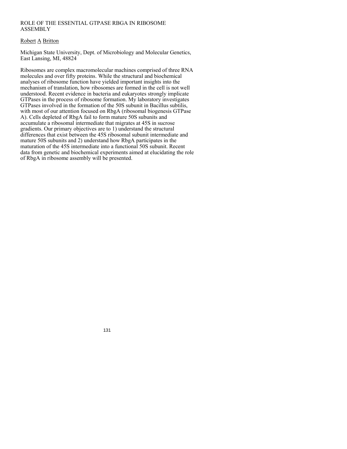# ROLE OF THE ESSENTIAL GTPASE RBGA IN RIBOSOME ASSEMBLY

# Robert A Britton

Michigan State University, Dept. of Microbiology and Molecular Genetics, East Lansing, MI, 48824

Ribosomes are complex macromolecular machines comprised of three RNA molecules and over fifty proteins. While the structural and biochemical analyses of ribosome function have yielded important insights into the mechanism of translation, how ribosomes are formed in the cell is not well understood. Recent evidence in bacteria and eukaryotes strongly implicate GTPases in the process of ribosome formation. My laboratory investigates GTPases involved in the formation of the 50S subunit in Bacillus subtilis, with most of our attention focused on RbgA (ribosomal biogenesis GTPase A). Cells depleted of RbgA fail to form mature 50S subunits and accumulate a ribosomal intermediate that migrates at 45S in sucrose gradients. Our primary objectives are to 1) understand the structural differences that exist between the 45S ribosomal subunit intermediate and mature 50S subunits and 2) understand how RbgA participates in the maturation of the 45S intermediate into a functional 50S subunit. Recent data from genetic and biochemical experiments aimed at elucidating the role of RbgA in ribosome assembly will be presented.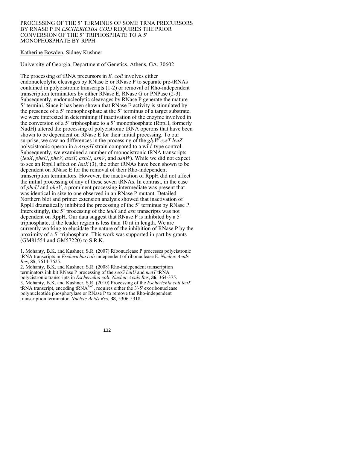#### PROCESSING OF THE 5' TERMINUS OF SOME TRNA PRECURSORS BY RNASE P IN *ESCHERICHIA COLI* REQUIRES THE PRIOR CONVERSION OF THE 5' TRIPHOSPHATE TO A 5' MONOPHOSPHATE BY RPPH.

# Katherine Bowden, Sidney Kushner

University of Georgia, Department of Genetics, Athens, GA, 30602

The processing of tRNA precursors in *E. coli* involves either endonucleolytic cleavages by RNase E or RNase P to separate pre-tRNAs contained in polycistronic transcripts (1-2) or removal of Rho-independent transcription terminators by either RNase E, RNase G or PNPase (2-3). Subsequently, endonucleolytic cleavages by RNase P generate the mature 5' termini. Since it has been shown that RNase E activity is stimulated by the presence of a 5' monophosphate at the 5' terminus of a target substrate, we were interested in determining if inactivation of the enzyme involved in the conversion of a 5' triphosphate to a 5' monophosphate (RppH, formerly NudH) altered the processing of polycistronic tRNA operons that have been shown to be dependent on RNase E for their initial processing. To our surprise, we saw no differences in the processing of the *glyW cysT leuZ*  polycistronic operon in a *ΔrppH* strain compared to a wild type control. Subsequently, we examined a number of monocistronic tRNA transcripts (*leuX*, *pheU*, *pheV*, *asnT*, *asnU*, *asnV*, and *asnW*). While we did not expect to see an RppH affect on *leuX* (3), the other tRNAs have been shown to be dependent on RNase E for the removal of their Rho-independent transcription terminators. However, the inactivation of RppH did not affect the initial processing of any of these seven tRNAs. In contrast, in the case of *pheU* and *pheV*, a prominent processing intermediate was present that was identical in size to one observed in an RNase P mutant. Detailed Northern blot and primer extension analysis showed that inactivation of RppH dramatically inhibited the processing of the 5' terminus by RNase P. Interestingly, the 5' processing of the *leuX* and *asn* transcripts was not dependent on RppH. Our data suggest that RNase P is inhibited by a 5' triphosphate, if the leader region is less than 10 nt in length. We are currently working to elucidate the nature of the inhibition of RNase P by the proximity of a 5' triphosphate. This work was supported in part by grants (GM81554 and GM57220) to S.R.K.

1. Mohanty, B.K. and Kushner, S.R. (2007) Ribonuclease P processes polycistronic tRNA transcripts in *Escherichia coli* independent of ribonuclease E. *Nucleic Acids Res*, **35**, 7614-7625.

2. Mohanty, B.K. and Kushner, S.R. (2008) Rho-independent transcription terminators inhibit RNase P processing of the *secG leuU* and *metT* tRNA polycistronic transcripts in *Escherichia coli*. *Nucleic Acids Res*, **36**, 364-375. 3. Mohanty, B.K. and Kushner, S.R. (2010) Processing of the *Escherichia coli leuX* tRNA transcript, encoding tRNA<sup>leu5</sup>, requires either the  $3'-5'$  exoribonuclease polynucleotide phosphorylase or RNase P to remove the Rho-independent transcription terminator. *Nucleic Acids Res*, **38**, 5306-5318.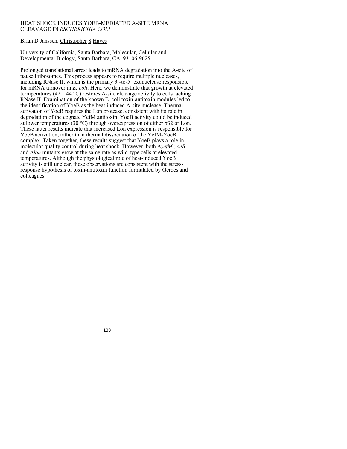# HEAT SHOCK INDUCES YOEB-MEDIATED A-SITE MRNA CLEAVAGE IN *ESCHERICHIA COLI*

# Brian D Janssen, Christopher S Hayes

University of California, Santa Barbara, Molecular, Cellular and Developmental Biology, Santa Barbara, CA, 93106-9625

Prolonged translational arrest leads to mRNA degradation into the A-site of paused ribosomes. This process appears to require multiple nucleases, including RNase II, which is the primary 3´-to-5´ exonuclease responsible for mRNA turnover in *E. coli*. Here, we demonstrate that growth at elevated termperatures (42 – 44 °C) restores A-site cleavage activity to cells lacking RNase II. Examination of the known E. coli toxin-antitoxin modules led to the identification of YoeB as the heat-induced A-site nuclease. Thermal activation of YoeB requires the Lon protease, consistent with its role in degradation of the cognate YefM antitoxin. YoeB activity could be induced at lower temperatures (30 °C) through overexpression of either  $σ32$  or Lon. These latter results indicate that increased Lon expression is responsible for YoeB activation, rather than thermal dissociation of the YefM-YoeB complex. Taken together, these results suggest that YoeB plays a role in molecular quality control during heat shock. However, both Δ*yefM-yoeB* and Δ*lon* mutants grow at the same rate as wild-type cells at elevated temperatures. Although the physiological role of heat-induced YoeB activity is still unclear, these observations are consistent with the stressresponse hypothesis of toxin-antitoxin function formulated by Gerdes and colleagues.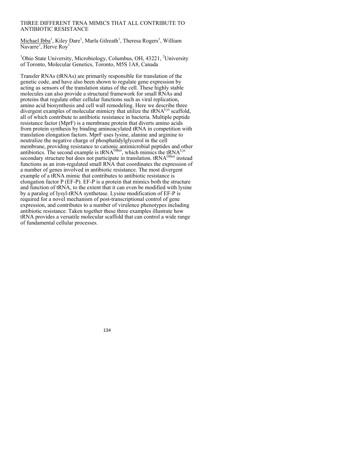# THREE DIFFERENT TRNA MIMICS THAT ALL CONTRIBUTE TO ANTIBIOTIC RESISTANCE

Michael Ibba<sup>1</sup>, Kiley Dare<sup>1</sup>, Marla Gilreath<sup>1</sup>, Theresa Rogers<sup>1</sup>, William Navarre<sup>2</sup>, Herve Roy<sup>1</sup>

<sup>1</sup>Ohio State University, Microbiology, Columbus, OH, 43221, <sup>2</sup>University of Toronto, Molecular Genetics, Toronto, M5S 1A8, Canada

Transfer RNAs (tRNAs) are primarily responsible for translation of the genetic code, and have also been shown to regulate gene expression by acting as sensors of the translation status of the cell. These highly stable molecules can also provide a structural framework for small RNAs and proteins that regulate other cellular functions such as viral replication, amino acid biosynthesis and cell wall remodeling. Here we describe three divergent examples of molecular mimicry that utilize the  $tRNA<sup>Lys</sup>$  scaffold, all of which contribute to antibiotic resistance in bacteria. Multiple peptide resistance factor (MprF) is a membrane protein that diverts amino acids from protein synthesis by binding aminoacylated tRNA in competition with translation elongation factors. MprF uses lysine, alanine and arginine to neutralize the negative charge of phosphatidylglycerol in the cell membrane, providing resistance to cationic antimicrobial peptides and other antibiotics. The second example is  $tRNA^{Other}$ , which mimics the  $tRNA^{Lys}$ secondary structure but does not participate in translation. tRNA<sup>Other</sup> instead functions as an iron-regulated small RNA that coordinates the expression of a number of genes involved in antibiotic resistance. The most divergent example of a tRNA mimic that contributes to antibiotic resistance is elongation factor P (EF-P). EF-P is a protein that mimics both the structure and function of tRNA, to the extent that it can even be modified with lysine by a paralog of lysyl-tRNA synthetase. Lysine modification of EF-P is required for a novel mechanism of post-transcriptional control of gene expression, and contributes to a number of virulence phenotypes including antibiotic resistance. Taken together these three examples illustrate how tRNA provides a versatile molecular scaffold that can control a wide range of fundamental cellular processes.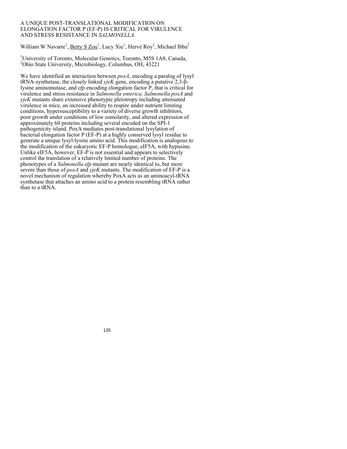#### A UNIQUE POST-TRANSLATIONAL MODIFICATION ON ELONGATION FACTOR P (EF-P) IS CRITICAL FOR VIRULENCE AND STRESS RESISTANCE IN *SALMONELLA*.

William W Navarre<sup>1</sup>, Betty S Zou<sup>1</sup>, Lucy Xie<sup>1</sup>, Hervé Roy<sup>2</sup>, Michael Ibba<sup>2</sup>

<sup>1</sup>University of Toronto, Molecular Genetics, Toronto, M5S 1A8, Canada, <sup>2</sup>Ohio State University, Microbiology, Columbus, OH, 43221

We have identified an interaction between *poxA*, encoding a paralog of lysyl tRNA-synthetase, the closely linked *yjeK* gene, encoding a putative 2,3-βlysine aminomutase, and *efp* encoding elongation factor P, that is critical for virulence and stress resistance in *Salmonella enterica*. *Salmonella poxA* and *yjeK* mutants share extensive phenotypic pleiotropy including attenuated virulence in mice, an increased ability to respire under nutrient limiting conditions, hypersusceptibility to a variety of diverse growth inhibitors, poor growth under conditions of low osmolarity, and altered expression of approximately 60 proteins including several encoded on the SPI-1 pathogenicity island. PoxA mediates post-translational lysylation of bacterial elongation factor P (EF-P) at a highly conserved lysyl residue to generate a unique lysyl-lysine amino acid. This modification is analogous to the modification of the eukaryotic EF-P homologue, eIF5A, with hypusine. Unlike eIF5A, however, EF-P is not essential and appears to selectively control the translation of a relatively limited number of proteins. The phenotypes of a *Salmonella efp* mutant are nearly identical to, but more severe than those of *poxA* and *yjeK* mutants. The modification of EF-P is a novel mechanism of regulation whereby PoxA acts as an aminoacyl-tRNA synthetase that attaches an amino acid to a protein resembling tRNA rather than to a tRNA.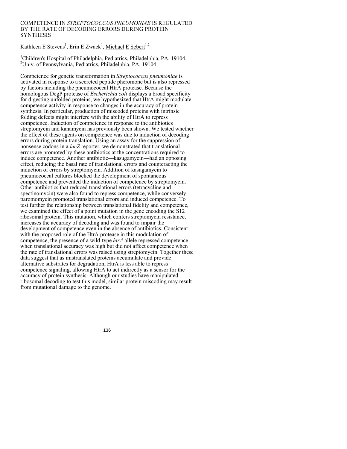# COMPETENCE IN *STREPTOCOCCUS PNEUMONIAE* IS REGULATED BY THE RATE OF DECODING ERRORS DURING PROTEIN **SYNTHESIS**

Kathleen E Stevens<sup>1</sup>, Erin E Zwack<sup>1</sup>, Michael E Sebert<sup>1,2</sup>

<sup>1</sup>Children's Hospital of Philadelphia, Pediatrics, Philadelphia, PA, 19104, 2 Univ. of Pennsylvania, Pediatrics, Philadelphia, PA, 19104

Competence for genetic transformation in *Streptococcus pneumoniae* is activated in response to a secreted peptide pheromone but is also repressed by factors including the pneumococcal HtrA protease. Because the homologous DegP protease of *Escherichia coli* displays a broad specificity for digesting unfolded proteins, we hypothesized that HtrA might modulate competence activity in response to changes in the accuracy of protein synthesis. In particular, production of miscoded proteins with intrinsic folding defects might interfere with the ability of HtrA to repress competence. Induction of competence in response to the antibiotics streptomycin and kanamycin has previously been shown. We tested whether the effect of these agents on competence was due to induction of decoding errors during protein translation. Using an assay for the suppression of nonsense codons in a *lacZ* reporter, we demonstrated that translational errors are promoted by these antibiotics at the concentrations required to induce competence. Another antibiotic—kasugamycin—had an opposing effect, reducing the basal rate of translational errors and counteracting the induction of errors by streptomycin. Addition of kasugamycin to pneumococcal cultures blocked the development of spontaneous competence and prevented the induction of competence by streptomycin. Other antibiotics that reduced translational errors (tetracycline and spectinomycin) were also found to repress competence, while conversely paromomycin promoted translational errors and induced competence. To test further the relationship between translational fidelity and competence, we examined the effect of a point mutation in the gene encoding the S12 ribosomal protein. This mutation, which confers streptomycin resistance, increases the accuracy of decoding and was found to impair the development of competence even in the absence of antibiotics. Consistent with the proposed role of the HtrA protease in this modulation of competence, the presence of a wild-type *htrA* allele repressed competence when translational accuracy was high but did not affect competence when the rate of translational errors was raised using streptomycin. Together these data suggest that as mistranslated proteins accumulate and provide alternative substrates for degradation, HtrA is less able to repress competence signaling, allowing HtrA to act indirectly as a sensor for the accuracy of protein synthesis. Although our studies have manipulated ribosomal decoding to test this model, similar protein miscoding may result from mutational damage to the genome.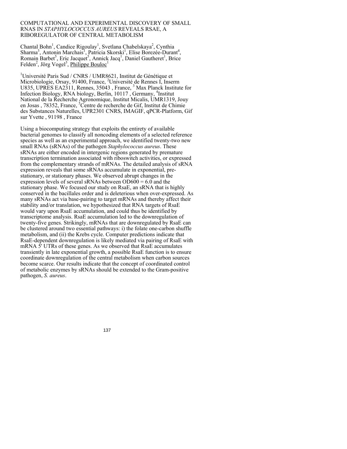#### COMPUTATIONAL AND EXPERIMENTAL DISCOVERY OF SMALL RNAS IN *STAPHYLOCOCCUS AUREUS* REVEALS RSAE, A RIBOREGULATOR OF CENTRAL METABOLISM

Chantal Bohn<sup>1</sup>, Candice Rigoulay<sup>1</sup>, Svetlana Chabelskaya<sup>2</sup>, Cynthia Sharma<sup>3</sup>, Antonin Marchais<sup>1</sup>, Patricia Skorski<sup>1</sup>, Elise Borezée-Durant<sup>4</sup>, Romain Barbet<sup>5</sup>, Eric Jacquet<sup>5</sup>, Annick Jacq<sup>1</sup>, Daniel Gautheret<sup>1</sup>, Brice Felden<sup>2</sup>, Jörg Vogel<sup>3</sup>, Philippe Bouloc<sup>1</sup>

<sup>1</sup>Université Paris Sud / CNRS / UMR8621, Institut de Génétique et Microbiologie, Orsay, 91400, France, <sup>2</sup>Université de Rennes I, Inserm U835, UPRES EA2311, Rennes, 35043, France, <sup>3</sup> Max Planck Institute for Infection Biology, RNA biology, Berlin, 10117 , Germany, 4 Institut National de la Recherche Agronomique, Institut Micalis, UMR1319, Jouy en Josas, 78352, France, <sup>5</sup>Centre de recherche de Gif, Institut de Chimie des Substances Naturelles, UPR2301 CNRS, IMAGIF, qPCR-Platform, Gif sur Yvette , 91198 , France

Using a biocomputing strategy that exploits the entirety of available bacterial genomes to classify all noncoding elements of a selected reference species as well as an experimental approach, we identified twenty-two new small RNAs (sRNAs) of the pathogen *Staphylococcus aureus*. These sRNAs are either encoded in intergenic regions generated by premature transcription termination associated with riboswitch activities, or expressed from the complementary strands of mRNAs. The detailed analysis of sRNA expression reveals that some sRNAs accumulate in exponential, prestationary, or stationary phases. We observed abrupt changes in the expression levels of several sRNAs between  $OD600 = 6.0$  and the stationary phase. We focused our study on RsaE, an sRNA that is highly conserved in the bacillales order and is deleterious when over-expressed. As many sRNAs act via base-pairing to target mRNAs and thereby affect their stability and/or translation, we hypothesized that RNA targets of RsaE would vary upon RsaE accumulation, and could thus be identified by transcriptome analysis. RsaE accumulation led to the downregulation of twenty-five genes. Strikingly, mRNAs that are downregulated by RsaE can be clustered around two essential pathways: i) the folate one-carbon shuffle metabolism, and (ii) the Krebs cycle. Computer predictions indicate that RsaE-dependent downregulation is likely mediated via pairing of RsaE with mRNA 5' UTRs of these genes. As we observed that RsaE accumulates transiently in late exponential growth, a possible RsaE function is to ensure coordinate downregulation of the central metabolism when carbon sources become scarce. Our results indicate that the concept of coordinated control of metabolic enzymes by sRNAs should be extended to the Gram-positive pathogen, *S. aureus*.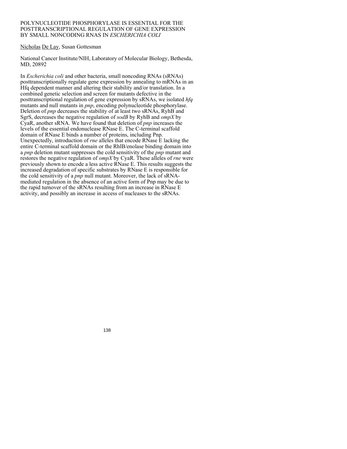### POLYNUCLEOTIDE PHOSPHORYLASE IS ESSENTIAL FOR THE POSTTRANSCRIPTIONAL REGULATION OF GENE EXPRESSION BY SMALL NONCODING RNAS IN *ESCHERICHIA COLI*

# Nicholas De Lay, Susan Gottesman

National Cancer Institute/NIH, Laboratory of Molecular Biology, Bethesda, MD, 20892

In *Escherichia coli* and other bacteria, small noncoding RNAs (sRNAs) posttranscriptionally regulate gene expression by annealing to mRNAs in an Hfq dependent manner and altering their stability and/or translation. In a combined genetic selection and screen for mutants defective in the posttranscriptional regulation of gene expression by sRNAs, we isolated *hfq* mutants and null mutants in *pnp*, encoding polynucleotide phosphorylase. Deletion of *pnp* decreases the stability of at least two sRNAs, RyhB and SgrS, decreases the negative regulation of *sodB* by RyhB and *ompX* by CyaR, another sRNA. We have found that deletion of *pnp* increases the levels of the essential endonuclease RNase E. The C-terminal scaffold domain of RNase E binds a number of proteins, including Pnp. Unexpectedly, introduction of *rne* alleles that encode RNase E lacking the entire C-terminal scaffold domain or the RhlB/enolase binding domain into a *pnp* deletion mutant suppresses the cold sensitivity of the *pnp* mutant and restores the negative regulation of *ompX* by CyaR. These alleles of *rne* were previously shown to encode a less active RNase E. This results suggests the increased degradation of specific substrates by RNase E is responsible for the cold sensitivity of a *pnp* null mutant. Moreover, the lack of sRNAmediated regulation in the absence of an active form of Pnp may be due to the rapid turnover of the sRNAs resulting from an increase in RNase E activity, and possibly an increase in access of nucleases to the sRNAs.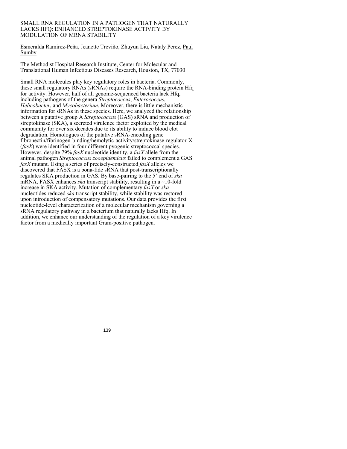#### SMALL RNA REGULATION IN A PATHOGEN THAT NATURALLY LACKS HFQ: ENHANCED STREPTOKINASE ACTIVITY BY MODULATION OF MRNA STABILITY

Esmeralda Ramirez-Peña, Jeanette Treviño, Zhuyun Liu, Nataly Perez, Paul Sumby

The Methodist Hospital Research Institute, Center for Molecular and Translational Human Infectious Diseases Research, Houston, TX, 77030

Small RNA molecules play key regulatory roles in bacteria. Commonly, these small regulatory RNAs (sRNAs) require the RNA-binding protein Hfq for activity. However, half of all genome-sequenced bacteria lack Hfq, including pathogens of the genera *Streptococcus*, *Enterococcus*, *Helicobacter*, and *Mycobacterium*. Moreover, there is little mechanistic information for sRNAs in these species. Here, we analyzed the relationship between a putative group A *Streptococcus* (GAS) sRNA and production of streptokinase (SKA), a secreted virulence factor exploited by the medical community for over six decades due to its ability to induce blood clot degradation. Homologues of the putative sRNA-encoding gene fibronectin/fibrinogen-binding/hemolytic-activity/streptokinase-regulator-X (*fasX*) were identified in four different pyogenic streptococcal species. However, despite 79% *fasX* nucleotide identity, a *fasX* allele from the animal pathogen *Streptococcus zooepidemicus* failed to complement a GAS *fasX* mutant. Using a series of precisely-constructed *fasX* alleles we discovered that FASX is a bona-fide sRNA that post-transcriptionally regulates SKA production in GAS. By base-pairing to the 5' end of *ska* mRNA, FASX enhances *ska* transcript stability, resulting in a ~10-fold increase in SKA activity. Mutation of complementary *fasX* or *ska* nucleotides reduced *ska* transcript stability, while stability was restored upon introduction of compensatory mutations. Our data provides the first nucleotide-level characterization of a molecular mechanism governing a sRNA regulatory pathway in a bacterium that naturally lacks Hfq. In addition, we enhance our understanding of the regulation of a key virulence factor from a medically important Gram-positive pathogen.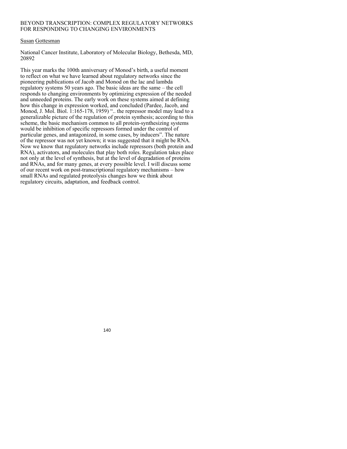# BEYOND TRANSCRIPTION: COMPLEX REGULATORY NETWORKS FOR RESPONDING TO CHANGING ENVIRONMENTS

# Susan Gottesman

National Cancer Institute, Laboratory of Molecular Biology, Bethesda, MD, 20892

This year marks the 100th anniversary of Monod's birth, a useful moment to reflect on what we have learned about regulatory networks since the pioneering publications of Jacob and Monod on the lac and lambda regulatory systems 50 years ago. The basic ideas are the same – the cell responds to changing environments by optimizing expression of the needed and unneeded proteins. The early work on these systems aimed at defining how this change in expression worked, and concluded (Pardee, Jacob, and Monod, J. Mol. Biol.  $1:165-178$ , 1959) "... the repressor model may lead to a generalizable picture of the regulation of protein synthesis; according to this scheme, the basic mechanism common to all protein-synthesizing systems would be inhibition of specific repressors formed under the control of particular genes, and antagonized, in some cases, by inducers". The nature of the repressor was not yet known; it was suggested that it might be RNA. Now we know that regulatory networks include repressors (both protein and RNA), activators, and molecules that play both roles. Regulation takes place not only at the level of synthesis, but at the level of degradation of proteins and RNAs, and for many genes, at every possible level. I will discuss some of our recent work on post-transcriptional regulatory mechanisms – how small RNAs and regulated proteolysis changes how we think about regulatory circuits, adaptation, and feedback control.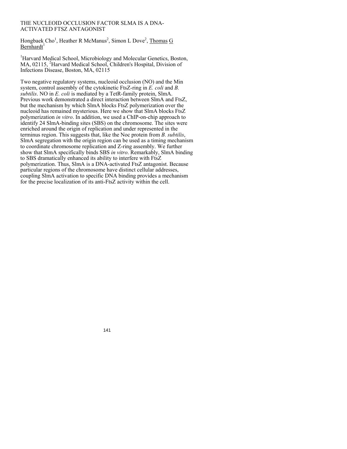# THE NUCLEOID OCCLUSION FACTOR SLMA IS A DNA-ACTIVATED FTSZ ANTAGONIST

Hongbaek Cho<sup>1</sup>, Heather R McManus<sup>2</sup>, Simon L Dove<sup>2</sup>, Thomas G Bernhardt<sup>1</sup>

<sup>1</sup>Harvard Medical School, Microbiology and Molecular Genetics, Boston, MA, 02115, <sup>2</sup>Harvard Medical School, Children's Hospital, Division of Infections Disease, Boston, MA, 02115

Two negative regulatory systems, nucleoid occlusion (NO) and the Min system, control assembly of the cytokinetic FtsZ-ring in *E. coli* and *B. subtilis*. NO in *E. coli* is mediated by a TetR-family protein, SlmA. Previous work demonstrated a direct interaction between SlmA and FtsZ, but the mechanism by which SlmA blocks FtsZ polymerization over the nucleoid has remained mysterious. Here we show that SlmA blocks FtsZ polymerization *in vitro*. In addition, we used a ChIP-on-chip approach to identify 24 SlmA-binding sites (SBS) on the chromosome. The sites were enriched around the origin of replication and under represented in the terminus region. This suggests that, like the Noc protein from *B. subtilis*, SlmA segregation with the origin region can be used as a timing mechanism to coordinate chromosome replication and Z-ring assembly. We further show that SlmA specifically binds SBS *in vitro*. Remarkably, SlmA binding to SBS dramatically enhanced its ability to interfere with FtsZ polymerization. Thus, SlmA is a DNA-activated FtsZ antagonist. Because particular regions of the chromosome have distinct cellular addresses, coupling SlmA activation to specific DNA binding provides a mechanism for the precise localization of its anti-FtsZ activity within the cell.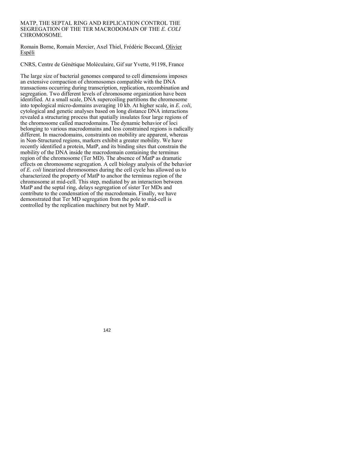## MATP, THE SEPTAL RING AND REPLICATION CONTROL THE SEGREGATION OF THE TER MACRODOMAIN OF THE *E. COLI* CHROMOSOME.

Romain Borne, Romain Mercier, Axel Thiel, Frédéric Boccard, Olivier Espéli

CNRS, Centre de Génétique Moléculaire, Gif sur Yvette, 91198, France

The large size of bacterial genomes compared to cell dimensions imposes an extensive compaction of chromosomes compatible with the DNA transactions occurring during transcription, replication, recombination and segregation. Two different levels of chromosome organization have been identified. At a small scale, DNA supercoiling partitions the chromosome into topological micro-domains averaging 10 kb. At higher scale, in *E. coli*, cytological and genetic analyses based on long distance DNA interactions revealed a structuring process that spatially insulates four large regions of the chromosome called macrodomains. The dynamic behavior of loci belonging to various macrodomains and less constrained regions is radically different. In macrodomains, constraints on mobility are apparent, whereas in Non-Structured regions, markers exhibit a greater mobility. We have recently identified a protein, MatP, and its binding sites that constrain the mobility of the DNA inside the macrodomain containing the terminus region of the chromosome (Ter MD). The absence of MatP as dramatic effects on chromosome segregation. A cell biology analysis of the behavior of *E. coli* linearized chromosomes during the cell cycle has allowed us to characterized the property of MatP to anchor the terminus region of the chromosome at mid-cell. This step, mediated by an interaction between MatP and the septal ring, delays segregation of sister Ter MDs and contribute to the condensation of the macrodomain. Finally, we have demonstrated that Ter MD segregation from the pole to mid-cell is controlled by the replication machinery but not by MatP.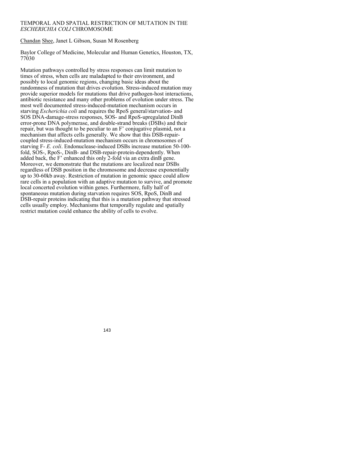# TEMPORAL AND SPATIAL RESTRICTION OF MUTATION IN THE *ESCHERICHIA COLI* CHROMOSOME

Chandan Shee, Janet L Gibson, Susan M Rosenberg

Baylor College of Medicine, Molecular and Human Genetics, Houston, TX, 77030

Mutation pathways controlled by stress responses can limit mutation to times of stress, when cells are maladapted to their environment, and possibly to local genomic regions, changing basic ideas about the randomness of mutation that drives evolution. Stress-induced mutation may provide superior models for mutations that drive pathogen-host interactions, antibiotic resistance and many other problems of evolution under stress. The most well documented stress-induced-mutation mechanism occurs in starving *Escherichia coli* and requires the RpoS general/starvation- and SOS DNA-damage-stress responses, SOS- and RpoS-upregulated DinB error-prone DNA polymerase, and double-strand breaks (DSBs) and their repair, but was thought to be peculiar to an F' conjugative plasmid, not a mechanism that affects cells generally. We show that this DSB-repaircoupled stress-induced-mutation mechanism occurs in chromosomes of starving F- *E. coli*. Endonuclease-induced DSBs increase mutation 50-100 fold, SOS-, RpoS-, DinB- and DSB-repair-protein-dependently. When added back, the F' enhanced this only 2-fold via an extra dinB gene. Moreover, we demonstrate that the mutations are localized near DSBs regardless of DSB position in the chromosome and decrease exponentially up to 30-60kb away. Restriction of mutation in genomic space could allow rare cells in a population with an adaptive mutation to survive, and promote local concerted evolution within genes. Furthermore, fully half of spontaneous mutation during starvation requires SOS, RpoS, DinB and DSB-repair proteins indicating that this is a mutation pathway that stressed cells usually employ. Mechanisms that temporally regulate and spatially restrict mutation could enhance the ability of cells to evolve.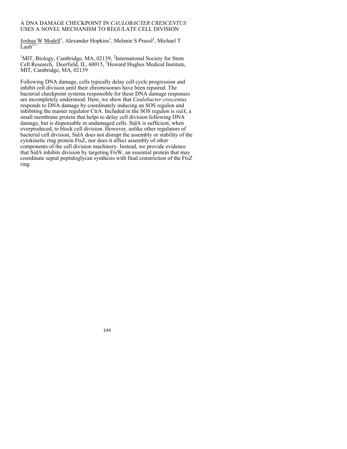# A DNA DAMAGE CHECKPOINT IN *CAULOBACTER CRESCENTUS* USES A NOVEL MECHANISM TO REGULATE CELL DIVISION

Joshua W Modell<sup>1</sup>, Alexander Hopkins<sup>1</sup>, Melanie S Prasol<sup>2</sup>, Michael T  $\overline{L_{\text{sub}}}^{1,3}$ 

<sup>1</sup>MIT, Biology, Cambridge, MA, 02139, <sup>2</sup>International Society for Stem Cell Research, Deerfield, IL, 60015, <sup>3</sup>Howard Hughes Medical Institute, MIT, Cambridge, MA, 02139

Following DNA damage, cells typically delay cell cycle progression and inhibit cell division until their chromosomes have been repaired. The bacterial checkpoint systems responsible for these DNA damage responses are incompletely understood. Here, we show that *Caulobacter crescentus* responds to DNA damage by coordinately inducing an SOS regulon and inhibiting the master regulator CtrA. Included in the SOS regulon is *sidA*, a small membrane protein that helps to delay cell division following DNA damage, but is dispensable in undamaged cells. SidA is sufficient, when overproduced, to block cell division. However, unlike other regulators of bacterial cell division, SidA does not disrupt the assembly or stability of the cytokinetic ring protein FtsZ, nor does it affect assembly of other components of the cell division machinery. Instead, we provide evidence that SidA inhibits division by targeting FtsW, an essential protein that may coordinate septal peptidoglycan synthesis with final constriction of the FtsZ ring.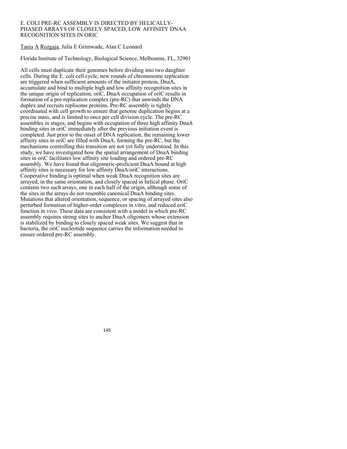## E. COLI PRE-RC ASSEMBLY IS DIRECTED BY HELICALLY-PHASED ARRAYS OF CLOSELY SPACED, LOW AFFINITY DNAA RECOGNITION SITES IN ORIC

Tania A Rozgaja, Julia E Grimwade, Alan C Leonard

Florida Institute of Technology, Biological Science, Melbourne, FL, 32901

All cells must duplicate their genomes before dividing into two daughter cells. During the E. coli cell cycle, new rounds of chromosome replication are triggered when sufficient amounts of the initiator protein, DnaA, accumulate and bind to multiple high and low affinity recognition sites in the unique origin of replication, oriC. DnaA occupation of oriC results in formation of a pre-replication complex (pre-RC) that unwinds the DNA duplex and recruits replisome proteins. Pre-RC assembly is tightly coordinated with cell growth to ensure that genome duplication begins at a precise mass, and is limited to once per cell division cycle. The pre-RC assembles in stages, and begins with occupation of three high affinity DnaA binding sites in oriC immediately after the previous initiation event is completed. Just prior to the onset of DNA replication, the remaining lower affinity sites in oriC are filled with DnaA, forming the pre-RC, but the mechanisms controlling this transition are not yet fully understood. In this study, we have investigated how the spatial arrangement of DnaA binding sites in oriC facilitates low affinity site loading and ordered pre-RC assembly. We have found that oligomeric-proficient DnaA bound at high affinity sites is necessary for low affinity DnaA/oriC interactions. Cooperative binding is optimal when weak DnaA recognition sites are arrayed, in the same orientation, and closely spaced in helical phase. OriC contains two such arrays, one in each half of the origin, although some of the sites in the arrays do not resemble canonical DnaA binding sites. Mutations that altered orientation, sequence, or spacing of arrayed sites also perturbed formation of higher-order complexes in vitro, and reduced oriC function in vivo. These data are consistent with a model in which pre-RC assembly requires strong sites to anchor DnaA oligomers whose extension is stabilized by binding to closely spaced weak sites. We suggest that in bacteria, the oriC nucleotide sequence carries the information needed to ensure ordered pre-RC assembly.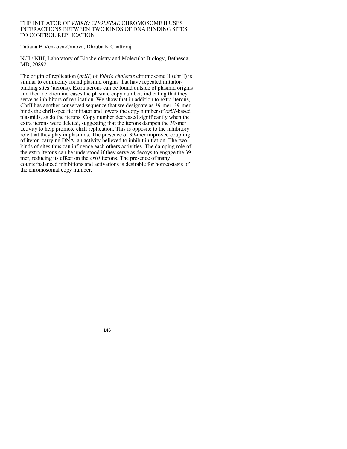## THE INITIATOR OF *VIBRIO CHOLERAE* CHROMOSOME II USES INTERACTIONS BETWEEN TWO KINDS OF DNA BINDING SITES TO CONTROL REPLICATION

Tatiana B Venkova-Canova, Dhruba K Chattoraj

NCI / NIH, Laboratory of Biochemistry and Molecular Biology, Bethesda, MD, 20892

The origin of replication (*oriII*) of *Vibrio cholerae* chromosome II (chrII) is similar to commonly found plasmid origins that have repeated initiatorbinding sites (iterons). Extra iterons can be found outside of plasmid origins and their deletion increases the plasmid copy number, indicating that they serve as inhibitors of replication. We show that in addition to extra iterons, ChrII has another conserved sequence that we designate as 39-mer. 39-mer binds the chrII-specific initiator and lowers the copy number of *oriII*-based plasmids, as do the iterons. Copy number decreased significantly when the extra iterons were deleted, suggesting that the iterons dampen the 39-mer activity to help promote chrII replication. This is opposite to the inhibitory role that they play in plasmids. The presence of 39-mer improved coupling of iteron-carrying DNA, an activity believed to inhibit initiation. The two kinds of sites thus can influence each others activities. The damping role of the extra iterons can be understood if they serve as decoys to engage the 39 mer, reducing its effect on the *oriII* iterons. The presence of many counterbalanced inhibitions and activations is desirable for homeostasis of the chromosomal copy number.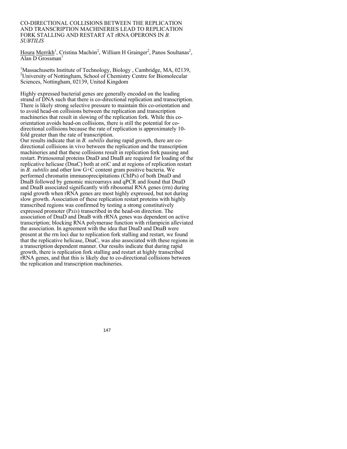#### CO-DIRECTIONAL COLLISIONS BETWEEN THE REPLICATION AND TRANSCRIPTION MACHINERIES LEAD TO REPLICATION FORK STALLING AND RESTART AT rRNA OPERONS IN *B. SUBTILIS*

Houra Merrikh<sup>1</sup>, Cristina Machón<sup>2</sup>, William H Grainger<sup>2</sup>, Panos Soultanas<sup>2</sup>, Alan D Grossman<sup>1</sup>

<sup>1</sup>Massachusetts Institute of Technology, Biology, Cambridge, MA, 02139, <sup>2</sup>University of Nottingham, School of Chemistry Centre for Biomolecular Sciences, Nottingham, 02139, United Kingdom

Highly expressed bacterial genes are generally encoded on the leading strand of DNA such that there is co-directional replication and transcription. There is likely strong selective pressure to maintain this co-orientation and to avoid head-on collisions between the replication and transcription machineries that result in slowing of the replication fork. While this coorientation avoids head-on collisions, there is still the potential for codirectional collisions because the rate of replication is approximately 10 fold greater than the rate of transcription.

Our results indicate that in *B. subtilis* during rapid growth, there are codirectional collisions in vivo between the replication and the transcription machineries and that these collisions result in replication fork pausing and restart. Primosomal proteins DnaD and DnaB are required for loading of the replicative helicase (DnaC) both at oriC and at regions of replication restart in *B. subtilis* and other low G+C content gram positive bacteria. We performed chromatin immunoprecipitations (ChIPs) of both DnaD and DnaB followed by genomic microarrays and qPCR and found that DnaD and DnaB associated significantly with ribosomal RNA genes (rrn) during rapid growth when rRNA genes are most highly expressed, but not during slow growth. Association of these replication restart proteins with highly transcribed regions was confirmed by testing a strong constitutively expressed promoter (P*xis*) transcribed in the head-on direction. The association of DnaD and DnaB with rRNA genes was dependent on active transcription; blocking RNA polymerase function with rifampicin alleviated the association. In agreement with the idea that DnaD and DnaB were present at the rrn loci due to replication fork stalling and restart, we found that the replicative helicase, DnaC, was also associated with these regions in a transcription dependent manner. Our results indicate that during rapid growth, there is replication fork stalling and restart at highly transcribed rRNA genes, and that this is likely due to co-directional collisions between the replication and transcription machineries.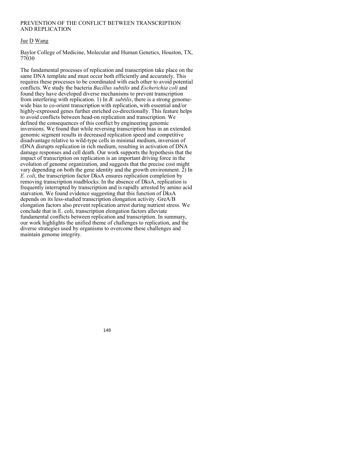## PREVENTION OF THE CONFLICT BETWEEN TRANSCRIPTION AND REPLICATION

## Jue D Wang

Baylor College of Medicine, Molecular and Human Genetics, Houston, TX, 77030

The fundamental processes of replication and transcription take place on the same DNA template and must occur both efficiently and accurately. This requires these processes to be coordinated with each other to avoid potential conflicts. We study the bacteria *Bacillus subtilis* and *Escherichia coli* and found they have developed diverse mechanisms to prevent transcription from interfering with replication. 1) In *B. subtilis*, there is a strong genomewide bias to co-orient transcription with replication, with essential and/or highly-expressed genes further enriched co-directionally. This feature helps to avoid conflicts between head-on replication and transcription. We defined the consequences of this conflict by engineering genomic inversions. We found that while reversing transcription bias in an extended genomic segment results in decreased replication speed and competitive disadvantage relative to wild-type cells in minimal medium, inversion of rDNA disrupts replication in rich medium, resulting in activation of DNA damage responses and cell death. Our work supports the hypothesis that the impact of transcription on replication is an important driving force in the evolution of genome organization, and suggests that the precise cost might vary depending on both the gene identity and the growth environment. 2) In *E. coli*, the transcription factor DksA ensures replication completion by removing transcription roadblocks. In the absence of DksA, replication is frequently interrupted by transcription and is rapidly arrested by amino acid starvation. We found evidence suggesting that this function of DksA depends on its less-studied transcription elongation activity. GreA/B elongation factors also prevent replication arrest during nutrient stress. We conclude that in E. coli, transcription elongation factors alleviate fundamental conflicts between replication and transcription. In summary, our work highlights the unified theme of challenges to replication, and the diverse strategies used by organisms to overcome these challenges and maintain genome integrity.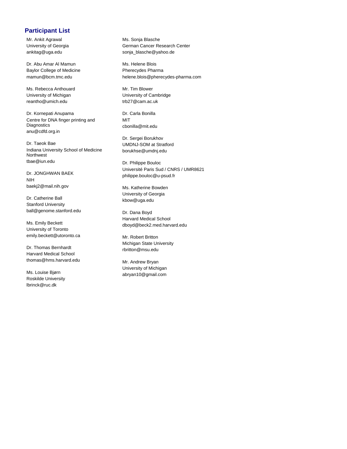# **Participant List**

Mr. Ankit Agrawal University of Georgia ankitag@uga.edu

Dr. Abu Amar Al Mamun Baylor College of Medicine mamun@bcm.tmc.edu

Ms. Rebecca Anthouard University of Michigan reantho@umich.edu

Dr. Kornepati Anupama Centre for DNA finger printing and **Diagnostics** anu@cdfd.org.in

Dr. Taeok Bae Indiana University School of Medicine Northwest tbae@iun.edu

Dr. JONGHWAN BAEK NIH baekj2@mail.nih.gov

Dr. Catherine Ball Stanford University ball@genome.stanford.edu

Ms. Emily Beckett University of Toronto emily.beckett@utoronto.ca

Dr. Thomas Bernhardt Harvard Medical School thomas@hms.harvard.edu

Ms. Louise Bjørn Roskilde University lbrinck@ruc.dk

Ms. Sonja Blasche German Cancer Research Center sonia\_blasche@yahoo.de

Ms. Helene Blois Pherecydes Pharma helene.blois@pherecydes-pharma.com

Mr. Tim Blower University of Cambridge trb27@cam.ac.uk

Dr. Carla Bonilla **MIT** cbonilla@mit.edu

Dr. Sergei Borukhov UMDNJ-SOM at Stratford borukhse@umdnj.edu

Dr. Philippe Bouloc Université Paris Sud / CNRS / UMR8621 philippe.bouloc@u-psud.fr

Ms. Katherine Bowden University of Georgia kbow@uga.edu

Dr. Dana Boyd Harvard Medical School dboyd@beck2.med.harvard.edu

Mr. Robert Britton Michigan State University rbritton@msu.edu

Mr. Andrew Bryan University of Michigan abryan10@gmail.com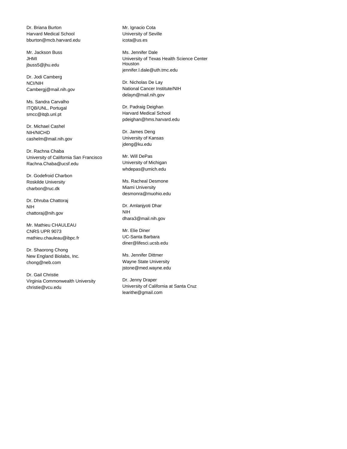Dr. Briana Burton Harvard Medical School bburton@mcb.harvard.edu

Mr. Jackson Buss JHMI jbuss5@jhu.edu

Dr. Jodi Camberg NCI/NIH Cambergj@mail.nih.gov

Ms. Sandra Carvalho ITQB/UNL, Portugal smcc@itqb.unl.pt

Dr. Michael Cashel NIH/NICHD cashelm@mail.nih.gov

Dr. Rachna Chaba University of California San Francisco Rachna.Chaba@ucsf.edu

Dr. Godefroid Charbon Roskilde University charbon@ruc.dk

Dr. Dhruba Chattoraj NIH chattoraj@nih.gov

Mr. Mathieu CHAULEAU CNRS UPR 9073 mathieu.chauleau@ibpc.fr

Dr. Shaorong Chong New England Biolabs, Inc. chong@neb.com

Dr. Gail Christie Virginia Commonwealth University christie@vcu.edu

Mr. Ignacio Cota University of Seville icota@us.es

Ms. Jennifer Dale University of Texas Health Science Center Houston jennifer.l.dale@uth.tmc.edu

Dr. Nicholas De Lay National Cancer Institute/NIH delayn@mail.nih.gov

Dr. Padraig Deighan Harvard Medical School pdeighan@hms.harvard.edu

Dr. James Deng University of Kansas jdeng@ku.edu

Mr. Will DePas University of Michigan whdepas@umich.edu

Ms. Racheal Desmone Miami University desmonra@muohio.edu

Dr. Amlanjyoti Dhar NIH dhara3@mail.nih.gov

Mr. Elie Diner UC-Santa Barbara diner@lifesci.ucsb.edu

Ms. Jennifer Dittmer Wayne State University jstone@med.wayne.edu

Dr. Jenny Draper University of California at Santa Cruz learithe@gmail.com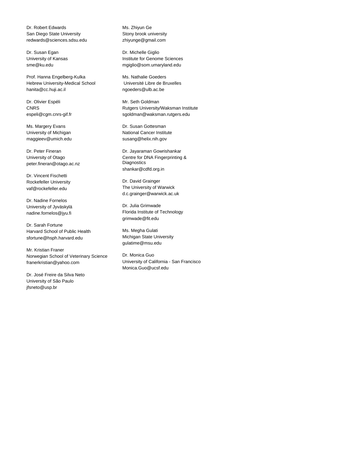Dr. Robert Edwards San Diego State University redwards@sciences.sdsu.edu

Dr. Susan Egan University of Kansas sme@ku.edu

Prof. Hanna Engelberg-Kulka Hebrew University-Medical School hanita@cc.huji.ac.il

Dr. Olivier Espéli **CNRS** espeli@cgm.cnrs-gif.fr

Ms. Margery Evans University of Michigan maggieev@umich.edu

Dr. Peter Fineran University of Otago peter.fineran@otago.ac.nz

Dr. Vincent Fischetti Rockefeller University vaf@rockefeller.edu

Dr. Nadine Fornelos University of Jyväskylä nadine.fornelos@jyu.fi

Dr. Sarah Fortune Harvard School of Public Health sfortune@hsph.harvard.edu

Mr. Kristian Franer Norwegian School of Veterinary Science franerkristian@yahoo.com

Dr. José Freire da Silva Neto University of São Paulo jfsneto@usp.br

Ms. Zhiyun Ge Stony brook university zhiyunge@gmail.com

Dr. Michelle Giglio Institute for Genome Sciences mgiglio@som.umaryland.edu

Ms. Nathalie Goeders Université Libre de Bruxelles ngoeders@ulb.ac.be

Mr. Seth Goldman Rutgers University/Waksman Institute sgoldman@waksman.rutgers.edu

Dr. Susan Gottesman National Cancer Institute susang@helix.nih.gov

Dr. Jayaraman Gowrishankar Centre for DNA Fingerprinting & **Diagnostics** shankar@cdfd.org.in

Dr. David Grainger The University of Warwick d.c.grainger@warwick.ac.uk

Dr. Julia Grimwade Florida Institute of Technology grimwade@fit.edu

Ms. Megha Gulati Michigan State University gulatime@msu.edu

Dr. Monica Guo University of California - San Francisco Monica.Guo@ucsf.edu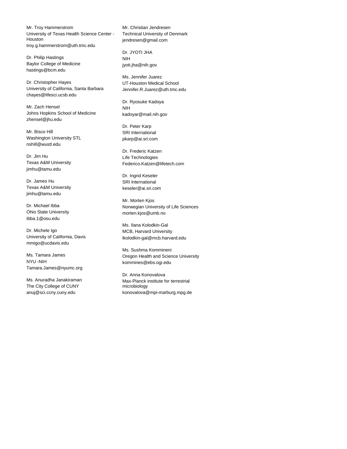Mr. Troy Hammerstrom University of Texas Health Science Center - **Houston** troy.g.hammerstrom@uth.tmc.edu

Dr. Philip Hastings Baylor College of Medicine hastings@bcm.edu

Dr. Christopher Hayes University of California, Santa Barbara chayes@lifesci.ucsb.edu

Mr. Zach Hensel Johns Hopkins School of Medicine zhensel@jhu.edu

Mr. Bisco Hill Washington University STL nshill@wustl.edu

Dr. Jim Hu Texas A&M University jimhu@tamu.edu

Dr. James Hu Texas A&M University jimhu@tamu.edu

Dr. Michael Ibba Ohio State University ibba.1@osu.edu

Dr. Michele Igo University of California, Davis mmigo@ucdavis.edu

Ms. Tamara James NYU -NIH Tamara.James@nyumc.org

Ms. Anuradha Janakiraman The City College of CUNY anuj@sci.ccny.cuny.edu

Mr. Christian Jendresen Technical University of Denmark jendresen@gmail.com

Dr. JYOTI JHA NIH jyoti.jha@nih.gov

Ms. Jennifer Juarez UT-Houston Medical School Jennifer.R.Juarez@uth.tmc.edu

Dr. Ryosuke Kadoya NIH kadoyar@mail.nih.gov

Dr. Peter Karp SRI International pkarp@ai.sri.com

Dr. Frederic Katzen Life Technologies Federico.Katzen@lifetech.com

Dr. Ingrid Keseler SRI International keseler@ai.sri.com

Mr. Morten Kjos Norwegian University of Life Sciences morten.kjos@umb.no

Ms. Ilana Kolodkin-Gal MCB, Harvard University lkolodkin-gal@mcb.harvard.edu

Ms. Sushma Kommineni Oregon Health and Science University kommines@ebs.ogi.edu

Dr. Anna Konovalova Max-Planck institute for terrestrial microbiology konovalova@mpi-marburg.mpg.de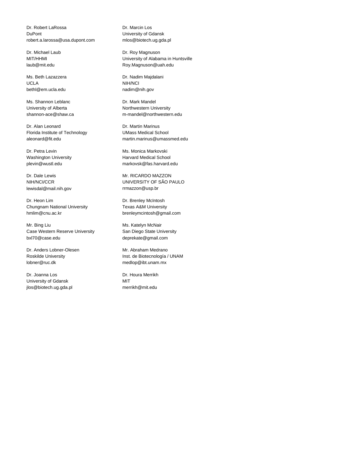Dr. Robert LaRossa DuPont robert.a.larossa@usa.dupont.com

Dr. Michael Laub MIT/HHMI laub@mit.edu

Ms. Beth Lazazzera UCLA bethl@em.ucla.edu

Ms. Shannon Leblanc University of Alberta shannon-ace@shaw.ca

Dr. Alan Leonard Florida Institute of Technology aleonard@fit.edu

Dr. Petra Levin Washington University plevin@wustl.edu

Dr. Dale Lewis NIH/NCI/CCR lewisdal@mail.nih.gov

Dr. Heon Lim Chungnam National University hmlim@cnu.ac.kr

Mr. Bing Liu Case Western Reserve University bxl70@case.edu

Dr. Anders Lobner-Olesen Roskilde University lobner@ruc.dk

Dr. Joanna Los University of Gdansk jlos@biotech.ug.gda.pl

Dr. Marcin Los University of Gdansk mlos@biotech.ug.gda.pl

Dr. Roy Magnuson University of Alabama in Huntsville Roy.Magnuson@uah.edu

Dr. Nadim Majdalani NIH/NCI nadim@nih.gov

Dr. Mark Mandel Northwestern University m-mandel@northwestern.edu

Dr. Martin Marinus UMass Medical School martin.marinus@umassmed.edu

Ms. Monica Markovski Harvard Medical School markovsk@fas.harvard.edu

Mr. RICARDO MAZZON UNIVERSITY OF SÃO PAULO rrmazzon@usp.br

Dr. Brenley McIntosh Texas A&M University brenleymcintosh@gmail.com

Ms. Katelyn McNair San Diego State University deprekate@gmail.com

Mr. Abraham Medrano Inst. de Biotecnología / UNAM medlop@ibt.unam.mx

Dr. Houra Merrikh MIT merrikh@mit.edu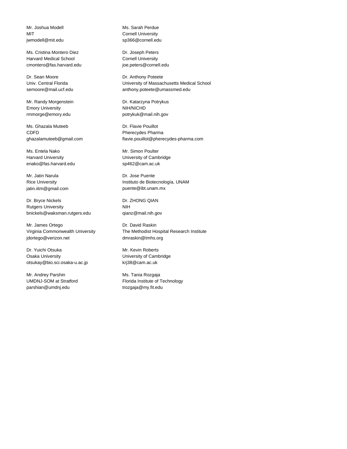Mr. Joshua Modell MIT jwmodell@mit.edu

Ms. Cristina Montero Diez Harvard Medical School cmontero@fas.harvard.edu

Dr. Sean Moore Univ. Central Florida semoore@mail.ucf.edu

Mr. Randy Morgenstein Emory University rmmorge@emory.edu

Ms. Ghazala Muteeb CDFD ghazalamuteeb@gmail.com

Ms. Entela Nako Harvard University enako@fas.harvard.edu

Mr. Jatin Narula Rice University jatin.iitm@gmail.com

Dr. Bryce Nickels Rutgers University bnickels@waksman.rutgers.edu

Mr. James Ortego Virginia Commonwealth University jdortego@verizon.net

Dr. Yuichi Otsuka Osaka University otsukay@bio.sci.osaka-u.ac.jp

Mr. Andrey Parshin UMDNJ-SOM at Stratford parshian@umdnj.edu

Ms. Sarah Perdue Cornell University sp366@cornell.edu

Dr. Joseph Peters Cornell University joe.peters@cornell.edu

Dr. Anthony Poteete University of Massachusetts Medical School anthony.poteete@umassmed.edu

Dr. Katarzyna Potrykus NIH/NICHD potrykuk@mail.nih.gov

Dr. Flavie Pouillot Pherecydes Pharma flavie.pouillot@pherecydes-pharma.com

Mr. Simon Poulter University of Cambridge sp462@cam.ac.uk

Dr. Jose Puente Instituto de Biotecnología, UNAM puente@ibt.unam.mx

Dr. ZHONG QIAN NIH qianz@mail.nih.gov

Dr. David Raskin The Methodist Hospital Research Institute dmraskin@tmhs.org

Mr. Kevin Roberts University of Cambridge krj38@cam.ac.uk

Ms. Tania Rozgaja Florida Institute of Technology trozgaja@my.fit.edu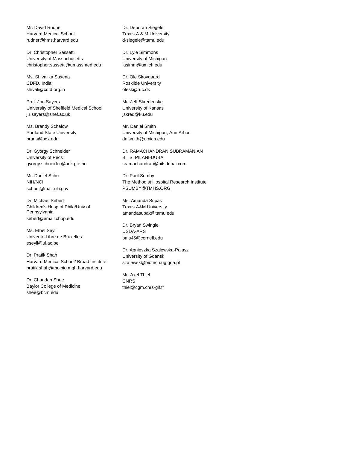Mr. David Rudner Harvard Medical School rudner@hms.harvard.edu

Dr. Christopher Sassetti University of Massachusetts christopher.sassetti@umassmed.edu

Ms. Shivalika Saxena CDFD, India shivali@cdfd.org.in

Prof. Jon Sayers University of Sheffield Medical School j.r.sayers@shef.ac.uk

Ms. Brandy Schalow Portland State University brans@pdx.edu

Dr. György Schneider University of Pécs gyorgy.schneider@aok.pte.hu

Mr. Daniel Schu NIH/NCI schudj@mail.nih.gov

Dr. Michael Sebert Children's Hosp of Phila/Univ of Pennsylvania sebert@email.chop.edu

Ms. Ethel Seyll Univerité Libre de Bruxelles eseyll@ul.ac.be

Dr. Pratik Shah Harvard Medical School/ Broad Institute pratik.shah@molbio.mgh.harvard.edu

Dr. Chandan Shee Baylor College of Medicine shee@bcm.edu

Dr. Deborah Siegele Texas A & M University d-siegele@tamu.edu

Dr. Lyle Simmons University of Michigan lasimm@umich.edu

Dr. Ole Skovgaard Roskilde University olesk@ruc.dk

Mr. Jeff Skredenske University of Kansas jskred@ku.edu

Mr. Daniel Smith University of Michigan, Ann Arbor dnlsmith@umich.edu

Dr. RAMACHANDRAN SUBRAMANIAN BITS, PILANI-DUBAI sramachandran@bitsdubai.com

Dr. Paul Sumby The Methodist Hospital Research Institute PSUMBY@TMHS.ORG

Ms. Amanda Supak Texas A&M University amandasupak@tamu.edu

Dr. Bryan Swingle USDA-ARS bms45@cornell.edu

Dr. Agnieszka Szalewska-Palasz University of Gdansk szalewsk@biotech.ug.gda.pl

Mr. Axel Thiel **CNRS** thiel@cgm.cnrs-gif.fr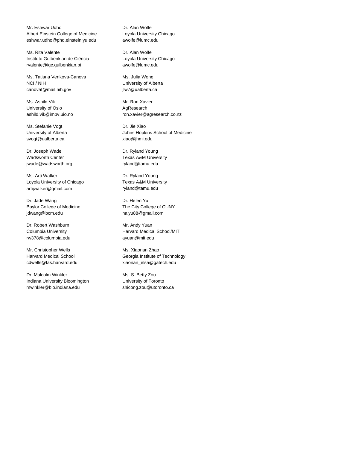Mr. Eshwar Udho Albert Einstein College of Medicine eshwar.udho@phd.einstein.yu.edu

Ms. Rita Valente Instituto Gulbenkian de Ciência rvalente@igc.gulbenkian.pt

Ms. Tatiana Venkova-Canova NCI / NIH canovat@mail.nih.gov

Ms. Ashild Vik University of Oslo ashild.vik@imbv.uio.no

Ms. Stefanie Vogt University of Alberta svogt@ualberta.ca

Dr. Joseph Wade Wadsworth Center jwade@wadsworth.org

Ms. Arti Walker Loyola University of Chicago artijwalker@gmail.com

Dr. Jade Wang Baylor College of Medicine jdwang@bcm.edu

Dr. Robert Washburn Columbia University rw378@columbia.edu

Mr. Christopher Wells Harvard Medical School cdwells@fas.harvard.edu

Dr. Malcolm Winkler Indiana University Bloomington mwinkler@bio.indiana.edu

Dr. Alan Wolfe Loyola University Chicago awolfe@lumc.edu

Dr. Alan Wolfe Loyola University Chicago awolfe@lumc.edu

Ms. Julia Wong University of Alberta jlw7@ualberta.ca

Mr. Ron Xavier AgResearch ron.xavier@agresearch.co.nz

Dr. Jie Xiao Johns Hopkins School of Medicine xiao@jhmi.edu

Dr. Ryland Young Texas A&M University ryland@tamu.edu

Dr. Ryland Young Texas A&M University ryland@tamu.edu

Dr. Helen Yu The City College of CUNY haiyu88@gmail.com

Mr. Andy Yuan Harvard Medical School/MIT ayuan@mit.edu

Ms. Xiaonan Zhao Georgia Institute of Technology xiaonan\_elsa@gatech.edu

Ms. S. Betty Zou University of Toronto shicong.zou@utoronto.ca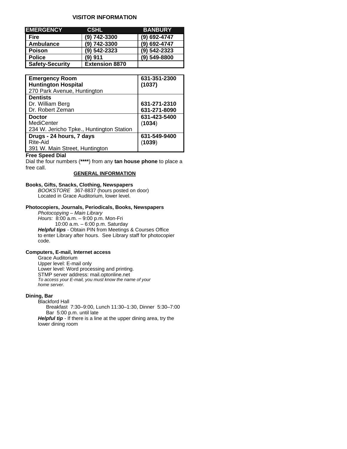## **VISITOR INFORMATION**

| <b>EMERGENCY</b>       | <b>'CSHL</b>          | <b>BANBURY</b> |
|------------------------|-----------------------|----------------|
| <b>Fire</b>            | (9) 742-3300          | (9) 692-4747   |
| Ambulance              | (9) 742-3300          | (9) 692-4747   |
| <b>Poison</b>          | 9) 542-2323           | (9) 542-2323   |
| <b>Police</b>          | (9) 911               | (9) 549-8800   |
| <b>Safety-Security</b> | <b>Extension 8870</b> |                |

| <b>Emergency Room</b><br><b>Huntington Hospital</b><br>270 Park Avenue, Huntington | 631-351-2300<br>(1037)       |
|------------------------------------------------------------------------------------|------------------------------|
| <b>Dentists</b><br>Dr. William Berg<br>Dr. Robert Zeman                            | 631-271-2310<br>631-271-8090 |
| <b>Doctor</b><br><b>MediCenter</b><br>234 W. Jericho Tpke., Huntington Station     | 631-423-5400<br>(1034)       |
| Drugs - 24 hours, 7 days<br>Rite-Aid<br>391 W. Main Street, Huntington             | 631-549-9400<br>(1039)       |

## **Free Speed Dial**

Dial the four numbers (**\*\*\*\***) from any **tan house phone** to place a free call.

## **GENERAL INFORMATION**

## **Books, Gifts, Snacks, Clothing, Newspapers**

 *BOOKSTORE* 367-8837 (hours posted on door) Located in Grace Auditorium, lower level.

### **Photocopiers, Journals, Periodicals, Books, Newspapers**

 *Photocopying – Main Library Hours:* 8:00 a.m. – 9:00 p.m. Mon-Fri 10:00 a.m. – 6:00 p.m. Saturday *Helpful tips -* Obtain PIN from Meetings & Courses Office to enter Library after hours. See Library staff for photocopier code.

#### **Computers, E-mail, Internet access**

Grace Auditorium Upper level: E-mail only Lower level: Word processing and printing. STMP server address: mail.optonline.net *To access your E-mail, you must know the name of your home server.*

### **Dining, Bar**

Blackford Hall

 Breakfast 7:30–9:00, Lunch 11:30–1:30, Dinner 5:30–7:00 Bar 5:00 p.m. until late

**Helpful tip** - If there is a line at the upper dining area, try the lower dining room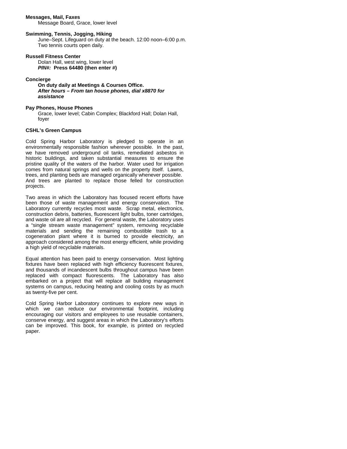#### **Messages, Mail, Faxes**

Message Board, Grace, lower level

#### **Swimming, Tennis, Jogging, Hiking**

June–Sept. Lifeguard on duty at the beach. 12:00 noon–6:00 p.m. Two tennis courts open daily.

#### **Russell Fitness Center**

Dolan Hall, west wing, lower level *PIN#:* **Press 64480 (then enter #)**

#### **Concierge**

**On duty daily at Meetings & Courses Office.**  *After hours – From tan house phones, dial x8870 for assistance* 

#### **Pay Phones, House Phones**

Grace, lower level; Cabin Complex; Blackford Hall; Dolan Hall, foyer

#### **CSHL's Green Campus**

Cold Spring Harbor Laboratory is pledged to operate in an environmentally responsible fashion wherever possible. In the past, we have removed underground oil tanks, remediated asbestos in historic buildings, and taken substantial measures to ensure the pristine quality of the waters of the harbor. Water used for irrigation comes from natural springs and wells on the property itself. Lawns, trees, and planting beds are managed organically whenever possible. And trees are planted to replace those felled for construction projects.

Two areas in which the Laboratory has focused recent efforts have been those of waste management and energy conservation. The Laboratory currently recycles most waste. Scrap metal, electronics, construction debris, batteries, fluorescent light bulbs, toner cartridges, and waste oil are all recycled. For general waste, the Laboratory uses a "single stream waste management" system, removing recyclable materials and sending the remaining combustible trash to a cogeneration plant where it is burned to provide electricity, an approach considered among the most energy efficient, while providing a high yield of recyclable materials.

Equal attention has been paid to energy conservation. Most lighting fixtures have been replaced with high efficiency fluorescent fixtures, and thousands of incandescent bulbs throughout campus have been replaced with compact fluorescents. The Laboratory has also embarked on a project that will replace all building management systems on campus, reducing heating and cooling costs by as much as twenty-five per cent.

Cold Spring Harbor Laboratory continues to explore new ways in which we can reduce our environmental footprint, including encouraging our visitors and employees to use reusable containers, conserve energy, and suggest areas in which the Laboratory's efforts can be improved. This book, for example, is printed on recycled paper.